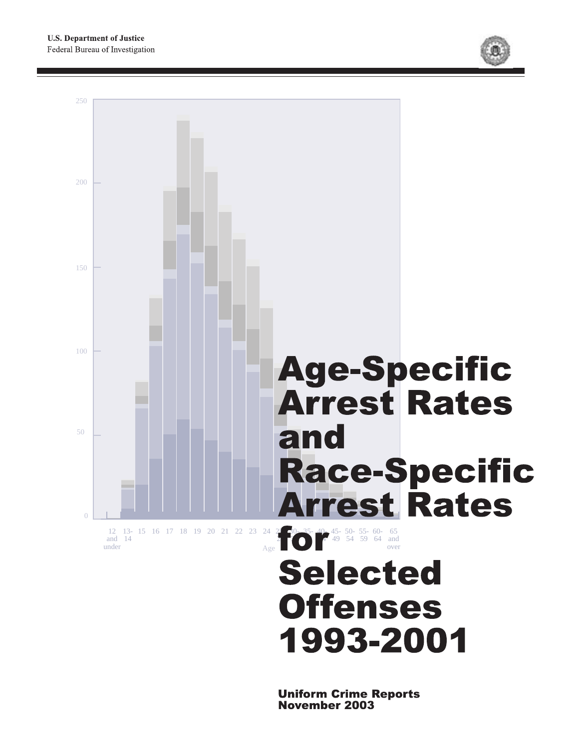



**Uniform Crime Reports November 2003**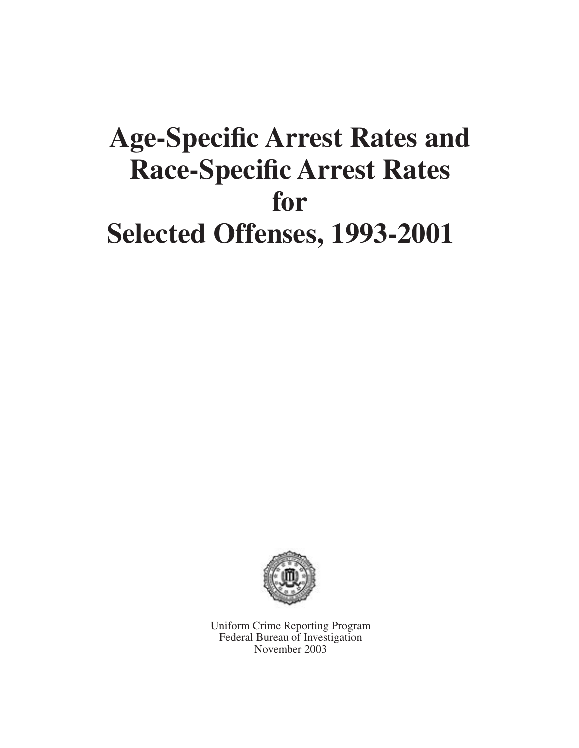# **Age-Specific Arrest Rates and Race-Specific Arrest Rates for Selected Offenses, 1993-2001**



Uniform Crime Reporting Program Federal Bureau of Investigation November 2003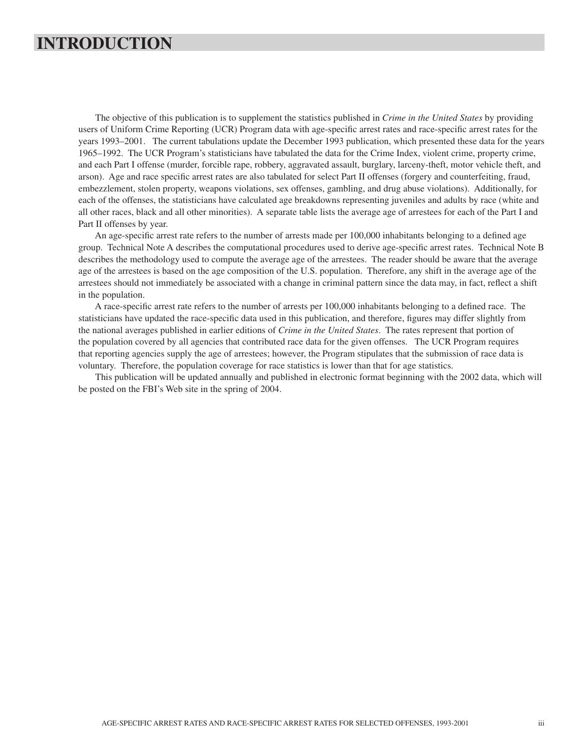#### **INTRODUCTION**

The objective of this publication is to supplement the statistics published in *Crime in the United States* by providing users of Uniform Crime Reporting (UCR) Program data with age-specific arrest rates and race-specific arrest rates for the years 1993–2001. The current tabulations update the December 1993 publication, which presented these data for the years 1965–1992. The UCR Program's statisticians have tabulated the data for the Crime Index, violent crime, property crime, and each Part I offense (murder, forcible rape, robbery, aggravated assault, burglary, larceny-theft, motor vehicle theft, and arson). Age and race specific arrest rates are also tabulated for select Part II offenses (forgery and counterfeiting, fraud, embezzlement, stolen property, weapons violations, sex offenses, gambling, and drug abuse violations). Additionally, for each of the offenses, the statisticians have calculated age breakdowns representing juveniles and adults by race (white and all other races, black and all other minorities). A separate table lists the average age of arrestees for each of the Part I and Part II offenses by year.

An age-specific arrest rate refers to the number of arrests made per 100,000 inhabitants belonging to a defined age group. Technical Note A describes the computational procedures used to derive age-specific arrest rates. Technical Note B describes the methodology used to compute the average age of the arrestees. The reader should be aware that the average age of the arrestees is based on the age composition of the U.S. population. Therefore, any shift in the average age of the arrestees should not immediately be associated with a change in criminal pattern since the data may, in fact, reflect a shift in the population.

A race-specific arrest rate refers to the number of arrests per 100,000 inhabitants belonging to a defined race. The statisticians have updated the race-specific data used in this publication, and therefore, figures may differ slightly from the national averages published in earlier editions of *Crime in the United States*. The rates represent that portion of the population covered by all agencies that contributed race data for the given offenses. The UCR Program requires that reporting agencies supply the age of arrestees; however, the Program stipulates that the submission of race data is voluntary. Therefore, the population coverage for race statistics is lower than that for age statistics.

This publication will be updated annually and published in electronic format beginning with the 2002 data, which will be posted on the FBI's Web site in the spring of 2004.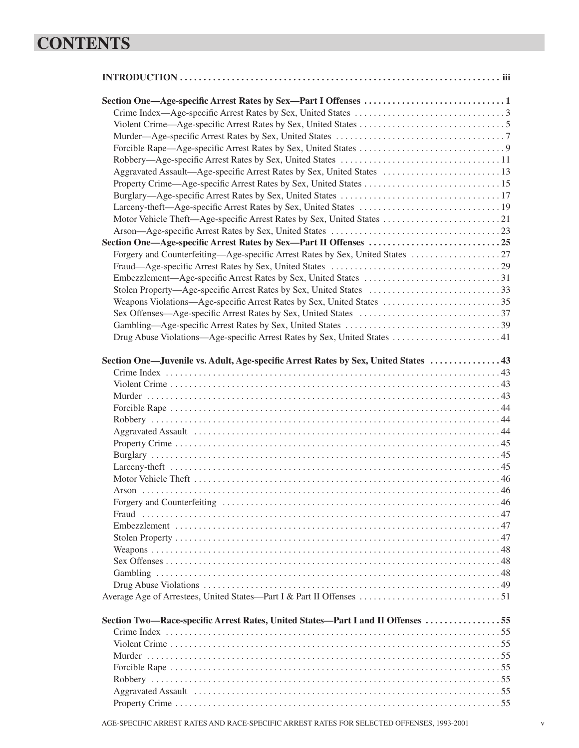### **CONTENTS**

| Aggravated Assault-Age-specific Arrest Rates by Sex, United States 13               |  |
|-------------------------------------------------------------------------------------|--|
|                                                                                     |  |
|                                                                                     |  |
|                                                                                     |  |
|                                                                                     |  |
|                                                                                     |  |
|                                                                                     |  |
|                                                                                     |  |
|                                                                                     |  |
|                                                                                     |  |
|                                                                                     |  |
|                                                                                     |  |
|                                                                                     |  |
|                                                                                     |  |
| Drug Abuse Violations—Age-specific Arrest Rates by Sex, United States  41           |  |
|                                                                                     |  |
| Section One—Juvenile vs. Adult, Age-specific Arrest Rates by Sex, United States  43 |  |
|                                                                                     |  |
|                                                                                     |  |
|                                                                                     |  |
|                                                                                     |  |
|                                                                                     |  |
|                                                                                     |  |
|                                                                                     |  |
|                                                                                     |  |
|                                                                                     |  |
|                                                                                     |  |
|                                                                                     |  |
|                                                                                     |  |
|                                                                                     |  |
|                                                                                     |  |
|                                                                                     |  |
|                                                                                     |  |
|                                                                                     |  |
|                                                                                     |  |
|                                                                                     |  |
|                                                                                     |  |
|                                                                                     |  |
|                                                                                     |  |
| Section Two-Race-specific Arrest Rates, United States-Part I and II Offenses 55     |  |
|                                                                                     |  |
|                                                                                     |  |
|                                                                                     |  |
|                                                                                     |  |
|                                                                                     |  |
|                                                                                     |  |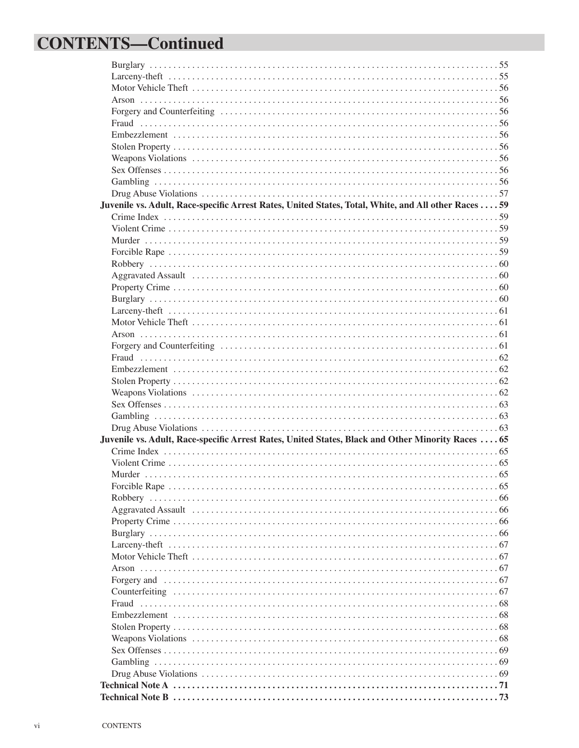### **CONTENTS-Continued**

| Juvenile vs. Adult, Race-specific Arrest Rates, United States, Total, White, and All other Races 59 |  |
|-----------------------------------------------------------------------------------------------------|--|
|                                                                                                     |  |
|                                                                                                     |  |
|                                                                                                     |  |
|                                                                                                     |  |
|                                                                                                     |  |
|                                                                                                     |  |
|                                                                                                     |  |
|                                                                                                     |  |
|                                                                                                     |  |
|                                                                                                     |  |
|                                                                                                     |  |
|                                                                                                     |  |
|                                                                                                     |  |
|                                                                                                     |  |
|                                                                                                     |  |
|                                                                                                     |  |
|                                                                                                     |  |
|                                                                                                     |  |
|                                                                                                     |  |
| Juvenile vs. Adult, Race-specific Arrest Rates, United States, Black and Other Minority Races  65   |  |
|                                                                                                     |  |
|                                                                                                     |  |
|                                                                                                     |  |
|                                                                                                     |  |
|                                                                                                     |  |
|                                                                                                     |  |
|                                                                                                     |  |
|                                                                                                     |  |
|                                                                                                     |  |
|                                                                                                     |  |
|                                                                                                     |  |
|                                                                                                     |  |
|                                                                                                     |  |
|                                                                                                     |  |
|                                                                                                     |  |
|                                                                                                     |  |
|                                                                                                     |  |
|                                                                                                     |  |
|                                                                                                     |  |
|                                                                                                     |  |
|                                                                                                     |  |
|                                                                                                     |  |
|                                                                                                     |  |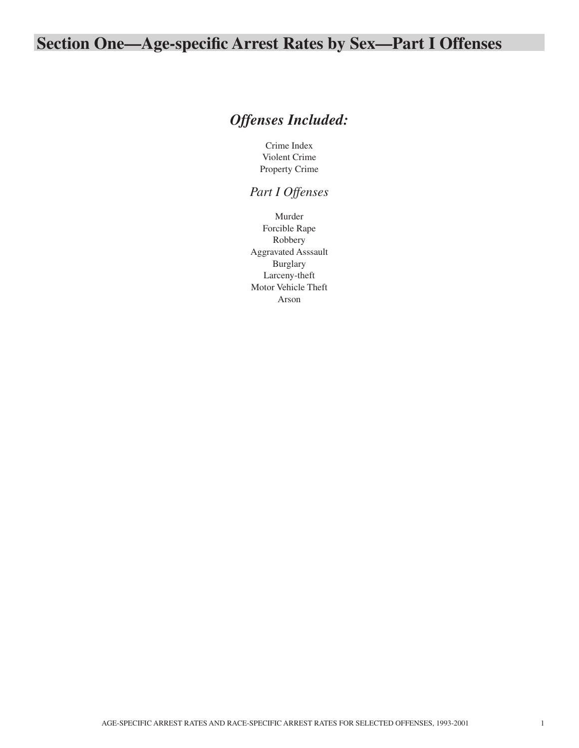### **Section One—Age-specific Arrest Rates by Sex—Part I Offenses**

#### *Offenses Included:*

Crime Index Violent Crime Property Crime

#### *Part I Offenses*

Murder Forcible Rape Robbery Aggravated Asssault Burglary Larceny-theft Motor Vehicle Theft Arson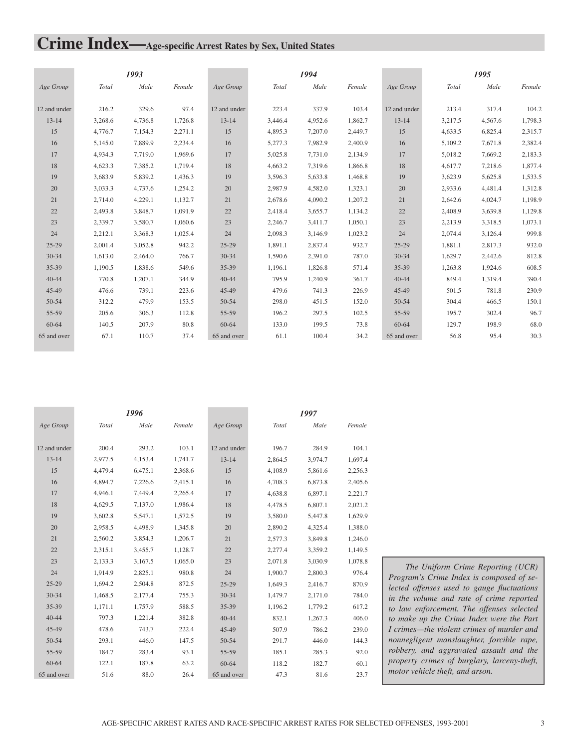### **Crime Index—Age-specific Arrest Rates by Sex, United States**

|              |         | 1993    |         |              |         | 1994    |         |              |         | 1995    |         |
|--------------|---------|---------|---------|--------------|---------|---------|---------|--------------|---------|---------|---------|
| Age Group    | Total   | Male    | Female  | Age Group    | Total   | Male    | Female  | Age Group    | Total   | Male    | Female  |
|              |         |         |         |              |         |         |         |              |         |         |         |
| 12 and under | 216.2   | 329.6   | 97.4    | 12 and under | 223.4   | 337.9   | 103.4   | 12 and under | 213.4   | 317.4   | 104.2   |
| $13 - 14$    | 3,268.6 | 4,736.8 | 1,726.8 | $13 - 14$    | 3,446.4 | 4,952.6 | 1,862.7 | $13 - 14$    | 3,217.5 | 4,567.6 | 1,798.3 |
| 15           | 4,776.7 | 7,154.3 | 2,271.1 | 15           | 4,895.3 | 7,207.0 | 2,449.7 | 15           | 4,633.5 | 6,825.4 | 2,315.7 |
| 16           | 5,145.0 | 7,889.9 | 2,234.4 | 16           | 5,277.3 | 7,982.9 | 2,400.9 | 16           | 5,109.2 | 7,671.8 | 2,382.4 |
| 17           | 4,934.3 | 7,719.0 | 1,969.6 | 17           | 5,025.8 | 7,731.0 | 2,134.9 | 17           | 5,018.2 | 7,669.2 | 2,183.3 |
| 18           | 4,623.3 | 7,385.2 | 1,719.4 | 18           | 4,663.2 | 7,319.6 | 1,866.8 | 18           | 4,617.7 | 7,218.6 | 1,877.4 |
| 19           | 3,683.9 | 5,839.2 | 1,436.3 | 19           | 3,596.3 | 5,633.8 | 1,468.8 | 19           | 3,623.9 | 5,625.8 | 1,533.5 |
| 20           | 3,033.3 | 4,737.6 | 1,254.2 | 20           | 2,987.9 | 4,582.0 | 1,323.1 | 20           | 2,933.6 | 4,481.4 | 1,312.8 |
| 21           | 2,714.0 | 4,229.1 | 1,132.7 | 21           | 2,678.6 | 4,090.2 | 1,207.2 | 21           | 2,642.6 | 4,024.7 | 1,198.9 |
| 22           | 2,493.8 | 3,848.7 | 1,091.9 | 22           | 2,418.4 | 3,655.7 | 1,134.2 | 22           | 2,408.9 | 3,639.8 | 1,129.8 |
| 23           | 2,339.7 | 3,580.7 | 1,060.6 | 23           | 2,246.7 | 3,411.7 | 1,050.1 | 23           | 2,213.9 | 3,318.5 | 1,073.1 |
| 24           | 2,212.1 | 3,368.3 | 1,025.4 | 24           | 2,098.3 | 3,146.9 | 1,023.2 | 24           | 2,074.4 | 3,126.4 | 999.8   |
| $25 - 29$    | 2,001.4 | 3,052.8 | 942.2   | $25 - 29$    | 1,891.1 | 2,837.4 | 932.7   | $25 - 29$    | 1,881.1 | 2,817.3 | 932.0   |
| $30 - 34$    | 1,613.0 | 2,464.0 | 766.7   | $30 - 34$    | 1,590.6 | 2,391.0 | 787.0   | $30 - 34$    | 1,629.7 | 2,442.6 | 812.8   |
| 35-39        | 1.190.5 | 1,838.6 | 549.6   | 35-39        | 1.196.1 | 1,826.8 | 571.4   | 35-39        | 1,263.8 | 1,924.6 | 608.5   |
| $40 - 44$    | 770.8   | 1,207.1 | 344.9   | $40 - 44$    | 795.9   | 1,240.9 | 361.7   | $40 - 44$    | 849.4   | 1,319.4 | 390.4   |
| 45-49        | 476.6   | 739.1   | 223.6   | 45-49        | 479.6   | 741.3   | 226.9   | 45-49        | 501.5   | 781.8   | 230.9   |
| $50 - 54$    | 312.2   | 479.9   | 153.5   | $50 - 54$    | 298.0   | 451.5   | 152.0   | $50 - 54$    | 304.4   | 466.5   | 150.1   |
| 55-59        | 205.6   | 306.3   | 112.8   | 55-59        | 196.2   | 297.5   | 102.5   | 55-59        | 195.7   | 302.4   | 96.7    |
| $60 - 64$    | 140.5   | 207.9   | 80.8    | $60 - 64$    | 133.0   | 199.5   | 73.8    | $60 - 64$    | 129.7   | 198.9   | 68.0    |
| 65 and over  | 67.1    | 110.7   | 37.4    | 65 and over  | 61.1    | 100.4   | 34.2    | 65 and over  | 56.8    | 95.4    | 30.3    |

|              |         | 1996    |         |              | 1997    |         |         |  |
|--------------|---------|---------|---------|--------------|---------|---------|---------|--|
| Age Group    | Total   | Male    | Female  | Age Group    | Total   | Male    | Female  |  |
|              |         |         |         |              |         |         |         |  |
| 12 and under | 200.4   | 293.2   | 103.1   | 12 and under | 196.7   | 284.9   | 104.1   |  |
| $13 - 14$    | 2,977.5 | 4,153.4 | 1,741.7 | $13 - 14$    | 2,864.5 | 3,974.7 | 1,697.4 |  |
| 15           | 4,479.4 | 6,475.1 | 2,368.6 | 15           | 4,108.9 | 5,861.6 | 2,256.3 |  |
| 16           | 4,894.7 | 7,226.6 | 2,415.1 | 16           | 4,708.3 | 6,873.8 | 2,405.6 |  |
| 17           | 4,946.1 | 7,449.4 | 2,265.4 | 17           | 4,638.8 | 6,897.1 | 2,221.7 |  |
| 18           | 4,629.5 | 7,137.0 | 1,986.4 | 18           | 4,478.5 | 6,807.1 | 2,021.2 |  |
| 19           | 3,602.8 | 5,547.1 | 1,572.5 | 19           | 3,580.0 | 5,447.8 | 1,629.9 |  |
| 20           | 2,958.5 | 4,498.9 | 1,345.8 | 20           | 2,890.2 | 4,325.4 | 1,388.0 |  |
| 21           | 2,560.2 | 3,854.3 | 1,206.7 | 21           | 2,577.3 | 3,849.8 | 1,246.0 |  |
| 22           | 2,315.1 | 3,455.7 | 1,128.7 | 22           | 2,277.4 | 3,359.2 | 1,149.5 |  |
| 23           | 2,133.3 | 3,167.5 | 1,065.0 | 23           | 2,071.8 | 3,030.9 | 1,078.8 |  |
| 24           | 1,914.9 | 2,825.1 | 980.8   | 24           | 1,900.7 | 2,800.3 | 976.4   |  |
| $25-29$      | 1,694.2 | 2,504.8 | 872.5   | $25 - 29$    | 1,649.3 | 2,416.7 | 870.9   |  |
| $30 - 34$    | 1,468.5 | 2,177.4 | 755.3   | $30 - 34$    | 1,479.7 | 2,171.0 | 784.0   |  |
| 35-39        | 1,171.1 | 1,757.9 | 588.5   | 35-39        | 1,196.2 | 1,779.2 | 617.2   |  |
| $40 - 44$    | 797.3   | 1,221.4 | 382.8   | $40 - 44$    | 832.1   | 1,267.3 | 406.0   |  |
| 45-49        | 478.6   | 743.7   | 222.4   | 45-49        | 507.9   | 786.2   | 239.0   |  |
| 50-54        | 293.1   | 446.0   | 147.5   | 50-54        | 291.7   | 446.0   | 144.3   |  |
| 55-59        | 184.7   | 283.4   | 93.1    | 55-59        | 185.1   | 285.3   | 92.0    |  |
| 60-64        | 122.1   | 187.8   | 63.2    | $60 - 64$    | 118.2   | 182.7   | 60.1    |  |
| 65 and over  | 51.6    | 88.0    | 26.4    | 65 and over  | 47.3    | 81.6    | 23.7    |  |

*The Uniform Crime Reporting (UCR) Program's Crime Index is composed of selected offenses used to gauge fluctuations in the volume and rate of crime reported to law enforcement. The offenses selected to make up the Crime Index were the Part I crimes—the violent crimes of murder and nonnegligent manslaughter, forcible rape, robbery, and aggravated assault and the property crimes of burglary, larceny-theft, motor vehicle theft, and arson.*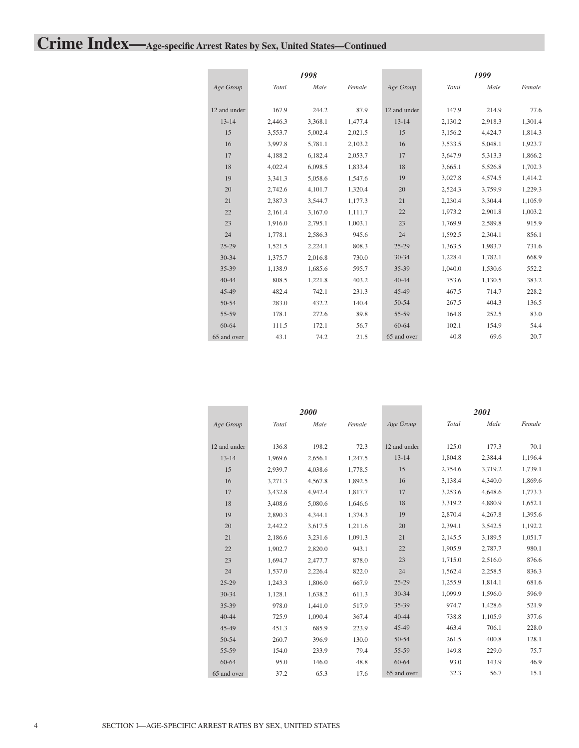## **Crime Index—Age-specific Arrest Rates by Sex, United States—Continued**

|              |         | 1998    |         |              |         | 1999    |         |
|--------------|---------|---------|---------|--------------|---------|---------|---------|
| Age Group    | Total   | Male    | Female  | Age Group    | Total   | Male    | Female  |
| 12 and under | 167.9   | 244.2   | 87.9    | 12 and under | 147.9   | 214.9   | 77.6    |
| $13 - 14$    | 2,446.3 | 3,368.1 | 1,477.4 | $13 - 14$    | 2,130.2 | 2,918.3 | 1,301.4 |
| 15           | 3,553.7 | 5,002.4 | 2,021.5 | 15           | 3,156.2 | 4,424.7 | 1,814.3 |
| 16           | 3,997.8 | 5,781.1 | 2,103.2 | 16           | 3,533.5 | 5,048.1 | 1,923.7 |
| 17           | 4,188.2 | 6,182.4 | 2,053.7 | 17           | 3,647.9 | 5,313.3 | 1,866.2 |
| 18           | 4,022.4 | 6,098.5 | 1,833.4 | 18           | 3,665.1 | 5,526.8 | 1,702.3 |
| 19           | 3,341.3 | 5,058.6 | 1,547.6 | 19           | 3,027.8 | 4,574.5 | 1,414.2 |
| 20           | 2,742.6 | 4,101.7 | 1,320.4 | 20           | 2,524.3 | 3,759.9 | 1,229.3 |
| 21           | 2,387.3 | 3,544.7 | 1,177.3 | 21           | 2,230.4 | 3,304.4 | 1,105.9 |
| 22           | 2,161.4 | 3,167.0 | 1,111.7 | 22           | 1,973.2 | 2,901.8 | 1,003.2 |
| 23           | 1,916.0 | 2,795.1 | 1,003.1 | 23           | 1,769.9 | 2,589.8 | 915.9   |
| 24           | 1,778.1 | 2,586.3 | 945.6   | 24           | 1,592.5 | 2,304.1 | 856.1   |
| $25 - 29$    | 1,521.5 | 2,224.1 | 808.3   | $25 - 29$    | 1,363.5 | 1,983.7 | 731.6   |
| $30 - 34$    | 1,375.7 | 2,016.8 | 730.0   | $30 - 34$    | 1,228.4 | 1,782.1 | 668.9   |
| 35-39        | 1,138.9 | 1,685.6 | 595.7   | 35-39        | 1,040.0 | 1,530.6 | 552.2   |
| $40 - 44$    | 808.5   | 1,221.8 | 403.2   | $40 - 44$    | 753.6   | 1,130.5 | 383.2   |
| 45-49        | 482.4   | 742.1   | 231.3   | 45-49        | 467.5   | 714.7   | 228.2   |
| 50-54        | 283.0   | 432.2   | 140.4   | 50-54        | 267.5   | 404.3   | 136.5   |
| 55-59        | 178.1   | 272.6   | 89.8    | 55-59        | 164.8   | 252.5   | 83.0    |
| 60-64        | 111.5   | 172.1   | 56.7    | $60 - 64$    | 102.1   | 154.9   | 54.4    |
| 65 and over  | 43.1    | 74.2    | 21.5    | 65 and over  | 40.8    | 69.6    | 20.7    |

|              |         | <i>2000</i> |         |              |         | 2001    |         |
|--------------|---------|-------------|---------|--------------|---------|---------|---------|
| Age Group    | Total   | Male        | Female  | Age Group    | Total   | Male    | Female  |
| 12 and under | 136.8   | 198.2       | 72.3    | 12 and under | 125.0   | 177.3   | 70.1    |
| $13 - 14$    | 1,969.6 | 2,656.1     | 1,247.5 | $13 - 14$    | 1,804.8 | 2,384.4 | 1,196.4 |
| 15           | 2,939.7 | 4,038.6     | 1,778.5 | 15           | 2,754.6 | 3,719.2 | 1,739.1 |
| 16           | 3,271.3 | 4,567.8     | 1,892.5 | 16           | 3,138.4 | 4,340.0 | 1,869.6 |
| 17           | 3,432.8 | 4,942.4     | 1,817.7 | 17           | 3,253.6 | 4,648.6 | 1,773.3 |
| 18           | 3,408.6 | 5,080.6     | 1,646.6 | 18           | 3,319.2 | 4,880.9 | 1,652.1 |
| 19           | 2,890.3 | 4,344.1     | 1,374.3 | 19           | 2,870.4 | 4,267.8 | 1,395.6 |
| 20           | 2.442.2 | 3,617.5     | 1,211.6 | 20           | 2.394.1 | 3,542.5 | 1,192.2 |
| 21           | 2,186.6 | 3,231.6     | 1,091.3 | 21           | 2,145.5 | 3,189.5 | 1,051.7 |
| 22           | 1,902.7 | 2,820.0     | 943.1   | 22           | 1,905.9 | 2,787.7 | 980.1   |
| 23           | 1,694.7 | 2,477.7     | 878.0   | 23           | 1,715.0 | 2,516.0 | 876.6   |
| 24           | 1,537.0 | 2,226.4     | 822.0   | 24           | 1,562.4 | 2,258.5 | 836.3   |
| $25 - 29$    | 1,243.3 | 1,806.0     | 667.9   | $25 - 29$    | 1,255.9 | 1,814.1 | 681.6   |
| $30 - 34$    | 1,128.1 | 1,638.2     | 611.3   | $30 - 34$    | 1,099.9 | 1,596.0 | 596.9   |
| $35 - 39$    | 978.0   | 1,441.0     | 517.9   | 35-39        | 974.7   | 1,428.6 | 521.9   |
| $40 - 44$    | 725.9   | 1,090.4     | 367.4   | $40 - 44$    | 738.8   | 1,105.9 | 377.6   |
| $45 - 49$    | 451.3   | 685.9       | 223.9   | 45-49        | 463.4   | 706.1   | 228.0   |
| 50-54        | 260.7   | 396.9       | 130.0   | 50-54        | 261.5   | 400.8   | 128.1   |
| 55-59        | 154.0   | 233.9       | 79.4    | 55-59        | 149.8   | 229.0   | 75.7    |
| 60-64        | 95.0    | 146.0       | 48.8    | 60-64        | 93.0    | 143.9   | 46.9    |
| 65 and over  | 37.2    | 65.3        | 17.6    | 65 and over  | 32.3    | 56.7    | 15.1    |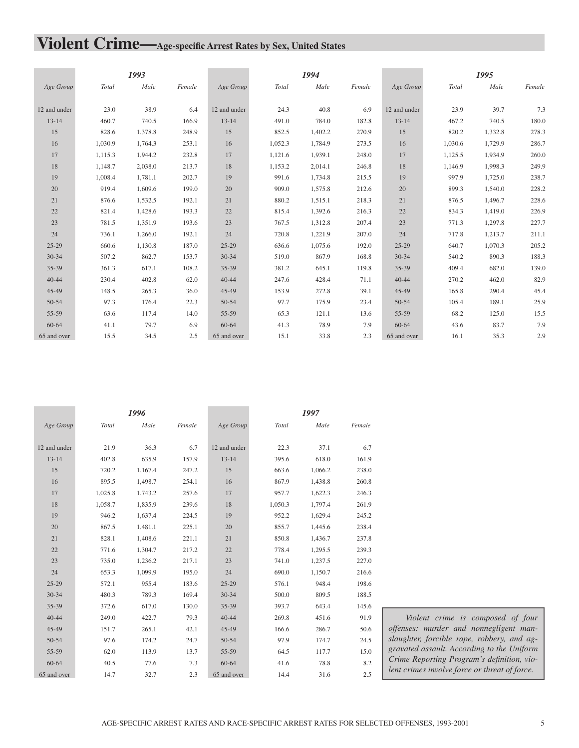#### **Violent Crime—Age-specific Arrest Rates by Sex, United States**

|              | 1993    |         |        | 1994         |         |         |        | 1995         |         |         |        |
|--------------|---------|---------|--------|--------------|---------|---------|--------|--------------|---------|---------|--------|
| Age Group    | Total   | Male    | Female | Age Group    | Total   | Male    | Female | Age Group    | Total   | Male    | Female |
| 12 and under | 23.0    | 38.9    | 6.4    | 12 and under | 24.3    | 40.8    | 6.9    | 12 and under | 23.9    | 39.7    | 7.3    |
| $13 - 14$    | 460.7   | 740.5   | 166.9  | $13 - 14$    | 491.0   | 784.0   | 182.8  | $13 - 14$    | 467.2   | 740.5   | 180.0  |
| 15           | 828.6   | 1,378.8 | 248.9  | 15           | 852.5   | 1,402.2 | 270.9  | 15           | 820.2   | 1,332.8 | 278.3  |
| 16           | 1,030.9 | 1,764.3 | 253.1  | 16           | 1,052.3 | 1,784.9 | 273.5  | 16           | 1,030.6 | 1,729.9 | 286.7  |
| 17           | 1,115.3 | 1,944.2 | 232.8  | 17           | 1,121.6 | 1,939.1 | 248.0  | 17           | 1,125.5 | 1,934.9 | 260.0  |
| 18           | 1,148.7 | 2,038.0 | 213.7  | 18           | 1,153.2 | 2,014.1 | 246.8  | 18           | 1,146.9 | 1,998.3 | 249.9  |
| 19           | 1,008.4 | 1,781.1 | 202.7  | 19           | 991.6   | 1,734.8 | 215.5  | 19           | 997.9   | 1,725.0 | 238.7  |
| 20           | 919.4   | 1,609.6 | 199.0  | 20           | 909.0   | 1,575.8 | 212.6  | 20           | 899.3   | 1,540.0 | 228.2  |
| 21           | 876.6   | 1,532.5 | 192.1  | 21           | 880.2   | 1,515.1 | 218.3  | 21           | 876.5   | 1,496.7 | 228.6  |
| 22           | 821.4   | 1,428.6 | 193.3  | $22\,$       | 815.4   | 1,392.6 | 216.3  | 22           | 834.3   | 1,419.0 | 226.9  |
| 23           | 781.5   | 1,351.9 | 193.6  | 23           | 767.5   | 1,312.8 | 207.4  | 23           | 771.3   | 1,297.8 | 227.7  |
| 24           | 736.1   | 1,266.0 | 192.1  | 24           | 720.8   | 1,221.9 | 207.0  | 24           | 717.8   | 1,213.7 | 211.1  |
| $25 - 29$    | 660.6   | 1,130.8 | 187.0  | $25-29$      | 636.6   | 1,075.6 | 192.0  | $25 - 29$    | 640.7   | 1,070.3 | 205.2  |
| $30 - 34$    | 507.2   | 862.7   | 153.7  | $30 - 34$    | 519.0   | 867.9   | 168.8  | $30 - 34$    | 540.2   | 890.3   | 188.3  |
| $35 - 39$    | 361.3   | 617.1   | 108.2  | 35-39        | 381.2   | 645.1   | 119.8  | 35-39        | 409.4   | 682.0   | 139.0  |
| $40 - 44$    | 230.4   | 402.8   | 62.0   | $40 - 44$    | 247.6   | 428.4   | 71.1   | $40 - 44$    | 270.2   | 462.0   | 82.9   |
| 45-49        | 148.5   | 265.3   | 36.0   | 45-49        | 153.9   | 272.8   | 39.1   | 45-49        | 165.8   | 290.4   | 45.4   |
| $50 - 54$    | 97.3    | 176.4   | 22.3   | $50 - 54$    | 97.7    | 175.9   | 23.4   | 50-54        | 105.4   | 189.1   | 25.9   |
| 55-59        | 63.6    | 117.4   | 14.0   | 55-59        | 65.3    | 121.1   | 13.6   | 55-59        | 68.2    | 125.0   | 15.5   |
| $60 - 64$    | 41.1    | 79.7    | 6.9    | $60 - 64$    | 41.3    | 78.9    | 7.9    | 60-64        | 43.6    | 83.7    | 7.9    |
| 65 and over  | 15.5    | 34.5    | 2.5    | 65 and over  | 15.1    | 33.8    | 2.3    | 65 and over  | 16.1    | 35.3    | 2.9    |

|              |         | 1996    |        |              | 1997    |         |        |  |  |
|--------------|---------|---------|--------|--------------|---------|---------|--------|--|--|
| Age Group    | Total   | Male    | Female | Age Group    | Total   | Male    | Female |  |  |
|              |         |         |        |              |         |         |        |  |  |
| 12 and under | 21.9    | 36.3    | 6.7    | 12 and under | 22.3    | 37.1    | 6.7    |  |  |
| $13 - 14$    | 402.8   | 635.9   | 157.9  | $13 - 14$    | 395.6   | 618.0   | 161.9  |  |  |
| 15           | 720.2   | 1,167.4 | 247.2  | 15           | 663.6   | 1,066.2 | 238.0  |  |  |
| 16           | 895.5   | 1,498.7 | 254.1  | 16           | 867.9   | 1,438.8 | 260.8  |  |  |
| 17           | 1,025.8 | 1,743.2 | 257.6  | 17           | 957.7   | 1,622.3 | 246.3  |  |  |
| 18           | 1,058.7 | 1,835.9 | 239.6  | 18           | 1,050.3 | 1.797.4 | 261.9  |  |  |
| 19           | 946.2   | 1,637.4 | 224.5  | 19           | 952.2   | 1,629.4 | 245.2  |  |  |
| 20           | 867.5   | 1,481.1 | 225.1  | 20           | 855.7   | 1,445.6 | 238.4  |  |  |
| 21           | 828.1   | 1,408.6 | 221.1  | 21           | 850.8   | 1,436.7 | 237.8  |  |  |
| 22           | 771.6   | 1,304.7 | 217.2  | 22           | 778.4   | 1,295.5 | 239.3  |  |  |
| 23           | 735.0   | 1,236.2 | 217.1  | 23           | 741.0   | 1,237.5 | 227.0  |  |  |
| 24           | 653.3   | 1,099.9 | 195.0  | 24           | 690.0   | 1,150.7 | 216.6  |  |  |
| $25-29$      | 572.1   | 955.4   | 183.6  | $25 - 29$    | 576.1   | 948.4   | 198.6  |  |  |
| $30 - 34$    | 480.3   | 789.3   | 169.4  | 30-34        | 500.0   | 809.5   | 188.5  |  |  |
| 35-39        | 372.6   | 617.0   | 130.0  | 35-39        | 393.7   | 643.4   | 145.6  |  |  |
| $40 - 44$    | 249.0   | 422.7   | 79.3   | $40 - 44$    | 269.8   | 451.6   | 91.9   |  |  |
| 45-49        | 151.7   | 265.1   | 42.1   | 45-49        | 166.6   | 286.7   | 50.6   |  |  |
| 50-54        | 97.6    | 174.2   | 24.7   | 50-54        | 97.9    | 174.7   | 24.5   |  |  |
| 55-59        | 62.0    | 113.9   | 13.7   | 55-59        | 64.5    | 117.7   | 15.0   |  |  |
| $60 - 64$    | 40.5    | 77.6    | 7.3    | 60-64        | 41.6    | 78.8    | 8.2    |  |  |
| 65 and over  | 14.7    | 32.7    | 2.3    | 65 and over  | 14.4    | 31.6    | 2.5    |  |  |

*Violent crime is composed of four offenses: murder and nonnegligent manslaughter, forcible rape, robbery, and aggravated assault. According to the Uniform Crime Reporting Program's definition, violent crimes involve force or threat of force.*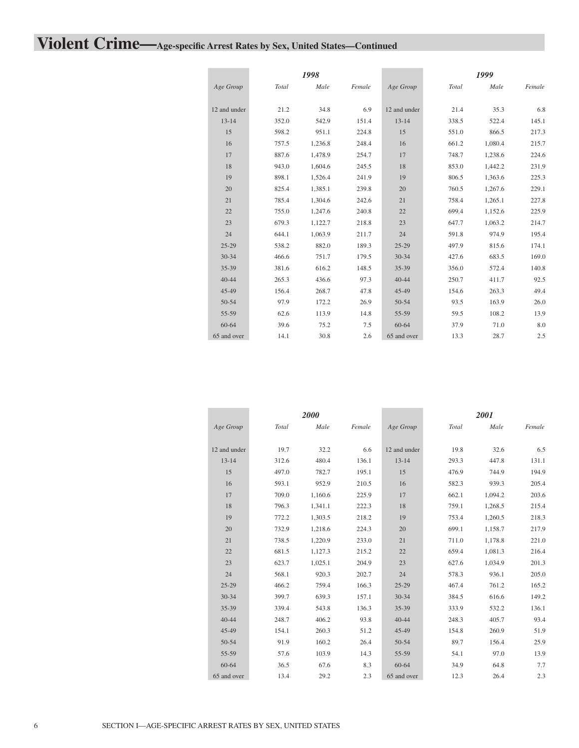### **Violent Crime—Age-specific Arrest Rates by Sex, United States—Continued**

|              |       | 1998    |        |              |       | 1999    |        |
|--------------|-------|---------|--------|--------------|-------|---------|--------|
| Age Group    | Total | Male    | Female | Age Group    | Total | Male    | Female |
|              |       |         |        |              |       |         |        |
| 12 and under | 21.2  | 34.8    | 6.9    | 12 and under | 21.4  | 35.3    | 6.8    |
| $13 - 14$    | 352.0 | 542.9   | 151.4  | $13 - 14$    | 338.5 | 522.4   | 145.1  |
| 15           | 598.2 | 951.1   | 224.8  | 15           | 551.0 | 866.5   | 217.3  |
| 16           | 757.5 | 1,236.8 | 248.4  | 16           | 661.2 | 1,080.4 | 215.7  |
| 17           | 887.6 | 1,478.9 | 254.7  | 17           | 748.7 | 1,238.6 | 224.6  |
| 18           | 943.0 | 1,604.6 | 245.5  | 18           | 853.0 | 1,442.2 | 231.9  |
| 19           | 898.1 | 1,526.4 | 241.9  | 19           | 806.5 | 1,363.6 | 225.3  |
| 20           | 825.4 | 1,385.1 | 239.8  | 20           | 760.5 | 1,267.6 | 229.1  |
| 21           | 785.4 | 1,304.6 | 242.6  | 21           | 758.4 | 1,265.1 | 227.8  |
| 22           | 755.0 | 1,247.6 | 240.8  | 22           | 699.4 | 1,152.6 | 225.9  |
| 23           | 679.3 | 1,122.7 | 218.8  | 23           | 647.7 | 1,063.2 | 214.7  |
| 24           | 644.1 | 1,063.9 | 211.7  | 24           | 591.8 | 974.9   | 195.4  |
| $25-29$      | 538.2 | 882.0   | 189.3  | $25 - 29$    | 497.9 | 815.6   | 174.1  |
| $30 - 34$    | 466.6 | 751.7   | 179.5  | $30 - 34$    | 427.6 | 683.5   | 169.0  |
| 35-39        | 381.6 | 616.2   | 148.5  | 35-39        | 356.0 | 572.4   | 140.8  |
| $40 - 44$    | 265.3 | 436.6   | 97.3   | $40 - 44$    | 250.7 | 411.7   | 92.5   |
| 45-49        | 156.4 | 268.7   | 47.8   | 45-49        | 154.6 | 263.3   | 49.4   |
| 50-54        | 97.9  | 172.2   | 26.9   | $50 - 54$    | 93.5  | 163.9   | 26.0   |
| 55-59        | 62.6  | 113.9   | 14.8   | 55-59        | 59.5  | 108.2   | 13.9   |
| $60 - 64$    | 39.6  | 75.2    | 7.5    | $60 - 64$    | 37.9  | 71.0    | 8.0    |
| 65 and over  | 14.1  | 30.8    | 2.6    | 65 and over  | 13.3  | 28.7    | 2.5    |

|              |       | 2000    |        |              |       | 2001    |        |
|--------------|-------|---------|--------|--------------|-------|---------|--------|
| Age Group    | Total | Male    | Female | Age Group    | Total | Male    | Female |
| 12 and under | 19.7  | 32.2    | 6.6    | 12 and under | 19.8  | 32.6    | 6.5    |
| $13 - 14$    | 312.6 | 480.4   | 136.1  | $13 - 14$    | 293.3 | 447.8   | 131.1  |
| 15           | 497.0 | 782.7   | 195.1  | 15           | 476.9 | 744.9   | 194.9  |
| 16           | 593.1 | 952.9   | 210.5  | 16           | 582.3 | 939.3   | 205.4  |
| 17           | 709.0 | 1,160.6 | 225.9  | 17           | 662.1 | 1,094.2 | 203.6  |
| 18           | 796.3 | 1,341.1 | 222.3  | 18           | 759.1 | 1,268.5 | 215.4  |
| 19           | 772.2 | 1,303.5 | 218.2  | 19           | 753.4 | 1,260.5 | 218.3  |
| 20           | 732.9 | 1,218.6 | 224.3  | 20           | 699.1 | 1,158.7 | 217.9  |
| 21           | 738.5 | 1,220.9 | 233.0  | 21           | 711.0 | 1,178.8 | 221.0  |
| 22           | 681.5 | 1,127.3 | 215.2  | 22           | 659.4 | 1,081.3 | 216.4  |
| 23           | 623.7 | 1,025.1 | 204.9  | 23           | 627.6 | 1,034.9 | 201.3  |
| 24           | 568.1 | 920.3   | 202.7  | 24           | 578.3 | 936.1   | 205.0  |
| $25-29$      | 466.2 | 759.4   | 166.3  | $25 - 29$    | 467.4 | 761.2   | 165.2  |
| $30 - 34$    | 399.7 | 639.3   | 157.1  | $30 - 34$    | 384.5 | 616.6   | 149.2  |
| 35-39        | 339.4 | 543.8   | 136.3  | 35-39        | 333.9 | 532.2   | 136.1  |
| $40 - 44$    | 248.7 | 406.2   | 93.8   | $40 - 44$    | 248.3 | 405.7   | 93.4   |
| $45 - 49$    | 154.1 | 260.3   | 51.2   | 45-49        | 154.8 | 260.9   | 51.9   |
| 50-54        | 91.9  | 160.2   | 26.4   | 50-54        | 89.7  | 156.4   | 25.9   |
| 55-59        | 57.6  | 103.9   | 14.3   | 55-59        | 54.1  | 97.0    | 13.9   |
| 60-64        | 36.5  | 67.6    | 8.3    | $60 - 64$    | 34.9  | 64.8    | 7.7    |
| 65 and over  | 13.4  | 29.2    | 2.3    | 65 and over  | 12.3  | 26.4    | 2.3    |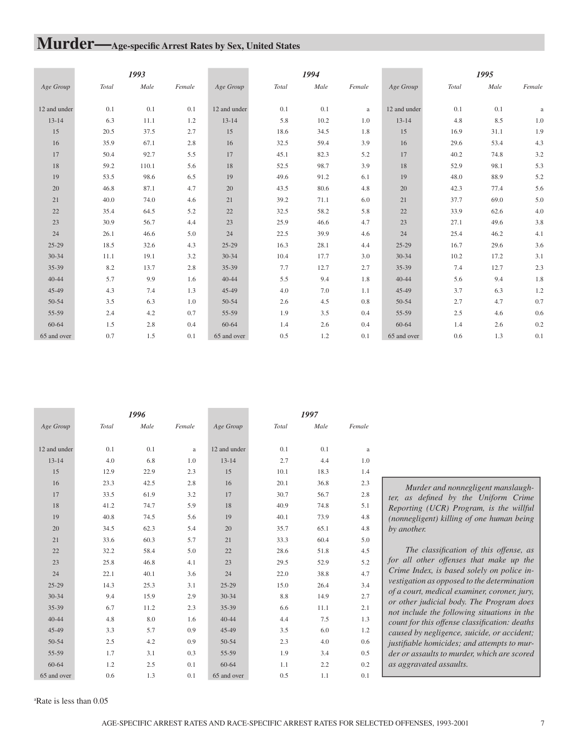### **Murder—Age-specific Arrest Rates by Sex, United States**

| 1993         |       |       |        |              | 1994  |      | 1995   |              |       |      |         |
|--------------|-------|-------|--------|--------------|-------|------|--------|--------------|-------|------|---------|
| Age Group    | Total | Male  | Female | Age Group    | Total | Male | Female | Age Group    | Total | Male | Female  |
| 12 and under | 0.1   | 0.1   | 0.1    | 12 and under | 0.1   | 0.1  |        | 12 and under | 0.1   | 0.1  |         |
|              |       |       |        |              |       |      | a      |              |       |      | a       |
| $13 - 14$    | 6.3   | 11.1  | 1.2    | $13 - 14$    | 5.8   | 10.2 | 1.0    | $13 - 14$    | 4.8   | 8.5  | 1.0     |
| 15           | 20.5  | 37.5  | 2.7    | 15           | 18.6  | 34.5 | 1.8    | 15           | 16.9  | 31.1 | 1.9     |
| 16           | 35.9  | 67.1  | 2.8    | 16           | 32.5  | 59.4 | 3.9    | 16           | 29.6  | 53.4 | 4.3     |
| 17           | 50.4  | 92.7  | 5.5    | 17           | 45.1  | 82.3 | 5.2    | 17           | 40.2  | 74.8 | 3.2     |
| 18           | 59.2  | 110.1 | 5.6    | 18           | 52.5  | 98.7 | 3.9    | 18           | 52.9  | 98.1 | 5.3     |
| 19           | 53.5  | 98.6  | 6.5    | 19           | 49.6  | 91.2 | 6.1    | 19           | 48.0  | 88.9 | 5.2     |
| 20           | 46.8  | 87.1  | 4.7    | 20           | 43.5  | 80.6 | 4.8    | 20           | 42.3  | 77.4 | 5.6     |
| 21           | 40.0  | 74.0  | 4.6    | 21           | 39.2  | 71.1 | 6.0    | 21           | 37.7  | 69.0 | 5.0     |
| 22           | 35.4  | 64.5  | 5.2    | 22           | 32.5  | 58.2 | 5.8    | 22           | 33.9  | 62.6 | $4.0\,$ |
| 23           | 30.9  | 56.7  | 4.4    | 23           | 25.9  | 46.6 | 4.7    | 23           | 27.1  | 49.6 | 3.8     |
| 24           | 26.1  | 46.6  | 5.0    | 24           | 22.5  | 39.9 | 4.6    | 24           | 25.4  | 46.2 | 4.1     |
| $25-29$      | 18.5  | 32.6  | 4.3    | $25-29$      | 16.3  | 28.1 | 4.4    | $25-29$      | 16.7  | 29.6 | 3.6     |
| $30 - 34$    | 11.1  | 19.1  | 3.2    | $30 - 34$    | 10.4  | 17.7 | 3.0    | $30 - 34$    | 10.2  | 17.2 | 3.1     |
| $35 - 39$    | 8.2   | 13.7  | 2.8    | 35-39        | 7.7   | 12.7 | 2.7    | 35-39        | 7.4   | 12.7 | $2.3\,$ |
| $40 - 44$    | 5.7   | 9.9   | 1.6    | $40 - 44$    | 5.5   | 9.4  | 1.8    | $40 - 44$    | 5.6   | 9.4  | $1.8\,$ |
| 45-49        | 4.3   | 7.4   | 1.3    | 45-49        | 4.0   | 7.0  | 1.1    | $45 - 49$    | 3.7   | 6.3  | 1.2     |
| 50-54        | 3.5   | 6.3   | 1.0    | 50-54        | 2.6   | 4.5  | 0.8    | 50-54        | 2.7   | 4.7  | 0.7     |
| 55-59        | 2.4   | 4.2   | 0.7    | 55-59        | 1.9   | 3.5  | 0.4    | 55-59        | 2.5   | 4.6  | 0.6     |
| 60-64        | 1.5   | 2.8   | 0.4    | 60-64        | 1.4   | 2.6  | 0.4    | 60-64        | 1.4   | 2.6  | $0.2\,$ |
| 65 and over  | 0.7   | 1.5   | 0.1    | 65 and over  | 0.5   | 1.2  | 0.1    | 65 and over  | 0.6   | 1.3  | 0.1     |

|              |       | 1996 |        |              | 1997  |      |          |  |  |
|--------------|-------|------|--------|--------------|-------|------|----------|--|--|
| Age Group    | Total | Male | Female | Age Group    | Total | Male | Female   |  |  |
|              |       |      |        |              |       |      |          |  |  |
| 12 and under | 0.1   | 0.1  | a      | 12 and under | 0.1   | 0.1  | $\rm{a}$ |  |  |
| $13 - 14$    | 4.0   | 6.8  | 1.0    | $13 - 14$    | 2.7   | 4.4  | $1.0\,$  |  |  |
| 15           | 12.9  | 22.9 | 2.3    | 15           | 10.1  | 18.3 | 1.4      |  |  |
| 16           | 23.3  | 42.5 | 2.8    | 16           | 20.1  | 36.8 | 2.3      |  |  |
| 17           | 33.5  | 61.9 | 3.2    | 17           | 30.7  | 56.7 | 2.8      |  |  |
| 18           | 41.2  | 74.7 | 5.9    | 18           | 40.9  | 74.8 | 5.1      |  |  |
| 19           | 40.8  | 74.5 | 5.6    | 19           | 40.1  | 73.9 | 4.8      |  |  |
| 20           | 34.5  | 62.3 | 5.4    | 20           | 35.7  | 65.1 | 4.8      |  |  |
| 21           | 33.6  | 60.3 | 5.7    | 21           | 33.3  | 60.4 | 5.0      |  |  |
| 22           | 32.2  | 58.4 | 5.0    | 22           | 28.6  | 51.8 | 4.5      |  |  |
| 23           | 25.8  | 46.8 | 4.1    | 23           | 29.5  | 52.9 | 5.2      |  |  |
| 24           | 22.1  | 40.1 | 3.6    | 24           | 22.0  | 38.8 | 4.7      |  |  |
| $25 - 29$    | 14.3  | 25.3 | 3.1    | $25 - 29$    | 15.0  | 26.4 | 3.4      |  |  |
| $30 - 34$    | 9.4   | 15.9 | 2.9    | $30 - 34$    | 8.8   | 14.9 | 2.7      |  |  |
| 35-39        | 6.7   | 11.2 | 2.3    | 35-39        | 6.6   | 11.1 | 2.1      |  |  |
| $40 - 44$    | 4.8   | 8.0  | 1.6    | $40 - 44$    | 4.4   | 7.5  | 1.3      |  |  |
| 45-49        | 3.3   | 5.7  | 0.9    | 45-49        | 3.5   | 6.0  | 1.2      |  |  |
| 50-54        | 2.5   | 4.2  | 0.9    | 50-54        | 2.3   | 4.0  | 0.6      |  |  |
| 55-59        | 1.7   | 3.1  | 0.3    | 55-59        | 1.9   | 3.4  | 0.5      |  |  |
| 60-64        | 1.2   | 2.5  | 0.1    | 60-64        | 1.1   | 2.2  | 0.2      |  |  |
| 65 and over  | 0.6   | 1.3  | 0.1    | 65 and over  | 0.5   | 1.1  | 0.1      |  |  |

*Murder and nonnegligent manslaughter, as defined by the Uniform Crime Reporting (UCR) Program, is the willful (nonnegligent) killing of one human being by another.* 

*The classification of this offense, as for all other offenses that make up the Crime Index, is based solely on police investigation as opposed to the determination of a court, medical examiner, coroner, jury, or other judicial body. The Program does not include the following situations in the count for this offense classification: deaths caused by negligence, suicide, or accident; justifiable homicides; and attempts to murder or assaults to murder, which are scored as aggravated assaults.*

a Rate is less than 0.05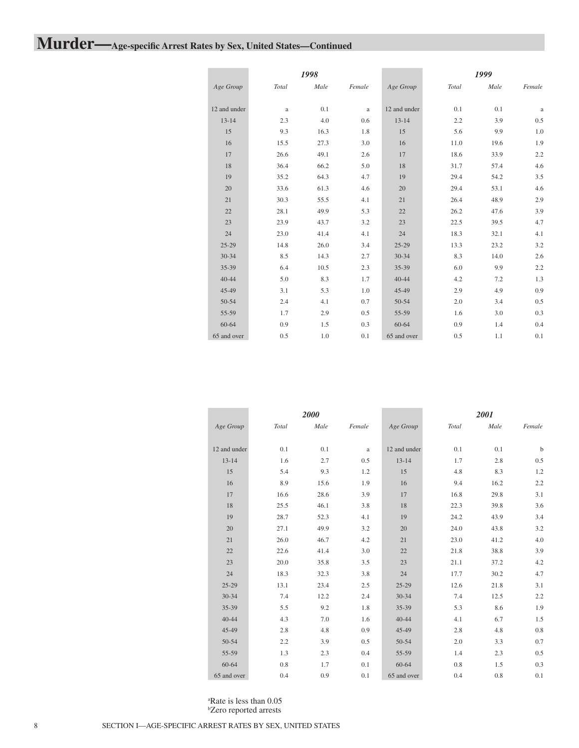# **Murder—Age-specific Arrest Rates by Sex, United States—Continued**

|              |          | 1998 |          |              |       | 1999 |          |
|--------------|----------|------|----------|--------------|-------|------|----------|
| Age Group    | Total    | Male | Female   | Age Group    | Total | Male | Female   |
| 12 and under | $\rm{a}$ | 0.1  | $\rm{a}$ | 12 and under | 0.1   | 0.1  | $\rm{a}$ |
| $13 - 14$    | 2.3      | 4.0  | 0.6      | $13 - 14$    | 2.2   | 3.9  | 0.5      |
| 15           | 9.3      | 16.3 | 1.8      | 15           | 5.6   | 9.9  | 1.0      |
| 16           | 15.5     | 27.3 | 3.0      | 16           | 11.0  | 19.6 | 1.9      |
| 17           | 26.6     | 49.1 | 2.6      | 17           | 18.6  | 33.9 | 2.2      |
| 18           | 36.4     | 66.2 | 5.0      | 18           | 31.7  | 57.4 | 4.6      |
| 19           | 35.2     | 64.3 | 4.7      | 19           | 29.4  | 54.2 | 3.5      |
| 20           | 33.6     | 61.3 | 4.6      | 20           | 29.4  | 53.1 | 4.6      |
| 21           | 30.3     | 55.5 | 4.1      | 21           | 26.4  | 48.9 | 2.9      |
| 22           | 28.1     | 49.9 | 5.3      | 22           | 26.2  | 47.6 | 3.9      |
| 23           | 23.9     | 43.7 | 3.2      | 23           | 22.5  | 39.5 | 4.7      |
| 24           | 23.0     | 41.4 | 4.1      | 24           | 18.3  | 32.1 | 4.1      |
| $25 - 29$    | 14.8     | 26.0 | 3.4      | $25-29$      | 13.3  | 23.2 | 3.2      |
| $30 - 34$    | 8.5      | 14.3 | 2.7      | $30 - 34$    | 8.3   | 14.0 | 2.6      |
| 35-39        | 6.4      | 10.5 | 2.3      | 35-39        | 6.0   | 9.9  | 2.2      |
| $40 - 44$    | 5.0      | 8.3  | 1.7      | $40 - 44$    | 4.2   | 7.2  | 1.3      |
| 45-49        | 3.1      | 5.3  | 1.0      | 45-49        | 2.9   | 4.9  | 0.9      |
| 50-54        | 2.4      | 4.1  | 0.7      | 50-54        | 2.0   | 3.4  | 0.5      |
| 55-59        | 1.7      | 2.9  | 0.5      | 55-59        | 1.6   | 3.0  | 0.3      |
| 60-64        | 0.9      | 1.5  | 0.3      | 60-64        | 0.9   | 1.4  | 0.4      |
| 65 and over  | 0.5      | 1.0  | 0.1      | 65 and over  | 0.5   | 1.1  | 0.1      |

|              |       | 2000 |          |              | 2001  |      |             |  |  |
|--------------|-------|------|----------|--------------|-------|------|-------------|--|--|
| Age Group    | Total | Male | Female   | Age Group    | Total | Male | Female      |  |  |
| 12 and under | 0.1   | 0.1  |          | 12 and under | 0.1   | 0.1  | $\mathbf b$ |  |  |
|              |       |      | $\rm{a}$ |              |       |      |             |  |  |
| $13 - 14$    | 1.6   | 2.7  | 0.5      | $13 - 14$    | 1.7   | 2.8  | 0.5         |  |  |
| 15           | 5.4   | 9.3  | 1.2      | 15           | 4.8   | 8.3  | 1.2         |  |  |
| 16           | 8.9   | 15.6 | 1.9      | 16           | 9.4   | 16.2 | 2.2         |  |  |
| 17           | 16.6  | 28.6 | 3.9      | 17           | 16.8  | 29.8 | 3.1         |  |  |
| 18           | 25.5  | 46.1 | 3.8      | 18           | 22.3  | 39.8 | 3.6         |  |  |
| 19           | 28.7  | 52.3 | 4.1      | 19           | 24.2  | 43.9 | 3.4         |  |  |
| 20           | 27.1  | 49.9 | 3.2      | 20           | 24.0  | 43.8 | 3.2         |  |  |
| 21           | 26.0  | 46.7 | 4.2      | 21           | 23.0  | 41.2 | 4.0         |  |  |
| 22           | 22.6  | 41.4 | 3.0      | 22           | 21.8  | 38.8 | 3.9         |  |  |
| 23           | 20.0  | 35.8 | 3.5      | 23           | 21.1  | 37.2 | 4.2         |  |  |
| 24           | 18.3  | 32.3 | 3.8      | 24           | 17.7  | 30.2 | 4.7         |  |  |
| $25 - 29$    | 13.1  | 23.4 | 2.5      | $25-29$      | 12.6  | 21.8 | 3.1         |  |  |
| $30 - 34$    | 7.4   | 12.2 | 2.4      | 30-34        | 7.4   | 12.5 | 2.2         |  |  |
| 35-39        | 5.5   | 9.2  | 1.8      | 35-39        | 5.3   | 8.6  | 1.9         |  |  |
| $40 - 44$    | 4.3   | 7.0  | 1.6      | $40 - 44$    | 4.1   | 6.7  | 1.5         |  |  |
| 45-49        | 2.8   | 4.8  | 0.9      | 45-49        | 2.8   | 4.8  | 0.8         |  |  |
| 50-54        | 2.2   | 3.9  | 0.5      | 50-54        | 2.0   | 3.3  | 0.7         |  |  |
| 55-59        | 1.3   | 2.3  | 0.4      | 55-59        | 1.4   | 2.3  | 0.5         |  |  |
| $60 - 64$    | 0.8   | 1.7  | 0.1      | 60-64        | 0.8   | 1.5  | 0.3         |  |  |
| 65 and over  | 0.4   | 0.9  | 0.1      | 65 and over  | 0.4   | 0.8  | 0.1         |  |  |

a Rate is less than 0.05 b Zero reported arrests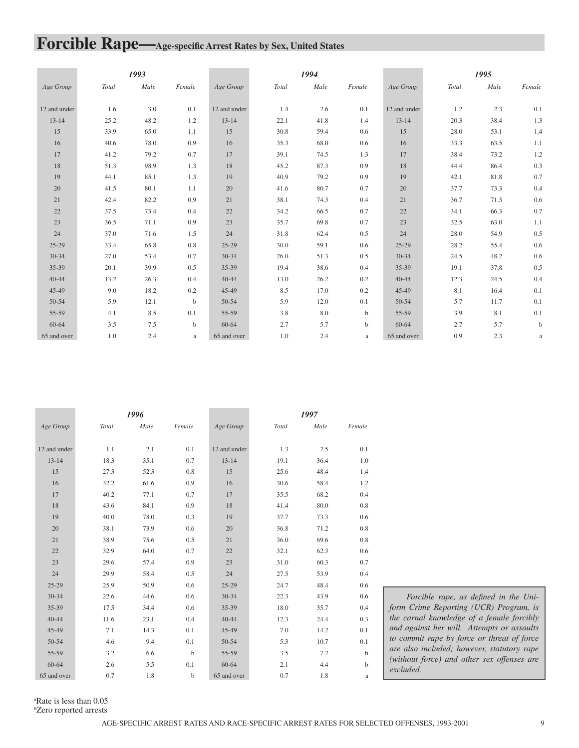#### **Forcible Rape—Age-specific Arrest Rates by Sex, United States**

|              |       | 1993 |             |              |         | 1994 |             |              |       | 1995 |             |
|--------------|-------|------|-------------|--------------|---------|------|-------------|--------------|-------|------|-------------|
| Age Group    | Total | Male | Female      | Age Group    | Total   | Male | Female      | Age Group    | Total | Male | Female      |
| 12 and under | 1.6   | 3.0  | 0.1         | 12 and under | 1.4     | 2.6  | 0.1         | 12 and under | 1.2   | 2.3  | 0.1         |
| $13 - 14$    | 25.2  | 48.2 | 1.2         | $13 - 14$    | 22.1    | 41.8 | 1.4         | $13 - 14$    | 20.3  | 38.4 | 1.3         |
| 15           | 33.9  | 65.0 | 1.1         | 15           | 30.8    | 59.4 | 0.6         | 15           | 28.0  | 53.1 | 1.4         |
| 16           | 40.6  | 78.0 | 0.9         | 16           | 35.3    | 68.0 | 0.6         | 16           | 33.3  | 63.5 | 1.1         |
| 17           | 41.2  | 79.2 | 0.7         | 17           | 39.1    | 74.5 | 1.3         | 17           | 38.4  | 73.2 | $1.2\,$     |
| 18           | 51.3  | 98.9 | 1.3         | 18           | 45.2    | 87.3 | 0.9         | 18           | 44.4  | 86.4 | 0.3         |
| 19           | 44.1  | 85.1 | 1.3         | 19           | 40.9    | 79.2 | 0.9         | 19           | 42.1  | 81.8 | 0.7         |
| 20           | 41.5  | 80.1 | 1.1         | $20\,$       | 41.6    | 80.7 | 0.7         | 20           | 37.7  | 73.3 | 0.4         |
| 21           | 42.4  | 82.2 | 0.9         | 21           | 38.1    | 74.3 | 0.4         | 21           | 36.7  | 71.3 | 0.6         |
| 22           | 37.5  | 73.4 | 0.4         | $22\,$       | 34.2    | 66.5 | 0.7         | 22           | 34.1  | 66.3 | $0.7\,$     |
| 23           | 36.5  | 71.1 | 0.9         | 23           | 35.7    | 69.8 | 0.7         | 23           | 32.5  | 63.0 | 1.1         |
| 24           | 37.0  | 71.6 | 1.5         | 24           | 31.8    | 62.4 | 0.5         | 24           | 28.0  | 54.9 | 0.5         |
| $25-29$      | 33.4  | 65.8 | 0.8         | $25-29$      | 30.0    | 59.1 | 0.6         | $25 - 29$    | 28.2  | 55.4 | 0.6         |
| $30 - 34$    | 27.0  | 53.4 | 0.7         | $30 - 34$    | 26.0    | 51.3 | 0.5         | $30 - 34$    | 24.5  | 48.2 | 0.6         |
| 35-39        | 20.1  | 39.9 | 0.5         | 35-39        | 19.4    | 38.6 | 0.4         | $35 - 39$    | 19.1  | 37.8 | 0.5         |
| $40 - 44$    | 13.2  | 26.3 | 0.4         | $40 - 44$    | 13.0    | 26.2 | 0.2         | $40 - 44$    | 12.3  | 24.5 | 0.4         |
| $45 - 49$    | 9.0   | 18.2 | 0.2         | $45 - 49$    | 8.5     | 17.0 | 0.2         | $45 - 49$    | 8.1   | 16.4 | 0.1         |
| $50 - 54$    | 5.9   | 12.1 | b           | 50-54        | 5.9     | 12.0 | 0.1         | 50-54        | 5.7   | 11.7 | 0.1         |
| 55-59        | 4.1   | 8.5  | 0.1         | 55-59        | 3.8     | 8.0  | $\mathbf b$ | 55-59        | 3.9   | 8.1  | 0.1         |
| 60-64        | 3.5   | 7.5  | $\mathbf b$ | $60 - 64$    | 2.7     | 5.7  | $\mathbf b$ | 60-64        | 2.7   | 5.7  | $\mathbf b$ |
| 65 and over  | 1.0   | 2.4  | a           | 65 and over  | $1.0\,$ | 2.4  | a           | 65 and over  | 0.9   | 2.3  | $\rm{a}$    |

|              | 1996  |      |             |              | 1997  |      |             |  |  |
|--------------|-------|------|-------------|--------------|-------|------|-------------|--|--|
| Age Group    | Total | Male | Female      | Age Group    | Total | Male | Female      |  |  |
|              |       |      |             |              |       |      |             |  |  |
| 12 and under | 1.1   | 2.1  | 0.1         | 12 and under | 1.3   | 2.5  | 0.1         |  |  |
| $13 - 14$    | 18.3  | 35.1 | 0.7         | $13 - 14$    | 19.1  | 36.4 | 1.0         |  |  |
| 15           | 27.3  | 52.3 | 0.8         | 15           | 25.6  | 48.4 | 1.4         |  |  |
| 16           | 32.2  | 61.6 | 0.9         | 16           | 30.6  | 58.4 | 1.2         |  |  |
| 17           | 40.2  | 77.1 | 0.7         | 17           | 35.5  | 68.2 | 0.4         |  |  |
| 18           | 43.6  | 84.1 | 0.9         | 18           | 41.4  | 80.0 | 0.8         |  |  |
| 19           | 40.0  | 78.0 | 0.3         | 19           | 37.7  | 73.3 | 0.6         |  |  |
| 20           | 38.1  | 73.9 | 0.6         | 20           | 36.8  | 71.2 | 0.8         |  |  |
| 21           | 38.9  | 75.6 | 0.5         | 21           | 36.0  | 69.6 | 0.8         |  |  |
| 22           | 32.9  | 64.0 | 0.7         | 22           | 32.1  | 62.3 | 0.6         |  |  |
| 23           | 29.6  | 57.4 | 0.9         | 23           | 31.0  | 60.3 | 0.7         |  |  |
| 24           | 29.9  | 58.4 | 0.5         | 24           | 27.5  | 53.9 | 0.4         |  |  |
| $25 - 29$    | 25.9  | 50.9 | 0.6         | 25-29        | 24.7  | 48.4 | 0.6         |  |  |
| $30 - 34$    | 22.6  | 44.6 | 0.6         | $30 - 34$    | 22.3  | 43.9 | 0.6         |  |  |
| 35-39        | 17.5  | 34.4 | 0.6         | 35-39        | 18.0  | 35.7 | 0.4         |  |  |
| $40 - 44$    | 11.6  | 23.1 | 0.4         | $40 - 44$    | 12.3  | 24.4 | 0.3         |  |  |
| 45-49        | 7.1   | 14.3 | 0.1         | 45-49        | 7.0   | 14.2 | 0.1         |  |  |
| 50-54        | 4.6   | 9.4  | 0.1         | $50 - 54$    | 5.3   | 10.7 | 0.1         |  |  |
| 55-59        | 3.2   | 6.6  | $\mathbf b$ | 55-59        | 3.5   | 7.2  | $\mathbf b$ |  |  |
| 60-64        | 2.6   | 5.5  | 0.1         | $60 - 64$    | 2.1   | 4.4  | $\mathbf b$ |  |  |
| 65 and over  | 0.7   | 1.8  | $\mathbf b$ | 65 and over  | 0.7   | 1.8  | a           |  |  |

*Forcible rape, as defined in the Uniform Crime Reporting (UCR) Program, is the carnal knowledge of a female forcibly and against her will. Attempts or assaults to commit rape by force or threat of force are also included; however, statutory rape (without force) and other sex offenses are excluded.*

a Rate is less than 0.05

b Zero reported arrests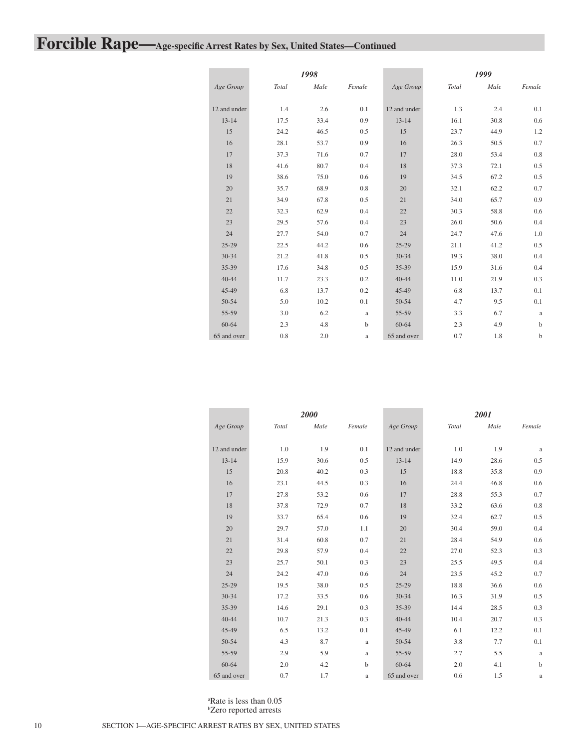# **Forcible Rape—Age-specific Arrest Rates by Sex, United States—Continued**

|              | 1998  |      |             |              |       |      |             |
|--------------|-------|------|-------------|--------------|-------|------|-------------|
| Age Group    | Total | Male | Female      | Age Group    | Total | Male | Female      |
| 12 and under | 1.4   | 2.6  | 0.1         | 12 and under | 1.3   | 2.4  | 0.1         |
| $13 - 14$    | 17.5  | 33.4 | 0.9         | $13 - 14$    | 16.1  | 30.8 | 0.6         |
| 15           | 24.2  | 46.5 | 0.5         | 15           | 23.7  | 44.9 | $1.2\,$     |
| 16           | 28.1  | 53.7 | 0.9         | 16           | 26.3  | 50.5 | 0.7         |
| 17           | 37.3  | 71.6 | 0.7         | 17           | 28.0  | 53.4 | 0.8         |
| 18           | 41.6  | 80.7 | 0.4         | 18           | 37.3  | 72.1 | 0.5         |
|              |       |      |             |              |       |      |             |
| 19           | 38.6  | 75.0 | 0.6         | 19           | 34.5  | 67.2 | 0.5         |
| 20           | 35.7  | 68.9 | 0.8         | 20           | 32.1  | 62.2 | 0.7         |
| 21           | 34.9  | 67.8 | 0.5         | 21           | 34.0  | 65.7 | $0.9\,$     |
| 22           | 32.3  | 62.9 | 0.4         | 22           | 30.3  | 58.8 | 0.6         |
| 23           | 29.5  | 57.6 | 0.4         | 23           | 26.0  | 50.6 | 0.4         |
| 24           | 27.7  | 54.0 | 0.7         | 24           | 24.7  | 47.6 | 1.0         |
| $25 - 29$    | 22.5  | 44.2 | 0.6         | $25 - 29$    | 21.1  | 41.2 | 0.5         |
| $30 - 34$    | 21.2  | 41.8 | 0.5         | $30 - 34$    | 19.3  | 38.0 | 0.4         |
| 35-39        | 17.6  | 34.8 | 0.5         | 35-39        | 15.9  | 31.6 | 0.4         |
| $40 - 44$    | 11.7  | 23.3 | 0.2         | $40 - 44$    | 11.0  | 21.9 | 0.3         |
| 45-49        | 6.8   | 13.7 | 0.2         | 45-49        | 6.8   | 13.7 | 0.1         |
| 50-54        | 5.0   | 10.2 | 0.1         | $50 - 54$    | 4.7   | 9.5  | 0.1         |
| 55-59        | 3.0   | 6.2  | a           | 55-59        | 3.3   | 6.7  | $\rm{a}$    |
| 60-64        | 2.3   | 4.8  | $\mathbf b$ | 60-64        | 2.3   | 4.9  | b           |
| 65 and over  | 0.8   | 2.0  |             | 65 and over  | 0.7   | 1.8  | $\mathbf b$ |

|              |       | 2000 |             |              | 2001  |      |          |
|--------------|-------|------|-------------|--------------|-------|------|----------|
| Age Group    | Total | Male | Female      | Age Group    | Total | Male | Female   |
| 12 and under | 1.0   | 1.9  | 0.1         | 12 and under | 1.0   | 1.9  | $\rm{a}$ |
| $13 - 14$    | 15.9  | 30.6 | 0.5         | $13 - 14$    | 14.9  | 28.6 | 0.5      |
| 15           | 20.8  | 40.2 | 0.3         | 15           | 18.8  | 35.8 | 0.9      |
| 16           | 23.1  | 44.5 | 0.3         | 16           | 24.4  | 46.8 | 0.6      |
| 17           | 27.8  | 53.2 | 0.6         | 17           | 28.8  | 55.3 | 0.7      |
| 18           | 37.8  | 72.9 | 0.7         | 18           | 33.2  | 63.6 | 0.8      |
| 19           | 33.7  | 65.4 | 0.6         | 19           | 32.4  | 62.7 | 0.5      |
| 20           | 29.7  | 57.0 | 1.1         | 20           | 30.4  | 59.0 | 0.4      |
| 21           | 31.4  | 60.8 | 0.7         | 21           | 28.4  | 54.9 | 0.6      |
| 22           | 29.8  | 57.9 | 0.4         | 22           | 27.0  | 52.3 | 0.3      |
| 23           | 25.7  | 50.1 | 0.3         | 23           | 25.5  | 49.5 | 0.4      |
| 24           | 24.2  | 47.0 | 0.6         | 24           | 23.5  | 45.2 | 0.7      |
| $25 - 29$    | 19.5  | 38.0 | 0.5         | $25 - 29$    | 18.8  | 36.6 | $0.6\,$  |
| $30 - 34$    | 17.2  | 33.5 | 0.6         | $30 - 34$    | 16.3  | 31.9 | 0.5      |
| 35-39        | 14.6  | 29.1 | 0.3         | 35-39        | 14.4  | 28.5 | 0.3      |
| $40 - 44$    | 10.7  | 21.3 | 0.3         | $40 - 44$    | 10.4  | 20.7 | 0.3      |
| 45-49        | 6.5   | 13.2 | 0.1         | 45-49        | 6.1   | 12.2 | 0.1      |
| 50-54        | 4.3   | 8.7  | a           | 50-54        | 3.8   | 7.7  | 0.1      |
| 55-59        | 2.9   | 5.9  | a           | 55-59        | 2.7   | 5.5  | a        |
| $60 - 64$    | 2.0   | 4.2  | $\mathbf b$ | 60-64        | 2.0   | 4.1  | b        |
| 65 and over  | 0.7   | 1.7  | a           | 65 and over  | 0.6   | 1.5  | $\rm{a}$ |

a Rate is less than 0.05 b Zero reported arrests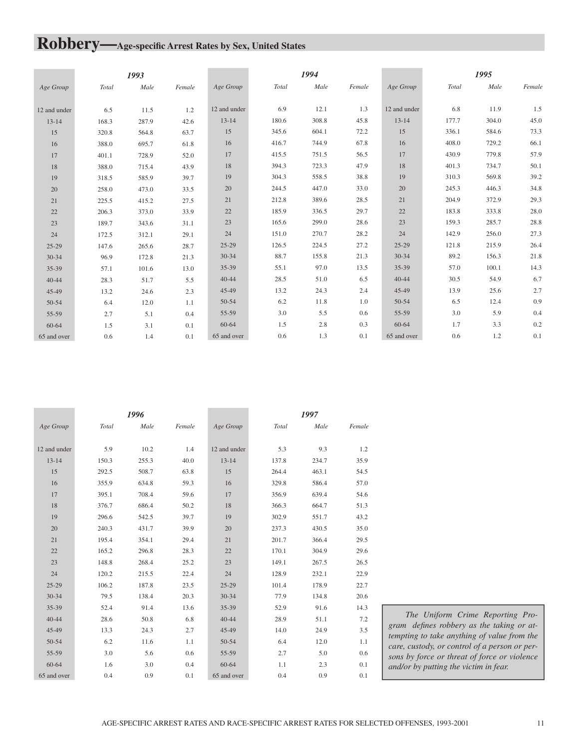#### **Robbery—Age-specific Arrest Rates by Sex, United States**

|              |       | 1993  |        |              |       | 1994  |        |              |       | 1995  |          |
|--------------|-------|-------|--------|--------------|-------|-------|--------|--------------|-------|-------|----------|
| Age Group    | Total | Male  | Female | Age Group    | Total | Male  | Female | Age Group    | Total | Male  | Female   |
| 12 and under | 6.5   | 11.5  | 1.2    | 12 and under | 6.9   | 12.1  | 1.3    | 12 and under | 6.8   | 11.9  | 1.5      |
| $13 - 14$    | 168.3 | 287.9 | 42.6   | $13 - 14$    | 180.6 | 308.8 | 45.8   | $13 - 14$    | 177.7 | 304.0 | 45.0     |
| 15           | 320.8 | 564.8 | 63.7   | 15           | 345.6 | 604.1 | 72.2   | 15           | 336.1 | 584.6 | 73.3     |
| 16           | 388.0 | 695.7 | 61.8   | 16           | 416.7 | 744.9 | 67.8   | 16           | 408.0 | 729.2 | 66.1     |
| 17           | 401.1 | 728.9 | 52.0   | 17           | 415.5 | 751.5 | 56.5   | 17           | 430.9 | 779.8 | 57.9     |
| 18           | 388.0 | 715.4 | 43.9   | 18           | 394.3 | 723.3 | 47.9   | 18           | 401.3 | 734.7 | 50.1     |
| 19           | 318.5 | 585.9 | 39.7   | 19           | 304.3 | 558.5 | 38.8   | 19           | 310.3 | 569.8 | 39.2     |
| 20           | 258.0 | 473.0 | 33.5   | 20           | 244.5 | 447.0 | 33.0   | 20           | 245.3 | 446.3 | 34.8     |
| 21           | 225.5 | 415.2 | 27.5   | 21           | 212.8 | 389.6 | 28.5   | 21           | 204.9 | 372.9 | 29.3     |
| 22           | 206.3 | 373.0 | 33.9   | 22           | 185.9 | 336.5 | 29.7   | 22           | 183.8 | 333.8 | 28.0     |
| 23           | 189.7 | 343.6 | 31.1   | 23           | 165.6 | 299.0 | 28.6   | 23           | 159.3 | 285.7 | 28.8     |
| 24           | 172.5 | 312.1 | 29.1   | 24           | 151.0 | 270.7 | 28.2   | 24           | 142.9 | 256.0 | 27.3     |
| $25 - 29$    | 147.6 | 265.6 | 28.7   | $25-29$      | 126.5 | 224.5 | 27.2   | $25 - 29$    | 121.8 | 215.9 | 26.4     |
| $30 - 34$    | 96.9  | 172.8 | 21.3   | $30 - 34$    | 88.7  | 155.8 | 21.3   | $30 - 34$    | 89.2  | 156.3 | $21.8\,$ |
| 35-39        | 57.1  | 101.6 | 13.0   | $35 - 39$    | 55.1  | 97.0  | 13.5   | $35 - 39$    | 57.0  | 100.1 | 14.3     |
| $40 - 44$    | 28.3  | 51.7  | 5.5    | $40 - 44$    | 28.5  | 51.0  | 6.5    | $40 - 44$    | 30.5  | 54.9  | 6.7      |
| $45 - 49$    | 13.2  | 24.6  | 2.3    | 45-49        | 13.2  | 24.3  | 2.4    | $45 - 49$    | 13.9  | 25.6  | 2.7      |
| 50-54        | 6.4   | 12.0  | 1.1    | $50 - 54$    | 6.2   | 11.8  | 1.0    | $50 - 54$    | 6.5   | 12.4  | 0.9      |
| 55-59        | 2.7   | 5.1   | 0.4    | 55-59        | 3.0   | 5.5   | 0.6    | 55-59        | 3.0   | 5.9   | 0.4      |
| 60-64        | 1.5   | 3.1   | 0.1    | 60-64        | 1.5   | 2.8   | 0.3    | $60 - 64$    | 1.7   | 3.3   | 0.2      |
| 65 and over  | 0.6   | 1.4   | 0.1    | 65 and over  | 0.6   | 1.3   | 0.1    | 65 and over  | 0.6   | 1.2   | 0.1      |

|              |       | 1996  |        |              |       | 1997  |        |
|--------------|-------|-------|--------|--------------|-------|-------|--------|
| Age Group    | Total | Male  | Female | Age Group    | Total | Male  | Female |
|              |       |       |        |              |       |       |        |
| 12 and under | 5.9   | 10.2  | 1.4    | 12 and under | 5.3   | 9.3   | 1.2    |
| $13 - 14$    | 150.3 | 255.3 | 40.0   | $13 - 14$    | 137.8 | 234.7 | 35.9   |
| 15           | 292.5 | 508.7 | 63.8   | 15           | 264.4 | 463.1 | 54.5   |
| 16           | 355.9 | 634.8 | 59.3   | 16           | 329.8 | 586.4 | 57.0   |
| 17           | 395.1 | 708.4 | 59.6   | 17           | 356.9 | 639.4 | 54.6   |
| 18           | 376.7 | 686.4 | 50.2   | 18           | 366.3 | 664.7 | 51.3   |
| 19           | 296.6 | 542.5 | 39.7   | 19           | 302.9 | 551.7 | 43.2   |
| 20           | 240.3 | 431.7 | 39.9   | 20           | 237.3 | 430.5 | 35.0   |
| 21           | 195.4 | 354.1 | 29.4   | 21           | 201.7 | 366.4 | 29.5   |
| 22           | 165.2 | 296.8 | 28.3   | 22           | 170.1 | 304.9 | 29.6   |
| 23           | 148.8 | 268.4 | 25.2   | 23           | 149.1 | 267.5 | 26.5   |
| 24           | 120.2 | 215.5 | 22.4   | 24           | 128.9 | 232.1 | 22.9   |
| $25 - 29$    | 106.2 | 187.8 | 23.5   | $25-29$      | 101.4 | 178.9 | 22.7   |
| $30 - 34$    | 79.5  | 138.4 | 20.3   | $30 - 34$    | 77.9  | 134.8 | 20.6   |
| 35-39        | 52.4  | 91.4  | 13.6   | 35-39        | 52.9  | 91.6  | 14.3   |
| $40 - 44$    | 28.6  | 50.8  | 6.8    | $40 - 44$    | 28.9  | 51.1  | 7.2    |
| $45 - 49$    | 13.3  | 24.3  | 2.7    | $45 - 49$    | 14.0  | 24.9  | 3.5    |
| $50 - 54$    | 6.2   | 11.6  | 1.1    | $50 - 54$    | 6.4   | 12.0  | 1.1    |
| 55-59        | 3.0   | 5.6   | 0.6    | 55-59        | 2.7   | 5.0   | 0.6    |
| $60 - 64$    | 1.6   | 3.0   | 0.4    | $60 - 64$    | 1.1   | 2.3   | 0.1    |
| 65 and over  | 0.4   | 0.9   | 0.1    | 65 and over  | 0.4   | 0.9   | 0.1    |

*The Uniform Crime Reporting Program defines robbery as the taking or attempting to take anything of value from the care, custody, or control of a person or persons by force or threat of force or violence and/or by putting the victim in fear.*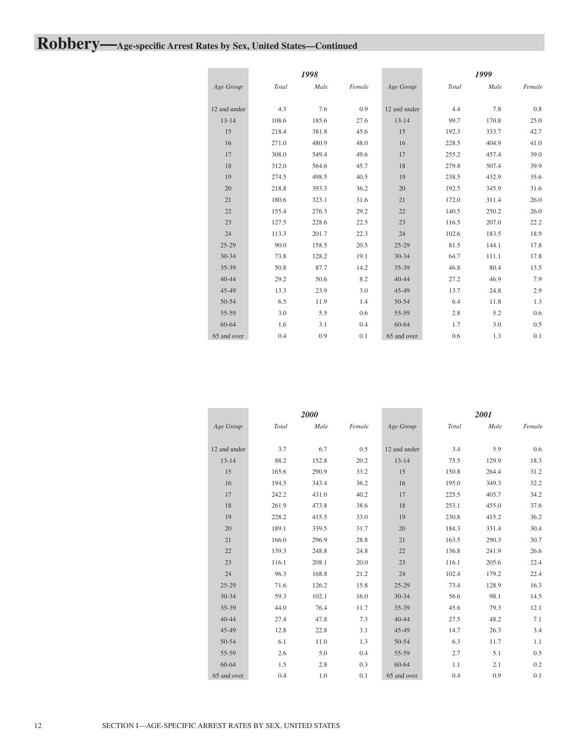# **Robbery—Age-specific Arrest Rates by Sex, United States—Continued**

|              |       | 1998  |        |              |       | 1999  |        |
|--------------|-------|-------|--------|--------------|-------|-------|--------|
| Age Group    | Total | Male  | Female | Age Group    | Total | Male  | Female |
|              |       |       |        |              |       |       |        |
| 12 and under | 4.3   | 7.6   | 0.9    | 12 and under | 4.4   | 7.8   | 0.8    |
| $13 - 14$    | 108.6 | 185.6 | 27.6   | $13 - 14$    | 99.7  | 170.8 | 25.0   |
| 15           | 218.4 | 381.8 | 45.6   | 15           | 192.3 | 333.7 | 42.7   |
| 16           | 271.0 | 480.9 | 48.0   | 16           | 228.5 | 404.9 | 41.0   |
| 17           | 308.0 | 549.4 | 49.6   | 17           | 255.2 | 457.4 | 39.0   |
| 18           | 312.0 | 564.6 | 45.7   | 18           | 279.8 | 507.4 | 39.9   |
| 19           | 274.5 | 498.5 | 40.5   | 19           | 238.5 | 432.9 | 35.6   |
| 20           | 218.8 | 393.3 | 36.2   | 20           | 192.5 | 345.9 | 31.6   |
| 21           | 180.6 | 323.1 | 31.6   | 21           | 172.0 | 311.4 | 26.0   |
| 22           | 155.4 | 276.3 | 29.2   | 22           | 140.5 | 250.2 | 26.0   |
| 23           | 127.5 | 228.6 | 22.5   | 23           | 116.5 | 207.0 | 22.2   |
| 24           | 113.3 | 201.7 | 22.3   | 24           | 102.6 | 183.5 | 18.9   |
| $25-29$      | 90.0  | 158.5 | 20.5   | $25 - 29$    | 81.5  | 144.1 | 17.8   |
| $30 - 34$    | 73.8  | 128.2 | 19.1   | 30-34        | 64.7  | 111.1 | 17.8   |
| 35-39        | 50.8  | 87.7  | 14.2   | 35-39        | 46.8  | 80.4  | 13.5   |
| $40 - 44$    | 29.2  | 50.6  | 8.2    | $40 - 44$    | 27.2  | 46.9  | 7.9    |
| 45-49        | 13.3  | 23.9  | 3.0    | 45-49        | 13.7  | 24.8  | 2.9    |
| 50-54        | 6.5   | 11.9  | 1.4    | 50-54        | 6.4   | 11.8  | 1.3    |
| 55-59        | 3.0   | 5.5   | 0.6    | 55-59        | 2.8   | 5.2   | 0.6    |
| 60-64        | 1.6   | 3.1   | 0.4    | 60-64        | 1.7   | 3.0   | 0.5    |
| 65 and over  | 0.4   | 0.9   | 0.1    | 65 and over  | 0.6   | 1.3   | 0.1    |

|              |       | <b>2000</b> |        |              |       |       |         |
|--------------|-------|-------------|--------|--------------|-------|-------|---------|
| Age Group    | Total | Male        | Female | Age Group    | Total | Male  | Female  |
| 12 and under | 3.7   | 6.7         | 0.5    | 12 and under | 3.4   | 5.9   | 0.6     |
| $13 - 14$    | 88.2  | 152.8       | 20.2   | $13 - 14$    | 75.5  | 129.9 | 18.3    |
| 15           | 165.6 | 290.9       | 33.2   | 15           | 150.8 | 264.4 | 31.2    |
| 16           | 194.5 | 343.4       | 36.2   | 16           | 195.0 | 349.3 | 32.2    |
| 17           | 242.2 | 431.0       | 40.2   | 17           | 225.5 | 405.7 | 34.2    |
| 18           | 261.9 | 473.8       | 38.6   | 18           | 253.1 | 455.0 | 37.6    |
| 19           | 228.2 | 415.5       | 33.0   | 19           | 230.8 | 415.2 | 36.2    |
| 20           | 189.1 | 339.5       | 31.7   | 20           | 184.3 | 331.4 | 30.4    |
| 21           | 166.0 | 296.9       | 28.8   | 21           | 163.5 | 290.3 | 30.7    |
| 22           | 139.3 | 248.8       | 24.8   | 22           | 136.8 | 241.9 | 26.6    |
| 23           | 116.1 | 208.1       | 20.0   | 23           | 116.1 | 205.6 | 22.4    |
| 24           | 96.3  | 168.8       | 21.2   | 24           | 102.4 | 179.2 | 22.4    |
| $25-29$      | 71.6  | 126.2       | 15.8   | $25 - 29$    | 73.4  | 128.9 | 16.3    |
| $30 - 34$    | 59.3  | 102.1       | 16.0   | $30 - 34$    | 56.6  | 98.1  | 14.5    |
| 35-39        | 44.0  | 76.4        | 11.7   | 35-39        | 45.6  | 79.3  | 12.1    |
| $40 - 44$    | 27.4  | 47.8        | 7.3    | $40 - 44$    | 27.5  | 48.2  | 7.1     |
| 45-49        | 12.8  | 22.8        | 3.1    | 45-49        | 14.7  | 26.3  | 3.4     |
| 50-54        | 6.1   | 11.0        | 1.3    | $50 - 54$    | 6.3   | 11.7  | 1.1     |
| 55-59        | 2.6   | 5.0         | 0.4    | 55-59        | 2.7   | 5.1   | 0.5     |
| $60 - 64$    | 1.5   | 2.8         | 0.3    | $60 - 64$    | 1.1   | 2.1   | $0.2\,$ |
| 65 and over  | 0.4   | 1.0         | 0.1    | 65 and over  | 0.4   | 0.9   | 0.1     |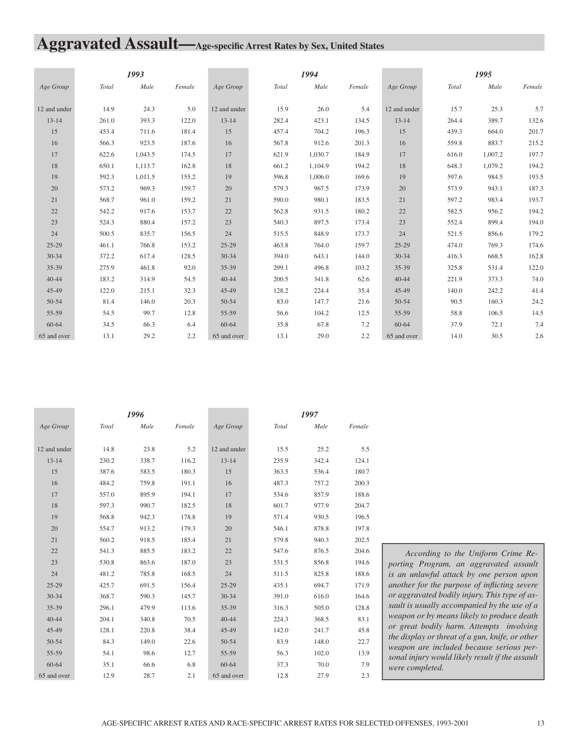#### **Aggravated Assault—Age-specific Arrest Rates by Sex, United States**

|              |       | 1993    |        |              |       | 1994    |        |              |       | 1995    |        |
|--------------|-------|---------|--------|--------------|-------|---------|--------|--------------|-------|---------|--------|
| Age Group    | Total | Male    | Female | Age Group    | Total | Male    | Female | Age Group    | Total | Male    | Female |
|              |       |         |        |              |       |         |        |              |       |         |        |
| 12 and under | 14.9  | 24.3    | 5.0    | 12 and under | 15.9  | 26.0    | 5.4    | 12 and under | 15.7  | 25.3    | 5.7    |
| $13 - 14$    | 261.0 | 393.3   | 122.0  | $13 - 14$    | 282.4 | 423.1   | 134.5  | $13 - 14$    | 264.4 | 389.7   | 132.6  |
| 15           | 453.4 | 711.6   | 181.4  | 15           | 457.4 | 704.2   | 196.3  | 15           | 439.3 | 664.0   | 201.7  |
| 16           | 566.3 | 923.5   | 187.6  | 16           | 567.8 | 912.6   | 201.3  | 16           | 559.8 | 883.7   | 215.2  |
| 17           | 622.6 | 1,043.5 | 174.5  | 17           | 621.9 | 1,030.7 | 184.9  | 17           | 616.0 | 1,007.2 | 197.7  |
| 18           | 650.1 | 1,113.7 | 162.8  | 18           | 661.2 | 1,104.9 | 194.2  | 18           | 648.3 | 1,079.2 | 194.2  |
| 19           | 592.3 | 1,011.5 | 155.2  | 19           | 596.8 | 1,006.0 | 169.6  | 19           | 597.6 | 984.5   | 193.5  |
| 20           | 573.2 | 969.3   | 159.7  | 20           | 579.3 | 967.5   | 173.9  | 20           | 573.9 | 943.1   | 187.3  |
| 21           | 568.7 | 961.0   | 159.2  | 21           | 590.0 | 980.1   | 183.5  | 21           | 597.2 | 983.4   | 193.7  |
| 22           | 542.2 | 917.6   | 153.7  | 22           | 562.8 | 931.5   | 180.2  | 22           | 582.5 | 956.2   | 194.2  |
| 23           | 524.3 | 880.4   | 157.2  | 23           | 540.3 | 897.5   | 173.4  | 23           | 552.4 | 899.4   | 194.0  |
| 24           | 500.5 | 835.7   | 156.5  | 24           | 515.5 | 848.9   | 173.7  | 24           | 521.5 | 856.6   | 179.2  |
| $25-29$      | 461.1 | 766.8   | 153.2  | $25 - 29$    | 463.8 | 764.0   | 159.7  | $25-29$      | 474.0 | 769.3   | 174.6  |
| $30 - 34$    | 372.2 | 617.4   | 128.5  | 30-34        | 394.0 | 643.1   | 144.0  | $30 - 34$    | 416.3 | 668.5   | 162.8  |
| 35-39        | 275.9 | 461.8   | 92.0   | 35-39        | 299.1 | 496.8   | 103.2  | 35-39        | 325.8 | 531.4   | 122.0  |
| $40 - 44$    | 183.2 | 314.9   | 54.5   | $40 - 44$    | 200.5 | 341.8   | 62.6   | $40 - 44$    | 221.9 | 373.3   | 74.0   |
| 45-49        | 122.0 | 215.1   | 32.3   | 45-49        | 128.2 | 224.4   | 35.4   | $45 - 49$    | 140.0 | 242.2   | 41.4   |
| 50-54        | 81.4  | 146.0   | 20.3   | 50-54        | 83.0  | 147.7   | 21.6   | 50-54        | 90.5  | 160.3   | 24.2   |
| 55-59        | 54.5  | 99.7    | 12.8   | 55-59        | 56.6  | 104.2   | 12.5   | 55-59        | 58.8  | 106.5   | 14.5   |
| 60-64        | 34.5  | 66.3    | 6.4    | 60-64        | 35.8  | 67.8    | 7.2    | $60 - 64$    | 37.9  | 72.1    | 7.4    |
| 65 and over  | 13.1  | 29.2    | 2.2    | 65 and over  | 13.1  | 29.0    | 2.2    | 65 and over  | 14.0  | 30.5    | 2.6    |

|              | 1996  |       |        |              | 1997  |       |        |  |
|--------------|-------|-------|--------|--------------|-------|-------|--------|--|
| Age Group    | Total | Male  | Female | Age Group    | Total | Male  | Female |  |
|              |       |       |        |              |       |       |        |  |
| 12 and under | 14.8  | 23.8  | 5.2    | 12 and under | 15.5  | 25.2  | 5.5    |  |
| $13 - 14$    | 230.2 | 338.7 | 116.2  | $13 - 14$    | 235.9 | 342.4 | 124.1  |  |
| 15           | 387.6 | 583.5 | 180.3  | 15           | 363.5 | 536.4 | 180.7  |  |
| 16           | 484.2 | 759.8 | 191.1  | 16           | 487.3 | 757.2 | 200.3  |  |
| 17           | 557.0 | 895.9 | 194.1  | 17           | 534.6 | 857.9 | 188.6  |  |
| 18           | 597.3 | 990.7 | 182.5  | 18           | 601.7 | 977.9 | 204.7  |  |
| 19           | 568.8 | 942.3 | 178.8  | 19           | 571.4 | 930.5 | 196.5  |  |
| 20           | 554.7 | 913.2 | 179.3  | 20           | 546.1 | 878.8 | 197.8  |  |
| 21           | 560.2 | 918.5 | 185.4  | 21           | 579.8 | 940.3 | 202.5  |  |
| 22           | 541.3 | 885.5 | 183.2  | 22           | 547.6 | 876.5 | 204.6  |  |
| 23           | 530.8 | 863.6 | 187.0  | 23           | 531.5 | 856.8 | 194.6  |  |
| 24           | 481.2 | 785.8 | 168.5  | 24           | 511.5 | 825.8 | 188.6  |  |
| $25-29$      | 425.7 | 691.5 | 156.4  | $25 - 29$    | 435.1 | 694.7 | 171.9  |  |
| 30-34        | 368.7 | 590.3 | 145.7  | 30-34        | 391.0 | 616.0 | 164.6  |  |
| 35-39        | 296.1 | 479.9 | 113.6  | 35-39        | 316.3 | 505.0 | 128.8  |  |
| $40 - 44$    | 204.1 | 340.8 | 70.5   | $40 - 44$    | 224.3 | 368.5 | 83.1   |  |
| 45-49        | 128.1 | 220.8 | 38.4   | 45-49        | 142.0 | 241.7 | 45.8   |  |
| 50-54        | 84.3  | 149.0 | 22.6   | 50-54        | 83.9  | 148.0 | 22.7   |  |
| 55-59        | 54.1  | 98.6  | 12.7   | 55-59        | 56.3  | 102.0 | 13.9   |  |
| $60 - 64$    | 35.1  | 66.6  | 6.8    | $60 - 64$    | 37.3  | 70.0  | 7.9    |  |
| 65 and over  | 12.9  | 28.7  | 2.1    | 65 and over  | 12.8  | 27.9  | 2.3    |  |

*According to the Uniform Crime Reporting Program, an aggravated assault is an unlawful attack by one person upon another for the purpose of inflicting severe or aggravated bodily injury. This type of assault is usually accompanied by the use of a weapon or by means likely to produce death or great bodily harm. Attempts involving the display or threat of a gun, knife, or other weapon are included because serious personal injury would likely result if the assault were completed.*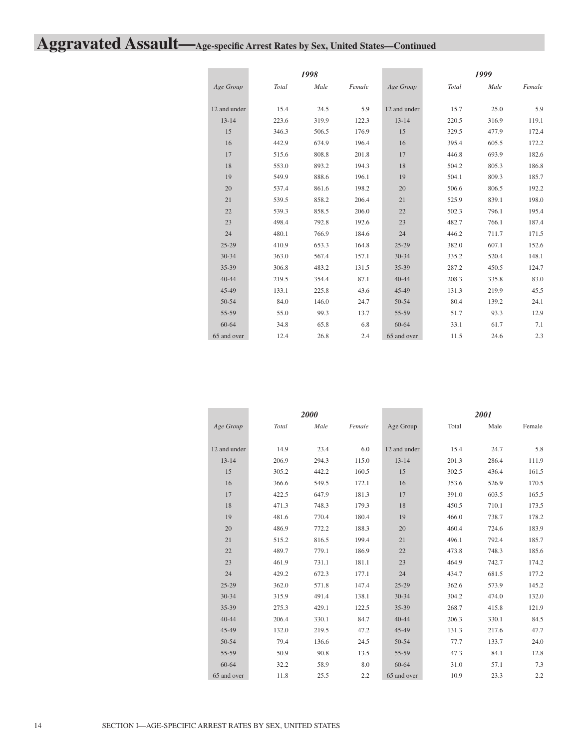### **Aggravated Assault—Age-specific Arrest Rates by Sex, United States—Continued**

|              |       | 1998  |        |              |       | 1999  |        |
|--------------|-------|-------|--------|--------------|-------|-------|--------|
| Age Group    | Total | Male  | Female | Age Group    | Total | Male  | Female |
|              |       |       |        |              |       |       |        |
| 12 and under | 15.4  | 24.5  | 5.9    | 12 and under | 15.7  | 25.0  | 5.9    |
| $13 - 14$    | 223.6 | 319.9 | 122.3  | $13 - 14$    | 220.5 | 316.9 | 119.1  |
| 15           | 346.3 | 506.5 | 176.9  | 15           | 329.5 | 477.9 | 172.4  |
| 16           | 442.9 | 674.9 | 196.4  | 16           | 395.4 | 605.5 | 172.2  |
| 17           | 515.6 | 808.8 | 201.8  | 17           | 446.8 | 693.9 | 182.6  |
| 18           | 553.0 | 893.2 | 194.3  | 18           | 504.2 | 805.3 | 186.8  |
| 19           | 549.9 | 888.6 | 196.1  | 19           | 504.1 | 809.3 | 185.7  |
| 20           | 537.4 | 861.6 | 198.2  | 20           | 506.6 | 806.5 | 192.2  |
| 21           | 539.5 | 858.2 | 206.4  | 21           | 525.9 | 839.1 | 198.0  |
| 22           | 539.3 | 858.5 | 206.0  | 22           | 502.3 | 796.1 | 195.4  |
| 23           | 498.4 | 792.8 | 192.6  | 23           | 482.7 | 766.1 | 187.4  |
| 24           | 480.1 | 766.9 | 184.6  | 24           | 446.2 | 711.7 | 171.5  |
| $25 - 29$    | 410.9 | 653.3 | 164.8  | $25 - 29$    | 382.0 | 607.1 | 152.6  |
| $30 - 34$    | 363.0 | 567.4 | 157.1  | $30 - 34$    | 335.2 | 520.4 | 148.1  |
| 35-39        | 306.8 | 483.2 | 131.5  | 35-39        | 287.2 | 450.5 | 124.7  |
| $40 - 44$    | 219.5 | 354.4 | 87.1   | 40-44        | 208.3 | 335.8 | 83.0   |
| 45-49        | 133.1 | 225.8 | 43.6   | 45-49        | 131.3 | 219.9 | 45.5   |
| 50-54        | 84.0  | 146.0 | 24.7   | 50-54        | 80.4  | 139.2 | 24.1   |
| 55-59        | 55.0  | 99.3  | 13.7   | 55-59        | 51.7  | 93.3  | 12.9   |
| $60 - 64$    | 34.8  | 65.8  | 6.8    | $60 - 64$    | 33.1  | 61.7  | 7.1    |
| 65 and over  | 12.4  | 26.8  | 2.4    | 65 and over  | 11.5  | 24.6  | 2.3    |

|              | 2000  |       |        |              | 2001  |       |        |  |  |
|--------------|-------|-------|--------|--------------|-------|-------|--------|--|--|
| Age Group    | Total | Male  | Female | Age Group    | Total | Male  | Female |  |  |
| 12 and under | 14.9  | 23.4  | 6.0    | 12 and under | 15.4  | 24.7  | 5.8    |  |  |
| $13 - 14$    | 206.9 | 294.3 | 115.0  | $13 - 14$    | 201.3 | 286.4 | 111.9  |  |  |
| 15           | 305.2 | 442.2 | 160.5  | 15           | 302.5 | 436.4 | 161.5  |  |  |
| 16           | 366.6 | 549.5 | 172.1  | 16           | 353.6 | 526.9 | 170.5  |  |  |
| 17           | 422.5 | 647.9 | 181.3  | 17           | 391.0 | 603.5 | 165.5  |  |  |
| 18           | 471.3 | 748.3 | 179.3  | 18           | 450.5 | 710.1 | 173.5  |  |  |
| 19           | 481.6 | 770.4 | 180.4  | 19           | 466.0 | 738.7 | 178.2  |  |  |
| 20           | 486.9 | 772.2 | 188.3  | 20           | 460.4 | 724.6 | 183.9  |  |  |
| 21           | 515.2 | 816.5 | 199.4  | 21           | 496.1 | 792.4 | 185.7  |  |  |
| 22           | 489.7 | 779.1 | 186.9  | 22           | 473.8 | 748.3 | 185.6  |  |  |
| 23           | 461.9 | 731.1 | 181.1  | 23           | 464.9 | 742.7 | 174.2  |  |  |
| 24           | 429.2 | 672.3 | 177.1  | 24           | 434.7 | 681.5 | 177.2  |  |  |
| $25 - 29$    | 362.0 | 571.8 | 147.4  | $25 - 29$    | 362.6 | 573.9 | 145.2  |  |  |
| 30-34        | 315.9 | 491.4 | 138.1  | $30 - 34$    | 304.2 | 474.0 | 132.0  |  |  |
|              |       |       |        |              |       |       |        |  |  |
| 35-39        | 275.3 | 429.1 | 122.5  | 35-39        | 268.7 | 415.8 | 121.9  |  |  |
| $40 - 44$    | 206.4 | 330.1 | 84.7   | $40 - 44$    | 206.3 | 330.1 | 84.5   |  |  |
| 45-49        | 132.0 | 219.5 | 47.2   | 45-49        | 131.3 | 217.6 | 47.7   |  |  |
| 50-54        | 79.4  | 136.6 | 24.5   | 50-54        | 77.7  | 133.7 | 24.0   |  |  |
| 55-59        | 50.9  | 90.8  | 13.5   | 55-59        | 47.3  | 84.1  | 12.8   |  |  |
| 60-64        | 32.2  | 58.9  | 8.0    | $60 - 64$    | 31.0  | 57.1  | 7.3    |  |  |
| 65 and over  | 11.8  | 25.5  | 2.2    | 65 and over  | 10.9  | 23.3  | 2.2    |  |  |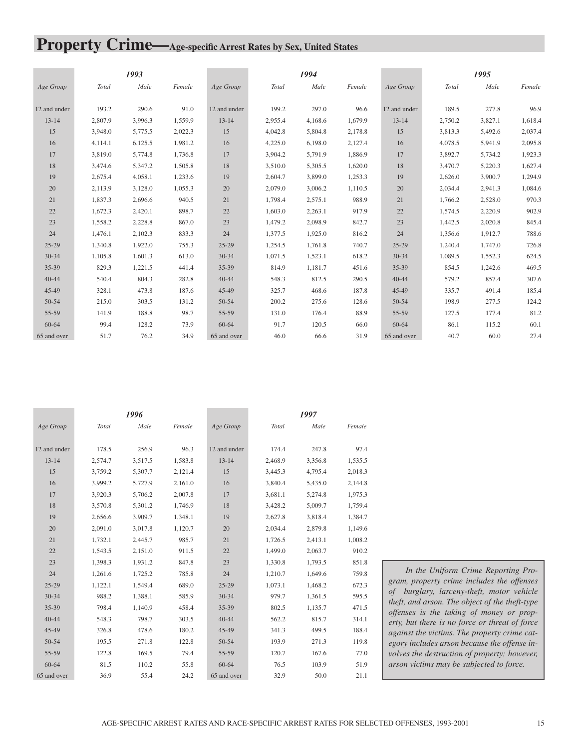#### **Property Crime—Age-specific Arrest Rates by Sex, United States**

|              |         | 1993    |         |              |         | 1994    |         |              |         | 1995    |         |
|--------------|---------|---------|---------|--------------|---------|---------|---------|--------------|---------|---------|---------|
| Age Group    | Total   | Male    | Female  | Age Group    | Total   | Male    | Female  | Age Group    | Total   | Male    | Female  |
| 12 and under | 193.2   | 290.6   | 91.0    | 12 and under | 199.2   | 297.0   | 96.6    | 12 and under | 189.5   | 277.8   | 96.9    |
| $13 - 14$    | 2,807.9 | 3,996.3 | 1,559.9 | $13 - 14$    | 2,955.4 | 4,168.6 | 1,679.9 | $13 - 14$    | 2,750.2 | 3,827.1 | 1,618.4 |
| 15           | 3,948.0 | 5,775.5 | 2,022.3 | 15           | 4,042.8 | 5,804.8 | 2,178.8 | 15           | 3,813.3 | 5,492.6 | 2,037.4 |
| 16           | 4,114.1 | 6,125.5 | 1,981.2 | 16           | 4,225.0 | 6,198.0 | 2,127.4 | 16           | 4,078.5 | 5,941.9 | 2,095.8 |
| 17           | 3,819.0 | 5,774.8 | 1,736.8 | 17           | 3,904.2 | 5,791.9 | 1,886.9 | 17           | 3,892.7 | 5,734.2 | 1,923.3 |
| 18           | 3,474.6 | 5,347.2 | 1,505.8 | 18           | 3,510.0 | 5,305.5 | 1,620.0 | 18           | 3,470.7 | 5,220.3 | 1,627.4 |
| 19           | 2,675.4 | 4,058.1 | 1,233.6 | 19           | 2,604.7 | 3,899.0 | 1,253.3 | 19           | 2,626.0 | 3,900.7 | 1,294.9 |
| 20           | 2,113.9 | 3,128.0 | 1,055.3 | 20           | 2,079.0 | 3,006.2 | 1,110.5 | 20           | 2,034.4 | 2,941.3 | 1,084.6 |
| 21           | 1,837.3 | 2,696.6 | 940.5   | 21           | 1,798.4 | 2,575.1 | 988.9   | 21           | 1,766.2 | 2,528.0 | 970.3   |
| 22           | 1,672.3 | 2,420.1 | 898.7   | 22           | 1,603.0 | 2,263.1 | 917.9   | $22\,$       | 1,574.5 | 2,220.9 | 902.9   |
| 23           | 1,558.2 | 2,228.8 | 867.0   | 23           | 1.479.2 | 2,098.9 | 842.7   | 23           | 1,442.5 | 2,020.8 | 845.4   |
| 24           | 1,476.1 | 2,102.3 | 833.3   | 24           | 1,377.5 | 1,925.0 | 816.2   | 24           | 1,356.6 | 1,912.7 | 788.6   |
| $25 - 29$    | 1,340.8 | 1,922.0 | 755.3   | $25 - 29$    | 1,254.5 | 1,761.8 | 740.7   | $25 - 29$    | 1,240.4 | 1,747.0 | 726.8   |
| $30 - 34$    | 1,105.8 | 1,601.3 | 613.0   | $30 - 34$    | 1,071.5 | 1,523.1 | 618.2   | $30 - 34$    | 1,089.5 | 1,552.3 | 624.5   |
| 35-39        | 829.3   | 1,221.5 | 441.4   | 35-39        | 814.9   | 1,181.7 | 451.6   | 35-39        | 854.5   | 1,242.6 | 469.5   |
| $40 - 44$    | 540.4   | 804.3   | 282.8   | $40 - 44$    | 548.3   | 812.5   | 290.5   | $40 - 44$    | 579.2   | 857.4   | 307.6   |
| 45-49        | 328.1   | 473.8   | 187.6   | 45-49        | 325.7   | 468.6   | 187.8   | $45 - 49$    | 335.7   | 491.4   | 185.4   |
| $50 - 54$    | 215.0   | 303.5   | 131.2   | $50 - 54$    | 200.2   | 275.6   | 128.6   | $50 - 54$    | 198.9   | 277.5   | 124.2   |
| 55-59        | 141.9   | 188.8   | 98.7    | 55-59        | 131.0   | 176.4   | 88.9    | 55-59        | 127.5   | 177.4   | 81.2    |
| $60 - 64$    | 99.4    | 128.2   | 73.9    | 60-64        | 91.7    | 120.5   | 66.0    | 60-64        | 86.1    | 115.2   | 60.1    |
| 65 and over  | 51.7    | 76.2    | 34.9    | 65 and over  | 46.0    | 66.6    | 31.9    | 65 and over  | 40.7    | 60.0    | 27.4    |

|              |         | 1996    |         |              |         | 1997    |         |
|--------------|---------|---------|---------|--------------|---------|---------|---------|
| Age Group    | Total   | Male    | Female  | Age Group    | Total   | Male    | Female  |
|              |         |         |         |              |         |         |         |
| 12 and under | 178.5   | 256.9   | 96.3    | 12 and under | 174.4   | 247.8   | 97.4    |
| $13 - 14$    | 2,574.7 | 3,517.5 | 1,583.8 | $13 - 14$    | 2,468.9 | 3,356.8 | 1,535.5 |
| 15           | 3,759.2 | 5,307.7 | 2,121.4 | 15           | 3,445.3 | 4,795.4 | 2,018.3 |
| 16           | 3,999.2 | 5,727.9 | 2,161.0 | 16           | 3,840.4 | 5,435.0 | 2,144.8 |
| 17           | 3,920.3 | 5,706.2 | 2,007.8 | 17           | 3,681.1 | 5,274.8 | 1,975.3 |
| 18           | 3,570.8 | 5,301.2 | 1,746.9 | 18           | 3,428.2 | 5,009.7 | 1,759.4 |
| 19           | 2,656.6 | 3,909.7 | 1,348.1 | 19           | 2,627.8 | 3,818.4 | 1,384.7 |
| 20           | 2,091.0 | 3,017.8 | 1,120.7 | 20           | 2,034.4 | 2,879.8 | 1,149.6 |
| 21           | 1,732.1 | 2,445.7 | 985.7   | 21           | 1,726.5 | 2,413.1 | 1,008.2 |
| 22           | 1,543.5 | 2,151.0 | 911.5   | 22           | 1,499.0 | 2,063.7 | 910.2   |
| 23           | 1,398.3 | 1,931.2 | 847.8   | 23           | 1,330.8 | 1,793.5 | 851.8   |
| 24           | 1,261.6 | 1,725.2 | 785.8   | 24           | 1,210.7 | 1,649.6 | 759.8   |
| $25 - 29$    | 1,122.1 | 1,549.4 | 689.0   | $25 - 29$    | 1,073.1 | 1,468.2 | 672.3   |
| $30 - 34$    | 988.2   | 1,388.1 | 585.9   | $30 - 34$    | 979.7   | 1,361.5 | 595.5   |
| 35-39        | 798.4   | 1,140.9 | 458.4   | 35-39        | 802.5   | 1,135.7 | 471.5   |
| $40 - 44$    | 548.3   | 798.7   | 303.5   | $40 - 44$    | 562.2   | 815.7   | 314.1   |
| 45-49        | 326.8   | 478.6   | 180.2   | 45-49        | 341.3   | 499.5   | 188.4   |
| $50 - 54$    | 195.5   | 271.8   | 122.8   | $50 - 54$    | 193.9   | 271.3   | 119.8   |
| 55-59        | 122.8   | 169.5   | 79.4    | 55-59        | 120.7   | 167.6   | 77.0    |
| 60-64        | 81.5    | 110.2   | 55.8    | 60-64        | 76.5    | 103.9   | 51.9    |
| 65 and over  | 36.9    | 55.4    | 24.2    | 65 and over  | 32.9    | 50.0    | 21.1    |

*In the Uniform Crime Reporting Program, property crime includes the offenses of burglary, larceny-theft, motor vehicle theft, and arson. The object of the theft-type offenses is the taking of money or property, but there is no force or threat of force against the victims. The property crime category includes arson because the offense involves the destruction of property; however, arson victims may be subjected to force.*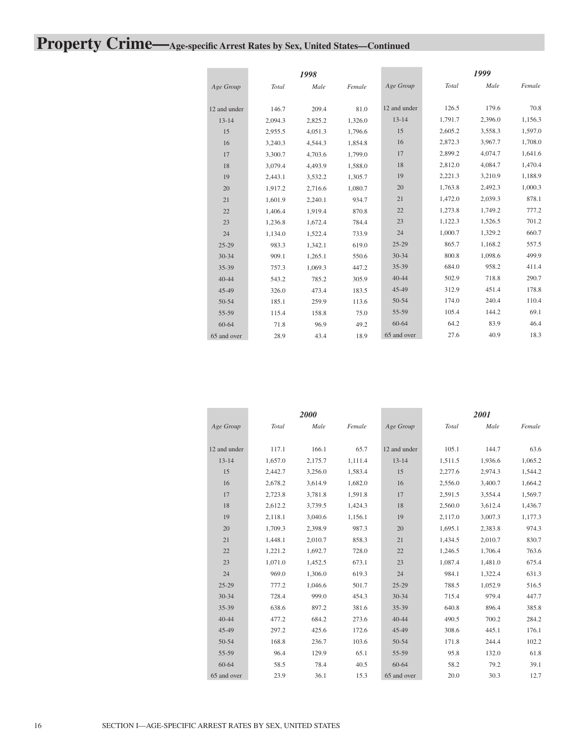### **Property Crime—Age-specific Arrest Rates by Sex, United States—Continued**

|              |         | 1998    |         |              |         | 1999    |         |
|--------------|---------|---------|---------|--------------|---------|---------|---------|
| Age Group    | Total   | Male    | Female  | Age Group    | Total   | Male    | Female  |
| 12 and under | 146.7   | 209.4   | 81.0    | 12 and under | 126.5   | 179.6   | 70.8    |
| $13 - 14$    | 2,094.3 | 2,825.2 | 1,326.0 | $13 - 14$    | 1,791.7 | 2,396.0 | 1,156.3 |
| 15           | 2,955.5 | 4,051.3 | 1,796.6 | 15           | 2,605.2 | 3,558.3 | 1,597.0 |
| 16           | 3,240.3 | 4,544.3 | 1,854.8 | 16           | 2,872.3 | 3,967.7 | 1,708.0 |
| 17           | 3,300.7 | 4,703.6 | 1,799.0 | 17           | 2,899.2 | 4,074.7 | 1,641.6 |
| 18           | 3,079.4 | 4,493.9 | 1,588.0 | 18           | 2,812.0 | 4,084.7 | 1,470.4 |
| 19           | 2,443.1 | 3,532.2 | 1,305.7 | 19           | 2,221.3 | 3,210.9 | 1,188.9 |
| 20           | 1,917.2 | 2,716.6 | 1,080.7 | 20           | 1,763.8 | 2,492.3 | 1,000.3 |
| 21           | 1,601.9 | 2,240.1 | 934.7   | 21           | 1,472.0 | 2,039.3 | 878.1   |
| 22           | 1,406.4 | 1,919.4 | 870.8   | 22           | 1,273.8 | 1,749.2 | 777.2   |
| 23           | 1,236.8 | 1,672.4 | 784.4   | 23           | 1,122.3 | 1,526.5 | 701.2   |
| 24           | 1,134.0 | 1,522.4 | 733.9   | 24           | 1,000.7 | 1,329.2 | 660.7   |
| $25 - 29$    | 983.3   | 1,342.1 | 619.0   | $25 - 29$    | 865.7   | 1,168.2 | 557.5   |
| $30 - 34$    | 909.1   | 1,265.1 | 550.6   | 30-34        | 800.8   | 1,098.6 | 499.9   |
| 35-39        | 757.3   | 1,069.3 | 447.2   | 35-39        | 684.0   | 958.2   | 411.4   |
| $40 - 44$    | 543.2   | 785.2   | 305.9   | $40 - 44$    | 502.9   | 718.8   | 290.7   |
| 45-49        | 326.0   | 473.4   | 183.5   | 45-49        | 312.9   | 451.4   | 178.8   |
| $50 - 54$    | 185.1   | 259.9   | 113.6   | 50-54        | 174.0   | 240.4   | 110.4   |
| 55-59        | 115.4   | 158.8   | 75.0    | 55-59        | 105.4   | 144.2   | 69.1    |
| 60-64        | 71.8    | 96.9    | 49.2    | 60-64        | 64.2    | 83.9    | 46.4    |
| 65 and over  | 28.9    | 43.4    | 18.9    | 65 and over  | 27.6    | 40.9    | 18.3    |

|              | <b>2000</b> |         |         |              | 2001    |         |         |  |
|--------------|-------------|---------|---------|--------------|---------|---------|---------|--|
| Age Group    | Total       | Male    | Female  | Age Group    | Total   | Male    | Female  |  |
| 12 and under | 117.1       | 166.1   | 65.7    | 12 and under | 105.1   | 144.7   | 63.6    |  |
| $13 - 14$    | 1,657.0     | 2,175.7 | 1,111.4 | $13 - 14$    | 1,511.5 | 1,936.6 | 1,065.2 |  |
| 15           | 2,442.7     | 3,256.0 | 1,583.4 | 15           | 2,277.6 | 2,974.3 | 1,544.2 |  |
| 16           | 2,678.2     | 3,614.9 | 1,682.0 | 16           | 2,556.0 | 3,400.7 | 1,664.2 |  |
| 17           | 2,723.8     | 3,781.8 | 1,591.8 | 17           | 2,591.5 | 3,554.4 | 1,569.7 |  |
| 18           | 2,612.2     | 3,739.5 | 1,424.3 | 18           | 2,560.0 | 3,612.4 | 1,436.7 |  |
| 19           | 2,118.1     | 3,040.6 | 1,156.1 | 19           | 2,117.0 | 3,007.3 | 1,177.3 |  |
| 20           | 1,709.3     | 2,398.9 | 987.3   | 20           | 1,695.1 | 2,383.8 | 974.3   |  |
| 21           | 1,448.1     | 2,010.7 | 858.3   | 21           | 1,434.5 | 2,010.7 | 830.7   |  |
| 22           | 1,221.2     | 1,692.7 | 728.0   | 22           | 1,246.5 | 1,706.4 | 763.6   |  |
| 23           | 1,071.0     | 1,452.5 | 673.1   | 23           | 1,087.4 | 1,481.0 | 675.4   |  |
| 24           | 969.0       | 1,306.0 | 619.3   | 24           | 984.1   | 1,322.4 | 631.3   |  |
| $25 - 29$    | 777.2       | 1,046.6 | 501.7   | $25 - 29$    | 788.5   | 1,052.9 | 516.5   |  |
| 30-34        | 728.4       | 999.0   | 454.3   | $30 - 34$    | 715.4   | 979.4   | 447.7   |  |
| 35-39        | 638.6       | 897.2   | 381.6   | 35-39        | 640.8   | 896.4   | 385.8   |  |
| $40 - 44$    | 477.2       | 684.2   | 273.6   | $40 - 44$    | 490.5   | 700.2   | 284.2   |  |
| 45-49        | 297.2       | 425.6   | 172.6   | $45 - 49$    | 308.6   | 445.1   | 176.1   |  |
| $50 - 54$    | 168.8       | 236.7   | 103.6   | $50 - 54$    | 171.8   | 244.4   | 102.2   |  |
| 55-59        | 96.4        | 129.9   | 65.1    | 55-59        | 95.8    | 132.0   | 61.8    |  |
| $60 - 64$    | 58.5        | 78.4    | 40.5    | $60 - 64$    | 58.2    | 79.2    | 39.1    |  |
| 65 and over  | 23.9        | 36.1    | 15.3    | 65 and over  | 20.0    | 30.3    | 12.7    |  |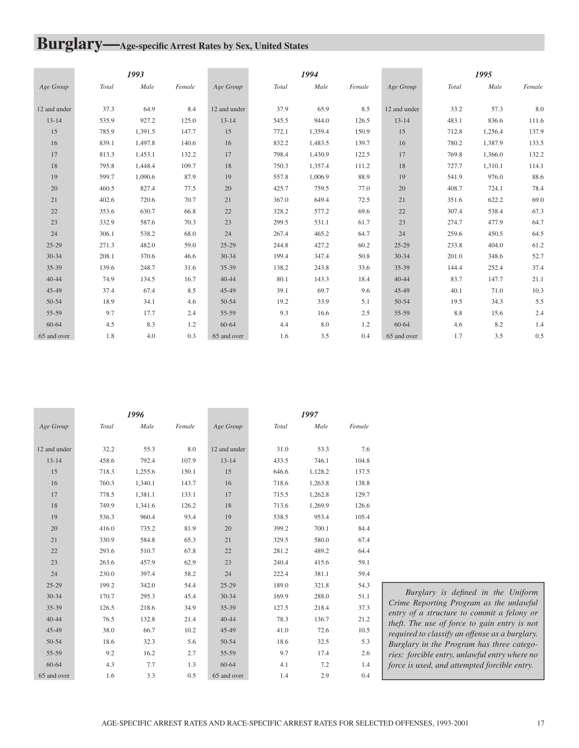#### **Burglary—Age-specific Arrest Rates by Sex, United States**

|              |       | 1993    |        |              |       | 1994    |        |              |       | 1995    |        |
|--------------|-------|---------|--------|--------------|-------|---------|--------|--------------|-------|---------|--------|
| Age Group    | Total | Male    | Female | Age Group    | Total | Male    | Female | Age Group    | Total | Male    | Female |
| 12 and under | 37.3  | 64.9    | 8.4    | 12 and under | 37.9  | 65.9    | 8.5    | 12 and under | 33.2  | 57.3    | 8.0    |
|              |       |         |        |              |       |         |        |              |       |         |        |
| $13 - 14$    | 535.9 | 927.2   | 125.0  | $13 - 14$    | 545.5 | 944.0   | 126.5  | $13 - 14$    | 483.1 | 836.6   | 111.6  |
| 15           | 785.9 | 1,391.5 | 147.7  | 15           | 772.1 | 1,359.4 | 150.9  | 15           | 712.8 | 1,256.4 | 137.9  |
| 16           | 839.1 | 1,497.8 | 140.6  | 16           | 832.2 | 1,483.5 | 139.7  | 16           | 780.2 | 1,387.9 | 133.5  |
| 17           | 813.3 | 1,453.1 | 132.2  | 17           | 798.4 | 1,430.9 | 122.5  | 17           | 769.8 | 1,366.0 | 132.2  |
| 18           | 795.8 | 1,448.4 | 109.7  | 18           | 750.3 | 1,357.4 | 111.2  | 18           | 727.7 | 1,310.1 | 114.1  |
| 19           | 599.7 | 1,090.6 | 87.9   | 19           | 557.8 | 1,006.9 | 88.9   | 19           | 541.9 | 976.0   | 88.6   |
| 20           | 460.5 | 827.4   | 77.5   | 20           | 425.7 | 759.5   | 77.0   | 20           | 408.7 | 724.1   | 78.4   |
| 21           | 402.6 | 720.6   | 70.7   | 21           | 367.0 | 649.4   | 72.5   | 21           | 351.6 | 622.2   | 69.0   |
| 22           | 353.6 | 630.7   | 66.8   | 22           | 328.2 | 577.2   | 69.6   | $22\,$       | 307.4 | 538.4   | 67.3   |
| 23           | 332.9 | 587.6   | 70.3   | 23           | 299.5 | 531.1   | 61.7   | 23           | 274.7 | 477.9   | 64.7   |
| 24           | 306.1 | 538.2   | 68.0   | 24           | 267.4 | 465.2   | 64.7   | 24           | 259.6 | 450.5   | 64.5   |
| $25-29$      | 271.3 | 482.0   | 59.0   | $25-29$      | 244.8 | 427.2   | 60.2   | $25-29$      | 233.8 | 404.0   | 61.2   |
| $30 - 34$    | 208.1 | 370.6   | 46.6   | $30 - 34$    | 199.4 | 347.4   | 50.8   | $30 - 34$    | 201.0 | 348.6   | 52.7   |
| 35-39        | 139.6 | 248.7   | 31.6   | 35-39        | 138.2 | 243.8   | 33.6   | 35-39        | 144.4 | 252.4   | 37.4   |
| $40 - 44$    | 74.9  | 134.5   | 16.7   | $40 - 44$    | 80.1  | 143.3   | 18.4   | $40 - 44$    | 83.7  | 147.7   | 21.1   |
| 45-49        | 37.4  | 67.4    | 8.5    | $45 - 49$    | 39.1  | 69.7    | 9.6    | $45 - 49$    | 40.1  | 71.0    | 10.3   |
| $50 - 54$    | 18.9  | 34.1    | 4.6    | $50 - 54$    | 19.2  | 33.9    | 5.1    | $50 - 54$    | 19.5  | 34.3    | 5.5    |
| 55-59        | 9.7   | 17.7    | 2.4    | 55-59        | 9.3   | 16.6    | 2.5    | 55-59        | 8.8   | 15.6    | 2.4    |
| $60 - 64$    | 4.5   | 8.3     | 1.2    | $60 - 64$    | 4.4   | 8.0     | 1.2    | $60 - 64$    | 4.6   | 8.2     | 1.4    |
| 65 and over  | 1.8   | 4.0     | 0.3    | 65 and over  | 1.6   | 3.5     | 0.4    | 65 and over  | 1.7   | 3.5     | 0.5    |

|              | 1996  |         |        |              | 1997  |         |        |  |  |
|--------------|-------|---------|--------|--------------|-------|---------|--------|--|--|
| Age Group    | Total | Male    | Female | Age Group    | Total | Male    | Female |  |  |
|              |       |         |        |              |       |         |        |  |  |
| 12 and under | 32.2  | 55.3    | 8.0    | 12 and under | 31.0  | 53.3    | 7.6    |  |  |
| $13 - 14$    | 458.6 | 792.4   | 107.9  | $13 - 14$    | 433.5 | 746.1   | 104.8  |  |  |
| 15           | 718.3 | 1,255.6 | 150.1  | 15           | 646.6 | 1,128.2 | 137.5  |  |  |
| 16           | 760.3 | 1,340.1 | 143.7  | 16           | 718.6 | 1,263.8 | 138.8  |  |  |
| 17           | 778.5 | 1,381.1 | 133.1  | 17           | 715.5 | 1,262.8 | 129.7  |  |  |
| 18           | 749.9 | 1,341.6 | 126.2  | 18           | 713.6 | 1,269.9 | 126.6  |  |  |
| 19           | 536.3 | 960.4   | 93.4   | 19           | 538.5 | 953.4   | 105.4  |  |  |
| 20           | 416.0 | 735.2   | 81.9   | 20           | 399.2 | 700.1   | 84.4   |  |  |
| 21           | 330.9 | 584.8   | 65.3   | 21           | 329.5 | 580.0   | 67.4   |  |  |
| 22           | 293.6 | 510.7   | 67.8   | 22           | 281.2 | 489.2   | 64.4   |  |  |
| 23           | 263.6 | 457.9   | 62.9   | 23           | 240.4 | 415.6   | 59.1   |  |  |
| 24           | 230.0 | 397.4   | 58.2   | 24           | 222.4 | 381.1   | 59.4   |  |  |
| $25-29$      | 199.2 | 342.0   | 54.4   | $25-29$      | 189.0 | 321.8   | 54.3   |  |  |
| 30-34        | 170.7 | 295.3   | 45.4   | $30 - 34$    | 169.9 | 288.0   | 51.1   |  |  |
| 35-39        | 126.5 | 218.6   | 34.9   | 35-39        | 127.5 | 218.4   | 37.3   |  |  |
| $40 - 44$    | 76.5  | 132.8   | 21.4   | $40 - 44$    | 78.3  | 136.7   | 21.2   |  |  |
| 45-49        | 38.0  | 66.7    | 10.2   | 45-49        | 41.0  | 72.6    | 10.5   |  |  |
| $50 - 54$    | 18.6  | 32.3    | 5.6    | 50-54        | 18.6  | 32.5    | 5.3    |  |  |
| 55-59        | 9.2   | 16.2    | 2.7    | 55-59        | 9.7   | 17.4    | 2.6    |  |  |
| $60 - 64$    | 4.3   | 7.7     | 1.3    | 60-64        | 4.1   | 7.2     | 1.4    |  |  |
| 65 and over  | 1.6   | 3.3     | 0.5    | 65 and over  | 1.4   | 2.9     | 0.4    |  |  |

*Burglary is defined in the Uniform Crime Reporting Program as the unlawful entry of a structure to commit a felony or theft. The use of force to gain entry is not required to classify an offense as a burglary. Burglary in the Program has three categories: forcible entry, unlawful entry where no force is used, and attempted forcible entry.*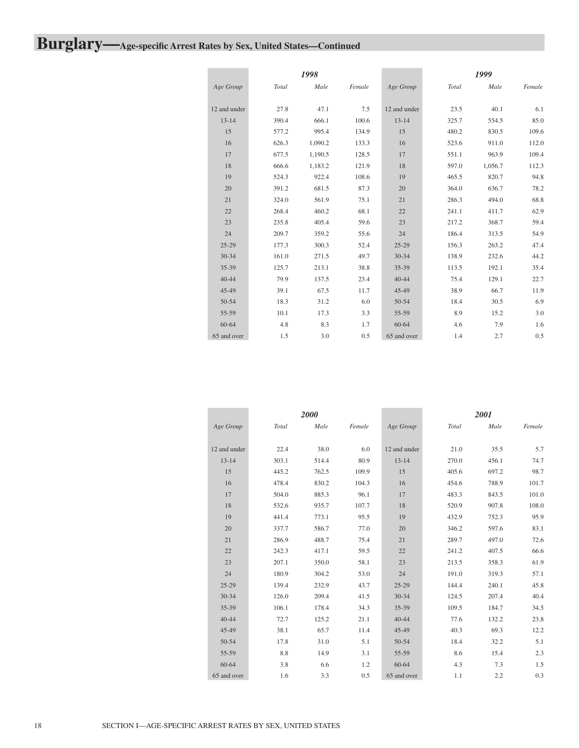### **Burglary—Age-specific Arrest Rates by Sex, United States—Continued**

|              |       | 1998    |        |              |       | 1999    |        |
|--------------|-------|---------|--------|--------------|-------|---------|--------|
| Age Group    | Total | Male    | Female | Age Group    | Total | Male    | Female |
| 12 and under | 27.8  | 47.1    | 7.5    | 12 and under | 23.5  | 40.1    | 6.1    |
| $13 - 14$    | 390.4 | 666.1   | 100.6  | $13 - 14$    | 325.7 |         | 85.0   |
|              |       |         |        |              |       | 554.5   |        |
| 15           | 577.2 | 995.4   | 134.9  | 15           | 480.2 | 830.5   | 109.6  |
| 16           | 626.3 | 1,090.2 | 133.3  | 16           | 523.6 | 911.0   | 112.0  |
| 17           | 677.5 | 1,190.5 | 128.5  | 17           | 551.1 | 963.9   | 109.4  |
| 18           | 666.6 | 1,183.2 | 121.9  | 18           | 597.0 | 1,056.7 | 112.3  |
| 19           | 524.3 | 922.4   | 108.6  | 19           | 465.5 | 820.7   | 94.8   |
| 20           | 391.2 | 681.5   | 87.3   | 20           | 364.0 | 636.7   | 78.2   |
| 21           | 324.0 | 561.9   | 75.1   | 21           | 286.3 | 494.0   | 68.8   |
| 22           | 268.4 | 460.2   | 68.1   | 22           | 241.1 | 411.7   | 62.9   |
| 23           | 235.8 | 405.4   | 59.6   | 23           | 217.2 | 368.7   | 59.4   |
| 24           | 209.7 | 359.2   | 55.6   | 24           | 186.4 | 313.5   | 54.9   |
| $25 - 29$    | 177.3 | 300.3   | 52.4   | $25 - 29$    | 156.3 | 263.2   | 47.4   |
| $30 - 34$    | 161.0 | 271.5   | 49.7   | $30 - 34$    | 138.9 | 232.6   | 44.2   |
| 35-39        | 125.7 | 213.1   | 38.8   | 35-39        | 113.5 | 192.1   | 35.4   |
| $40 - 44$    | 79.9  | 137.5   | 23.4   | $40 - 44$    | 75.4  | 129.1   | 22.7   |
| 45-49        | 39.1  | 67.5    | 11.7   | 45-49        | 38.9  | 66.7    | 11.9   |
| $50 - 54$    | 18.3  | 31.2    | 6.0    | $50 - 54$    | 18.4  | 30.5    | 6.9    |
| 55-59        | 10.1  | 17.3    | 3.3    | 55-59        | 8.9   | 15.2    | 3.0    |
| 60-64        | 4.8   | 8.3     | 1.7    | $60 - 64$    | 4.6   | 7.9     | 1.6    |
| 65 and over  | 1.5   | 3.0     | 0.5    | 65 and over  | 1.4   | 2.7     | 0.5    |

|              |       | 2000  |        |              |       |       |        |  |
|--------------|-------|-------|--------|--------------|-------|-------|--------|--|
| Age Group    | Total | Male  | Female | Age Group    | Total | Male  | Female |  |
| 12 and under | 22.4  | 38.0  | 6.0    | 12 and under | 21.0  | 35.5  | 5.7    |  |
| $13 - 14$    | 303.1 | 514.4 | 80.9   | $13 - 14$    | 270.0 | 456.1 | 74.7   |  |
| 15           | 445.2 | 762.5 | 109.9  | 15           | 405.6 | 697.2 | 98.7   |  |
| 16           | 478.4 | 830.2 | 104.3  | 16           | 454.6 | 788.9 | 101.7  |  |
| 17           | 504.0 | 885.3 | 96.1   | 17           | 483.3 | 843.5 | 101.0  |  |
| 18           | 532.6 | 935.7 | 107.7  | 18           | 520.9 | 907.8 | 108.0  |  |
| 19           | 441.4 | 773.1 | 95.5   | 19           | 432.9 | 752.3 | 95.9   |  |
| 20           | 337.7 | 586.7 | 77.0   | 20           | 346.2 | 597.6 | 83.1   |  |
| 21           | 286.9 | 488.7 | 75.4   | 21           | 289.7 | 497.0 | 72.6   |  |
| 22           | 242.3 | 417.1 | 59.5   | 22           | 241.2 | 407.5 | 66.6   |  |
| 23           | 207.1 | 350.0 | 58.1   | 23           | 213.5 | 358.3 | 61.9   |  |
| 24           | 180.9 | 304.2 | 53.0   | 24           | 191.0 | 319.3 | 57.1   |  |
| $25 - 29$    | 139.4 | 232.9 | 43.7   | $25 - 29$    | 144.4 | 240.1 | 45.8   |  |
| 30-34        | 126.0 | 209.4 | 41.5   | $30 - 34$    | 124.5 | 207.4 | 40.4   |  |
| 35-39        | 106.1 | 178.4 | 34.3   | 35-39        | 109.5 | 184.7 | 34.5   |  |
| $40 - 44$    | 72.7  | 125.2 | 21.1   | $40 - 44$    | 77.6  | 132.2 | 23.8   |  |
| 45-49        | 38.1  | 65.7  | 11.4   | 45-49        | 40.3  | 69.3  | 12.2   |  |
| 50-54        | 17.8  | 31.0  | 5.1    | 50-54        | 18.4  | 32.2  | 5.1    |  |
| 55-59        | 8.8   | 14.9  | 3.1    | 55-59        | 8.6   | 15.4  | 2.3    |  |
| $60 - 64$    | 3.8   | 6.6   | 1.2    | 60-64        | 4.3   | 7.3   | 1.5    |  |
| 65 and over  | 1.6   | 3.3   | 0.5    | 65 and over  | 1.1   | 2.2   | 0.3    |  |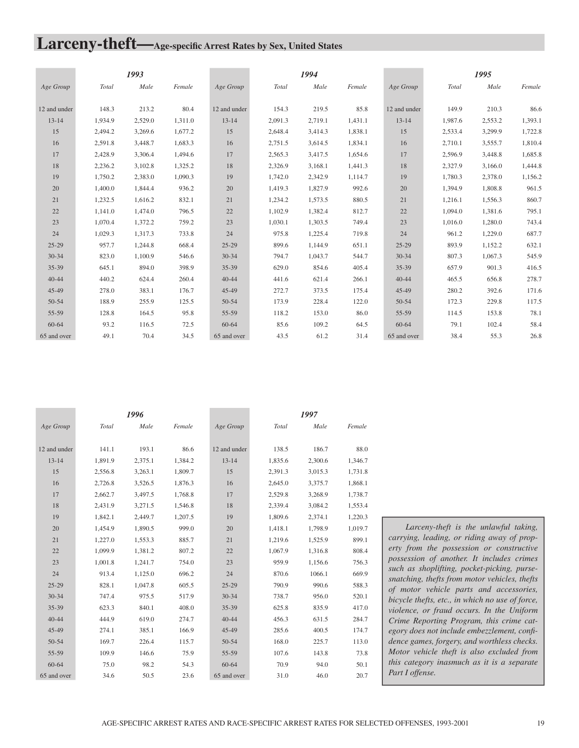#### **Larceny-theft—Age-specific Arrest Rates by Sex, United States**

|              |         | 1993    |         |              |         | 1994    |         |              |         | 1995    |         |
|--------------|---------|---------|---------|--------------|---------|---------|---------|--------------|---------|---------|---------|
| Age Group    | Total   | Male    | Female  | Age Group    | Total   | Male    | Female  | Age Group    | Total   | Male    | Female  |
|              |         |         |         |              |         |         |         |              |         |         |         |
| 12 and under | 148.3   | 213.2   | 80.4    | 12 and under | 154.3   | 219.5   | 85.8    | 12 and under | 149.9   | 210.3   | 86.6    |
| $13 - 14$    | 1,934.9 | 2,529.0 | 1,311.0 | $13 - 14$    | 2,091.3 | 2,719.1 | 1,431.1 | $13 - 14$    | 1,987.6 | 2,553.2 | 1,393.1 |
| 15           | 2,494.2 | 3,269.6 | 1,677.2 | 15           | 2,648.4 | 3,414.3 | 1,838.1 | 15           | 2,533.4 | 3,299.9 | 1,722.8 |
| 16           | 2,591.8 | 3,448.7 | 1,683.3 | 16           | 2,751.5 | 3,614.5 | 1,834.1 | 16           | 2,710.1 | 3,555.7 | 1,810.4 |
| 17           | 2,428.9 | 3,306.4 | 1,494.6 | 17           | 2,565.3 | 3,417.5 | 1,654.6 | 17           | 2,596.9 | 3,448.8 | 1,685.8 |
| 18           | 2,236.2 | 3,102.8 | 1,325.2 | 18           | 2,326.9 | 3,168.1 | 1,441.3 | 18           | 2,327.9 | 3,166.0 | 1,444.8 |
| 19           | 1,750.2 | 2,383.0 | 1,090.3 | 19           | 1,742.0 | 2,342.9 | 1,114.7 | 19           | 1,780.3 | 2,378.0 | 1,156.2 |
| 20           | 1,400.0 | 1,844.4 | 936.2   | 20           | 1,419.3 | 1,827.9 | 992.6   | 20           | 1,394.9 | 1,808.8 | 961.5   |
| 21           | 1,232.5 | 1,616.2 | 832.1   | 21           | 1,234.2 | 1,573.5 | 880.5   | 21           | 1,216.1 | 1,556.3 | 860.7   |
| 22           | 1,141.0 | 1,474.0 | 796.5   | 22           | 1,102.9 | 1,382.4 | 812.7   | 22           | 1,094.0 | 1,381.6 | 795.1   |
| 23           | 1,070.4 | 1,372.2 | 759.2   | 23           | 1,030.1 | 1,303.5 | 749.4   | 23           | 1,016.0 | 1,280.0 | 743.4   |
| 24           | 1,029.3 | 1,317.3 | 733.8   | 24           | 975.8   | 1,225.4 | 719.8   | 24           | 961.2   | 1,229.0 | 687.7   |
| $25-29$      | 957.7   | 1,244.8 | 668.4   | $25-29$      | 899.6   | 1,144.9 | 651.1   | $25 - 29$    | 893.9   | 1,152.2 | 632.1   |
| $30 - 34$    | 823.0   | 1,100.9 | 546.6   | $30 - 34$    | 794.7   | 1,043.7 | 544.7   | $30 - 34$    | 807.3   | 1,067.3 | 545.9   |
| $35 - 39$    | 645.1   | 894.0   | 398.9   | 35-39        | 629.0   | 854.6   | 405.4   | 35-39        | 657.9   | 901.3   | 416.5   |
| $40 - 44$    | 440.2   | 624.4   | 260.4   | $40 - 44$    | 441.6   | 621.4   | 266.1   | $40 - 44$    | 465.5   | 656.8   | 278.7   |
| 45-49        | 278.0   | 383.1   | 176.7   | $45 - 49$    | 272.7   | 373.5   | 175.4   | 45-49        | 280.2   | 392.6   | 171.6   |
| $50 - 54$    | 188.9   | 255.9   | 125.5   | $50 - 54$    | 173.9   | 228.4   | 122.0   | 50-54        | 172.3   | 229.8   | 117.5   |
| 55-59        | 128.8   | 164.5   | 95.8    | 55-59        | 118.2   | 153.0   | 86.0    | 55-59        | 114.5   | 153.8   | 78.1    |
| $60 - 64$    | 93.2    | 116.5   | 72.5    | $60 - 64$    | 85.6    | 109.2   | 64.5    | $60 - 64$    | 79.1    | 102.4   | 58.4    |
| 65 and over  | 49.1    | 70.4    | 34.5    | 65 and over  | 43.5    | 61.2    | 31.4    | 65 and over  | 38.4    | 55.3    | 26.8    |

|              |         | 1996    |         |              |         | 1997    |         |
|--------------|---------|---------|---------|--------------|---------|---------|---------|
| Age Group    | Total   | Male    | Female  | Age Group    | Total   | Male    | Female  |
|              |         |         |         |              |         |         |         |
| 12 and under | 141.1   | 193.1   | 86.6    | 12 and under | 138.5   | 186.7   | 88.0    |
| $13 - 14$    | 1,891.9 | 2,375.1 | 1,384.2 | $13 - 14$    | 1,835.6 | 2,300.6 | 1,346.7 |
| 15           | 2,556.8 | 3,263.1 | 1,809.7 | 15           | 2,391.3 | 3,015.3 | 1,731.8 |
| 16           | 2,726.8 | 3,526.5 | 1,876.3 | 16           | 2,645.0 | 3,375.7 | 1,868.1 |
| 17           | 2,662.7 | 3,497.5 | 1,768.8 | 17           | 2,529.8 | 3,268.9 | 1,738.7 |
| 18           | 2,431.9 | 3,271.5 | 1,546.8 | 18           | 2,339.4 | 3,084.2 | 1,553.4 |
| 19           | 1,842.1 | 2,449.7 | 1,207.5 | 19           | 1,809.6 | 2,374.1 | 1,220.3 |
| 20           | 1,454.9 | 1,890.5 | 999.0   | 20           | 1,418.1 | 1,798.9 | 1,019.7 |
| 21           | 1,227.0 | 1,553.3 | 885.7   | 21           | 1,219.6 | 1,525.9 | 899.1   |
| 22           | 1,099.9 | 1,381.2 | 807.2   | 22           | 1,067.9 | 1,316.8 | 808.4   |
| 23           | 1,001.8 | 1,241.7 | 754.0   | 23           | 959.9   | 1,156.6 | 756.3   |
| 24           | 913.4   | 1,125.0 | 696.2   | 24           | 870.6   | 1066.1  | 669.9   |
| $25 - 29$    | 828.1   | 1,047.8 | 605.5   | $25 - 29$    | 790.9   | 990.6   | 588.3   |
| $30 - 34$    | 747.4   | 975.5   | 517.9   | 30-34        | 738.7   | 956.0   | 520.1   |
| 35-39        | 623.3   | 840.1   | 408.0   | 35-39        | 625.8   | 835.9   | 417.0   |
| $40 - 44$    | 444.9   | 619.0   | 274.7   | $40 - 44$    | 456.3   | 631.5   | 284.7   |
| 45-49        | 274.1   | 385.1   | 166.9   | 45-49        | 285.6   | 400.5   | 174.7   |
| $50 - 54$    | 169.7   | 226.4   | 115.7   | 50-54        | 168.0   | 225.7   | 113.0   |
| 55-59        | 109.9   | 146.6   | 75.9    | 55-59        | 107.6   | 143.8   | 73.8    |
| $60 - 64$    | 75.0    | 98.2    | 54.3    | 60-64        | 70.9    | 94.0    | 50.1    |
| 65 and over  | 34.6    | 50.5    | 23.6    | 65 and over  | 31.0    | 46.0    | 20.7    |

*Larceny-theft is the unlawful taking, carrying, leading, or riding away of property from the possession or constructive possession of another. It includes crimes such as shoplifting, pocket-picking, pursesnatching, thefts from motor vehicles, thefts of motor vehicle parts and accessories, bicycle thefts, etc., in which no use of force, violence, or fraud occurs. In the Uniform Crime Reporting Program, this crime category does not include embezzlement, confidence games, forgery, and worthless checks. Motor vehicle theft is also excluded from this category inasmuch as it is a separate Part I offense.*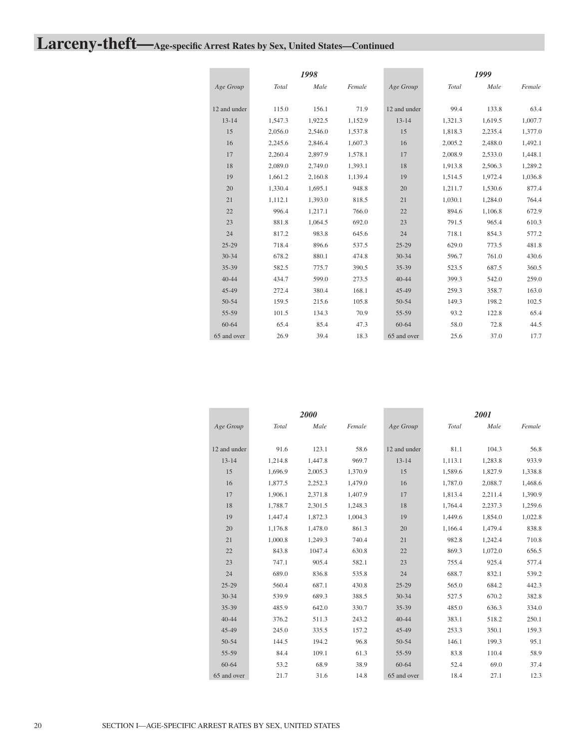### **Larceny-theft—Age-specific Arrest Rates by Sex, United States—Continued**

|              |         | 1998    |         |              |         |         |         |
|--------------|---------|---------|---------|--------------|---------|---------|---------|
| Age Group    | Total   | Male    | Female  | Age Group    | Total   | Male    | Female  |
| 12 and under | 115.0   | 156.1   | 71.9    | 12 and under | 99.4    | 133.8   | 63.4    |
| $13 - 14$    | 1,547.3 | 1,922.5 | 1,152.9 | $13 - 14$    | 1,321.3 | 1,619.5 | 1,007.7 |
| 15           | 2,056.0 | 2,546.0 | 1,537.8 | 15           | 1,818.3 | 2,235.4 | 1,377.0 |
| 16           | 2,245.6 | 2,846.4 | 1,607.3 | 16           | 2,005.2 | 2,488.0 | 1,492.1 |
| 17           | 2,260.4 | 2,897.9 | 1,578.1 | 17           | 2,008.9 | 2,533.0 | 1,448.1 |
| 18           | 2,089.0 | 2,749.0 | 1,393.1 | 18           | 1,913.8 | 2,506.3 | 1,289.2 |
| 19           | 1,661.2 | 2,160.8 | 1,139.4 | 19           | 1,514.5 | 1,972.4 | 1,036.8 |
| 20           | 1,330.4 | 1,695.1 | 948.8   | 20           | 1,211.7 | 1,530.6 | 877.4   |
| 21           | 1,112.1 | 1,393.0 | 818.5   | 21           | 1,030.1 | 1,284.0 | 764.4   |
| 22           | 996.4   | 1,217.1 | 766.0   | 22           | 894.6   | 1,106.8 | 672.9   |
| 23           | 881.8   | 1,064.5 | 692.0   | 23           | 791.5   | 965.4   | 610.3   |
| 24           | 817.2   | 983.8   | 645.6   | 24           | 718.1   | 854.3   | 577.2   |
| $25 - 29$    | 718.4   | 896.6   | 537.5   | $25 - 29$    | 629.0   | 773.5   | 481.8   |
| $30 - 34$    | 678.2   | 880.1   | 474.8   | $30 - 34$    | 596.7   | 761.0   | 430.6   |
| 35-39        | 582.5   | 775.7   | 390.5   | 35-39        | 523.5   | 687.5   | 360.5   |
| $40 - 44$    | 434.7   | 599.0   | 273.5   | $40 - 44$    | 399.3   | 542.0   | 259.0   |
| 45-49        | 272.4   | 380.4   | 168.1   | $45 - 49$    | 259.3   | 358.7   | 163.0   |
| $50 - 54$    | 159.5   | 215.6   | 105.8   | $50 - 54$    | 149.3   | 198.2   | 102.5   |
| 55-59        | 101.5   | 134.3   | 70.9    | 55-59        | 93.2    | 122.8   | 65.4    |
| 60-64        | 65.4    | 85.4    | 47.3    | $60 - 64$    | 58.0    | 72.8    | 44.5    |
| 65 and over  | 26.9    | 39.4    | 18.3    | 65 and over  | 25.6    | 37.0    | 17.7    |

|              |         | 2000    |         | 2001         |         |         |         |  |  |
|--------------|---------|---------|---------|--------------|---------|---------|---------|--|--|
| Age Group    | Total   | Male    | Female  | Age Group    | Total   | Male    | Female  |  |  |
| 12 and under | 91.6    | 123.1   | 58.6    | 12 and under | 81.1    | 104.3   | 56.8    |  |  |
| $13 - 14$    | 1,214.8 | 1,447.8 | 969.7   | $13 - 14$    | 1,113.1 | 1,283.8 | 933.9   |  |  |
| 15           | 1,696.9 | 2,005.3 | 1,370.9 | 15           | 1,589.6 | 1,827.9 | 1,338.8 |  |  |
| 16           | 1,877.5 | 2,252.3 | 1,479.0 | 16           | 1,787.0 | 2,088.7 | 1,468.6 |  |  |
| 17           | 1,906.1 | 2,371.8 | 1,407.9 | 17           | 1,813.4 | 2,211.4 | 1,390.9 |  |  |
| 18           | 1,788.7 | 2,301.5 | 1,248.3 | 18           | 1,764.4 | 2,237.3 | 1,259.6 |  |  |
| 19           | 1,447.4 | 1,872.3 | 1,004.3 | 19           | 1,449.6 | 1,854.0 | 1,022.8 |  |  |
| 20           | 1,176.8 | 1,478.0 | 861.3   | 20           | 1,166.4 | 1,479.4 | 838.8   |  |  |
| 21           | 1,000.8 | 1,249.3 | 740.4   | 21           | 982.8   | 1,242.4 | 710.8   |  |  |
| 22           | 843.8   | 1047.4  | 630.8   | 22           | 869.3   | 1,072.0 | 656.5   |  |  |
| 23           | 747.1   | 905.4   | 582.1   | 23           | 755.4   | 925.4   | 577.4   |  |  |
| 24           | 689.0   | 836.8   | 535.8   | 24           | 688.7   | 832.1   | 539.2   |  |  |
| $25 - 29$    | 560.4   | 687.1   | 430.8   | $25 - 29$    | 565.0   | 684.2   | 442.3   |  |  |
| $30 - 34$    | 539.9   | 689.3   | 388.5   | $30 - 34$    | 527.5   | 670.2   | 382.8   |  |  |
| 35-39        | 485.9   | 642.0   | 330.7   | 35-39        | 485.0   | 636.3   | 334.0   |  |  |
| $40 - 44$    | 376.2   | 511.3   | 243.2   | $40 - 44$    | 383.1   | 518.2   | 250.1   |  |  |
| 45-49        | 245.0   | 335.5   | 157.2   | 45-49        | 253.3   | 350.1   | 159.3   |  |  |
| 50-54        | 144.5   | 194.2   | 96.8    | 50-54        | 146.1   | 199.3   | 95.1    |  |  |
| 55-59        | 84.4    | 109.1   | 61.3    | 55-59        | 83.8    | 110.4   | 58.9    |  |  |
| 60-64        | 53.2    | 68.9    | 38.9    | 60-64        | 52.4    | 69.0    | 37.4    |  |  |
| 65 and over  | 21.7    | 31.6    | 14.8    | 65 and over  | 18.4    | 27.1    | 12.3    |  |  |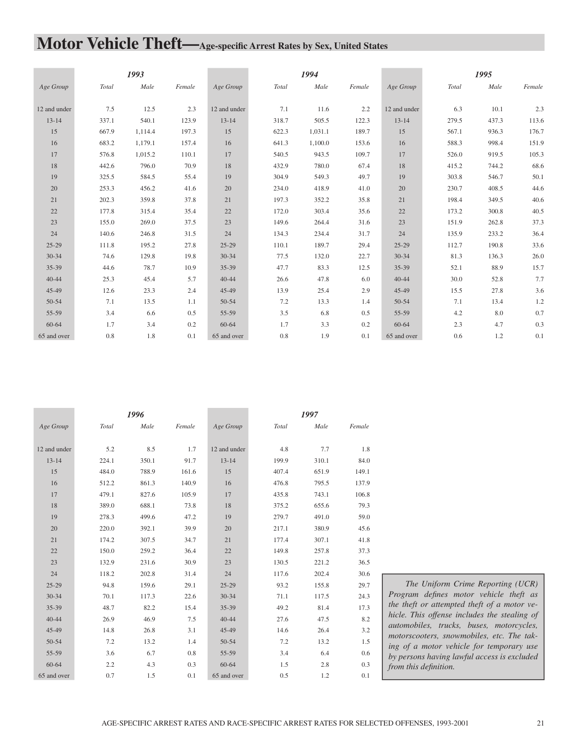### **Motor Vehicle Theft—Age-specific Arrest Rates by Sex, United States**

|              |       | 1993    |        |              |       | 1994    |        |              |       | 1995  |        |
|--------------|-------|---------|--------|--------------|-------|---------|--------|--------------|-------|-------|--------|
| Age Group    | Total | Male    | Female | Age Group    | Total | Male    | Female | Age Group    | Total | Male  | Female |
|              |       |         |        |              |       |         |        |              |       |       |        |
| 12 and under | 7.5   | 12.5    | 2.3    | 12 and under | 7.1   | 11.6    | 2.2    | 12 and under | 6.3   | 10.1  | 2.3    |
| $13 - 14$    | 337.1 | 540.1   | 123.9  | $13 - 14$    | 318.7 | 505.5   | 122.3  | $13 - 14$    | 279.5 | 437.3 | 113.6  |
| 15           | 667.9 | 1,114.4 | 197.3  | 15           | 622.3 | 1,031.1 | 189.7  | 15           | 567.1 | 936.3 | 176.7  |
| 16           | 683.2 | 1,179.1 | 157.4  | 16           | 641.3 | 1,100.0 | 153.6  | 16           | 588.3 | 998.4 | 151.9  |
| 17           | 576.8 | 1,015.2 | 110.1  | 17           | 540.5 | 943.5   | 109.7  | 17           | 526.0 | 919.5 | 105.3  |
| 18           | 442.6 | 796.0   | 70.9   | 18           | 432.9 | 780.0   | 67.4   | 18           | 415.2 | 744.2 | 68.6   |
| 19           | 325.5 | 584.5   | 55.4   | 19           | 304.9 | 549.3   | 49.7   | 19           | 303.8 | 546.7 | 50.1   |
| 20           | 253.3 | 456.2   | 41.6   | 20           | 234.0 | 418.9   | 41.0   | 20           | 230.7 | 408.5 | 44.6   |
| 21           | 202.3 | 359.8   | 37.8   | 21           | 197.3 | 352.2   | 35.8   | 21           | 198.4 | 349.5 | 40.6   |
| 22           | 177.8 | 315.4   | 35.4   | 22           | 172.0 | 303.4   | 35.6   | 22           | 173.2 | 300.8 | 40.5   |
| 23           | 155.0 | 269.0   | 37.5   | 23           | 149.6 | 264.4   | 31.6   | 23           | 151.9 | 262.8 | 37.3   |
| 24           | 140.6 | 246.8   | 31.5   | 24           | 134.3 | 234.4   | 31.7   | 24           | 135.9 | 233.2 | 36.4   |
| $25-29$      | 111.8 | 195.2   | 27.8   | $25-29$      | 110.1 | 189.7   | 29.4   | $25 - 29$    | 112.7 | 190.8 | 33.6   |
| $30 - 34$    | 74.6  | 129.8   | 19.8   | $30 - 34$    | 77.5  | 132.0   | 22.7   | $30 - 34$    | 81.3  | 136.3 | 26.0   |
| 35-39        | 44.6  | 78.7    | 10.9   | 35-39        | 47.7  | 83.3    | 12.5   | 35-39        | 52.1  | 88.9  | 15.7   |
| $40 - 44$    | 25.3  | 45.4    | 5.7    | $40 - 44$    | 26.6  | 47.8    | 6.0    | $40 - 44$    | 30.0  | 52.8  | 7.7    |
| 45-49        | 12.6  | 23.3    | 2.4    | 45-49        | 13.9  | 25.4    | 2.9    | $45 - 49$    | 15.5  | 27.8  | 3.6    |
| 50-54        | 7.1   | 13.5    | 1.1    | $50 - 54$    | 7.2   | 13.3    | 1.4    | $50 - 54$    | 7.1   | 13.4  | 1.2    |
| 55-59        | 3.4   | 6.6     | 0.5    | 55-59        | 3.5   | 6.8     | 0.5    | 55-59        | 4.2   | 8.0   | 0.7    |
| 60-64        | 1.7   | 3.4     | 0.2    | $60 - 64$    | 1.7   | 3.3     | 0.2    | 60-64        | 2.3   | 4.7   | 0.3    |
| 65 and over  | 0.8   | 1.8     | 0.1    | 65 and over  | 0.8   | 1.9     | 0.1    | 65 and over  | 0.6   | 1.2   | 0.1    |

|              | 1996  |       |        |              | 1997  |       |        |  |  |
|--------------|-------|-------|--------|--------------|-------|-------|--------|--|--|
| Age Group    | Total | Male  | Female | Age Group    | Total | Male  | Female |  |  |
| 12 and under | 5.2   | 8.5   | 1.7    | 12 and under | 4.8   | 7.7   | 1.8    |  |  |
|              |       |       |        |              |       |       |        |  |  |
| $13 - 14$    | 224.1 | 350.1 | 91.7   | $13 - 14$    | 199.9 | 310.1 | 84.0   |  |  |
| 15           | 484.0 | 788.9 | 161.6  | 15           | 407.4 | 651.9 | 149.1  |  |  |
| 16           | 512.2 | 861.3 | 140.9  | 16           | 476.8 | 795.5 | 137.9  |  |  |
| 17           | 479.1 | 827.6 | 105.9  | 17           | 435.8 | 743.1 | 106.8  |  |  |
| 18           | 389.0 | 688.1 | 73.8   | 18           | 375.2 | 655.6 | 79.3   |  |  |
| 19           | 278.3 | 499.6 | 47.2   | 19           | 279.7 | 491.0 | 59.0   |  |  |
| 20           | 220.0 | 392.1 | 39.9   | 20           | 217.1 | 380.9 | 45.6   |  |  |
| 21           | 174.2 | 307.5 | 34.7   | 21           | 177.4 | 307.1 | 41.8   |  |  |
| 22           | 150.0 | 259.2 | 36.4   | 22           | 149.8 | 257.8 | 37.3   |  |  |
| 23           | 132.9 | 231.6 | 30.9   | 23           | 130.5 | 221.2 | 36.5   |  |  |
| 24           | 118.2 | 202.8 | 31.4   | 24           | 117.6 | 202.4 | 30.6   |  |  |
| $25-29$      | 94.8  | 159.6 | 29.1   | 25-29        | 93.2  | 155.8 | 29.7   |  |  |
| 30-34        | 70.1  | 117.3 | 22.6   | $30 - 34$    | 71.1  | 117.5 | 24.3   |  |  |
| 35-39        | 48.7  | 82.2  | 15.4   | 35-39        | 49.2  | 81.4  | 17.3   |  |  |
| $40 - 44$    | 26.9  | 46.9  | 7.5    | $40 - 44$    | 27.6  | 47.5  | 8.2    |  |  |
| 45-49        | 14.8  | 26.8  | 3.1    | 45-49        | 14.6  | 26.4  | 3.2    |  |  |
| 50-54        | 7.2   | 13.2  | 1.4    | $50 - 54$    | 7.2   | 13.2  | 1.5    |  |  |
| 55-59        | 3.6   | 6.7   | 0.8    | 55-59        | 3.4   | 6.4   | 0.6    |  |  |
| 60-64        | 2.2   | 4.3   | 0.3    | $60 - 64$    | 1.5   | 2.8   | 0.3    |  |  |
| 65 and over  | 0.7   | 1.5   | 0.1    | 65 and over  | 0.5   | 1.2   | 0.1    |  |  |

*The Uniform Crime Reporting (UCR) Program defines motor vehicle theft as the theft or attempted theft of a motor vehicle. This offense includes the stealing of automobiles, trucks, buses, motorcycles, motorscooters, snowmobiles, etc. The taking of a motor vehicle for temporary use by persons having lawful access is excluded from this definition.*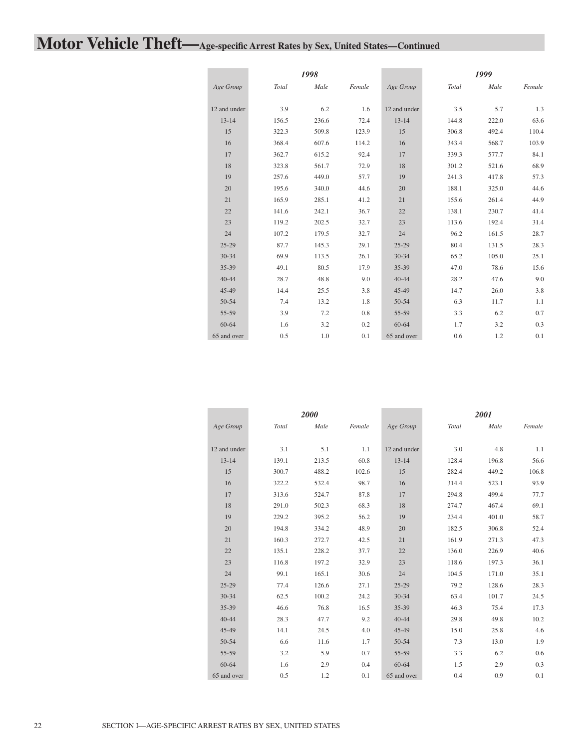# **Motor Vehicle Theft—Age-specific Arrest Rates by Sex, United States—Continued**

|              |       | 1998  |        |              | 1999  |       |        |
|--------------|-------|-------|--------|--------------|-------|-------|--------|
| Age Group    | Total | Male  | Female | Age Group    | Total | Male  | Female |
|              |       |       |        |              |       |       |        |
| 12 and under | 3.9   | 6.2   | 1.6    | 12 and under | 3.5   | 5.7   | 1.3    |
| $13 - 14$    | 156.5 | 236.6 | 72.4   | $13 - 14$    | 144.8 | 222.0 | 63.6   |
| 15           | 322.3 | 509.8 | 123.9  | 15           | 306.8 | 492.4 | 110.4  |
| 16           | 368.4 | 607.6 | 114.2  | 16           | 343.4 | 568.7 | 103.9  |
| 17           | 362.7 | 615.2 | 92.4   | 17           | 339.3 | 577.7 | 84.1   |
| 18           | 323.8 | 561.7 | 72.9   | 18           | 301.2 | 521.6 | 68.9   |
| 19           | 257.6 | 449.0 | 57.7   | 19           | 241.3 | 417.8 | 57.3   |
| 20           | 195.6 | 340.0 | 44.6   | 20           | 188.1 | 325.0 | 44.6   |
| 21           | 165.9 | 285.1 | 41.2   | 21           | 155.6 | 261.4 | 44.9   |
| 22           | 141.6 | 242.1 | 36.7   | 22           | 138.1 | 230.7 | 41.4   |
| 23           | 119.2 | 202.5 | 32.7   | 23           | 113.6 | 192.4 | 31.4   |
| 24           | 107.2 | 179.5 | 32.7   | 24           | 96.2  | 161.5 | 28.7   |
| $25 - 29$    | 87.7  | 145.3 | 29.1   | $25-29$      | 80.4  | 131.5 | 28.3   |
| $30 - 34$    | 69.9  | 113.5 | 26.1   | $30 - 34$    | 65.2  | 105.0 | 25.1   |
| 35-39        | 49.1  | 80.5  | 17.9   | 35-39        | 47.0  | 78.6  | 15.6   |
| $40 - 44$    | 28.7  | 48.8  | 9.0    | $40 - 44$    | 28.2  | 47.6  | 9.0    |
| 45-49        | 14.4  | 25.5  | 3.8    | 45-49        | 14.7  | 26.0  | 3.8    |
| 50-54        | 7.4   | 13.2  | 1.8    | 50-54        | 6.3   | 11.7  | 1.1    |
| 55-59        | 3.9   | 7.2   | 0.8    | 55-59        | 3.3   | 6.2   | 0.7    |
| $60 - 64$    | 1.6   | 3.2   | 0.2    | $60 - 64$    | 1.7   | 3.2   | 0.3    |
| 65 and over  | 0.5   | 1.0   | 0.1    | 65 and over  | 0.6   | 1.2   | 0.1    |

|              |       | 2000  |        |              |       |       |        |  |  |  |  |
|--------------|-------|-------|--------|--------------|-------|-------|--------|--|--|--|--|
| Age Group    | Total | Male  | Female | Age Group    | Total | Male  | Female |  |  |  |  |
| 12 and under | 3.1   | 5.1   | 1.1    | 12 and under | 3.0   | 4.8   | 1.1    |  |  |  |  |
| $13 - 14$    | 139.1 | 213.5 | 60.8   | $13 - 14$    | 128.4 | 196.8 | 56.6   |  |  |  |  |
| 15           | 300.7 | 488.2 | 102.6  | 15           | 282.4 | 449.2 | 106.8  |  |  |  |  |
| 16           | 322.2 | 532.4 | 98.7   | 16           | 314.4 | 523.1 | 93.9   |  |  |  |  |
| 17           | 313.6 | 524.7 | 87.8   | 17           | 294.8 | 499.4 | 77.7   |  |  |  |  |
| 18           | 291.0 | 502.3 | 68.3   | 18           | 274.7 | 467.4 | 69.1   |  |  |  |  |
| 19           | 229.2 | 395.2 | 56.2   | 19           | 234.4 | 401.0 | 58.7   |  |  |  |  |
| 20           | 194.8 | 334.2 | 48.9   | 20           | 182.5 | 306.8 | 52.4   |  |  |  |  |
| 21           | 160.3 | 272.7 | 42.5   | 21           | 161.9 | 271.3 | 47.3   |  |  |  |  |
| 22           | 135.1 | 228.2 | 37.7   | 22           | 136.0 | 226.9 | 40.6   |  |  |  |  |
| 23           | 116.8 | 197.2 | 32.9   | 23           | 118.6 | 197.3 | 36.1   |  |  |  |  |
| 24           | 99.1  | 165.1 | 30.6   | 24           | 104.5 | 171.0 | 35.1   |  |  |  |  |
| $25 - 29$    | 77.4  | 126.6 | 27.1   | $25-29$      | 79.2  | 128.6 | 28.3   |  |  |  |  |
| 30-34        | 62.5  | 100.2 | 24.2   | 30-34        | 63.4  | 101.7 | 24.5   |  |  |  |  |
| 35-39        | 46.6  | 76.8  | 16.5   | 35-39        | 46.3  | 75.4  | 17.3   |  |  |  |  |
| $40 - 44$    | 28.3  | 47.7  | 9.2    | $40 - 44$    | 29.8  | 49.8  | 10.2   |  |  |  |  |
| 45-49        | 14.1  | 24.5  | 4.0    | 45-49        | 15.0  | 25.8  | 4.6    |  |  |  |  |
| 50-54        | 6.6   | 11.6  | 1.7    | 50-54        | 7.3   | 13.0  | 1.9    |  |  |  |  |
| 55-59        | 3.2   | 5.9   | 0.7    | 55-59        | 3.3   | 6.2   | 0.6    |  |  |  |  |
| $60 - 64$    | 1.6   | 2.9   | 0.4    | 60-64        | 1.5   | 2.9   | 0.3    |  |  |  |  |
| 65 and over  | 0.5   | 1.2   | 0.1    | 65 and over  | 0.4   | 0.9   | 0.1    |  |  |  |  |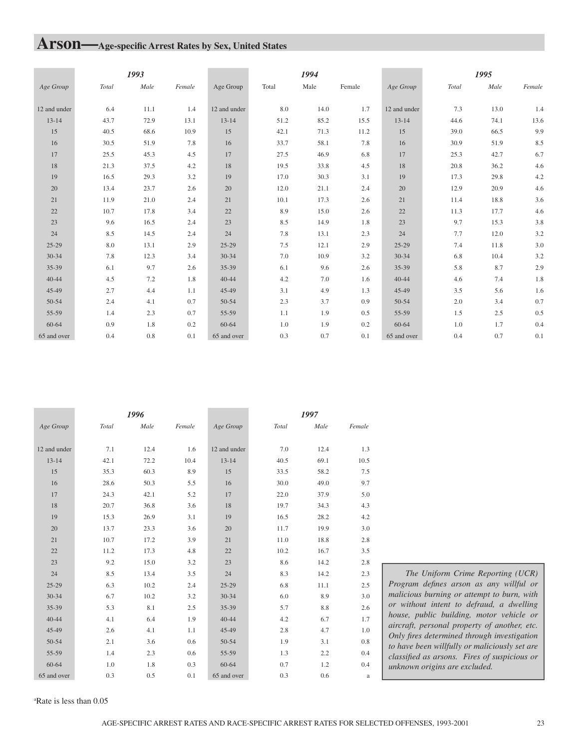#### **Arson—Age-specific Arrest Rates by Sex, United States**

|              |       | 1993 |        |              |       | 1994 |        |              |       | 1995 |         |
|--------------|-------|------|--------|--------------|-------|------|--------|--------------|-------|------|---------|
| Age Group    | Total | Male | Female | Age Group    | Total | Male | Female | Age Group    | Total | Male | Female  |
| 12 and under | 6.4   | 11.1 | 1.4    | 12 and under | 8.0   | 14.0 | 1.7    | 12 and under | 7.3   | 13.0 | 1.4     |
|              |       |      |        |              |       |      |        |              |       |      |         |
| $13 - 14$    | 43.7  | 72.9 | 13.1   | $13 - 14$    | 51.2  | 85.2 | 15.5   | $13 - 14$    | 44.6  | 74.1 | 13.6    |
| 15           | 40.5  | 68.6 | 10.9   | 15           | 42.1  | 71.3 | 11.2   | 15           | 39.0  | 66.5 | 9.9     |
| 16           | 30.5  | 51.9 | 7.8    | 16           | 33.7  | 58.1 | 7.8    | 16           | 30.9  | 51.9 | 8.5     |
| 17           | 25.5  | 45.3 | 4.5    | 17           | 27.5  | 46.9 | 6.8    | 17           | 25.3  | 42.7 | 6.7     |
| 18           | 21.3  | 37.5 | 4.2    | 18           | 19.5  | 33.8 | 4.5    | 18           | 20.8  | 36.2 | $4.6\,$ |
| 19           | 16.5  | 29.3 | 3.2    | 19           | 17.0  | 30.3 | 3.1    | 19           | 17.3  | 29.8 | 4.2     |
| 20           | 13.4  | 23.7 | 2.6    | 20           | 12.0  | 21.1 | 2.4    | $20\,$       | 12.9  | 20.9 | 4.6     |
| 21           | 11.9  | 21.0 | 2.4    | 21           | 10.1  | 17.3 | 2.6    | 21           | 11.4  | 18.8 | 3.6     |
| 22           | 10.7  | 17.8 | 3.4    | 22           | 8.9   | 15.0 | 2.6    | $22\,$       | 11.3  | 17.7 | 4.6     |
| 23           | 9.6   | 16.5 | 2.4    | 23           | 8.5   | 14.9 | 1.8    | 23           | 9.7   | 15.3 | 3.8     |
| 24           | 8.5   | 14.5 | 2.4    | 24           | 7.8   | 13.1 | 2.3    | 24           | 7.7   | 12.0 | $3.2\,$ |
| $25-29$      | 8.0   | 13.1 | 2.9    | $25-29$      | 7.5   | 12.1 | 2.9    | $25 - 29$    | 7.4   | 11.8 | $3.0\,$ |
| $30 - 34$    | 7.8   | 12.3 | 3.4    | $30 - 34$    | 7.0   | 10.9 | 3.2    | $30 - 34$    | 6.8   | 10.4 | 3.2     |
| $35 - 39$    | 6.1   | 9.7  | 2.6    | 35-39        | 6.1   | 9.6  | 2.6    | $35 - 39$    | 5.8   | 8.7  | 2.9     |
| $40 - 44$    | 4.5   | 7.2  | 1.8    | $40 - 44$    | 4.2   | 7.0  | 1.6    | $40 - 44$    | 4.6   | 7.4  | 1.8     |
| $45 - 49$    | 2.7   | 4.4  | 1.1    | 45-49        | 3.1   | 4.9  | 1.3    | $45 - 49$    | 3.5   | 5.6  | 1.6     |
| $50 - 54$    | 2.4   | 4.1  | 0.7    | 50-54        | 2.3   | 3.7  | 0.9    | $50 - 54$    | 2.0   | 3.4  | 0.7     |
| 55-59        | 1.4   | 2.3  | 0.7    | 55-59        | 1.1   | 1.9  | 0.5    | 55-59        | 1.5   | 2.5  | 0.5     |
| 60-64        | 0.9   | 1.8  | 0.2    | 60-64        | 1.0   | 1.9  | 0.2    | 60-64        | 1.0   | 1.7  | 0.4     |
| 65 and over  | 0.4   | 0.8  | 0.1    | 65 and over  | 0.3   | 0.7  | 0.1    | 65 and over  | 0.4   | 0.7  | 0.1     |

|              | 1996  |      |        |              | 1997  |      |        |  |
|--------------|-------|------|--------|--------------|-------|------|--------|--|
| Age Group    | Total | Male | Female | Age Group    | Total | Male | Female |  |
|              |       |      |        |              |       |      |        |  |
| 12 and under | 7.1   | 12.4 | 1.6    | 12 and under | 7.0   | 12.4 | 1.3    |  |
| $13 - 14$    | 42.1  | 72.2 | 10.4   | $13 - 14$    | 40.5  | 69.1 | 10.5   |  |
| 15           | 35.3  | 60.3 | 8.9    | 15           | 33.5  | 58.2 | 7.5    |  |
| 16           | 28.6  | 50.3 | 5.5    | 16           | 30.0  | 49.0 | 9.7    |  |
| 17           | 24.3  | 42.1 | 5.2    | 17           | 22.0  | 37.9 | 5.0    |  |
| 18           | 20.7  | 36.8 | 3.6    | 18           | 19.7  | 34.3 | 4.3    |  |
| 19           | 15.3  | 26.9 | 3.1    | 19           | 16.5  | 28.2 | 4.2    |  |
| 20           | 13.7  | 23.3 | 3.6    | 20           | 11.7  | 19.9 | 3.0    |  |
| 21           | 10.7  | 17.2 | 3.9    | 21           | 11.0  | 18.8 | 2.8    |  |
| 22           | 11.2  | 17.3 | 4.8    | 22           | 10.2  | 16.7 | 3.5    |  |
| 23           | 9.2   | 15.0 | 3.2    | 23           | 8.6   | 14.2 | 2.8    |  |
| 24           | 8.5   | 13.4 | 3.5    | 24           | 8.3   | 14.2 | 2.3    |  |
| $25 - 29$    | 6.3   | 10.2 | 2.4    | $25 - 29$    | 6.8   | 11.1 | 2.5    |  |
| $30 - 34$    | 6.7   | 10.2 | 3.2    | $30 - 34$    | 6.0   | 8.9  | 3.0    |  |
| 35-39        | 5.3   | 8.1  | 2.5    | 35-39        | 5.7   | 8.8  | 2.6    |  |
| $40 - 44$    | 4.1   | 6.4  | 1.9    | $40 - 44$    | 4.2   | 6.7  | 1.7    |  |
| 45-49        | 2.6   | 4.1  | 1.1    | 45-49        | 2.8   | 4.7  | 1.0    |  |
| 50-54        | 2.1   | 3.6  | 0.6    | 50-54        | 1.9   | 3.1  | 0.8    |  |
| 55-59        | 1.4   | 2.3  | 0.6    | 55-59        | 1.3   | 2.2  | 0.4    |  |
| $60 - 64$    | 1.0   | 1.8  | 0.3    | 60-64        | 0.7   | 1.2  | 0.4    |  |
| 65 and over  | 0.3   | 0.5  | 0.1    | 65 and over  | 0.3   | 0.6  | a      |  |

*The Uniform Crime Reporting (UCR) Program defines arson as any willful or malicious burning or attempt to burn, with or without intent to defraud, a dwelling house, public building, motor vehicle or aircraft, personal property of another, etc. Only fires determined through investigation to have been willfully or maliciously set are classified as arsons. Fires of suspicious or unknown origins are excluded.*

a Rate is less than 0.05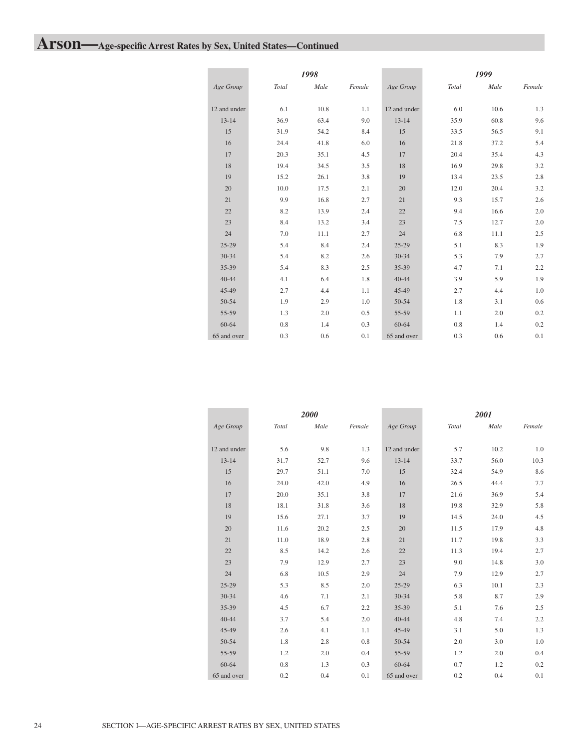### **Arson—Age-specific Arrest Rates by Sex, United States—Continued**

|              |       | 1998 |        |              | 1999  |      |         |
|--------------|-------|------|--------|--------------|-------|------|---------|
| Age Group    | Total | Male | Female | Age Group    | Total | Male | Female  |
| 12 and under | 6.1   | 10.8 | 1.1    | 12 and under | 6.0   | 10.6 | 1.3     |
| $13 - 14$    | 36.9  | 63.4 | 9.0    | $13 - 14$    | 35.9  | 60.8 | 9.6     |
| 15           | 31.9  | 54.2 | 8.4    | 15           | 33.5  | 56.5 | 9.1     |
| 16           | 24.4  | 41.8 | 6.0    | 16           | 21.8  | 37.2 | 5.4     |
| 17           | 20.3  | 35.1 | 4.5    | 17           | 20.4  | 35.4 | 4.3     |
|              |       |      |        |              |       |      |         |
| 18           | 19.4  | 34.5 | 3.5    | 18           | 16.9  | 29.8 | 3.2     |
| 19           | 15.2  | 26.1 | 3.8    | 19           | 13.4  | 23.5 | 2.8     |
| 20           | 10.0  | 17.5 | 2.1    | 20           | 12.0  | 20.4 | 3.2     |
| 21           | 9.9   | 16.8 | 2.7    | 21           | 9.3   | 15.7 | $2.6\,$ |
| $22\,$       | 8.2   | 13.9 | 2.4    | $22\,$       | 9.4   | 16.6 | 2.0     |
| 23           | 8.4   | 13.2 | 3.4    | 23           | 7.5   | 12.7 | 2.0     |
| 24           | 7.0   | 11.1 | 2.7    | 24           | 6.8   | 11.1 | 2.5     |
| $25-29$      | 5.4   | 8.4  | 2.4    | $25 - 29$    | 5.1   | 8.3  | 1.9     |
| $30 - 34$    | 5.4   | 8.2  | 2.6    | $30 - 34$    | 5.3   | 7.9  | 2.7     |
| 35-39        | 5.4   | 8.3  | 2.5    | 35-39        | 4.7   | 7.1  | 2.2     |
| $40 - 44$    | 4.1   | 6.4  | 1.8    | $40 - 44$    | 3.9   | 5.9  | 1.9     |
| 45-49        | 2.7   | 4.4  | 1.1    | 45-49        | 2.7   | 4.4  | 1.0     |
| $50 - 54$    | 1.9   | 2.9  | 1.0    | 50-54        | 1.8   | 3.1  | 0.6     |
| 55-59        | 1.3   | 2.0  | 0.5    | 55-59        | 1.1   | 2.0  | $0.2\,$ |
| $60 - 64$    | 0.8   | 1.4  | 0.3    | 60-64        | 0.8   | 1.4  | 0.2     |
| 65 and over  | 0.3   | 0.6  | 0.1    | 65 and over  | 0.3   | 0.6  | 0.1     |

|              |       | 2000 |        |              |       | 2001 |         |
|--------------|-------|------|--------|--------------|-------|------|---------|
| Age Group    | Total | Male | Female | Age Group    | Total | Male | Female  |
| 12 and under | 5.6   | 9.8  | 1.3    | 12 and under | 5.7   | 10.2 | 1.0     |
| $13 - 14$    | 31.7  | 52.7 | 9.6    | $13 - 14$    | 33.7  | 56.0 | 10.3    |
| 15           | 29.7  | 51.1 | 7.0    | 15           | 32.4  | 54.9 | 8.6     |
| 16           | 24.0  | 42.0 | 4.9    | 16           | 26.5  | 44.4 | 7.7     |
| 17           | 20.0  | 35.1 | 3.8    | 17           | 21.6  | 36.9 | 5.4     |
| 18           | 18.1  | 31.8 | 3.6    | 18           | 19.8  | 32.9 | 5.8     |
| 19           | 15.6  | 27.1 | 3.7    | 19           | 14.5  | 24.0 | 4.5     |
| 20           | 11.6  | 20.2 | 2.5    | 20           | 11.5  | 17.9 | $4.8\,$ |
| 21           | 11.0  | 18.9 | 2.8    | 21           | 11.7  | 19.8 | 3.3     |
| 22           | 8.5   | 14.2 | 2.6    | 22           | 11.3  | 19.4 | 2.7     |
| 23           | 7.9   | 12.9 | 2.7    | 23           | 9.0   | 14.8 | 3.0     |
| 24           | 6.8   | 10.5 | 2.9    | 24           | 7.9   | 12.9 | 2.7     |
| $25-29$      | 5.3   | 8.5  | 2.0    | $25 - 29$    | 6.3   | 10.1 | 2.3     |
| $30 - 34$    | 4.6   | 7.1  | 2.1    | $30 - 34$    | 5.8   | 8.7  | 2.9     |
| 35-39        | 4.5   | 6.7  | 2.2    | 35-39        | 5.1   | 7.6  | 2.5     |
| $40 - 44$    | 3.7   | 5.4  | 2.0    | $40 - 44$    | 4.8   | 7.4  | $2.2\,$ |
| 45-49        | 2.6   | 4.1  | 1.1    | 45-49        | 3.1   | 5.0  | 1.3     |
| 50-54        | 1.8   | 2.8  | 0.8    | 50-54        | 2.0   | 3.0  | $1.0\,$ |
| 55-59        | 1.2   | 2.0  | 0.4    | 55-59        | 1.2   | 2.0  | 0.4     |
| 60-64        | 0.8   | 1.3  | 0.3    | 60-64        | 0.7   | 1.2  | $0.2\,$ |
| 65 and over  | 0.2   | 0.4  | 0.1    | 65 and over  | 0.2   | 0.4  | 0.1     |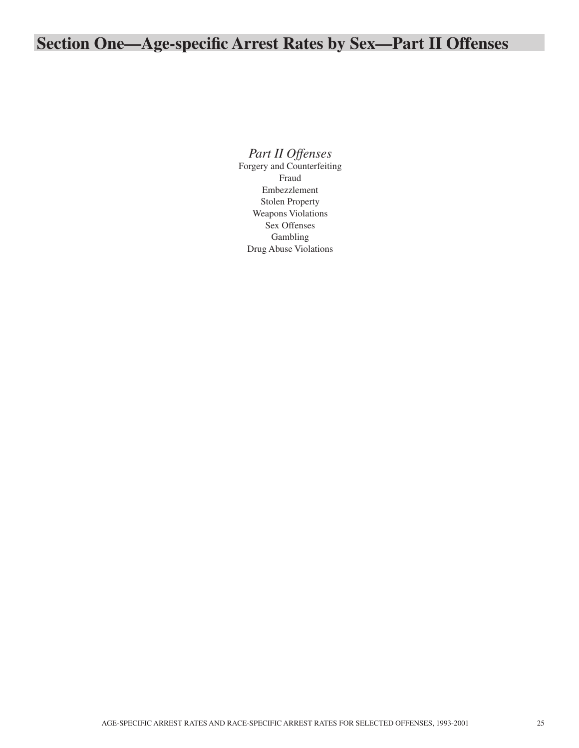### **Section One—Age-specific Arrest Rates by Sex—Part II Offenses**

*Part II Offenses* Forgery and Counterfeiting Fraud Embezzlement Stolen Property Weapons Violations Sex Offenses Gambling Drug Abuse Violations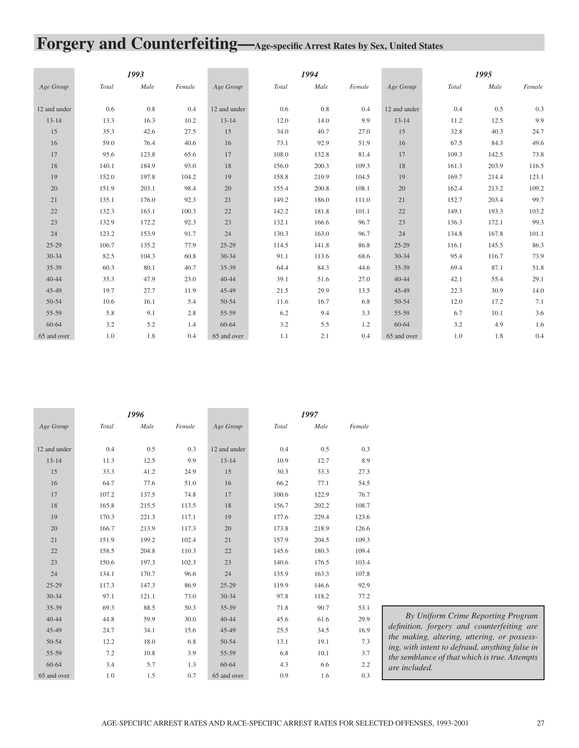#### **Forgery and Counterfeiting—Age-specific Arrest Rates by Sex, United States**

|              | 1993  |       |        | 1994         |       |       |        | 1995         |       |       |        |
|--------------|-------|-------|--------|--------------|-------|-------|--------|--------------|-------|-------|--------|
| Age Group    | Total | Male  | Female | Age Group    | Total | Male  | Female | Age Group    | Total | Male  | Female |
|              |       |       |        |              |       |       |        |              |       |       |        |
| 12 and under | 0.6   | 0.8   | 0.4    | 12 and under | 0.6   | 0.8   | 0.4    | 12 and under | 0.4   | 0.5   | 0.3    |
| $13 - 14$    | 13.3  | 16.3  | 10.2   | $13 - 14$    | 12.0  | 14.0  | 9.9    | $13 - 14$    | 11.2  | 12.5  | 9.9    |
| 15           | 35.3  | 42.6  | 27.5   | 15           | 34.0  | 40.7  | 27.0   | 15           | 32.8  | 40.3  | 24.7   |
| 16           | 59.0  | 76.4  | 40.6   | 16           | 73.1  | 92.9  | 51.9   | 16           | 67.5  | 84.3  | 49.6   |
| 17           | 95.6  | 123.8 | 65.6   | 17           | 108.0 | 132.8 | 81.4   | 17           | 109.3 | 142.5 | 73.8   |
| 18           | 140.1 | 184.9 | 93.0   | 18           | 156.0 | 200.3 | 109.3  | 18           | 161.3 | 203.9 | 116.5  |
| 19           | 152.0 | 197.8 | 104.2  | 19           | 158.8 | 210.9 | 104.5  | 19           | 169.7 | 214.4 | 123.1  |
| 20           | 151.9 | 203.1 | 98.4   | 20           | 155.4 | 200.8 | 108.1  | 20           | 162.4 | 213.2 | 109.2  |
| 21           | 135.1 | 176.0 | 92.3   | 21           | 149.2 | 186.0 | 111.0  | 21           | 152.7 | 203.4 | 99.7   |
| 22           | 132.3 | 163.1 | 100.3  | 22           | 142.2 | 181.8 | 101.1  | $22\,$       | 149.1 | 193.3 | 103.2  |
| 23           | 132.9 | 172.2 | 92.3   | 23           | 132.1 | 166.6 | 96.7   | 23           | 136.3 | 172.1 | 99.3   |
| 24           | 123.2 | 153.9 | 91.7   | 24           | 130.3 | 163.0 | 96.7   | 24           | 134.8 | 167.8 | 101.1  |
| $25 - 29$    | 106.7 | 135.2 | 77.9   | $25 - 29$    | 114.5 | 141.8 | 86.8   | $25 - 29$    | 116.1 | 145.5 | 86.3   |
| $30 - 34$    | 82.5  | 104.3 | 60.8   | $30 - 34$    | 91.1  | 113.6 | 68.6   | $30 - 34$    | 95.4  | 116.7 | 73.9   |
| 35-39        | 60.3  | 80.1  | 40.7   | 35-39        | 64.4  | 84.3  | 44.6   | 35-39        | 69.4  | 87.1  | 51.8   |
| $40 - 44$    | 35.3  | 47.9  | 23.0   | $40 - 44$    | 39.1  | 51.6  | 27.0   | $40 - 44$    | 42.1  | 55.4  | 29.1   |
| 45-49        | 19.7  | 27.7  | 11.9   | 45-49        | 21.5  | 29.9  | 13.5   | 45-49        | 22.3  | 30.9  | 14.0   |
| $50 - 54$    | 10.6  | 16.1  | 5.4    | $50 - 54$    | 11.6  | 16.7  | 6.8    | $50 - 54$    | 12.0  | 17.2  | 7.1    |
| 55-59        | 5.8   | 9.1   | 2.8    | 55-59        | 6.2   | 9.4   | 3.3    | 55-59        | 6.7   | 10.1  | 3.6    |
| 60-64        | 3.2   | 5.2   | 1.4    | 60-64        | 3.2   | 5.5   | 1.2    | 60-64        | 3.2   | 4.9   | 1.6    |
| 65 and over  | 1.0   | 1.8   | 0.4    | 65 and over  | 1.1   | 2.1   | 0.4    | 65 and over  | 1.0   | 1.8   | 0.4    |

|              | 1996  |       |        |              | 1997  |       |        |  |
|--------------|-------|-------|--------|--------------|-------|-------|--------|--|
| Age Group    | Total | Male  | Female | Age Group    | Total | Male  | Female |  |
|              |       |       |        |              |       |       |        |  |
| 12 and under | 0.4   | 0.5   | 0.3    | 12 and under | 0.4   | 0.5   | 0.3    |  |
| $13 - 14$    | 11.3  | 12.5  | 9.9    | $13 - 14$    | 10.9  | 12.7  | 8.9    |  |
| 15           | 33.3  | 41.2  | 24.9   | 15           | 30.3  | 33.3  | 27.3   |  |
| 16           | 64.7  | 77.6  | 51.0   | 16           | 66.2  | 77.1  | 54.5   |  |
| 17           | 107.2 | 137.5 | 74.8   | 17           | 100.6 | 122.9 | 76.7   |  |
| 18           | 165.8 | 215.5 | 113.5  | 18           | 156.7 | 202.2 | 108.7  |  |
| 19           | 170.3 | 221.3 | 117.1  | 19           | 177.6 | 229.4 | 123.6  |  |
| 20           | 166.7 | 213.9 | 117.3  | 20           | 173.8 | 218.9 | 126.6  |  |
| 21           | 151.9 | 199.2 | 102.4  | 21           | 157.9 | 204.5 | 109.3  |  |
| 22           | 158.5 | 204.8 | 110.3  | 22           | 145.6 | 180.3 | 109.4  |  |
| 23           | 150.6 | 197.3 | 102.3  | 23           | 140.6 | 176.5 | 103.4  |  |
| 24           | 134.1 | 170.7 | 96.6   | 24           | 135.9 | 163.3 | 107.8  |  |
| $25 - 29$    | 117.3 | 147.3 | 86.9   | $25 - 29$    | 119.9 | 146.6 | 92.9   |  |
| $30 - 34$    | 97.1  | 121.1 | 73.0   | $30 - 34$    | 97.8  | 118.2 | 77.2   |  |
| 35-39        | 69.3  | 88.5  | 50.3   | 35-39        | 71.8  | 90.7  | 53.1   |  |
| $40 - 44$    | 44.8  | 59.9  | 30.0   | $40 - 44$    | 45.6  | 61.6  | 29.9   |  |
| 45-49        | 24.7  | 34.1  | 15.6   | 45-49        | 25.5  | 34.5  | 16.9   |  |
| 50-54        | 12.2  | 18.0  | 6.8    | 50-54        | 13.1  | 19.1  | 7.3    |  |
| 55-59        | 7.2   | 10.8  | 3.9    | 55-59        | 6.8   | 10.1  | 3.7    |  |
| 60-64        | 3.4   | 5.7   | 1.3    | 60-64        | 4.3   | 6.6   | 2.2    |  |
| 65 and over  | 1.0   | 1.5   | 0.7    | 65 and over  | 0.9   | 1.6   | 0.3    |  |

*By Uniform Crime Reporting Program definition, forgery and counterfeiting are the making, altering, uttering, or possessing, with intent to defraud, anything false in the semblance of that which is true. Attempts are included.*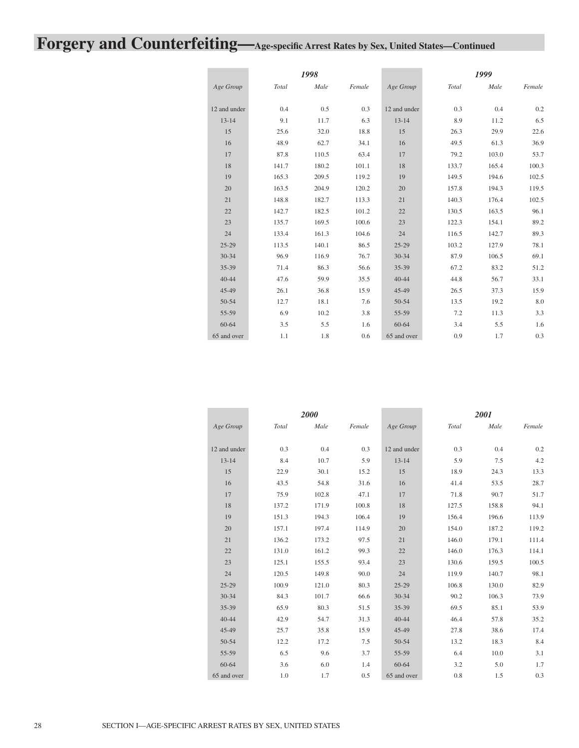### **Forgery and Counterfeiting—Age-specific Arrest Rates by Sex, United States—Continued**

|              | 1998  |       |        |              | 1999  |       |        |  |
|--------------|-------|-------|--------|--------------|-------|-------|--------|--|
| Age Group    | Total | Male  | Female | Age Group    | Total | Male  | Female |  |
| 12 and under | 0.4   | 0.5   | 0.3    | 12 and under | 0.3   | 0.4   | 0.2    |  |
| $13 - 14$    | 9.1   | 11.7  | 6.3    | $13 - 14$    | 8.9   | 11.2  | 6.5    |  |
| 15           | 25.6  | 32.0  | 18.8   | 15           | 26.3  | 29.9  | 22.6   |  |
| 16           | 48.9  | 62.7  | 34.1   | 16           | 49.5  | 61.3  | 36.9   |  |
| 17           | 87.8  | 110.5 | 63.4   | 17           | 79.2  | 103.0 | 53.7   |  |
| 18           | 141.7 | 180.2 | 101.1  | 18           | 133.7 | 165.4 | 100.3  |  |
| 19           | 165.3 | 209.5 | 119.2  | 19           | 149.5 | 194.6 | 102.5  |  |
| 20           | 163.5 | 204.9 | 120.2  | 20           | 157.8 | 194.3 | 119.5  |  |
| 21           | 148.8 | 182.7 | 113.3  | 21           | 140.3 | 176.4 | 102.5  |  |
| 22           | 142.7 | 182.5 | 101.2  | 22           | 130.5 | 163.5 | 96.1   |  |
| 23           | 135.7 | 169.5 | 100.6  | 23           | 122.3 | 154.1 | 89.2   |  |
| 24           | 133.4 | 161.3 | 104.6  | 24           | 116.5 | 142.7 | 89.3   |  |
| $25 - 29$    | 113.5 | 140.1 | 86.5   | $25 - 29$    | 103.2 | 127.9 | 78.1   |  |
| $30 - 34$    | 96.9  | 116.9 | 76.7   | $30 - 34$    | 87.9  | 106.5 | 69.1   |  |
| 35-39        | 71.4  | 86.3  | 56.6   | 35-39        | 67.2  | 83.2  | 51.2   |  |
| $40 - 44$    | 47.6  | 59.9  | 35.5   | $40 - 44$    | 44.8  | 56.7  | 33.1   |  |
| 45-49        | 26.1  | 36.8  | 15.9   | 45-49        | 26.5  | 37.3  | 15.9   |  |
| 50-54        | 12.7  | 18.1  | 7.6    | $50 - 54$    | 13.5  | 19.2  | 8.0    |  |
| 55-59        | 6.9   | 10.2  | 3.8    | 55-59        | 7.2   | 11.3  | 3.3    |  |
| $60 - 64$    | 3.5   | 5.5   | 1.6    | $60 - 64$    | 3.4   | 5.5   | 1.6    |  |
| 65 and over  | 1.1   | 1.8   | 0.6    | 65 and over  | 0.9   | 1.7   | 0.3    |  |

|              |       | 2000  |        |              | 2001  |       |        |
|--------------|-------|-------|--------|--------------|-------|-------|--------|
| Age Group    | Total | Male  | Female | Age Group    | Total | Male  | Female |
| 12 and under | 0.3   | 0.4   | 0.3    | 12 and under | 0.3   | 0.4   | 0.2    |
| $13 - 14$    | 8.4   | 10.7  | 5.9    | $13 - 14$    | 5.9   | 7.5   | 4.2    |
| 15           | 22.9  | 30.1  | 15.2   | 15           | 18.9  | 24.3  | 13.3   |
| 16           | 43.5  | 54.8  | 31.6   | 16           | 41.4  | 53.5  | 28.7   |
| 17           | 75.9  | 102.8 | 47.1   | 17           | 71.8  | 90.7  | 51.7   |
| 18           | 137.2 | 171.9 | 100.8  | 18           | 127.5 | 158.8 | 94.1   |
| 19           | 151.3 | 194.3 | 106.4  | 19           | 156.4 | 196.6 | 113.9  |
| 20           | 157.1 | 197.4 | 114.9  | 20           | 154.0 | 187.2 | 119.2  |
| 21           | 136.2 | 173.2 | 97.5   | 21           | 146.0 | 179.1 | 111.4  |
| 22           | 131.0 | 161.2 | 99.3   | 22           | 146.0 | 176.3 | 114.1  |
| 23           | 125.1 | 155.5 | 93.4   | 23           | 130.6 | 159.5 | 100.5  |
| 24           | 120.5 | 149.8 | 90.0   | 24           | 119.9 | 140.7 | 98.1   |
| $25 - 29$    | 100.9 | 121.0 | 80.3   | $25 - 29$    | 106.8 | 130.0 | 82.9   |
| $30 - 34$    | 84.3  | 101.7 | 66.6   | $30 - 34$    | 90.2  | 106.3 | 73.9   |
| 35-39        | 65.9  | 80.3  | 51.5   | 35-39        | 69.5  | 85.1  | 53.9   |
| $40 - 44$    | 42.9  | 54.7  | 31.3   | $40 - 44$    | 46.4  | 57.8  | 35.2   |
| 45-49        | 25.7  | 35.8  | 15.9   | $45 - 49$    | 27.8  | 38.6  | 17.4   |
| 50-54        | 12.2  | 17.2  | 7.5    | $50 - 54$    | 13.2  | 18.3  | 8.4    |
| 55-59        | 6.5   | 9.6   | 3.7    | 55-59        | 6.4   | 10.0  | 3.1    |
| 60-64        | 3.6   | 6.0   | 1.4    | $60 - 64$    | 3.2   | 5.0   | 1.7    |
| 65 and over  | 1.0   | 1.7   | 0.5    | 65 and over  | 0.8   | 1.5   | 0.3    |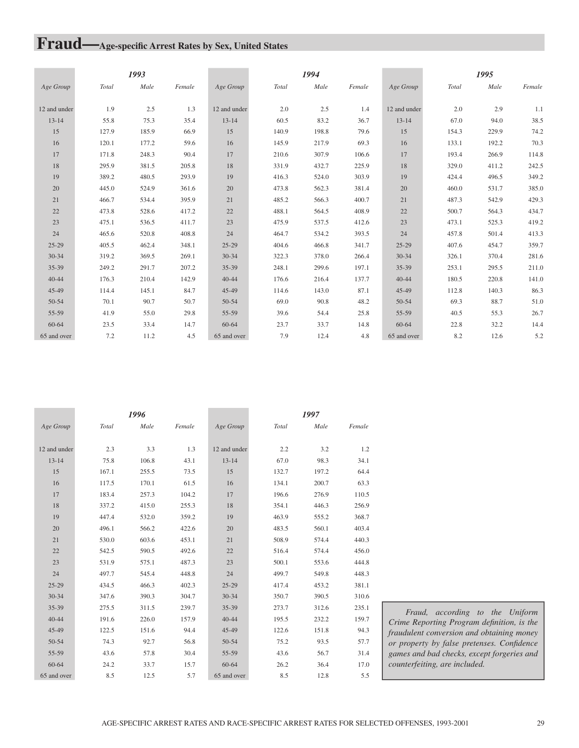### **Fraud—Age-specific Arrest Rates by Sex, United States**

| 1993         |       |       | 1994   |              |       |       |        |              | 1995  |       |        |
|--------------|-------|-------|--------|--------------|-------|-------|--------|--------------|-------|-------|--------|
| Age Group    | Total | Male  | Female | Age Group    | Total | Male  | Female | Age Group    | Total | Male  | Female |
| 12 and under | 1.9   | 2.5   | 1.3    | 12 and under | 2.0   | 2.5   | 1.4    | 12 and under | 2.0   | 2.9   | 1.1    |
|              |       |       |        |              |       |       |        |              |       |       |        |
| $13 - 14$    | 55.8  | 75.3  | 35.4   | $13 - 14$    | 60.5  | 83.2  | 36.7   | $13 - 14$    | 67.0  | 94.0  | 38.5   |
| 15           | 127.9 | 185.9 | 66.9   | 15           | 140.9 | 198.8 | 79.6   | 15           | 154.3 | 229.9 | 74.2   |
| 16           | 120.1 | 177.2 | 59.6   | 16           | 145.9 | 217.9 | 69.3   | 16           | 133.1 | 192.2 | 70.3   |
| 17           | 171.8 | 248.3 | 90.4   | 17           | 210.6 | 307.9 | 106.6  | 17           | 193.4 | 266.9 | 114.8  |
| 18           | 295.9 | 381.5 | 205.8  | 18           | 331.9 | 432.7 | 225.9  | 18           | 329.0 | 411.2 | 242.5  |
| 19           | 389.2 | 480.5 | 293.9  | 19           | 416.3 | 524.0 | 303.9  | 19           | 424.4 | 496.5 | 349.2  |
| 20           | 445.0 | 524.9 | 361.6  | 20           | 473.8 | 562.3 | 381.4  | 20           | 460.0 | 531.7 | 385.0  |
| 21           | 466.7 | 534.4 | 395.9  | 21           | 485.2 | 566.3 | 400.7  | 21           | 487.3 | 542.9 | 429.3  |
| 22           | 473.8 | 528.6 | 417.2  | 22           | 488.1 | 564.5 | 408.9  | $22\,$       | 500.7 | 564.3 | 434.7  |
| 23           | 475.1 | 536.5 | 411.7  | 23           | 475.9 | 537.5 | 412.6  | 23           | 473.1 | 525.3 | 419.2  |
| 24           | 465.6 | 520.8 | 408.8  | 24           | 464.7 | 534.2 | 393.5  | 24           | 457.8 | 501.4 | 413.3  |
| $25-29$      | 405.5 | 462.4 | 348.1  | $25 - 29$    | 404.6 | 466.8 | 341.7  | $25-29$      | 407.6 | 454.7 | 359.7  |
| $30 - 34$    | 319.2 | 369.5 | 269.1  | $30 - 34$    | 322.3 | 378.0 | 266.4  | $30 - 34$    | 326.1 | 370.4 | 281.6  |
| 35-39        | 249.2 | 291.7 | 207.2  | 35-39        | 248.1 | 299.6 | 197.1  | 35-39        | 253.1 | 295.5 | 211.0  |
| $40 - 44$    | 176.3 | 210.4 | 142.9  | $40 - 44$    | 176.6 | 216.4 | 137.7  | $40 - 44$    | 180.5 | 220.8 | 141.0  |
| $45 - 49$    | 114.4 | 145.1 | 84.7   | $45 - 49$    | 114.6 | 143.0 | 87.1   | $45 - 49$    | 112.8 | 140.3 | 86.3   |
| 50-54        | 70.1  | 90.7  | 50.7   | 50-54        | 69.0  | 90.8  | 48.2   | $50 - 54$    | 69.3  | 88.7  | 51.0   |
| 55-59        | 41.9  | 55.0  | 29.8   | 55-59        | 39.6  | 54.4  | 25.8   | 55-59        | 40.5  | 55.3  | 26.7   |
| 60-64        | 23.5  | 33.4  | 14.7   | 60-64        | 23.7  | 33.7  | 14.8   | 60-64        | 22.8  | 32.2  | 14.4   |
| 65 and over  | 7.2   | 11.2  | 4.5    | 65 and over  | 7.9   | 12.4  | 4.8    | 65 and over  | 8.2   | 12.6  | 5.2    |

|              |       | 1996  |        |              | 1997  |       |        |  |
|--------------|-------|-------|--------|--------------|-------|-------|--------|--|
| Age Group    | Total | Male  | Female | Age Group    | Total | Male  | Female |  |
|              |       |       |        |              |       |       |        |  |
| 12 and under | 2.3   | 3.3   | 1.3    | 12 and under | 2.2   | 3.2   | 1.2    |  |
| $13 - 14$    | 75.8  | 106.8 | 43.1   | $13 - 14$    | 67.0  | 98.3  | 34.1   |  |
| 15           | 167.1 | 255.5 | 73.5   | 15           | 132.7 | 197.2 | 64.4   |  |
| 16           | 117.5 | 170.1 | 61.5   | 16           | 134.1 | 200.7 | 63.3   |  |
| 17           | 183.4 | 257.3 | 104.2  | 17           | 196.6 | 276.9 | 110.5  |  |
| 18           | 337.2 | 415.0 | 255.3  | 18           | 354.1 | 446.3 | 256.9  |  |
| 19           | 447.4 | 532.0 | 359.2  | 19           | 463.9 | 555.2 | 368.7  |  |
| 20           | 496.1 | 566.2 | 422.6  | 20           | 483.5 | 560.1 | 403.4  |  |
| 21           | 530.0 | 603.6 | 453.1  | 21           | 508.9 | 574.4 | 440.3  |  |
| 22           | 542.5 | 590.5 | 492.6  | 22           | 516.4 | 574.4 | 456.0  |  |
| 23           | 531.9 | 575.1 | 487.3  | 23           | 500.1 | 553.6 | 444.8  |  |
| 24           | 497.7 | 545.4 | 448.8  | 24           | 499.7 | 549.8 | 448.3  |  |
| $25-29$      | 434.5 | 466.3 | 402.3  | $25-29$      | 417.4 | 453.2 | 381.1  |  |
| 30-34        | 347.6 | 390.3 | 304.7  | 30-34        | 350.7 | 390.5 | 310.6  |  |
| 35-39        | 275.5 | 311.5 | 239.7  | 35-39        | 273.7 | 312.6 | 235.1  |  |
| $40 - 44$    | 191.6 | 226.0 | 157.9  | $40 - 44$    | 195.5 | 232.2 | 159.7  |  |
| 45-49        | 122.5 | 151.6 | 94.4   | 45-49        | 122.6 | 151.8 | 94.3   |  |
| 50-54        | 74.3  | 92.7  | 56.8   | 50-54        | 75.2  | 93.5  | 57.7   |  |
| 55-59        | 43.6  | 57.8  | 30.4   | 55-59        | 43.6  | 56.7  | 31.4   |  |
| 60-64        | 24.2  | 33.7  | 15.7   | $60 - 64$    | 26.2  | 36.4  | 17.0   |  |
| 65 and over  | 8.5   | 12.5  | 5.7    | 65 and over  | 8.5   | 12.8  | 5.5    |  |

*Fraud, according to the Uniform Crime Reporting Program definition, is the fraudulent conversion and obtaining money or property by false pretenses. Confidence games and bad checks, except forgeries and counterfeiting, are included.*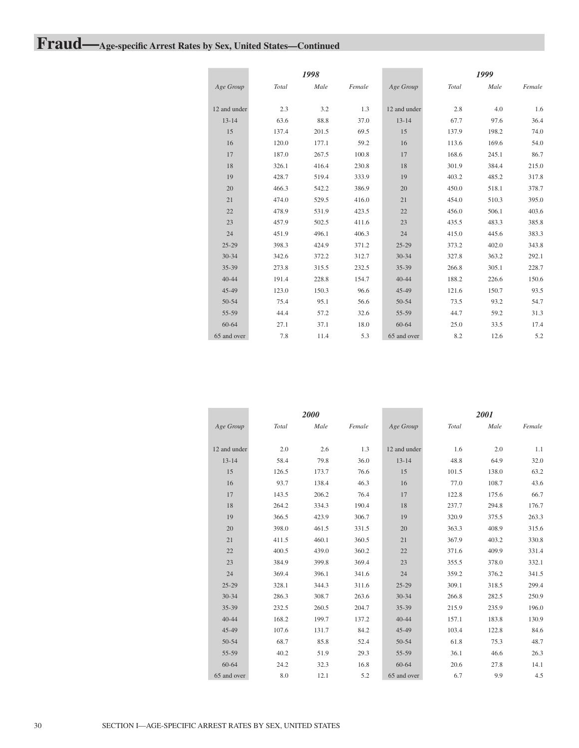# **Fraud—Age-specific Arrest Rates by Sex, United States—Continued**

|              |       | 1998  |        |              |       | 1999  |        |
|--------------|-------|-------|--------|--------------|-------|-------|--------|
| Age Group    | Total | Male  | Female | Age Group    | Total | Male  | Female |
| 12 and under | 2.3   | 3.2   | 1.3    | 12 and under | 2.8   | 4.0   | 1.6    |
|              |       |       |        |              |       |       |        |
| $13 - 14$    | 63.6  | 88.8  | 37.0   | $13 - 14$    | 67.7  | 97.6  | 36.4   |
| 15           | 137.4 | 201.5 | 69.5   | 15           | 137.9 | 198.2 | 74.0   |
| 16           | 120.0 | 177.1 | 59.2   | 16           | 113.6 | 169.6 | 54.0   |
| 17           | 187.0 | 267.5 | 100.8  | 17           | 168.6 | 245.1 | 86.7   |
| 18           | 326.1 | 416.4 | 230.8  | 18           | 301.9 | 384.4 | 215.0  |
| 19           | 428.7 | 519.4 | 333.9  | 19           | 403.2 | 485.2 | 317.8  |
| 20           | 466.3 | 542.2 | 386.9  | 20           | 450.0 | 518.1 | 378.7  |
| 21           | 474.0 | 529.5 | 416.0  | 21           | 454.0 | 510.3 | 395.0  |
| 22           | 478.9 | 531.9 | 423.5  | 22           | 456.0 | 506.1 | 403.6  |
| 23           | 457.9 | 502.5 | 411.6  | 23           | 435.5 | 483.3 | 385.8  |
| 24           | 451.9 | 496.1 | 406.3  | 24           | 415.0 | 445.6 | 383.3  |
| $25 - 29$    | 398.3 | 424.9 | 371.2  | $25 - 29$    | 373.2 | 402.0 | 343.8  |
| 30-34        | 342.6 | 372.2 | 312.7  | 30-34        | 327.8 | 363.2 | 292.1  |
| 35-39        | 273.8 | 315.5 | 232.5  | 35-39        | 266.8 | 305.1 | 228.7  |
| $40 - 44$    | 191.4 | 228.8 | 154.7  | $40 - 44$    | 188.2 | 226.6 | 150.6  |
| 45-49        | 123.0 | 150.3 | 96.6   | 45-49        | 121.6 | 150.7 | 93.5   |
| 50-54        | 75.4  | 95.1  | 56.6   | 50-54        | 73.5  | 93.2  | 54.7   |
| 55-59        | 44.4  | 57.2  | 32.6   | 55-59        | 44.7  | 59.2  | 31.3   |
| $60 - 64$    | 27.1  | 37.1  | 18.0   | $60 - 64$    | 25.0  | 33.5  | 17.4   |
| 65 and over  | 7.8   | 11.4  | 5.3    | 65 and over  | 8.2   | 12.6  | 5.2    |

|              |       | <b>2000</b> |        |              | 2001  |       |        |  |
|--------------|-------|-------------|--------|--------------|-------|-------|--------|--|
| Age Group    | Total | Male        | Female | Age Group    | Total | Male  | Female |  |
| 12 and under | 2.0   | 2.6         | 1.3    | 12 and under | 1.6   | 2.0   | 1.1    |  |
| $13 - 14$    | 58.4  | 79.8        | 36.0   | $13 - 14$    | 48.8  | 64.9  | 32.0   |  |
| 15           | 126.5 | 173.7       | 76.6   | 15           | 101.5 | 138.0 | 63.2   |  |
| 16           | 93.7  | 138.4       | 46.3   | 16           | 77.0  | 108.7 | 43.6   |  |
| 17           | 143.5 | 206.2       | 76.4   | 17           | 122.8 | 175.6 | 66.7   |  |
| 18           | 264.2 | 334.3       | 190.4  | 18           | 237.7 | 294.8 | 176.7  |  |
| 19           | 366.5 | 423.9       | 306.7  | 19           | 320.9 | 375.5 | 263.3  |  |
| 20           | 398.0 | 461.5       | 331.5  | 20           | 363.3 | 408.9 | 315.6  |  |
| 21           | 411.5 | 460.1       | 360.5  | 21           | 367.9 | 403.2 | 330.8  |  |
| 22           | 400.5 | 439.0       | 360.2  | 22           | 371.6 | 409.9 | 331.4  |  |
| 23           | 384.9 | 399.8       | 369.4  | 23           | 355.5 | 378.0 | 332.1  |  |
| 24           | 369.4 | 396.1       | 341.6  | 24           | 359.2 | 376.2 | 341.5  |  |
| $25-29$      | 328.1 | 344.3       | 311.6  | $25 - 29$    | 309.1 | 318.5 | 299.4  |  |
| 30-34        | 286.3 | 308.7       | 263.6  | 30-34        | 266.8 | 282.5 | 250.9  |  |
| 35-39        | 232.5 | 260.5       | 204.7  | 35-39        | 215.9 | 235.9 | 196.0  |  |
| $40 - 44$    | 168.2 | 199.7       | 137.2  | $40 - 44$    | 157.1 | 183.8 | 130.9  |  |
| 45-49        | 107.6 | 131.7       | 84.2   | 45-49        | 103.4 | 122.8 | 84.6   |  |
| 50-54        | 68.7  | 85.8        | 52.4   | 50-54        | 61.8  | 75.3  | 48.7   |  |
| 55-59        | 40.2  | 51.9        | 29.3   | 55-59        | 36.1  | 46.6  | 26.3   |  |
| $60 - 64$    | 24.2  | 32.3        | 16.8   | $60 - 64$    | 20.6  | 27.8  | 14.1   |  |
| 65 and over  | 8.0   | 12.1        | 5.2    | 65 and over  | 6.7   | 9.9   | 4.5    |  |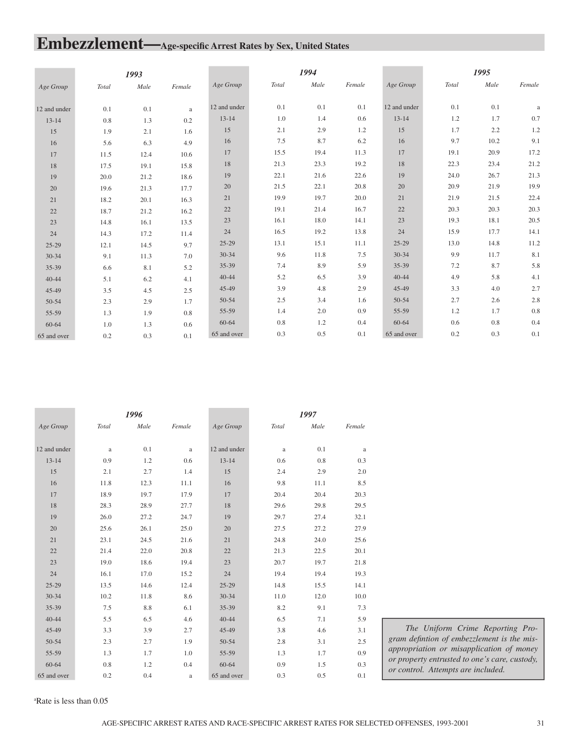## **Embezzlement—Age-specific Arrest Rates by Sex, United States**

| 1993         |       |      | 1994     |              |       |      | 1995   |              |       |      |          |
|--------------|-------|------|----------|--------------|-------|------|--------|--------------|-------|------|----------|
| Age Group    | Total | Male | Female   | Age Group    | Total | Male | Female | Age Group    | Total | Male | Female   |
| 12 and under | 0.1   | 0.1  |          | 12 and under | 0.1   | 0.1  | 0.1    | 12 and under | 0.1   | 0.1  | $\rm{a}$ |
| $13 - 14$    | 0.8   | 1.3  | a<br>0.2 | $13 - 14$    | 1.0   | 1.4  | 0.6    | $13 - 14$    | 1.2   | 1.7  | 0.7      |
|              |       |      |          | 15           | 2.1   | 2.9  | 1.2    | 15           | 1.7   | 2.2  | $1.2\,$  |
| 15           | 1.9   | 2.1  | 1.6      | 16           | 7.5   | 8.7  | 6.2    | 16           | 9.7   | 10.2 | 9.1      |
| 16           | 5.6   | 6.3  | 4.9      | 17           | 15.5  | 19.4 | 11.3   | 17           | 19.1  | 20.9 | 17.2     |
| 17           | 11.5  | 12.4 | 10.6     | 18           | 21.3  | 23.3 | 19.2   | 18           | 22.3  | 23.4 |          |
| 18           | 17.5  | 19.1 | 15.8     |              |       |      |        |              |       |      | 21.2     |
| 19           | 20.0  | 21.2 | 18.6     | 19           | 22.1  | 21.6 | 22.6   | 19           | 24.0  | 26.7 | 21.3     |
| 20           | 19.6  | 21.3 | 17.7     | 20           | 21.5  | 22.1 | 20.8   | 20           | 20.9  | 21.9 | 19.9     |
| 21           | 18.2  | 20.1 | 16.3     | 21           | 19.9  | 19.7 | 20.0   | 21           | 21.9  | 21.5 | 22.4     |
| 22           | 18.7  | 21.2 | 16.2     | 22           | 19.1  | 21.4 | 16.7   | 22           | 20.3  | 20.3 | 20.3     |
| 23           | 14.8  | 16.1 | 13.5     | 23           | 16.1  | 18.0 | 14.1   | 23           | 19.3  | 18.1 | 20.5     |
| 24           | 14.3  | 17.2 | 11.4     | 24           | 16.5  | 19.2 | 13.8   | 24           | 15.9  | 17.7 | 14.1     |
| $25 - 29$    | 12.1  | 14.5 | 9.7      | $25-29$      | 13.1  | 15.1 | 11.1   | $25-29$      | 13.0  | 14.8 | 11.2     |
| $30 - 34$    | 9.1   | 11.3 | 7.0      | $30 - 34$    | 9.6   | 11.8 | 7.5    | $30 - 34$    | 9.9   | 11.7 | 8.1      |
| 35-39        | 6.6   | 8.1  | 5.2      | 35-39        | 7.4   | 8.9  | 5.9    | 35-39        | 7.2   | 8.7  | 5.8      |
| $40 - 44$    | 5.1   | 6.2  | 4.1      | $40 - 44$    | 5.2   | 6.5  | 3.9    | $40 - 44$    | 4.9   | 5.8  | 4.1      |
| 45-49        | 3.5   | 4.5  | 2.5      | 45-49        | 3.9   | 4.8  | 2.9    | 45-49        | 3.3   | 4.0  | 2.7      |
| 50-54        | 2.3   | 2.9  | 1.7      | 50-54        | 2.5   | 3.4  | 1.6    | 50-54        | 2.7   | 2.6  | 2.8      |
| 55-59        | 1.3   | 1.9  | 0.8      | 55-59        | 1.4   | 2.0  | 0.9    | 55-59        | 1.2   | 1.7  | $0.8\,$  |
| 60-64        | 1.0   | 1.3  | 0.6      | 60-64        | 0.8   | 1.2  | 0.4    | 60-64        | 0.6   | 0.8  | 0.4      |
| 65 and over  | 0.2   | 0.3  | 0.1      | 65 and over  | 0.3   | 0.5  | 0.1    | 65 and over  | 0.2   | 0.3  | 0.1      |

|              |              | 1996 |          |              | 1997     |      |        |  |  |
|--------------|--------------|------|----------|--------------|----------|------|--------|--|--|
| Age Group    | Total        | Male | Female   | Age Group    | Total    | Male | Female |  |  |
|              |              |      |          |              |          |      |        |  |  |
| 12 and under | $\mathbf{a}$ | 0.1  | $\rm{a}$ | 12 and under | $\rm{a}$ | 0.1  | a      |  |  |
| $13 - 14$    | 0.9          | 1.2  | 0.6      | $13 - 14$    | 0.6      | 0.8  | 0.3    |  |  |
| 15           | 2.1          | 2.7  | 1.4      | 15           | 2.4      | 2.9  | 2.0    |  |  |
| 16           | 11.8         | 12.3 | 11.1     | 16           | 9.8      | 11.1 | 8.5    |  |  |
| 17           | 18.9         | 19.7 | 17.9     | 17           | 20.4     | 20.4 | 20.3   |  |  |
| 18           | 28.3         | 28.9 | 27.7     | 18           | 29.6     | 29.8 | 29.5   |  |  |
| 19           | 26.0         | 27.2 | 24.7     | 19           | 29.7     | 27.4 | 32.1   |  |  |
| 20           | 25.6         | 26.1 | 25.0     | 20           | 27.5     | 27.2 | 27.9   |  |  |
| 21           | 23.1         | 24.5 | 21.6     | 21           | 24.8     | 24.0 | 25.6   |  |  |
| 22           | 21.4         | 22.0 | 20.8     | 22           | 21.3     | 22.5 | 20.1   |  |  |
| 23           | 19.0         | 18.6 | 19.4     | 23           | 20.7     | 19.7 | 21.8   |  |  |
| 24           | 16.1         | 17.0 | 15.2     | 24           | 19.4     | 19.4 | 19.3   |  |  |
| $25 - 29$    | 13.5         | 14.6 | 12.4     | $25 - 29$    | 14.8     | 15.5 | 14.1   |  |  |
| 30-34        | 10.2         | 11.8 | 8.6      | 30-34        | 11.0     | 12.0 | 10.0   |  |  |
| 35-39        | 7.5          | 8.8  | 6.1      | 35-39        | 8.2      | 9.1  | 7.3    |  |  |
| $40 - 44$    | 5.5          | 6.5  | 4.6      | $40 - 44$    | 6.5      | 7.1  | 5.9    |  |  |
| 45-49        | 3.3          | 3.9  | 2.7      | 45-49        | 3.8      | 4.6  | 3.1    |  |  |
| 50-54        | 2.3          | 2.7  | 1.9      | 50-54        | 2.8      | 3.1  | 2.5    |  |  |
| 55-59        | 1.3          | 1.7  | 1.0      | 55-59        | 1.3      | 1.7  | 0.9    |  |  |
| $60 - 64$    | 0.8          | 1.2  | 0.4      | 60-64        | 0.9      | 1.5  | 0.3    |  |  |
| 65 and over  | 0.2          | 0.4  | $\rm{a}$ | 65 and over  | 0.3      | 0.5  | 0.1    |  |  |

*The Uniform Crime Reporting Program defintion of embezzlement is the misappropriation or misapplication of money or property entrusted to one's care, custody, or control. Attempts are included.*

a Rate is less than 0.05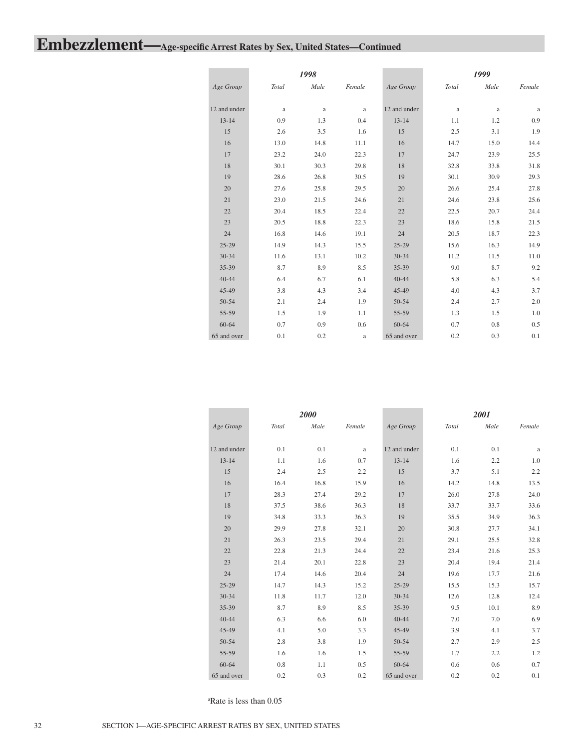# **Embezzlement—Age-specific Arrest Rates by Sex, United States—Continued**

|              | 1998  |          |          |              | 1999         |      |        |  |
|--------------|-------|----------|----------|--------------|--------------|------|--------|--|
| Age Group    | Total | Male     | Female   | Age Group    | Total        | Male | Female |  |
| 12 and under | a     | $\rm{a}$ | $\rm{a}$ | 12 and under | $\mathbf{a}$ | a    | a      |  |
| $13 - 14$    | 0.9   | 1.3      | 0.4      | $13 - 14$    | 1.1          | 1.2  | 0.9    |  |
| 15           | 2.6   | 3.5      | 1.6      | 15           | 2.5          | 3.1  | 1.9    |  |
| 16           | 13.0  | 14.8     | 11.1     | 16           | 14.7         | 15.0 | 14.4   |  |
| 17           | 23.2  | 24.0     | 22.3     | 17           | 24.7         | 23.9 | 25.5   |  |
| 18           | 30.1  | 30.3     | 29.8     | 18           | 32.8         | 33.8 | 31.8   |  |
| 19           | 28.6  | 26.8     | 30.5     | 19           | 30.1         | 30.9 | 29.3   |  |
| 20           | 27.6  | 25.8     | 29.5     | 20           | 26.6         | 25.4 | 27.8   |  |
| 21           | 23.0  | 21.5     | 24.6     | 21           | 24.6         | 23.8 | 25.6   |  |
| 22           | 20.4  | 18.5     | 22.4     | 22           | 22.5         | 20.7 | 24.4   |  |
| 23           | 20.5  | 18.8     | 22.3     | 23           | 18.6         | 15.8 | 21.5   |  |
| 24           | 16.8  | 14.6     | 19.1     | 24           | 20.5         | 18.7 | 22.3   |  |
| $25-29$      | 14.9  | 14.3     | 15.5     | $25 - 29$    | 15.6         | 16.3 | 14.9   |  |
| 30-34        | 11.6  | 13.1     | 10.2     | 30-34        | 11.2         | 11.5 | 11.0   |  |
| 35-39        | 8.7   | 8.9      | 8.5      | 35-39        | 9.0          | 8.7  | 9.2    |  |
| $40 - 44$    | 6.4   | 6.7      | 6.1      | $40 - 44$    | 5.8          | 6.3  | 5.4    |  |
| 45-49        | 3.8   | 4.3      | 3.4      | 45-49        | 4.0          | 4.3  | 3.7    |  |
| 50-54        | 2.1   | 2.4      | 1.9      | 50-54        | 2.4          | 2.7  | 2.0    |  |
| 55-59        | 1.5   | 1.9      | 1.1      | 55-59        | 1.3          | 1.5  | 1.0    |  |
| 60-64        | 0.7   | 0.9      | 0.6      | 60-64        | 0.7          | 0.8  | 0.5    |  |
| 65 and over  | 0.1   | 0.2      | a        | 65 and over  | 0.2          | 0.3  | 0.1    |  |

|              |       | 2000 |        |              | 2001  |      |         |  |
|--------------|-------|------|--------|--------------|-------|------|---------|--|
| Age Group    | Total | Male | Female | Age Group    | Total | Male | Female  |  |
| 12 and under | 0.1   | 0.1  | a      | 12 and under | 0.1   | 0.1  | a       |  |
| $13 - 14$    | 1.1   | 1.6  | 0.7    | $13 - 14$    | 1.6   | 2.2  | $1.0\,$ |  |
| 15           | 2.4   | 2.5  | 2.2    | 15           | 3.7   | 5.1  | 2.2     |  |
| 16           | 16.4  | 16.8 | 15.9   | 16           | 14.2  | 14.8 | 13.5    |  |
| 17           | 28.3  | 27.4 | 29.2   | 17           | 26.0  | 27.8 | 24.0    |  |
| 18           | 37.5  | 38.6 | 36.3   | 18           | 33.7  | 33.7 | 33.6    |  |
| 19           | 34.8  | 33.3 | 36.3   | 19           | 35.5  | 34.9 | 36.3    |  |
| 20           | 29.9  | 27.8 | 32.1   | 20           | 30.8  | 27.7 | 34.1    |  |
| 21           | 26.3  | 23.5 | 29.4   | 21           | 29.1  | 25.5 | 32.8    |  |
| 22           | 22.8  | 21.3 | 24.4   | 22           | 23.4  | 21.6 | 25.3    |  |
| 23           | 21.4  | 20.1 | 22.8   | 23           | 20.4  | 19.4 | 21.4    |  |
| 24           | 17.4  | 14.6 | 20.4   | 24           | 19.6  | 17.7 | 21.6    |  |
| $25-29$      | 14.7  | 14.3 | 15.2   | $25 - 29$    | 15.5  | 15.3 | 15.7    |  |
| 30-34        | 11.8  | 11.7 | 12.0   | 30-34        | 12.6  | 12.8 | 12.4    |  |
| 35-39        | 8.7   | 8.9  | 8.5    | 35-39        | 9.5   | 10.1 | 8.9     |  |
| $40 - 44$    | 6.3   | 6.6  | 6.0    | $40 - 44$    | 7.0   | 7.0  | 6.9     |  |
| 45-49        | 4.1   | 5.0  | 3.3    | 45-49        | 3.9   | 4.1  | 3.7     |  |
| 50-54        | 2.8   | 3.8  | 1.9    | 50-54        | 2.7   | 2.9  | 2.5     |  |
| 55-59        | 1.6   | 1.6  | 1.5    | 55-59        | 1.7   | 2.2  | 1.2     |  |
| 60-64        | 0.8   | 1.1  | 0.5    | 60-64        | 0.6   | 0.6  | 0.7     |  |
| 65 and over  | 0.2   | 0.3  | 0.2    | 65 and over  | 0.2   | 0.2  | 0.1     |  |

a Rate is less than 0.05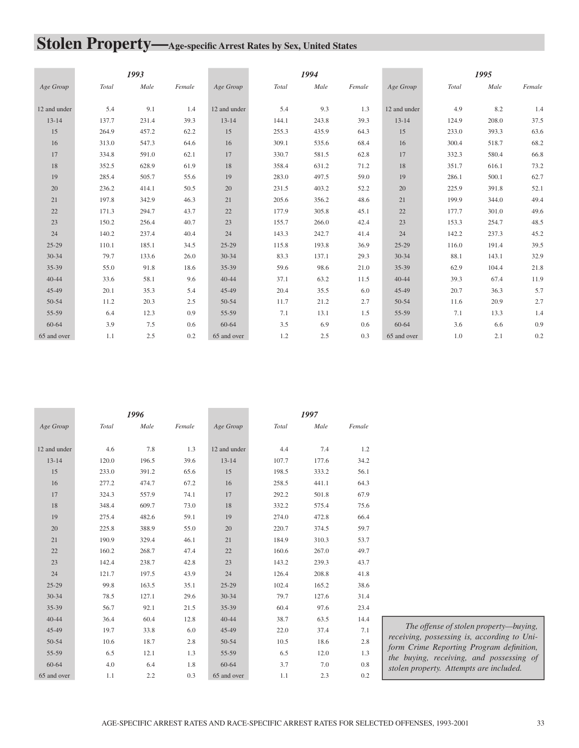## **Stolen Property—Age-specific Arrest Rates by Sex, United States**

|              |       | 1993  |        |              |       | 1994  |        |              |       | 1995  |        |
|--------------|-------|-------|--------|--------------|-------|-------|--------|--------------|-------|-------|--------|
| Age Group    | Total | Male  | Female | Age Group    | Total | Male  | Female | Age Group    | Total | Male  | Female |
| 12 and under | 5.4   | 9.1   | 1.4    | 12 and under | 5.4   | 9.3   | 1.3    | 12 and under | 4.9   | 8.2   | 1.4    |
| $13 - 14$    | 137.7 | 231.4 | 39.3   | $13 - 14$    | 144.1 | 243.8 | 39.3   | $13 - 14$    | 124.9 | 208.0 | 37.5   |
| 15           | 264.9 | 457.2 | 62.2   | 15           | 255.3 | 435.9 | 64.3   | 15           | 233.0 | 393.3 | 63.6   |
| 16           | 313.0 | 547.3 | 64.6   | 16           | 309.1 | 535.6 | 68.4   | 16           | 300.4 | 518.7 | 68.2   |
| 17           | 334.8 | 591.0 | 62.1   | 17           | 330.7 | 581.5 | 62.8   | 17           | 332.3 | 580.4 | 66.8   |
| 18           | 352.5 | 628.9 | 61.9   | 18           | 358.4 | 631.2 | 71.2   | 18           | 351.7 | 616.1 | 73.2   |
| 19           | 285.4 | 505.7 | 55.6   | 19           | 283.0 | 497.5 | 59.0   | 19           | 286.1 | 500.1 | 62.7   |
| 20           | 236.2 | 414.1 | 50.5   | 20           | 231.5 | 403.2 | 52.2   | 20           | 225.9 | 391.8 | 52.1   |
| 21           | 197.8 | 342.9 | 46.3   | 21           | 205.6 | 356.2 | 48.6   | 21           | 199.9 | 344.0 | 49.4   |
| 22           | 171.3 | 294.7 | 43.7   | 22           | 177.9 | 305.8 | 45.1   | 22           | 177.7 | 301.0 | 49.6   |
| 23           | 150.2 | 256.4 | 40.7   | 23           | 155.7 | 266.0 | 42.4   | 23           | 153.3 | 254.7 | 48.5   |
| 24           | 140.2 | 237.4 | 40.4   | 24           | 143.3 | 242.7 | 41.4   | 24           | 142.2 | 237.3 | 45.2   |
| $25-29$      | 110.1 | 185.1 | 34.5   | $25 - 29$    | 115.8 | 193.8 | 36.9   | $25 - 29$    | 116.0 | 191.4 | 39.5   |
| $30 - 34$    | 79.7  | 133.6 | 26.0   | $30 - 34$    | 83.3  | 137.1 | 29.3   | $30 - 34$    | 88.1  | 143.1 | 32.9   |
| 35-39        | 55.0  | 91.8  | 18.6   | 35-39        | 59.6  | 98.6  | 21.0   | 35-39        | 62.9  | 104.4 | 21.8   |
| $40 - 44$    | 33.6  | 58.1  | 9.6    | $40 - 44$    | 37.1  | 63.2  | 11.5   | $40 - 44$    | 39.3  | 67.4  | 11.9   |
| 45-49        | 20.1  | 35.3  | 5.4    | $45 - 49$    | 20.4  | 35.5  | 6.0    | $45 - 49$    | 20.7  | 36.3  | 5.7    |
| 50-54        | 11.2  | 20.3  | 2.5    | $50 - 54$    | 11.7  | 21.2  | 2.7    | $50 - 54$    | 11.6  | 20.9  | 2.7    |
| 55-59        | 6.4   | 12.3  | 0.9    | 55-59        | 7.1   | 13.1  | 1.5    | 55-59        | 7.1   | 13.3  | 1.4    |
| 60-64        | 3.9   | 7.5   | 0.6    | 60-64        | 3.5   | 6.9   | 0.6    | 60-64        | 3.6   | 6.6   | 0.9    |
| 65 and over  | 1.1   | 2.5   | 0.2    | 65 and over  | 1.2   | 2.5   | 0.3    | 65 and over  | 1.0   | 2.1   | 0.2    |

|              |       | 1996  |        |              | 1997  |       |        |  |  |
|--------------|-------|-------|--------|--------------|-------|-------|--------|--|--|
| Age Group    | Total | Male  | Female | Age Group    | Total | Male  | Female |  |  |
|              |       |       |        |              |       |       |        |  |  |
| 12 and under | 4.6   | 7.8   | 1.3    | 12 and under | 4.4   | 7.4   | 1.2    |  |  |
| $13 - 14$    | 120.0 | 196.5 | 39.6   | $13 - 14$    | 107.7 | 177.6 | 34.2   |  |  |
| 15           | 233.0 | 391.2 | 65.6   | 15           | 198.5 | 333.2 | 56.1   |  |  |
| 16           | 277.2 | 474.7 | 67.2   | 16           | 258.5 | 441.1 | 64.3   |  |  |
| 17           | 324.3 | 557.9 | 74.1   | 17           | 292.2 | 501.8 | 67.9   |  |  |
| 18           | 348.4 | 609.7 | 73.0   | 18           | 332.2 | 575.4 | 75.6   |  |  |
| 19           | 275.4 | 482.6 | 59.1   | 19           | 274.0 | 472.8 | 66.4   |  |  |
| 20           | 225.8 | 388.9 | 55.0   | 20           | 220.7 | 374.5 | 59.7   |  |  |
| 21           | 190.9 | 329.4 | 46.1   | 21           | 184.9 | 310.3 | 53.7   |  |  |
| 22           | 160.2 | 268.7 | 47.4   | 22           | 160.6 | 267.0 | 49.7   |  |  |
| 23           | 142.4 | 238.7 | 42.8   | 23           | 143.2 | 239.3 | 43.7   |  |  |
| 24           | 121.7 | 197.5 | 43.9   | 24           | 126.4 | 208.8 | 41.8   |  |  |
| $25-29$      | 99.8  | 163.5 | 35.1   | $25 - 29$    | 102.4 | 165.2 | 38.6   |  |  |
| $30 - 34$    | 78.5  | 127.1 | 29.6   | $30 - 34$    | 79.7  | 127.6 | 31.4   |  |  |
| 35-39        | 56.7  | 92.1  | 21.5   | 35-39        | 60.4  | 97.6  | 23.4   |  |  |
| $40 - 44$    | 36.4  | 60.4  | 12.8   | $40 - 44$    | 38.7  | 63.5  | 14.4   |  |  |
| 45-49        | 19.7  | 33.8  | 6.0    | 45-49        | 22.0  | 37.4  | 7.1    |  |  |
| 50-54        | 10.6  | 18.7  | 2.8    | $50 - 54$    | 10.5  | 18.6  | 2.8    |  |  |
| 55-59        | 6.5   | 12.1  | 1.3    | 55-59        | 6.5   | 12.0  | 1.3    |  |  |
| 60-64        | 4.0   | 6.4   | 1.8    | $60 - 64$    | 3.7   | 7.0   | 0.8    |  |  |
| 65 and over  | 1.1   | 2.2   | 0.3    | 65 and over  | 1.1   | 2.3   | 0.2    |  |  |

*The offense of stolen property—buying, receiving, possessing is, according to Uniform Crime Reporting Program definition, the buying, receiving, and possessing of stolen property. Attempts are included.*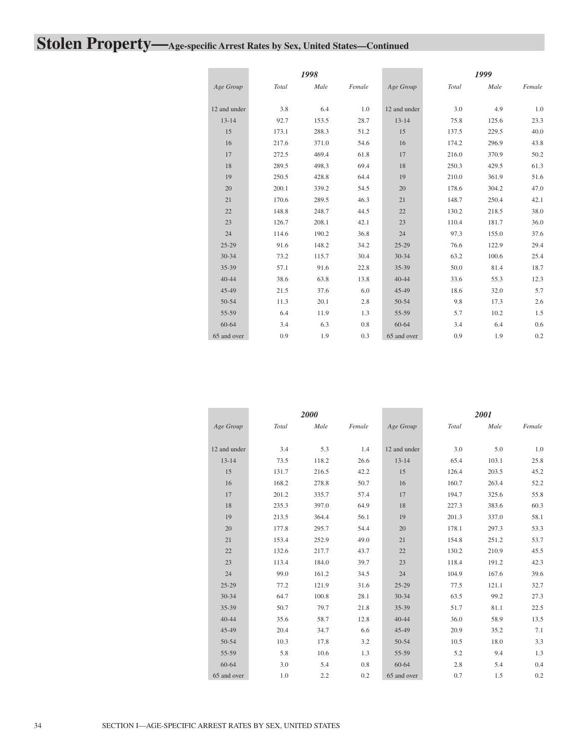# **Stolen Property—Age-specific Arrest Rates by Sex, United States—Continued**

|              |       | 1998  |        |              | 1999  |       |        |  |
|--------------|-------|-------|--------|--------------|-------|-------|--------|--|
| Age Group    | Total | Male  | Female | Age Group    | Total | Male  | Female |  |
|              |       |       |        |              |       |       |        |  |
| 12 and under | 3.8   | 6.4   | 1.0    | 12 and under | 3.0   | 4.9   | 1.0    |  |
| $13 - 14$    | 92.7  | 153.5 | 28.7   | $13 - 14$    | 75.8  | 125.6 | 23.3   |  |
| 15           | 173.1 | 288.3 | 51.2   | 15           | 137.5 | 229.5 | 40.0   |  |
| 16           | 217.6 | 371.0 | 54.6   | 16           | 174.2 | 296.9 | 43.8   |  |
| 17           | 272.5 | 469.4 | 61.8   | 17           | 216.0 | 370.9 | 50.2   |  |
| 18           | 289.5 | 498.3 | 69.4   | 18           | 250.3 | 429.5 | 61.3   |  |
| 19           | 250.5 | 428.8 | 64.4   | 19           | 210.0 | 361.9 | 51.6   |  |
| 20           | 200.1 | 339.2 | 54.5   | 20           | 178.6 | 304.2 | 47.0   |  |
| 21           | 170.6 | 289.5 | 46.3   | 21           | 148.7 | 250.4 | 42.1   |  |
| 22           | 148.8 | 248.7 | 44.5   | 22           | 130.2 | 218.5 | 38.0   |  |
| 23           | 126.7 | 208.1 | 42.1   | 23           | 110.4 | 181.7 | 36.0   |  |
| 24           | 114.6 | 190.2 | 36.8   | 24           | 97.3  | 155.0 | 37.6   |  |
| $25 - 29$    | 91.6  | 148.2 | 34.2   | $25 - 29$    | 76.6  | 122.9 | 29.4   |  |
| 30-34        | 73.2  | 115.7 | 30.4   | $30 - 34$    | 63.2  | 100.6 | 25.4   |  |
| 35-39        | 57.1  | 91.6  | 22.8   | 35-39        | 50.0  | 81.4  | 18.7   |  |
| $40 - 44$    | 38.6  | 63.8  | 13.8   | $40 - 44$    | 33.6  | 55.3  | 12.3   |  |
| 45-49        | 21.5  | 37.6  | 6.0    | 45-49        | 18.6  | 32.0  | 5.7    |  |
| 50-54        | 11.3  | 20.1  | 2.8    | $50 - 54$    | 9.8   | 17.3  | 2.6    |  |
| 55-59        | 6.4   | 11.9  | 1.3    | 55-59        | 5.7   | 10.2  | 1.5    |  |
| $60 - 64$    | 3.4   | 6.3   | 0.8    | $60 - 64$    | 3.4   | 6.4   | 0.6    |  |
| 65 and over  | 0.9   | 1.9   | 0.3    | 65 and over  | 0.9   | 1.9   | 0.2    |  |

|              |       | <b>2000</b> |        | 2001         |       |       |        |  |
|--------------|-------|-------------|--------|--------------|-------|-------|--------|--|
| Age Group    | Total | Male        | Female | Age Group    | Total | Male  | Female |  |
| 12 and under | 3.4   | 5.3         | 1.4    | 12 and under | 3.0   | 5.0   | 1.0    |  |
| $13 - 14$    | 73.5  | 118.2       | 26.6   | $13 - 14$    | 65.4  | 103.1 | 25.8   |  |
| 15           | 131.7 | 216.5       | 42.2   | 15           | 126.4 | 203.5 | 45.2   |  |
| 16           | 168.2 | 278.8       | 50.7   | 16           | 160.7 | 263.4 | 52.2   |  |
| 17           | 201.2 | 335.7       | 57.4   | 17           | 194.7 | 325.6 | 55.8   |  |
| 18           | 235.3 | 397.0       | 64.9   | 18           | 227.3 | 383.6 | 60.3   |  |
| 19           | 213.5 | 364.4       | 56.1   | 19           | 201.3 | 337.0 | 58.1   |  |
| 20           | 177.8 | 295.7       | 54.4   | 20           | 178.1 | 297.3 | 53.3   |  |
| 21           | 153.4 | 252.9       | 49.0   | 21           | 154.8 | 251.2 | 53.7   |  |
| 22           | 132.6 | 217.7       | 43.7   | 22           | 130.2 | 210.9 | 45.5   |  |
| 23           | 113.4 | 184.0       | 39.7   | 23           | 118.4 | 191.2 | 42.3   |  |
| 24           | 99.0  | 161.2       | 34.5   | 24           | 104.9 | 167.6 | 39.6   |  |
| $25 - 29$    | 77.2  | 121.9       | 31.6   | $25 - 29$    | 77.5  | 121.1 | 32.7   |  |
| $30 - 34$    | 64.7  | 100.8       | 28.1   | $30 - 34$    | 63.5  | 99.2  | 27.3   |  |
| 35-39        | 50.7  | 79.7        | 21.8   | 35-39        | 51.7  | 81.1  | 22.5   |  |
| $40 - 44$    | 35.6  | 58.7        | 12.8   | $40 - 44$    | 36.0  | 58.9  | 13.5   |  |
| 45-49        | 20.4  | 34.7        | 6.6    | 45-49        | 20.9  | 35.2  | 7.1    |  |
| 50-54        | 10.3  | 17.8        | 3.2    | 50-54        | 10.5  | 18.0  | 3.3    |  |
| 55-59        | 5.8   | 10.6        | 1.3    | 55-59        | 5.2   | 9.4   | 1.3    |  |
| $60 - 64$    | 3.0   | 5.4         | 0.8    | $60 - 64$    | 2.8   | 5.4   | 0.4    |  |
| 65 and over  | 1.0   | 2.2         | 0.2    | 65 and over  | 0.7   | 1.5   | 0.2    |  |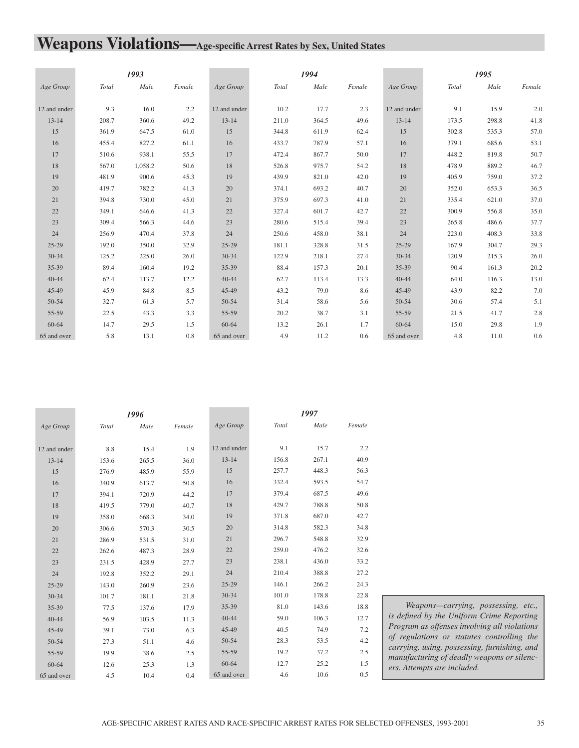## **Weapons Violations—Age-specific Arrest Rates by Sex, United States**

|              | 1993  |         |        | 1994         |       |       |        | 1995         |       |       |        |
|--------------|-------|---------|--------|--------------|-------|-------|--------|--------------|-------|-------|--------|
| Age Group    | Total | Male    | Female | Age Group    | Total | Male  | Female | Age Group    | Total | Male  | Female |
| 12 and under | 9.3   | 16.0    | 2.2    | 12 and under | 10.2  | 17.7  | 2.3    | 12 and under | 9.1   | 15.9  | 2.0    |
| $13 - 14$    | 208.7 | 360.6   | 49.2   | $13 - 14$    | 211.0 | 364.5 | 49.6   | $13 - 14$    | 173.5 | 298.8 | 41.8   |
| 15           | 361.9 | 647.5   | 61.0   | 15           | 344.8 | 611.9 | 62.4   | 15           | 302.8 | 535.3 | 57.0   |
| 16           | 455.4 | 827.2   | 61.1   | 16           | 433.7 | 787.9 | 57.1   | 16           | 379.1 | 685.6 | 53.1   |
| 17           | 510.6 | 938.1   | 55.5   | 17           | 472.4 | 867.7 | 50.0   | 17           | 448.2 | 819.8 | 50.7   |
| 18           | 567.0 | 1,058.2 | 50.6   | 18           | 526.8 | 975.7 | 54.2   | 18           | 478.9 | 889.2 | 46.7   |
| 19           | 481.9 | 900.6   | 45.3   | 19           | 439.9 | 821.0 | 42.0   | 19           | 405.9 | 759.0 | 37.2   |
| 20           | 419.7 | 782.2   | 41.3   | 20           | 374.1 | 693.2 | 40.7   | 20           | 352.0 | 653.3 | 36.5   |
| 21           | 394.8 | 730.0   | 45.0   | 21           | 375.9 | 697.3 | 41.0   | 21           | 335.4 | 621.0 | 37.0   |
| 22           | 349.1 | 646.6   | 41.3   | 22           | 327.4 | 601.7 | 42.7   | 22           | 300.9 | 556.8 | 35.0   |
| 23           | 309.4 | 566.3   | 44.6   | 23           | 280.6 | 515.4 | 39.4   | 23           | 265.8 | 486.6 | 37.7   |
| 24           | 256.9 | 470.4   | 37.8   | 24           | 250.6 | 458.0 | 38.1   | 24           | 223.0 | 408.3 | 33.8   |
| $25 - 29$    | 192.0 | 350.0   | 32.9   | $25-29$      | 181.1 | 328.8 | 31.5   | $25 - 29$    | 167.9 | 304.7 | 29.3   |
| $30 - 34$    | 125.2 | 225.0   | 26.0   | $30 - 34$    | 122.9 | 218.1 | 27.4   | $30 - 34$    | 120.9 | 215.3 | 26.0   |
| $35 - 39$    | 89.4  | 160.4   | 19.2   | $35 - 39$    | 88.4  | 157.3 | 20.1   | $35 - 39$    | 90.4  | 161.3 | 20.2   |
| $40 - 44$    | 62.4  | 113.7   | 12.2   | $40 - 44$    | 62.7  | 113.4 | 13.3   | $40 - 44$    | 64.0  | 116.3 | 13.0   |
| $45 - 49$    | 45.9  | 84.8    | 8.5    | $45 - 49$    | 43.2  | 79.0  | 8.6    | $45 - 49$    | 43.9  | 82.2  | 7.0    |
| $50 - 54$    | 32.7  | 61.3    | 5.7    | $50 - 54$    | 31.4  | 58.6  | 5.6    | $50 - 54$    | 30.6  | 57.4  | 5.1    |
| $55 - 59$    | 22.5  | 43.3    | 3.3    | 55-59        | 20.2  | 38.7  | 3.1    | 55-59        | 21.5  | 41.7  | 2.8    |
| 60-64        | 14.7  | 29.5    | 1.5    | 60-64        | 13.2  | 26.1  | 1.7    | $60 - 64$    | 15.0  | 29.8  | 1.9    |
| 65 and over  | 5.8   | 13.1    | 0.8    | 65 and over  | 4.9   | 11.2  | 0.6    | 65 and over  | 4.8   | 11.0  | 0.6    |

|              |       | 1996  |        |              | 1997  |       |        |  |  |
|--------------|-------|-------|--------|--------------|-------|-------|--------|--|--|
| Age Group    | Total | Male  | Female | Age Group    | Total | Male  | Female |  |  |
|              |       |       |        |              |       |       |        |  |  |
| 12 and under | 8.8   | 15.4  | 1.9    | 12 and under | 9.1   | 15.7  | 2.2    |  |  |
| $13 - 14$    | 153.6 | 265.5 | 36.0   | $13 - 14$    | 156.8 | 267.1 | 40.9   |  |  |
| 15           | 276.9 | 485.9 | 55.9   | 15           | 257.7 | 448.3 | 56.3   |  |  |
| 16           | 340.9 | 613.7 | 50.8   | 16           | 332.4 | 593.5 | 54.7   |  |  |
| 17           | 394.1 | 720.9 | 44.2   | 17           | 379.4 | 687.5 | 49.6   |  |  |
| 18           | 419.5 | 779.0 | 40.7   | 18           | 429.7 | 788.8 | 50.8   |  |  |
| 19           | 358.0 | 668.3 | 34.0   | 19           | 371.8 | 687.0 | 42.7   |  |  |
| 20           | 306.6 | 570.3 | 30.5   | 20           | 314.8 | 582.3 | 34.8   |  |  |
| 21           | 286.9 | 531.5 | 31.0   | 21           | 296.7 | 548.8 | 32.9   |  |  |
| 22           | 262.6 | 487.3 | 28.9   | 22           | 259.0 | 476.2 | 32.6   |  |  |
| 23           | 231.5 | 428.9 | 27.7   | 23           | 238.1 | 436.0 | 33.2   |  |  |
| 24           | 192.8 | 352.2 | 29.1   | 24           | 210.4 | 388.8 | 27.2   |  |  |
| $25 - 29$    | 143.0 | 260.9 | 23.6   | $25 - 29$    | 146.1 | 266.2 | 24.3   |  |  |
| 30-34        | 101.7 | 181.1 | 21.8   | $30 - 34$    | 101.0 | 178.8 | 22.8   |  |  |
| 35-39        | 77.5  | 137.6 | 17.9   | 35-39        | 81.0  | 143.6 | 18.8   |  |  |
| $40 - 44$    | 56.9  | 103.5 | 11.3   | $40 - 44$    | 59.0  | 106.3 | 12.7   |  |  |
| $45 - 49$    | 39.1  | 73.0  | 6.3    | 45-49        | 40.5  | 74.9  | 7.2    |  |  |
| 50-54        | 27.3  | 51.1  | 4.6    | 50-54        | 28.3  | 53.5  | 4.2    |  |  |
| 55-59        | 19.9  | 38.6  | 2.5    | 55-59        | 19.2  | 37.2  | 2.5    |  |  |
| $60 - 64$    | 12.6  | 25.3  | 1.3    | 60-64        | 12.7  | 25.2  | 1.5    |  |  |
| 65 and over  | 4.5   | 10.4  | 0.4    | 65 and over  | 4.6   | 10.6  | 0.5    |  |  |

*Weapons—carrying, possessing, etc., is defined by the Uniform Crime Reporting Program as offenses involving all violations of regulations or statutes controlling the carrying, using, possessing, furnishing, and manufacturing of deadly weapons or silencers. Attempts are included.*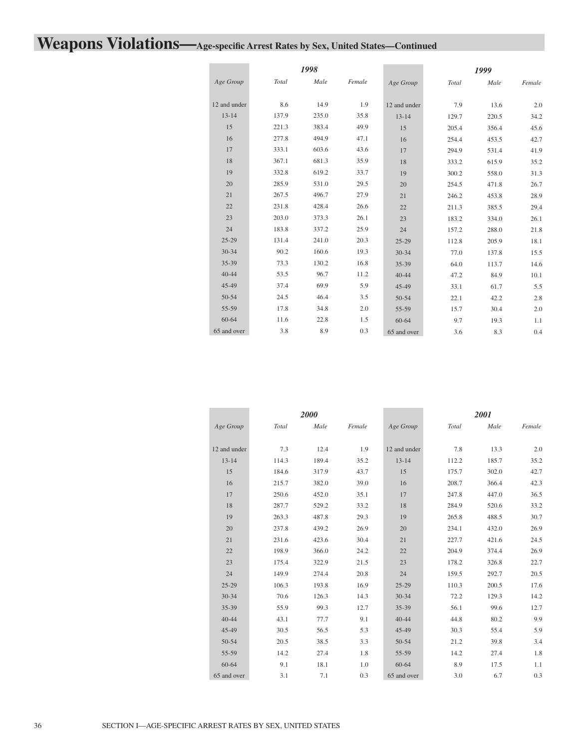# **Weapons Violations—Age-specific Arrest Rates by Sex, United States—Continued**

|              |       | 1998  |        |              |       | 1999  |        |
|--------------|-------|-------|--------|--------------|-------|-------|--------|
| Age Group    | Total | Male  | Female | Age Group    | Total | Male  | Female |
| 12 and under | 8.6   | 14.9  | 1.9    | 12 and under | 7.9   | 13.6  | 2.0    |
| $13 - 14$    | 137.9 | 235.0 | 35.8   | $13 - 14$    | 129.7 | 220.5 | 34.2   |
| 15           | 221.3 | 383.4 | 49.9   | 15           | 205.4 | 356.4 | 45.6   |
| 16           | 277.8 | 494.9 | 47.1   | 16           | 254.4 | 453.5 | 42.7   |
| 17           | 333.1 | 603.6 | 43.6   | 17           | 294.9 | 531.4 | 41.9   |
| 18           | 367.1 | 681.3 | 35.9   | 18           | 333.2 | 615.9 | 35.2   |
| 19           | 332.8 | 619.2 | 33.7   | 19           | 300.2 | 558.0 | 31.3   |
| 20           | 285.9 | 531.0 | 29.5   | 20           | 254.5 | 471.8 | 26.7   |
| 21           | 267.5 | 496.7 | 27.9   | 21           |       |       |        |
| 22           | 231.8 | 428.4 | 26.6   |              | 246.2 | 453.8 | 28.9   |
|              |       |       |        | 22           | 211.3 | 385.5 | 29.4   |
| 23           | 203.0 | 373.3 | 26.1   | 23           | 183.2 | 334.0 | 26.1   |
| 24           | 183.8 | 337.2 | 25.9   | 24           | 157.2 | 288.0 | 21.8   |
| $25 - 29$    | 131.4 | 241.0 | 20.3   | $25 - 29$    | 112.8 | 205.9 | 18.1   |
| $30 - 34$    | 90.2  | 160.6 | 19.3   | 30-34        | 77.0  | 137.8 | 15.5   |
| 35-39        | 73.3  | 130.2 | 16.8   | 35-39        | 64.0  | 113.7 | 14.6   |
| $40 - 44$    | 53.5  | 96.7  | 11.2   | $40 - 44$    | 47.2  | 84.9  | 10.1   |
| 45-49        | 37.4  | 69.9  | 5.9    | 45-49        | 33.1  | 61.7  | 5.5    |
| 50-54        | 24.5  | 46.4  | 3.5    | 50-54        | 22.1  | 42.2  | 2.8    |
| 55-59        | 17.8  | 34.8  | 2.0    | 55-59        | 15.7  | 30.4  | 2.0    |
| $60 - 64$    | 11.6  | 22.8  | 1.5    | $60 - 64$    | 9.7   | 19.3  | 1.1    |
| 65 and over  | 3.8   | 8.9   | 0.3    | 65 and over  | 3.6   | 8.3   | 0.4    |

|              | 2000  |       |        |              | 2001  |       |        |  |
|--------------|-------|-------|--------|--------------|-------|-------|--------|--|
| Age Group    | Total | Male  | Female | Age Group    | Total | Male  | Female |  |
| 12 and under | 7.3   | 12.4  | 1.9    | 12 and under | 7.8   | 13.3  | 2.0    |  |
| $13 - 14$    | 114.3 | 189.4 | 35.2   | $13 - 14$    | 112.2 | 185.7 | 35.2   |  |
| 15           | 184.6 | 317.9 | 43.7   | 15           | 175.7 | 302.0 | 42.7   |  |
| 16           | 215.7 | 382.0 | 39.0   | 16           | 208.7 | 366.4 | 42.3   |  |
| 17           | 250.6 | 452.0 | 35.1   | 17           | 247.8 | 447.0 | 36.5   |  |
| 18           | 287.7 | 529.2 | 33.2   | 18           | 284.9 | 520.6 | 33.2   |  |
| 19           | 263.3 | 487.8 | 29.3   | 19           | 265.8 | 488.5 | 30.7   |  |
| 20           | 237.8 | 439.2 | 26.9   | 20           | 234.1 | 432.0 | 26.9   |  |
| 21           | 231.6 | 423.6 | 30.4   | 21           | 227.7 | 421.6 | 24.5   |  |
| 22           | 198.9 | 366.0 | 24.2   | 22           | 204.9 | 374.4 | 26.9   |  |
| 23           | 175.4 | 322.9 | 21.5   | 23           | 178.2 | 326.8 | 22.7   |  |
| 24           | 149.9 | 274.4 | 20.8   | 24           | 159.5 | 292.7 | 20.5   |  |
| $25 - 29$    | 106.3 | 193.8 | 16.9   | $25 - 29$    | 110.3 | 200.5 | 17.6   |  |
| $30 - 34$    | 70.6  | 126.3 | 14.3   | $30 - 34$    | 72.2  | 129.3 | 14.2   |  |
| 35-39        | 55.9  | 99.3  | 12.7   | 35-39        | 56.1  | 99.6  | 12.7   |  |
| $40 - 44$    | 43.1  | 77.7  | 9.1    | 40-44        | 44.8  | 80.2  | 9.9    |  |
| 45-49        | 30.5  | 56.5  | 5.3    | 45-49        | 30.3  | 55.4  | 5.9    |  |
| 50-54        | 20.5  | 38.5  | 3.3    | $50 - 54$    | 21.2  | 39.8  | 3.4    |  |
| 55-59        | 14.2  | 27.4  | 1.8    | 55-59        | 14.2  | 27.4  | 1.8    |  |
| $60 - 64$    | 9.1   | 18.1  | 1.0    | 60-64        | 8.9   | 17.5  | 1.1    |  |
| 65 and over  | 3.1   | 7.1   | 0.3    | 65 and over  | 3.0   | 6.7   | 0.3    |  |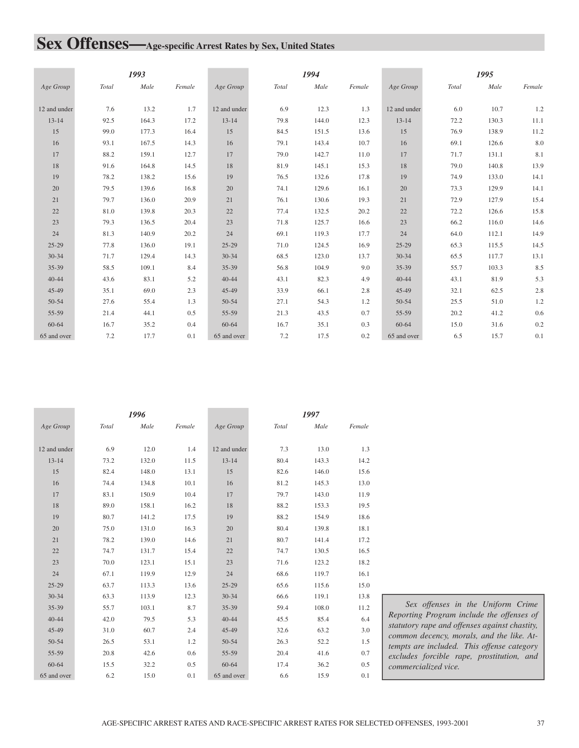# **Sex Offenses—Age-specific Arrest Rates by Sex, United States**

|              |       | 1993  |        |              |       | 1994  |        |              |       | 1995  |         |
|--------------|-------|-------|--------|--------------|-------|-------|--------|--------------|-------|-------|---------|
| Age Group    | Total | Male  | Female | Age Group    | Total | Male  | Female | Age Group    | Total | Male  | Female  |
| 12 and under | 7.6   | 13.2  | 1.7    | 12 and under | 6.9   | 12.3  | 1.3    | 12 and under | 6.0   | 10.7  | 1.2     |
| $13 - 14$    | 92.5  | 164.3 | 17.2   | $13 - 14$    | 79.8  | 144.0 | 12.3   | $13 - 14$    | 72.2  | 130.3 | 11.1    |
| 15           | 99.0  | 177.3 | 16.4   | 15           | 84.5  | 151.5 | 13.6   | 15           | 76.9  | 138.9 | 11.2    |
| 16           | 93.1  | 167.5 | 14.3   | 16           | 79.1  | 143.4 | 10.7   | 16           | 69.1  | 126.6 | $8.0\,$ |
| 17           | 88.2  | 159.1 | 12.7   | 17           | 79.0  | 142.7 | 11.0   | 17           | 71.7  | 131.1 | 8.1     |
| 18           | 91.6  | 164.8 | 14.5   | 18           | 81.9  | 145.1 | 15.3   | 18           | 79.0  | 140.8 | 13.9    |
| 19           | 78.2  | 138.2 | 15.6   | 19           | 76.5  | 132.6 | 17.8   | 19           | 74.9  | 133.0 | 14.1    |
| 20           | 79.5  | 139.6 | 16.8   | 20           | 74.1  | 129.6 | 16.1   | 20           | 73.3  | 129.9 | 14.1    |
| 21           | 79.7  | 136.0 | 20.9   | 21           | 76.1  | 130.6 | 19.3   | 21           | 72.9  | 127.9 | 15.4    |
| 22           | 81.0  | 139.8 | 20.3   | 22           | 77.4  | 132.5 | 20.2   | 22           | 72.2  | 126.6 | 15.8    |
| 23           | 79.3  | 136.5 | 20.4   | 23           | 71.8  | 125.7 | 16.6   | 23           | 66.2  | 116.0 | 14.6    |
| 24           | 81.3  | 140.9 | 20.2   | 24           | 69.1  | 119.3 | 17.7   | 24           | 64.0  | 112.1 | 14.9    |
| $25 - 29$    | 77.8  | 136.0 | 19.1   | $25-29$      | 71.0  | 124.5 | 16.9   | $25 - 29$    | 65.3  | 115.5 | 14.5    |
| $30 - 34$    | 71.7  | 129.4 | 14.3   | $30 - 34$    | 68.5  | 123.0 | 13.7   | $30 - 34$    | 65.5  | 117.7 | 13.1    |
| 35-39        | 58.5  | 109.1 | 8.4    | 35-39        | 56.8  | 104.9 | 9.0    | $35 - 39$    | 55.7  | 103.3 | 8.5     |
| $40 - 44$    | 43.6  | 83.1  | 5.2    | $40 - 44$    | 43.1  | 82.3  | 4.9    | $40 - 44$    | 43.1  | 81.9  | 5.3     |
| 45-49        | 35.1  | 69.0  | 2.3    | $45 - 49$    | 33.9  | 66.1  | 2.8    | $45 - 49$    | 32.1  | 62.5  | $2.8\,$ |
| $50 - 54$    | 27.6  | 55.4  | 1.3    | $50-54$      | 27.1  | 54.3  | 1.2    | 50-54        | 25.5  | 51.0  | 1.2     |
| 55-59        | 21.4  | 44.1  | 0.5    | 55-59        | 21.3  | 43.5  | 0.7    | 55-59        | 20.2  | 41.2  | 0.6     |
| 60-64        | 16.7  | 35.2  | 0.4    | 60-64        | 16.7  | 35.1  | 0.3    | 60-64        | 15.0  | 31.6  | 0.2     |
| 65 and over  | 7.2   | 17.7  | 0.1    | 65 and over  | 7.2   | 17.5  | 0.2    | 65 and over  | 6.5   | 15.7  | 0.1     |

|              | 1996  |       |        |              | 1997  |       |        |  |  |
|--------------|-------|-------|--------|--------------|-------|-------|--------|--|--|
| Age Group    | Total | Male  | Female | Age Group    | Total | Male  | Female |  |  |
|              |       |       |        |              |       |       |        |  |  |
| 12 and under | 6.9   | 12.0  | 1.4    | 12 and under | 7.3   | 13.0  | 1.3    |  |  |
| $13 - 14$    | 73.2  | 132.0 | 11.5   | $13 - 14$    | 80.4  | 143.3 | 14.2   |  |  |
| 15           | 82.4  | 148.0 | 13.1   | 15           | 82.6  | 146.0 | 15.6   |  |  |
| 16           | 74.4  | 134.8 | 10.1   | 16           | 81.2  | 145.3 | 13.0   |  |  |
| 17           | 83.1  | 150.9 | 10.4   | 17           | 79.7  | 143.0 | 11.9   |  |  |
| 18           | 89.0  | 158.1 | 16.2   | 18           | 88.2  | 153.3 | 19.5   |  |  |
| 19           | 80.7  | 141.2 | 17.5   | 19           | 88.2  | 154.9 | 18.6   |  |  |
| 20           | 75.0  | 131.0 | 16.3   | 20           | 80.4  | 139.8 | 18.1   |  |  |
| 21           | 78.2  | 139.0 | 14.6   | 21           | 80.7  | 141.4 | 17.2   |  |  |
| 22           | 74.7  | 131.7 | 15.4   | 22           | 74.7  | 130.5 | 16.5   |  |  |
| 23           | 70.0  | 123.1 | 15.1   | 23           | 71.6  | 123.2 | 18.2   |  |  |
| 24           | 67.1  | 119.9 | 12.9   | 24           | 68.6  | 119.7 | 16.1   |  |  |
| $25-29$      | 63.7  | 113.3 | 13.6   | 25-29        | 65.6  | 115.6 | 15.0   |  |  |
| $30 - 34$    | 63.3  | 113.9 | 12.3   | $30 - 34$    | 66.6  | 119.1 | 13.8   |  |  |
| 35-39        | 55.7  | 103.1 | 8.7    | 35-39        | 59.4  | 108.0 | 11.2   |  |  |
| $40 - 44$    | 42.0  | 79.5  | 5.3    | $40 - 44$    | 45.5  | 85.4  | 6.4    |  |  |
| 45-49        | 31.0  | 60.7  | 2.4    | 45-49        | 32.6  | 63.2  | 3.0    |  |  |
| 50-54        | 26.5  | 53.1  | 1.2    | $50 - 54$    | 26.3  | 52.2  | 1.5    |  |  |
| 55-59        | 20.8  | 42.6  | 0.6    | 55-59        | 20.4  | 41.6  | 0.7    |  |  |
| 60-64        | 15.5  | 32.2  | 0.5    | $60 - 64$    | 17.4  | 36.2  | 0.5    |  |  |
| 65 and over  | 6.2   | 15.0  | 0.1    | 65 and over  | 6.6   | 15.9  | 0.1    |  |  |

*Sex offenses in the Uniform Crime Reporting Program include the offenses of statutory rape and offenses against chastity, common decency, morals, and the like. Attempts are included. This offense category excludes forcible rape, prostitution, and commercialized vice.*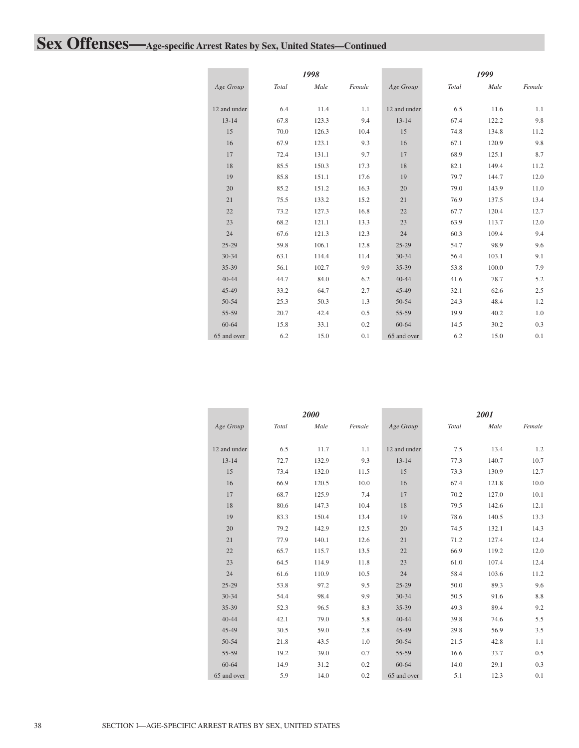# **Sex Offenses—Age-specific Arrest Rates by Sex, United States—Continued**

|              | 1998  |       |        |              | 1999  |       |         |  |
|--------------|-------|-------|--------|--------------|-------|-------|---------|--|
| Age Group    | Total | Male  | Female | Age Group    | Total | Male  | Female  |  |
|              |       |       |        |              |       |       |         |  |
| 12 and under | 6.4   | 11.4  | 1.1    | 12 and under | 6.5   | 11.6  | 1.1     |  |
| $13 - 14$    | 67.8  | 123.3 | 9.4    | $13 - 14$    | 67.4  | 122.2 | 9.8     |  |
| 15           | 70.0  | 126.3 | 10.4   | 15           | 74.8  | 134.8 | 11.2    |  |
| 16           | 67.9  | 123.1 | 9.3    | 16           | 67.1  | 120.9 | 9.8     |  |
| 17           | 72.4  | 131.1 | 9.7    | 17           | 68.9  | 125.1 | 8.7     |  |
| 18           | 85.5  | 150.3 | 17.3   | 18           | 82.1  | 149.4 | 11.2    |  |
| 19           | 85.8  | 151.1 | 17.6   | 19           | 79.7  | 144.7 | 12.0    |  |
| 20           | 85.2  | 151.2 | 16.3   | 20           | 79.0  | 143.9 | 11.0    |  |
| 21           | 75.5  | 133.2 | 15.2   | 21           | 76.9  | 137.5 | 13.4    |  |
| 22           | 73.2  | 127.3 | 16.8   | 22           | 67.7  | 120.4 | 12.7    |  |
| 23           | 68.2  | 121.1 | 13.3   | 23           | 63.9  | 113.7 | 12.0    |  |
| 24           | 67.6  | 121.3 | 12.3   | 24           | 60.3  | 109.4 | 9.4     |  |
| $25 - 29$    | 59.8  | 106.1 | 12.8   | $25 - 29$    | 54.7  | 98.9  | 9.6     |  |
| 30-34        | 63.1  | 114.4 | 11.4   | 30-34        | 56.4  | 103.1 | 9.1     |  |
| 35-39        | 56.1  | 102.7 | 9.9    | 35-39        | 53.8  | 100.0 | 7.9     |  |
| $40 - 44$    | 44.7  | 84.0  | 6.2    | $40 - 44$    | 41.6  | 78.7  | 5.2     |  |
| 45-49        | 33.2  | 64.7  | 2.7    | 45-49        | 32.1  | 62.6  | 2.5     |  |
| 50-54        | 25.3  | 50.3  | 1.3    | $50 - 54$    | 24.3  | 48.4  | 1.2     |  |
| 55-59        | 20.7  | 42.4  | 0.5    | 55-59        | 19.9  | 40.2  | $1.0\,$ |  |
| $60 - 64$    | 15.8  | 33.1  | 0.2    | $60 - 64$    | 14.5  | 30.2  | 0.3     |  |
| 65 and over  | 6.2   | 15.0  | 0.1    | 65 and over  | 6.2   | 15.0  | 0.1     |  |

|              |       | <b>2000</b> |        |              |       |       |         |  |  |
|--------------|-------|-------------|--------|--------------|-------|-------|---------|--|--|
| Age Group    | Total | Male        | Female | Age Group    | Total | Male  | Female  |  |  |
| 12 and under | 6.5   | 11.7        | 1.1    | 12 and under | 7.5   | 13.4  | 1.2     |  |  |
| $13 - 14$    | 72.7  | 132.9       | 9.3    | $13 - 14$    | 77.3  | 140.7 | 10.7    |  |  |
| 15           | 73.4  | 132.0       | 11.5   | 15           | 73.3  | 130.9 | 12.7    |  |  |
| 16           | 66.9  | 120.5       | 10.0   | 16           | 67.4  | 121.8 | 10.0    |  |  |
| 17           | 68.7  | 125.9       | 7.4    | 17           | 70.2  | 127.0 | 10.1    |  |  |
| 18           | 80.6  | 147.3       | 10.4   | 18           | 79.5  | 142.6 | 12.1    |  |  |
| 19           | 83.3  | 150.4       | 13.4   | 19           | 78.6  | 140.5 | 13.3    |  |  |
| 20           | 79.2  | 142.9       | 12.5   | 20           | 74.5  | 132.1 | 14.3    |  |  |
| 21           | 77.9  | 140.1       | 12.6   | 21           | 71.2  | 127.4 | 12.4    |  |  |
| 22           | 65.7  | 115.7       | 13.5   | 22           | 66.9  | 119.2 | 12.0    |  |  |
| 23           | 64.5  | 114.9       | 11.8   | 23           | 61.0  | 107.4 | 12.4    |  |  |
| 24           | 61.6  | 110.9       | 10.5   | 24           | 58.4  | 103.6 | 11.2    |  |  |
| $25 - 29$    | 53.8  | 97.2        | 9.5    | $25 - 29$    | 50.0  | 89.3  | 9.6     |  |  |
| $30 - 34$    | 54.4  | 98.4        | 9.9    | $30 - 34$    | 50.5  | 91.6  | $8.8\,$ |  |  |
| 35-39        | 52.3  | 96.5        | 8.3    | 35-39        | 49.3  | 89.4  | 9.2     |  |  |
| $40 - 44$    | 42.1  | 79.0        | 5.8    | $40 - 44$    | 39.8  | 74.6  | 5.5     |  |  |
| 45-49        | 30.5  | 59.0        | 2.8    | 45-49        | 29.8  | 56.9  | 3.5     |  |  |
| 50-54        | 21.8  | 43.5        | 1.0    | 50-54        | 21.5  | 42.8  | 1.1     |  |  |
| 55-59        | 19.2  | 39.0        | 0.7    | 55-59        | 16.6  | 33.7  | 0.5     |  |  |
| $60 - 64$    | 14.9  | 31.2        | 0.2    | $60 - 64$    | 14.0  | 29.1  | 0.3     |  |  |
| 65 and over  | 5.9   | 14.0        | 0.2    | 65 and over  | 5.1   | 12.3  | 0.1     |  |  |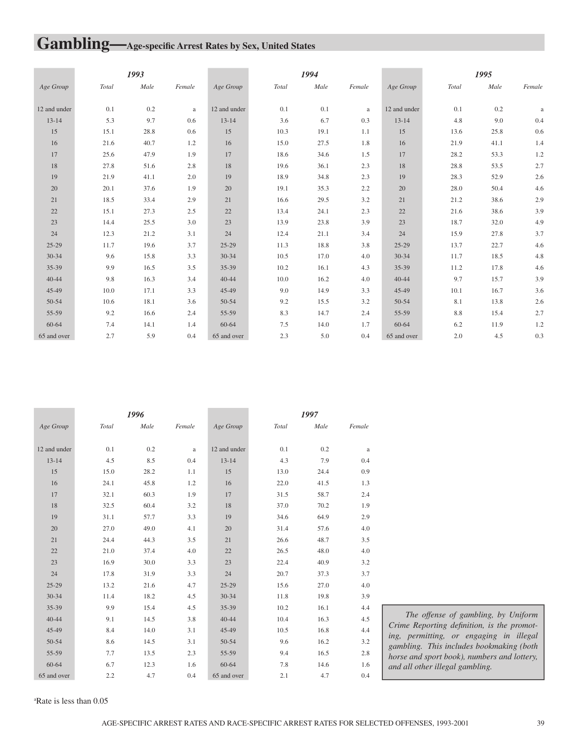## **Gambling—Age-specific Arrest Rates by Sex, United States**

|              |       | 1993 |        |              |       | 1994 |        |              |       | 1995 |        |
|--------------|-------|------|--------|--------------|-------|------|--------|--------------|-------|------|--------|
| Age Group    | Total | Male | Female | Age Group    | Total | Male | Female | Age Group    | Total | Male | Female |
| 12 and under | 0.1   | 0.2  | a      | 12 and under | 0.1   | 0.1  | a      | 12 and under | 0.1   | 0.2  | a      |
| $13 - 14$    | 5.3   | 9.7  | 0.6    | $13 - 14$    | 3.6   | 6.7  | 0.3    | $13 - 14$    | 4.8   | 9.0  | 0.4    |
| 15           | 15.1  | 28.8 | 0.6    | 15           | 10.3  | 19.1 | 1.1    | 15           | 13.6  | 25.8 | 0.6    |
| 16           | 21.6  | 40.7 | 1.2    | 16           | 15.0  | 27.5 | 1.8    | 16           | 21.9  | 41.1 | 1.4    |
| 17           | 25.6  | 47.9 | 1.9    | 17           | 18.6  | 34.6 | 1.5    | 17           | 28.2  | 53.3 | 1.2    |
| 18           | 27.8  | 51.6 | 2.8    | 18           | 19.6  | 36.1 | 2.3    | 18           | 28.8  | 53.5 | 2.7    |
| 19           | 21.9  | 41.1 | 2.0    | 19           | 18.9  | 34.8 | 2.3    | 19           | 28.3  | 52.9 | 2.6    |
| 20           | 20.1  | 37.6 | 1.9    | 20           | 19.1  | 35.3 | 2.2    | $20\,$       | 28.0  | 50.4 | 4.6    |
| 21           | 18.5  | 33.4 | 2.9    | 21           | 16.6  | 29.5 | 3.2    | 21           | 21.2  | 38.6 | 2.9    |
| 22           | 15.1  | 27.3 | 2.5    | 22           | 13.4  | 24.1 | 2.3    | $22\,$       | 21.6  | 38.6 | 3.9    |
| 23           | 14.4  | 25.5 | 3.0    | 23           | 13.9  | 23.8 | 3.9    | 23           | 18.7  | 32.0 | 4.9    |
| 24           | 12.3  | 21.2 | 3.1    | 24           | 12.4  | 21.1 | 3.4    | 24           | 15.9  | 27.8 | 3.7    |
| $25 - 29$    | 11.7  | 19.6 | 3.7    | $25-29$      | 11.3  | 18.8 | 3.8    | $25 - 29$    | 13.7  | 22.7 | 4.6    |
| $30 - 34$    | 9.6   | 15.8 | 3.3    | $30 - 34$    | 10.5  | 17.0 | 4.0    | $30 - 34$    | 11.7  | 18.5 | 4.8    |
| $35 - 39$    | 9.9   | 16.5 | 3.5    | 35-39        | 10.2  | 16.1 | 4.3    | $35-39$      | 11.2  | 17.8 | 4.6    |
| $40 - 44$    | 9.8   | 16.3 | 3.4    | $40 - 44$    | 10.0  | 16.2 | 4.0    | $40 - 44$    | 9.7   | 15.7 | 3.9    |
| 45-49        | 10.0  | 17.1 | 3.3    | 45-49        | 9.0   | 14.9 | 3.3    | 45-49        | 10.1  | 16.7 | 3.6    |
| 50-54        | 10.6  | 18.1 | 3.6    | 50-54        | 9.2   | 15.5 | 3.2    | $50 - 54$    | 8.1   | 13.8 | 2.6    |
| 55-59        | 9.2   | 16.6 | 2.4    | 55-59        | 8.3   | 14.7 | 2.4    | 55-59        | 8.8   | 15.4 | 2.7    |
| 60-64        | 7.4   | 14.1 | 1.4    | 60-64        | 7.5   | 14.0 | 1.7    | 60-64        | 6.2   | 11.9 | 1.2    |
| 65 and over  | 2.7   | 5.9  | 0.4    | 65 and over  | 2.3   | 5.0  | 0.4    | 65 and over  | 2.0   | 4.5  | 0.3    |

|              | 1996  |      |        |              | 1997  |      |        |  |  |
|--------------|-------|------|--------|--------------|-------|------|--------|--|--|
| Age Group    | Total | Male | Female | Age Group    | Total | Male | Female |  |  |
|              |       |      |        |              |       |      |        |  |  |
| 12 and under | 0.1   | 0.2  | a      | 12 and under | 0.1   | 0.2  | a      |  |  |
| $13 - 14$    | 4.5   | 8.5  | 0.4    | $13 - 14$    | 4.3   | 7.9  | 0.4    |  |  |
| 15           | 15.0  | 28.2 | 1.1    | 15           | 13.0  | 24.4 | 0.9    |  |  |
| 16           | 24.1  | 45.8 | 1.2    | 16           | 22.0  | 41.5 | 1.3    |  |  |
| 17           | 32.1  | 60.3 | 1.9    | 17           | 31.5  | 58.7 | 2.4    |  |  |
| 18           | 32.5  | 60.4 | 3.2    | 18           | 37.0  | 70.2 | 1.9    |  |  |
| 19           | 31.1  | 57.7 | 3.3    | 19           | 34.6  | 64.9 | 2.9    |  |  |
| 20           | 27.0  | 49.0 | 4.1    | 20           | 31.4  | 57.6 | 4.0    |  |  |
| 21           | 24.4  | 44.3 | 3.5    | 21           | 26.6  | 48.7 | 3.5    |  |  |
| 22           | 21.0  | 37.4 | 4.0    | 22           | 26.5  | 48.0 | 4.0    |  |  |
| 23           | 16.9  | 30.0 | 3.3    | 23           | 22.4  | 40.9 | 3.2    |  |  |
| 24           | 17.8  | 31.9 | 3.3    | 24           | 20.7  | 37.3 | 3.7    |  |  |
| $25 - 29$    | 13.2  | 21.6 | 4.7    | $25 - 29$    | 15.6  | 27.0 | 4.0    |  |  |
| $30 - 34$    | 11.4  | 18.2 | 4.5    | $30 - 34$    | 11.8  | 19.8 | 3.9    |  |  |
| 35-39        | 9.9   | 15.4 | 4.5    | 35-39        | 10.2  | 16.1 | 4.4    |  |  |
| $40 - 44$    | 9.1   | 14.5 | 3.8    | $40 - 44$    | 10.4  | 16.3 | 4.5    |  |  |
| $45 - 49$    | 8.4   | 14.0 | 3.1    | 45-49        | 10.5  | 16.8 | 4.4    |  |  |
| 50-54        | 8.6   | 14.5 | 3.1    | 50-54        | 9.6   | 16.2 | 3.2    |  |  |
| 55-59        | 7.7   | 13.5 | 2.3    | 55-59        | 9.4   | 16.5 | 2.8    |  |  |
| $60 - 64$    | 6.7   | 12.3 | 1.6    | 60-64        | 7.8   | 14.6 | 1.6    |  |  |
| 65 and over  | 2.2   | 4.7  | 0.4    | 65 and over  | 2.1   | 4.7  | 0.4    |  |  |

*The offense of gambling, by Uniform Crime Reporting definition, is the promoting, permitting, or engaging in illegal gambling. This includes bookmaking (both horse and sport book), numbers and lottery, and all other illegal gambling.*

a Rate is less than 0.05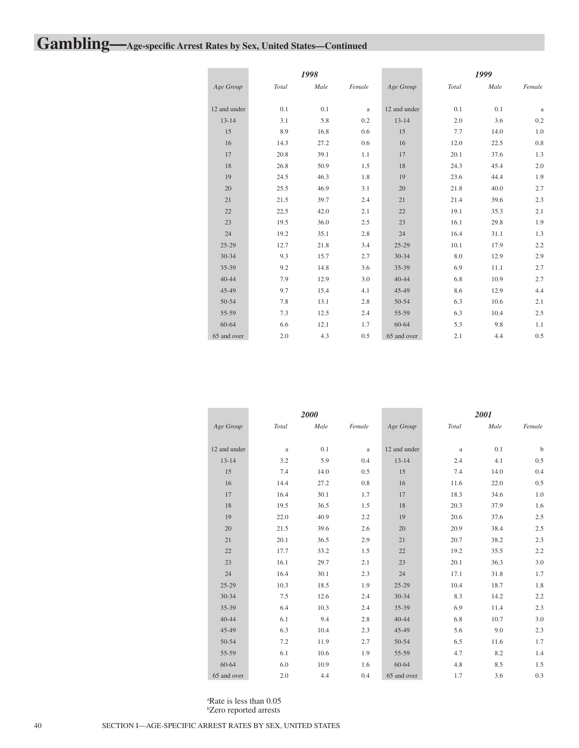## **Gambling—Age-specific Arrest Rates by Sex, United States—Continued**

|              |       | 1998 |        |              |       | 1999 |          |
|--------------|-------|------|--------|--------------|-------|------|----------|
| Age Group    | Total | Male | Female | Age Group    | Total | Male | Female   |
| 12 and under | 0.1   | 0.1  | a      | 12 and under | 0.1   | 0.1  | $\rm{a}$ |
| $13 - 14$    | 3.1   | 5.8  | 0.2    | $13 - 14$    | 2.0   | 3.6  | $0.2\,$  |
|              |       |      |        |              |       |      |          |
| 15           | 8.9   | 16.8 | 0.6    | 15           | 7.7   | 14.0 | $1.0\,$  |
| 16           | 14.3  | 27.2 | 0.6    | 16           | 12.0  | 22.5 | $0.8\,$  |
| 17           | 20.8  | 39.1 | 1.1    | 17           | 20.1  | 37.6 | 1.3      |
| 18           | 26.8  | 50.9 | 1.5    | 18           | 24.3  | 45.4 | 2.0      |
| 19           | 24.5  | 46.3 | 1.8    | 19           | 23.6  | 44.4 | 1.9      |
| 20           | 25.5  | 46.9 | 3.1    | 20           | 21.8  | 40.0 | 2.7      |
| 21           | 21.5  | 39.7 | 2.4    | 21           | 21.4  | 39.6 | 2.3      |
| 22           | 22.5  | 42.0 | 2.1    | 22           | 19.1  | 35.3 | 2.1      |
| 23           | 19.5  | 36.0 | 2.5    | 23           | 16.1  | 29.8 | 1.9      |
| 24           | 19.2  | 35.1 | 2.8    | 24           | 16.4  | 31.1 | 1.3      |
| $25-29$      | 12.7  | 21.8 | 3.4    | $25 - 29$    | 10.1  | 17.9 | 2.2      |
| $30 - 34$    | 9.3   | 15.7 | 2.7    | $30 - 34$    | 8.0   | 12.9 | 2.9      |
| 35-39        | 9.2   | 14.8 | 3.6    | 35-39        | 6.9   | 11.1 | 2.7      |
| $40 - 44$    | 7.9   | 12.9 | 3.0    | $40 - 44$    | 6.8   | 10.9 | 2.7      |
| 45-49        | 9.7   | 15.4 | 4.1    | 45-49        | 8.6   | 12.9 | 4.4      |
| 50-54        | 7.8   | 13.1 | 2.8    | $50 - 54$    | 6.3   | 10.6 | 2.1      |
| 55-59        | 7.3   | 12.5 | 2.4    | 55-59        | 6.3   | 10.4 | 2.5      |
| 60-64        | 6.6   | 12.1 | 1.7    | $60 - 64$    | 5.3   | 9.8  | 1.1      |
| 65 and over  | 2.0   | 4.3  | 0.5    | 65 and over  | 2.1   | 4.4  | 0.5      |

|              |          | 2000 |          |              | 2001  |      |             |  |
|--------------|----------|------|----------|--------------|-------|------|-------------|--|
| Age Group    | Total    | Male | Female   | Age Group    | Total | Male | Female      |  |
|              |          |      |          |              |       |      |             |  |
| 12 and under | $\rm{a}$ | 0.1  | $\rm{a}$ | 12 and under | a     | 0.1  | $\mathbf b$ |  |
| $13 - 14$    | 3.2      | 5.9  | 0.4      | $13 - 14$    | 2.4   | 4.1  | 0.5         |  |
| 15           | 7.4      | 14.0 | 0.5      | 15           | 7.4   | 14.0 | 0.4         |  |
| 16           | 14.4     | 27.2 | 0.8      | 16           | 11.6  | 22.0 | 0.5         |  |
| 17           | 16.4     | 30.1 | 1.7      | 17           | 18.3  | 34.6 | $1.0\,$     |  |
| 18           | 19.5     | 36.5 | 1.5      | 18           | 20.3  | 37.9 | 1.6         |  |
| 19           | 22.0     | 40.9 | 2.2      | 19           | 20.6  | 37.6 | 2.5         |  |
| 20           | 21.5     | 39.6 | 2.6      | 20           | 20.9  | 38.4 | 2.5         |  |
| 21           | 20.1     | 36.5 | 2.9      | 21           | 20.7  | 38.2 | 2.3         |  |
| 22           | 17.7     | 33.2 | 1.5      | 22           | 19.2  | 35.5 | 2.2         |  |
| 23           | 16.1     | 29.7 | 2.1      | 23           | 20.1  | 36.3 | 3.0         |  |
| 24           | 16.4     | 30.1 | 2.3      | 24           | 17.1  | 31.8 | 1.7         |  |
| $25-29$      | 10.3     | 18.5 | 1.9      | $25 - 29$    | 10.4  | 18.7 | 1.8         |  |
| $30 - 34$    | 7.5      | 12.6 | 2.4      | $30 - 34$    | 8.3   | 14.2 | 2.2         |  |
| 35-39        | 6.4      | 10.3 | 2.4      | 35-39        | 6.9   | 11.4 | 2.3         |  |
| $40 - 44$    | 6.1      | 9.4  | 2.8      | $40 - 44$    | 6.8   | 10.7 | 3.0         |  |
| 45-49        | 6.3      | 10.4 | 2.3      | 45-49        | 5.6   | 9.0  | 2.3         |  |
| 50-54        | 7.2      | 11.9 | 2.7      | 50-54        | 6.5   | 11.6 | 1.7         |  |
| 55-59        | 6.1      | 10.6 | 1.9      | 55-59        | 4.7   | 8.2  | 1.4         |  |
| $60 - 64$    | 6.0      | 10.9 | 1.6      | $60 - 64$    | 4.8   | 8.5  | 1.5         |  |
| 65 and over  | 2.0      | 4.4  | 0.4      | 65 and over  | 1.7   | 3.6  | 0.3         |  |

a Rate is less than 0.05 b Zero reported arrests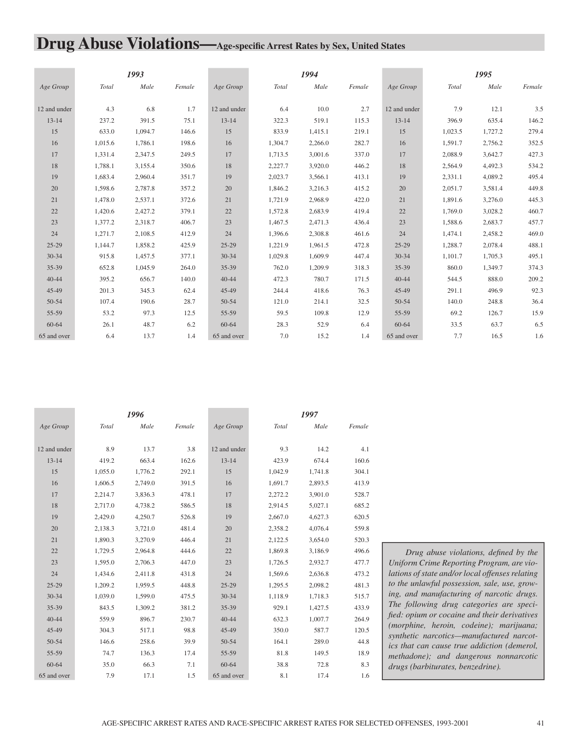## **Drug Abuse Violations—Age-specific Arrest Rates by Sex, United States**

|              |         | 1993    |        |              |         | 1994    |        |              |         | 1995    |        |
|--------------|---------|---------|--------|--------------|---------|---------|--------|--------------|---------|---------|--------|
| Age Group    | Total   | Male    | Female | Age Group    | Total   | Male    | Female | Age Group    | Total   | Male    | Female |
|              |         |         |        |              |         |         |        |              |         |         |        |
| 12 and under | 4.3     | 6.8     | 1.7    | 12 and under | 6.4     | 10.0    | 2.7    | 12 and under | 7.9     | 12.1    | 3.5    |
| $13 - 14$    | 237.2   | 391.5   | 75.1   | $13 - 14$    | 322.3   | 519.1   | 115.3  | $13 - 14$    | 396.9   | 635.4   | 146.2  |
| 15           | 633.0   | 1,094.7 | 146.6  | 15           | 833.9   | 1,415.1 | 219.1  | 15           | 1,023.5 | 1,727.2 | 279.4  |
| 16           | 1,015.6 | 1,786.1 | 198.6  | 16           | 1.304.7 | 2,266.0 | 282.7  | 16           | 1,591.7 | 2,756.2 | 352.5  |
| 17           | 1,331.4 | 2,347.5 | 249.5  | 17           | 1,713.5 | 3,001.6 | 337.0  | 17           | 2,088.9 | 3,642.7 | 427.3  |
| 18           | 1,788.1 | 3,155.4 | 350.6  | 18           | 2,227.7 | 3,920.0 | 446.2  | 18           | 2,564.9 | 4,492.3 | 534.2  |
| 19           | 1,683.4 | 2,960.4 | 351.7  | 19           | 2,023.7 | 3,566.1 | 413.1  | 19           | 2,331.1 | 4,089.2 | 495.4  |
| 20           | 1,598.6 | 2,787.8 | 357.2  | 20           | 1,846.2 | 3,216.3 | 415.2  | 20           | 2,051.7 | 3,581.4 | 449.8  |
| 21           | 1,478.0 | 2,537.1 | 372.6  | 21           | 1,721.9 | 2,968.9 | 422.0  | 21           | 1,891.6 | 3,276.0 | 445.3  |
| 22           | 1,420.6 | 2,427.2 | 379.1  | 22           | 1,572.8 | 2,683.9 | 419.4  | 22           | 1,769.0 | 3,028.2 | 460.7  |
| 23           | 1,377.2 | 2,318.7 | 406.7  | 23           | 1,467.5 | 2,471.3 | 436.4  | 23           | 1,588.6 | 2,683.7 | 457.7  |
| 24           | 1,271.7 | 2,108.5 | 412.9  | 24           | 1,396.6 | 2,308.8 | 461.6  | 24           | 1,474.1 | 2,458.2 | 469.0  |
| $25 - 29$    | 1,144.7 | 1,858.2 | 425.9  | $25-29$      | 1,221.9 | 1,961.5 | 472.8  | $25 - 29$    | 1,288.7 | 2,078.4 | 488.1  |
| $30 - 34$    | 915.8   | 1,457.5 | 377.1  | $30 - 34$    | 1,029.8 | 1,609.9 | 447.4  | $30 - 34$    | 1,101.7 | 1,705.3 | 495.1  |
| 35-39        | 652.8   | 1,045.9 | 264.0  | 35-39        | 762.0   | 1,209.9 | 318.3  | 35-39        | 860.0   | 1,349.7 | 374.3  |
| $40 - 44$    | 395.2   | 656.7   | 140.0  | $40 - 44$    | 472.3   | 780.7   | 171.5  | $40 - 44$    | 544.5   | 888.0   | 209.2  |
| 45-49        | 201.3   | 345.3   | 62.4   | $45 - 49$    | 244.4   | 418.6   | 76.3   | $45 - 49$    | 291.1   | 496.9   | 92.3   |
| $50 - 54$    | 107.4   | 190.6   | 28.7   | 50-54        | 121.0   | 214.1   | 32.5   | $50 - 54$    | 140.0   | 248.8   | 36.4   |
| 55-59        | 53.2    | 97.3    | 12.5   | 55-59        | 59.5    | 109.8   | 12.9   | 55-59        | 69.2    | 126.7   | 15.9   |
| $60 - 64$    | 26.1    | 48.7    | 6.2    | $60 - 64$    | 28.3    | 52.9    | 6.4    | $60 - 64$    | 33.5    | 63.7    | 6.5    |
| 65 and over  | 6.4     | 13.7    | 1.4    | 65 and over  | 7.0     | 15.2    | 1.4    | 65 and over  | 7.7     | 16.5    | 1.6    |

|              | 1996    |         |        |              | 1997    |         |        |  |  |
|--------------|---------|---------|--------|--------------|---------|---------|--------|--|--|
| Age Group    | Total   | Male    | Female | Age Group    | Total   | Male    | Female |  |  |
|              |         |         |        |              |         |         |        |  |  |
| 12 and under | 8.9     | 13.7    | 3.8    | 12 and under | 9.3     | 14.2    | 4.1    |  |  |
| $13 - 14$    | 419.2   | 663.4   | 162.6  | $13 - 14$    | 423.9   | 674.4   | 160.6  |  |  |
| 15           | 1,055.0 | 1,776.2 | 292.1  | 15           | 1,042.9 | 1,741.8 | 304.1  |  |  |
| 16           | 1,606.5 | 2,749.0 | 391.5  | 16           | 1,691.7 | 2,893.5 | 413.9  |  |  |
| 17           | 2,214.7 | 3,836.3 | 478.1  | 17           | 2,272.2 | 3,901.0 | 528.7  |  |  |
| 18           | 2,717.0 | 4,738.2 | 586.5  | 18           | 2,914.5 | 5,027.1 | 685.2  |  |  |
| 19           | 2,429.0 | 4,250.7 | 526.8  | 19           | 2,667.0 | 4,627.3 | 620.5  |  |  |
| 20           | 2,138.3 | 3,721.0 | 481.4  | 20           | 2,358.2 | 4,076.4 | 559.8  |  |  |
| 21           | 1,890.3 | 3,270.9 | 446.4  | 21           | 2,122.5 | 3,654.0 | 520.3  |  |  |
| 22           | 1,729.5 | 2,964.8 | 444.6  | 22           | 1,869.8 | 3,186.9 | 496.6  |  |  |
| 23           | 1,595.0 | 2,706.3 | 447.0  | 23           | 1,726.5 | 2,932.7 | 477.7  |  |  |
| 24           | 1,434.6 | 2,411.8 | 431.8  | 24           | 1,569.6 | 2,636.8 | 473.2  |  |  |
| $25 - 29$    | 1,209.2 | 1,959.5 | 448.8  | $25 - 29$    | 1,295.5 | 2,098.2 | 481.3  |  |  |
| 30-34        | 1,039.0 | 1,599.0 | 475.5  | 30-34        | 1,118.9 | 1,718.3 | 515.7  |  |  |
| 35-39        | 843.5   | 1,309.2 | 381.2  | 35-39        | 929.1   | 1,427.5 | 433.9  |  |  |
| $40 - 44$    | 559.9   | 896.7   | 230.7  | $40 - 44$    | 632.3   | 1,007.7 | 264.9  |  |  |
| 45-49        | 304.3   | 517.1   | 98.8   | 45-49        | 350.0   | 587.7   | 120.5  |  |  |
| 50-54        | 146.6   | 258.6   | 39.9   | 50-54        | 164.1   | 289.0   | 44.8   |  |  |
| 55-59        | 74.7    | 136.3   | 17.4   | 55-59        | 81.8    | 149.5   | 18.9   |  |  |
| 60-64        | 35.0    | 66.3    | 7.1    | $60 - 64$    | 38.8    | 72.8    | 8.3    |  |  |
| 65 and over  | 7.9     | 17.1    | 1.5    | 65 and over  | 8.1     | 17.4    | 1.6    |  |  |

*Drug abuse violations, defined by the Uniform Crime Reporting Program, are violations of state and/or local offenses relating to the unlawful possession, sale, use, growing, and manufacturing of narcotic drugs. The following drug categories are specified: opium or cocaine and their derivatives (morphine, heroin, codeine); marijuana; synthetic narcotics—manufactured narcotics that can cause true addiction (demerol, methadone); and dangerous nonnarcotic drugs (barbiturates, benzedrine).*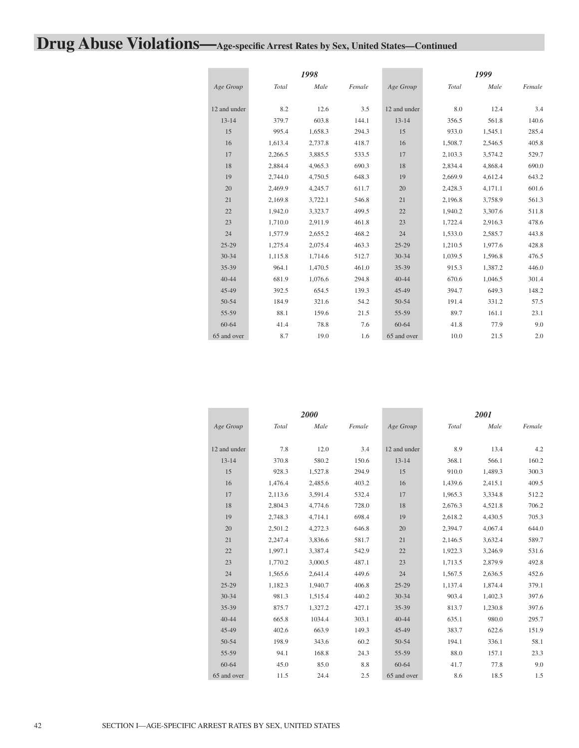# **Drug Abuse Violations—Age-specific Arrest Rates by Sex, United States—Continued**

|              |         | 1998    |        |              |         | 1999    |        |
|--------------|---------|---------|--------|--------------|---------|---------|--------|
| Age Group    | Total   | Male    | Female | Age Group    | Total   | Male    | Female |
| 12 and under | 8.2     | 12.6    | 3.5    | 12 and under | 8.0     | 12.4    | 3.4    |
| $13 - 14$    | 379.7   | 603.8   | 144.1  | $13 - 14$    | 356.5   | 561.8   | 140.6  |
| 15           | 995.4   | 1,658.3 | 294.3  | 15           | 933.0   | 1,545.1 | 285.4  |
|              |         |         |        |              |         |         |        |
| 16           | 1,613.4 | 2,737.8 | 418.7  | 16           | 1,508.7 | 2,546.5 | 405.8  |
| 17           | 2,266.5 | 3,885.5 | 533.5  | 17           | 2,103.3 | 3,574.2 | 529.7  |
| 18           | 2,884.4 | 4,965.3 | 690.3  | 18           | 2,834.4 | 4,868.4 | 690.0  |
| 19           | 2,744.0 | 4,750.5 | 648.3  | 19           | 2,669.9 | 4,612.4 | 643.2  |
| 20           | 2,469.9 | 4,245.7 | 611.7  | 20           | 2,428.3 | 4,171.1 | 601.6  |
| 21           | 2,169.8 | 3,722.1 | 546.8  | 21           | 2,196.8 | 3,758.9 | 561.3  |
| 22           | 1,942.0 | 3,323.7 | 499.5  | 22           | 1,940.2 | 3,307.6 | 511.8  |
| 23           | 1,710.0 | 2,911.9 | 461.8  | 23           | 1,722.4 | 2,916.3 | 478.6  |
| 24           | 1,577.9 | 2,655.2 | 468.2  | 24           | 1,533.0 | 2,585.7 | 443.8  |
| $25 - 29$    | 1,275.4 | 2,075.4 | 463.3  | $25-29$      | 1,210.5 | 1,977.6 | 428.8  |
| $30 - 34$    | 1,115.8 | 1,714.6 | 512.7  | $30 - 34$    | 1,039.5 | 1,596.8 | 476.5  |
| 35-39        | 964.1   | 1,470.5 | 461.0  | 35-39        | 915.3   | 1,387.2 | 446.0  |
| $40 - 44$    | 681.9   | 1,076.6 | 294.8  | $40 - 44$    | 670.6   | 1,046.5 | 301.4  |
| 45-49        | 392.5   | 654.5   | 139.3  | 45-49        | 394.7   | 649.3   | 148.2  |
| 50-54        | 184.9   | 321.6   | 54.2   | 50-54        | 191.4   | 331.2   | 57.5   |
| 55-59        | 88.1    | 159.6   | 21.5   | 55-59        | 89.7    | 161.1   | 23.1   |
| $60 - 64$    | 41.4    | 78.8    | 7.6    | $60 - 64$    | 41.8    | 77.9    | 9.0    |
| 65 and over  | 8.7     | 19.0    | 1.6    | 65 and over  | 10.0    | 21.5    | 2.0    |

|              |         | <b>2000</b> |        |              |         | 2001    |        |
|--------------|---------|-------------|--------|--------------|---------|---------|--------|
| Age Group    | Total   | Male        | Female | Age Group    | Total   | Male    | Female |
| 12 and under | 7.8     | 12.0        | 3.4    | 12 and under | 8.9     | 13.4    | 4.2    |
| $13 - 14$    | 370.8   | 580.2       | 150.6  | $13 - 14$    | 368.1   | 566.1   | 160.2  |
| 15           | 928.3   | 1,527.8     | 294.9  | 15           | 910.0   | 1,489.3 | 300.3  |
| 16           | 1,476.4 | 2,485.6     | 403.2  | 16           | 1,439.6 | 2,415.1 | 409.5  |
| 17           | 2,113.6 | 3,591.4     | 532.4  | 17           | 1,965.3 | 3,334.8 | 512.2  |
| 18           | 2,804.3 | 4,774.6     | 728.0  | 18           | 2,676.3 | 4,521.8 | 706.2  |
| 19           | 2,748.3 | 4,714.1     | 698.4  | 19           | 2,618.2 | 4,430.5 | 705.3  |
| 20           | 2,501.2 | 4,272.3     | 646.8  | 20           | 2,394.7 | 4,067.4 | 644.0  |
| 21           | 2,247.4 | 3,836.6     | 581.7  | 21           | 2,146.5 | 3,632.4 | 589.7  |
| 22           | 1,997.1 | 3,387.4     | 542.9  | 22           | 1,922.3 | 3,246.9 | 531.6  |
| 23           | 1,770.2 | 3,000.5     | 487.1  | 23           | 1,713.5 | 2,879.9 | 492.8  |
| 24           | 1,565.6 | 2,641.4     | 449.6  | 24           | 1,567.5 | 2,636.5 | 452.6  |
| $25-29$      | 1,182.3 | 1,940.7     | 406.8  | $25 - 29$    | 1,137.4 | 1,874.4 | 379.1  |
| 30-34        | 981.3   | 1,515.4     | 440.2  | 30-34        | 903.4   | 1,402.3 | 397.6  |
| 35-39        | 875.7   | 1,327.2     | 427.1  | 35-39        | 813.7   | 1,230.8 | 397.6  |
| $40 - 44$    | 665.8   | 1034.4      | 303.1  | $40 - 44$    | 635.1   | 980.0   | 295.7  |
| 45-49        | 402.6   | 663.9       | 149.3  | 45-49        | 383.7   | 622.6   | 151.9  |
| $50 - 54$    | 198.9   | 343.6       | 60.2   | $50 - 54$    | 194.1   | 336.1   | 58.1   |
| 55-59        | 94.1    | 168.8       | 24.3   | 55-59        | 88.0    | 157.1   | 23.3   |
| $60 - 64$    | 45.0    | 85.0        | 8.8    | $60 - 64$    | 41.7    | 77.8    | 9.0    |
| 65 and over  | 11.5    | 24.4        | 2.5    | 65 and over  | 8.6     | 18.5    | 1.5    |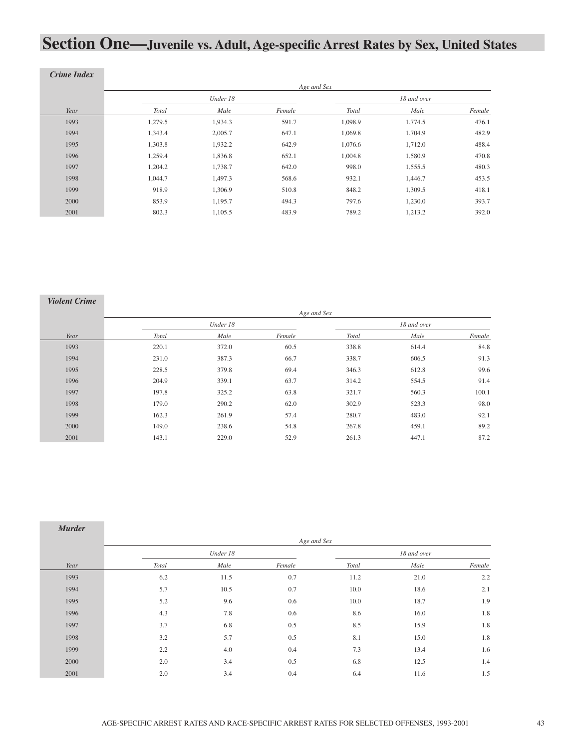## **Section One—Juvenile vs. Adult, Age-specific Arrest Rates by Sex, United States**

| <b>Crime Index</b> |         |          |        |             |             |        |  |
|--------------------|---------|----------|--------|-------------|-------------|--------|--|
|                    |         |          |        | Age and Sex |             |        |  |
|                    |         | Under 18 |        |             | 18 and over |        |  |
| Year               | Total   | Male     | Female | Total       | Male        | Female |  |
| 1993               | 1,279.5 | 1,934.3  | 591.7  | 1,098.9     | 1,774.5     | 476.1  |  |
| 1994               | 1,343.4 | 2,005.7  | 647.1  | 1,069.8     | 1,704.9     | 482.9  |  |
| 1995               | 1,303.8 | 1,932.2  | 642.9  | 1,076.6     | 1,712.0     | 488.4  |  |
| 1996               | 1,259.4 | 1,836.8  | 652.1  | 1,004.8     | 1,580.9     | 470.8  |  |
| 1997               | 1,204.2 | 1,738.7  | 642.0  | 998.0       | 1,555.5     | 480.3  |  |
| 1998               | 1,044.7 | 1,497.3  | 568.6  | 932.1       | 1,446.7     | 453.5  |  |
| 1999               | 918.9   | 1,306.9  | 510.8  | 848.2       | 1,309.5     | 418.1  |  |
| 2000               | 853.9   | 1,195.7  | 494.3  | 797.6       | 1,230.0     | 393.7  |  |
| 2001               | 802.3   | 1,105.5  | 483.9  | 789.2       | 1,213.2     | 392.0  |  |

*Violent Crime*

|      |       | Age and Sex |        |       |             |        |  |  |
|------|-------|-------------|--------|-------|-------------|--------|--|--|
|      |       | Under 18    |        |       | 18 and over |        |  |  |
| Year | Total | Male        | Female | Total | Male        | Female |  |  |
| 1993 | 220.1 | 372.0       | 60.5   | 338.8 | 614.4       | 84.8   |  |  |
| 1994 | 231.0 | 387.3       | 66.7   | 338.7 | 606.5       | 91.3   |  |  |
| 1995 | 228.5 | 379.8       | 69.4   | 346.3 | 612.8       | 99.6   |  |  |
| 1996 | 204.9 | 339.1       | 63.7   | 314.2 | 554.5       | 91.4   |  |  |
| 1997 | 197.8 | 325.2       | 63.8   | 321.7 | 560.3       | 100.1  |  |  |
| 1998 | 179.0 | 290.2       | 62.0   | 302.9 | 523.3       | 98.0   |  |  |
| 1999 | 162.3 | 261.9       | 57.4   | 280.7 | 483.0       | 92.1   |  |  |
| 2000 | 149.0 | 238.6       | 54.8   | 267.8 | 459.1       | 89.2   |  |  |
| 2001 | 143.1 | 229.0       | 52.9   | 261.3 | 447.1       | 87.2   |  |  |

| <b>Murder</b> |             |          |        |             |      |        |  |  |  |
|---------------|-------------|----------|--------|-------------|------|--------|--|--|--|
|               | Age and Sex |          |        |             |      |        |  |  |  |
|               |             | Under 18 |        | 18 and over |      |        |  |  |  |
| Year          | Total       | Male     | Female | Total       | Male | Female |  |  |  |
| 1993          | 6.2         | 11.5     | 0.7    | 11.2        | 21.0 | 2.2    |  |  |  |
| 1994          | 5.7         | 10.5     | 0.7    | 10.0        | 18.6 | 2.1    |  |  |  |
| 1995          | 5.2         | 9.6      | 0.6    | 10.0        | 18.7 | 1.9    |  |  |  |
| 1996          | 4.3         | 7.8      | 0.6    | 8.6         | 16.0 | 1.8    |  |  |  |
| 1997          | 3.7         | 6.8      | 0.5    | 8.5         | 15.9 | 1.8    |  |  |  |
| 1998          | 3.2         | 5.7      | 0.5    | 8.1         | 15.0 | 1.8    |  |  |  |
| 1999          | 2.2         | 4.0      | 0.4    | 7.3         | 13.4 | 1.6    |  |  |  |
| 2000          | 2.0         | 3.4      | 0.5    | 6.8         | 12.5 | 1.4    |  |  |  |
| 2001          | 2.0         | 3.4      | 0.4    | 6.4         | 11.6 | 1.5    |  |  |  |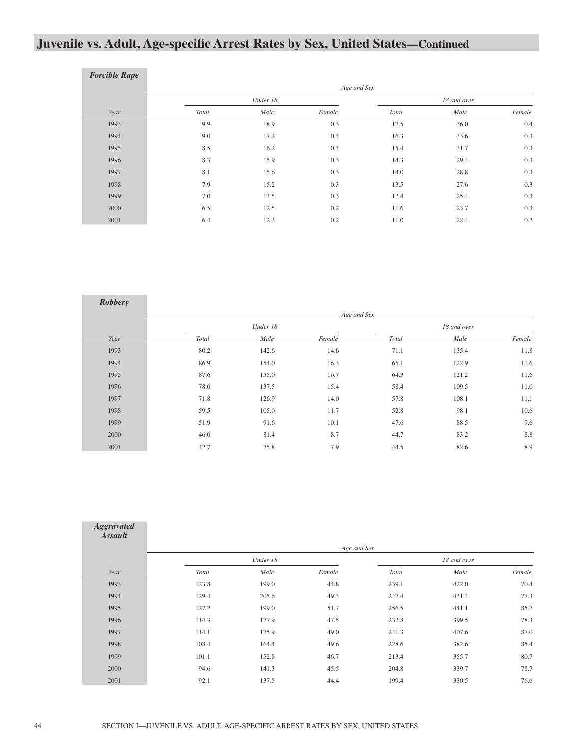| <b>Forcible Rape</b> |       |          |        |             |             |        |  |
|----------------------|-------|----------|--------|-------------|-------------|--------|--|
|                      |       |          |        | Age and Sex |             |        |  |
|                      |       | Under 18 |        |             | 18 and over |        |  |
| Year                 | Total | Male     | Female | Total       | Male        | Female |  |
| 1993                 | 9.9   | 18.9     | 0.3    | 17.5        | 36.0        | 0.4    |  |
| 1994                 | 9.0   | 17.2     | 0.4    | 16.3        | 33.6        | 0.3    |  |
| 1995                 | 8.5   | 16.2     | 0.4    | 15.4        | 31.7        | 0.3    |  |
| 1996                 | 8.3   | 15.9     | 0.3    | 14.3        | 29.4        | 0.3    |  |
| 1997                 | 8.1   | 15.6     | 0.3    | 14.0        | 28.8        | 0.3    |  |
| 1998                 | 7.9   | 15.2     | 0.3    | 13.5        | 27.6        | 0.3    |  |
| 1999                 | 7.0   | 13.5     | 0.3    | 12.4        | 25.4        | 0.3    |  |
| 2000                 | 6.5   | 12.5     | 0.2    | 11.6        | 23.7        | 0.3    |  |
| 2001                 | 6.4   | 12.3     | 0.2    | 11.0        | 22.4        | 0.2    |  |

| <b>Robbery</b> |       |             |        |       |             |        |  |  |  |  |
|----------------|-------|-------------|--------|-------|-------------|--------|--|--|--|--|
|                |       | Age and Sex |        |       |             |        |  |  |  |  |
|                |       | Under 18    |        |       | 18 and over |        |  |  |  |  |
| Year           | Total | Male        | Female | Total | Male        | Female |  |  |  |  |
| 1993           | 80.2  | 142.6       | 14.6   | 71.1  | 135.4       | 11.8   |  |  |  |  |
| 1994           | 86.9  | 154.0       | 16.3   | 65.1  | 122.9       | 11.6   |  |  |  |  |
| 1995           | 87.6  | 155.0       | 16.7   | 64.3  | 121.2       | 11.6   |  |  |  |  |
| 1996           | 78.0  | 137.5       | 15.4   | 58.4  | 109.5       | 11.0   |  |  |  |  |
| 1997           | 71.8  | 126.9       | 14.0   | 57.8  | 108.1       | 11.1   |  |  |  |  |
| 1998           | 59.5  | 105.0       | 11.7   | 52.8  | 98.1        | 10.6   |  |  |  |  |
| 1999           | 51.9  | 91.6        | 10.1   | 47.6  | 88.5        | 9.6    |  |  |  |  |
| 2000           | 46.0  | 81.4        | 8.7    | 44.7  | 83.2        | 8.8    |  |  |  |  |
| 2001           | 42.7  | 75.8        | 7.9    | 44.5  | 82.6        | 8.9    |  |  |  |  |

| <b>Aggravated</b><br><b>Assault</b> |       |             |        |       |             |        |  |  |
|-------------------------------------|-------|-------------|--------|-------|-------------|--------|--|--|
|                                     |       | Age and Sex |        |       |             |        |  |  |
|                                     |       | Under 18    |        |       | 18 and over |        |  |  |
| Year                                | Total | Male        | Female | Total | Male        | Female |  |  |
| 1993                                | 123.8 | 199.0       | 44.8   | 239.1 | 422.0       | 70.4   |  |  |
| 1994                                | 129.4 | 205.6       | 49.3   | 247.4 | 431.4       | 77.3   |  |  |
| 1995                                | 127.2 | 199.0       | 51.7   | 256.5 | 441.1       | 85.7   |  |  |
| 1996                                | 114.3 | 177.9       | 47.5   | 232.8 | 399.5       | 78.3   |  |  |
| 1997                                | 114.1 | 175.9       | 49.0   | 241.3 | 407.6       | 87.0   |  |  |
| 1998                                | 108.4 | 164.4       | 49.6   | 228.6 | 382.6       | 85.4   |  |  |
| 1999                                | 101.1 | 152.8       | 46.7   | 213.4 | 355.7       | 80.7   |  |  |
| 2000                                | 94.6  | 141.3       | 45.5   | 204.8 | 339.7       | 78.7   |  |  |
| 2001                                | 92.1  | 137.5       | 44.4   | 199.4 | 330.5       | 76.6   |  |  |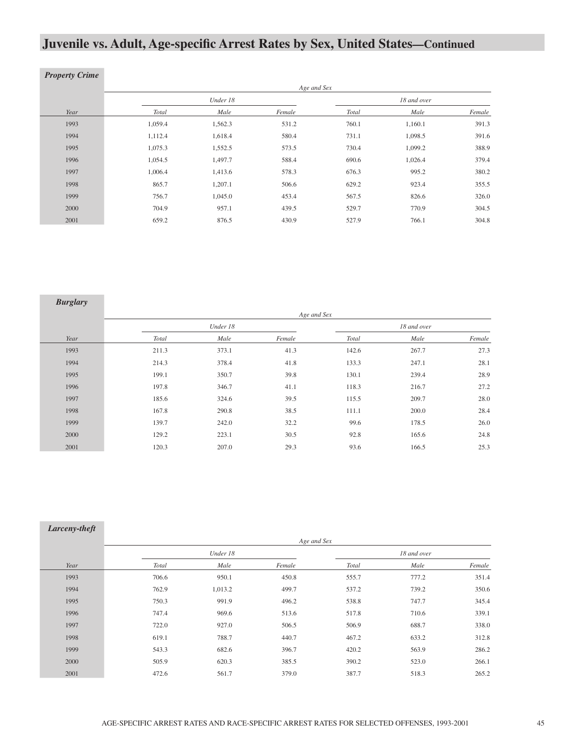| <b>Property Crime</b> |         |             |        |       |             |        |  |  |  |
|-----------------------|---------|-------------|--------|-------|-------------|--------|--|--|--|
|                       |         | Age and Sex |        |       |             |        |  |  |  |
|                       |         | Under 18    |        |       | 18 and over |        |  |  |  |
| Year                  | Total   | Male        | Female | Total | Male        | Female |  |  |  |
| 1993                  | 1,059.4 | 1,562.3     | 531.2  | 760.1 | 1,160.1     | 391.3  |  |  |  |
| 1994                  | 1,112.4 | 1,618.4     | 580.4  | 731.1 | 1,098.5     | 391.6  |  |  |  |
| 1995                  | 1,075.3 | 1,552.5     | 573.5  | 730.4 | 1,099.2     | 388.9  |  |  |  |
| 1996                  | 1,054.5 | 1,497.7     | 588.4  | 690.6 | 1,026.4     | 379.4  |  |  |  |
| 1997                  | 1,006.4 | 1,413.6     | 578.3  | 676.3 | 995.2       | 380.2  |  |  |  |
| 1998                  | 865.7   | 1,207.1     | 506.6  | 629.2 | 923.4       | 355.5  |  |  |  |
| 1999                  | 756.7   | 1,045.0     | 453.4  | 567.5 | 826.6       | 326.0  |  |  |  |
| 2000                  | 704.9   | 957.1       | 439.5  | 529.7 | 770.9       | 304.5  |  |  |  |
| 2001                  | 659.2   | 876.5       | 430.9  | 527.9 | 766.1       | 304.8  |  |  |  |

*Burglary Year Age and Sex Under 18 18 and over Total Male Female Total Male Female* 1993 211.3 373.1 41.3 142.6 267.7 27.3 1994 214.3 214.3 378.4 41.8 133.3 247.1 28.1 1995 199.1 199.1 350.7 39.8 130.1 239.4 28.9 1996 197.8 346.7 41.1 118.3 216.7 27.2 1997 185.6 324.6 39.5 115.5 209.7 28.0 1998 167.8 290.8 38.5 111.1 200.0 28.4 1999 139.7 242.0 32.2 99.6 178.5 26.0 2000 129.2 223.1 30.5 92.8 165.6 24.8 2001 120.3 207.0 29.3 93.6 166.5 25.3

*Larceny-theft*

|      |       | Age and Sex |        |       |             |        |  |  |
|------|-------|-------------|--------|-------|-------------|--------|--|--|
|      |       | Under 18    |        |       | 18 and over |        |  |  |
| Year | Total | Male        | Female | Total | Male        | Female |  |  |
| 1993 | 706.6 | 950.1       | 450.8  | 555.7 | 777.2       | 351.4  |  |  |
| 1994 | 762.9 | 1,013.2     | 499.7  | 537.2 | 739.2       | 350.6  |  |  |
| 1995 | 750.3 | 991.9       | 496.2  | 538.8 | 747.7       | 345.4  |  |  |
| 1996 | 747.4 | 969.6       | 513.6  | 517.8 | 710.6       | 339.1  |  |  |
| 1997 | 722.0 | 927.0       | 506.5  | 506.9 | 688.7       | 338.0  |  |  |
| 1998 | 619.1 | 788.7       | 440.7  | 467.2 | 633.2       | 312.8  |  |  |
| 1999 | 543.3 | 682.6       | 396.7  | 420.2 | 563.9       | 286.2  |  |  |
| 2000 | 505.9 | 620.3       | 385.5  | 390.2 | 523.0       | 266.1  |  |  |
| 2001 | 472.6 | 561.7       | 379.0  | 387.7 | 518.3       | 265.2  |  |  |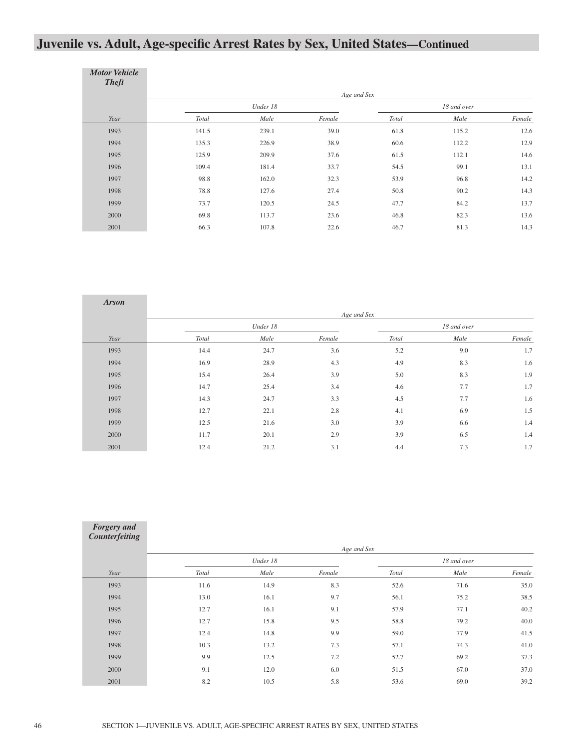| <b>Motor Vehicle</b><br><b>Theft</b> |       |          |        |             |       |        |  |
|--------------------------------------|-------|----------|--------|-------------|-------|--------|--|
|                                      |       |          |        | Age and Sex |       |        |  |
|                                      |       | Under 18 |        | 18 and over |       |        |  |
| Year                                 | Total | Male     | Female | Total       | Male  | Female |  |
| 1993                                 | 141.5 | 239.1    | 39.0   | 61.8        | 115.2 | 12.6   |  |
| 1994                                 | 135.3 | 226.9    | 38.9   | 60.6        | 112.2 | 12.9   |  |
| 1995                                 | 125.9 | 209.9    | 37.6   | 61.5        | 112.1 | 14.6   |  |
| 1996                                 | 109.4 | 181.4    | 33.7   | 54.5        | 99.1  | 13.1   |  |
| 1997                                 | 98.8  | 162.0    | 32.3   | 53.9        | 96.8  | 14.2   |  |
| 1998                                 | 78.8  | 127.6    | 27.4   | 50.8        | 90.2  | 14.3   |  |
| 1999                                 | 73.7  | 120.5    | 24.5   | 47.7        | 84.2  | 13.7   |  |
| 2000                                 | 69.8  | 113.7    | 23.6   | 46.8        | 82.3  | 13.6   |  |
| 2001                                 | 66.3  | 107.8    | 22.6   | 46.7        | 81.3  | 14.3   |  |

| <b>Arson</b> |       |             |        |       |             |        |  |  |  |  |
|--------------|-------|-------------|--------|-------|-------------|--------|--|--|--|--|
|              |       | Age and Sex |        |       |             |        |  |  |  |  |
|              |       | Under 18    |        |       | 18 and over |        |  |  |  |  |
| Year         | Total | Male        | Female | Total | Male        | Female |  |  |  |  |
| 1993         | 14.4  | 24.7        | 3.6    | 5.2   | 9.0         | 1.7    |  |  |  |  |
| 1994         | 16.9  | 28.9        | 4.3    | 4.9   | 8.3         | 1.6    |  |  |  |  |
| 1995         | 15.4  | 26.4        | 3.9    | 5.0   | 8.3         | 1.9    |  |  |  |  |
| 1996         | 14.7  | 25.4        | 3.4    | 4.6   | 7.7         | 1.7    |  |  |  |  |
| 1997         | 14.3  | 24.7        | 3.3    | 4.5   | 7.7         | 1.6    |  |  |  |  |
| 1998         | 12.7  | 22.1        | 2.8    | 4.1   | 6.9         | 1.5    |  |  |  |  |
| 1999         | 12.5  | 21.6        | 3.0    | 3.9   | 6.6         | 1.4    |  |  |  |  |
| 2000         | 11.7  | 20.1        | 2.9    | 3.9   | 6.5         | 1.4    |  |  |  |  |
| 2001         | 12.4  | 21.2        | 3.1    | 4.4   | 7.3         | 1.7    |  |  |  |  |

| <b>Forgery</b> and<br><b>Counterfeiting</b> |       |          |        |             |             |        |
|---------------------------------------------|-------|----------|--------|-------------|-------------|--------|
|                                             |       |          |        | Age and Sex |             |        |
|                                             |       | Under 18 |        |             | 18 and over |        |
| Year                                        | Total | Male     | Female | Total       | Male        | Female |
| 1993                                        | 11.6  | 14.9     | 8.3    | 52.6        | 71.6        | 35.0   |
| 1994                                        | 13.0  | 16.1     | 9.7    | 56.1        | 75.2        | 38.5   |
| 1995                                        | 12.7  | 16.1     | 9.1    | 57.9        | 77.1        | 40.2   |
| 1996                                        | 12.7  | 15.8     | 9.5    | 58.8        | 79.2        | 40.0   |
| 1997                                        | 12.4  | 14.8     | 9.9    | 59.0        | 77.9        | 41.5   |
| 1998                                        | 10.3  | 13.2     | 7.3    | 57.1        | 74.3        | 41.0   |
| 1999                                        | 9.9   | 12.5     | 7.2    | 52.7        | 69.2        | 37.3   |
| 2000                                        | 9.1   | 12.0     | 6.0    | 51.5        | 67.0        | 37.0   |
| 2001                                        | 8.2   | 10.5     | 5.8    | 53.6        | 69.0        | 39.2   |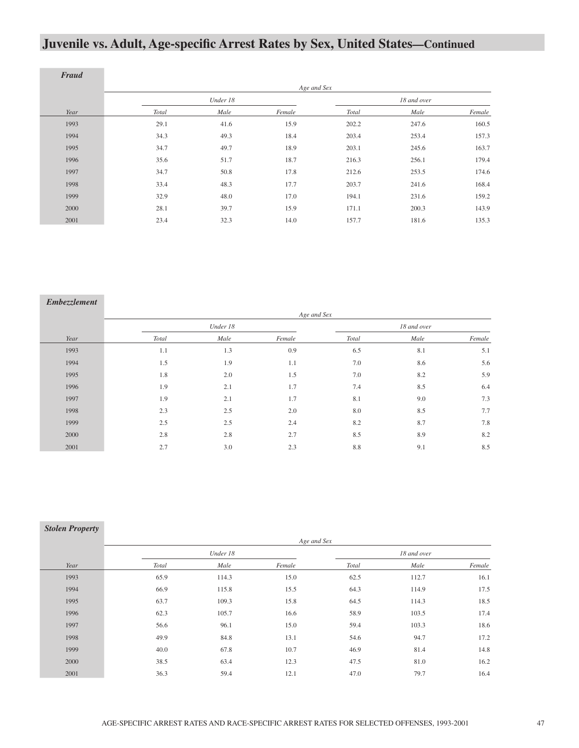| <b>Fraud</b> |       |          |        |             |             |        |
|--------------|-------|----------|--------|-------------|-------------|--------|
|              |       |          |        | Age and Sex |             |        |
|              |       | Under 18 |        |             | 18 and over |        |
| Year         | Total | Male     | Female | Total       | Male        | Female |
| 1993         | 29.1  | 41.6     | 15.9   | 202.2       | 247.6       | 160.5  |
| 1994         | 34.3  | 49.3     | 18.4   | 203.4       | 253.4       | 157.3  |
| 1995         | 34.7  | 49.7     | 18.9   | 203.1       | 245.6       | 163.7  |
| 1996         | 35.6  | 51.7     | 18.7   | 216.3       | 256.1       | 179.4  |
| 1997         | 34.7  | 50.8     | 17.8   | 212.6       | 253.5       | 174.6  |
| 1998         | 33.4  | 48.3     | 17.7   | 203.7       | 241.6       | 168.4  |
| 1999         | 32.9  | 48.0     | 17.0   | 194.1       | 231.6       | 159.2  |
| 2000         | 28.1  | 39.7     | 15.9   | 171.1       | 200.3       | 143.9  |
| 2001         | 23.4  | 32.3     | 14.0   | 157.7       | 181.6       | 135.3  |

| Embezzlement |       |          |        |             |             |        |
|--------------|-------|----------|--------|-------------|-------------|--------|
|              |       |          |        | Age and Sex |             |        |
|              |       | Under 18 |        |             | 18 and over |        |
| Year         | Total | Male     | Female | Total       | Male        | Female |
| 1993         | 1.1   | 1.3      | 0.9    | 6.5         | 8.1         | 5.1    |
| 1994         | 1.5   | 1.9      | 1.1    | 7.0         | 8.6         | 5.6    |
| 1995         | 1.8   | 2.0      | 1.5    | 7.0         | 8.2         | 5.9    |
| 1996         | 1.9   | 2.1      | 1.7    | 7.4         | 8.5         | 6.4    |
| 1997         | 1.9   | 2.1      | 1.7    | 8.1         | 9.0         | 7.3    |
| 1998         | 2.3   | 2.5      | 2.0    | 8.0         | 8.5         | 7.7    |
| 1999         | 2.5   | 2.5      | 2.4    | 8.2         | 8.7         | 7.8    |
| 2000         | 2.8   | 2.8      | 2.7    | 8.5         | 8.9         | 8.2    |
| 2001         | 2.7   | 3.0      | 2.3    | $8.8\,$     | 9.1         | 8.5    |

*Stolen Property*

|      |       |          | Age and Sex |       |             |        |  |
|------|-------|----------|-------------|-------|-------------|--------|--|
|      |       | Under 18 |             |       | 18 and over |        |  |
| Year | Total | Male     | Female      | Total | Male        | Female |  |
| 1993 | 65.9  | 114.3    | 15.0        | 62.5  | 112.7       | 16.1   |  |
| 1994 | 66.9  | 115.8    | 15.5        | 64.3  | 114.9       | 17.5   |  |
| 1995 | 63.7  | 109.3    | 15.8        | 64.5  | 114.3       | 18.5   |  |
| 1996 | 62.3  | 105.7    | 16.6        | 58.9  | 103.5       | 17.4   |  |
| 1997 | 56.6  | 96.1     | 15.0        | 59.4  | 103.3       | 18.6   |  |
| 1998 | 49.9  | 84.8     | 13.1        | 54.6  | 94.7        | 17.2   |  |
| 1999 | 40.0  | 67.8     | 10.7        | 46.9  | 81.4        | 14.8   |  |
| 2000 | 38.5  | 63.4     | 12.3        | 47.5  | 81.0        | 16.2   |  |
| 2001 | 36.3  | 59.4     | 12.1        | 47.0  | 79.7        | 16.4   |  |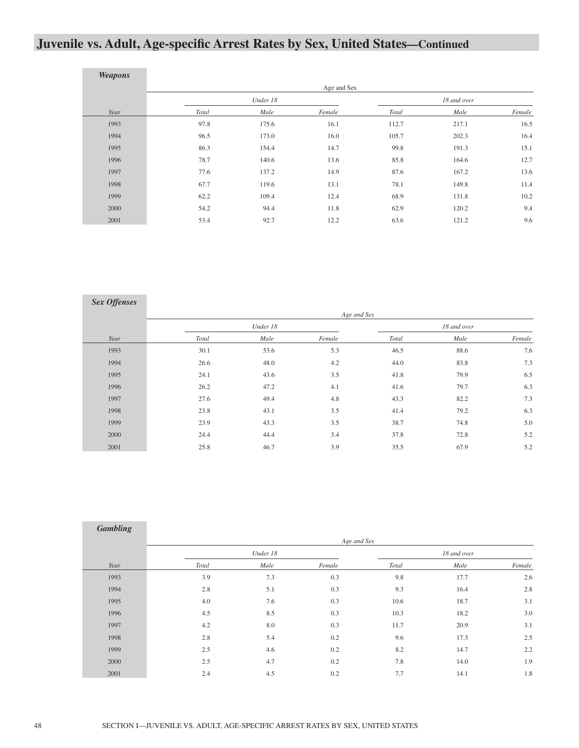| <b>Weapons</b> |       |          |             |       |             |        |
|----------------|-------|----------|-------------|-------|-------------|--------|
|                |       |          | Age and Sex |       |             |        |
|                |       | Under 18 |             |       | 18 and over |        |
| Year           | Total | Male     | Female      | Total | Male        | Female |
| 1993           | 97.8  | 175.6    | 16.1        | 112.7 | 217.1       | 16.5   |
| 1994           | 96.5  | 173.0    | 16.0        | 105.7 | 202.3       | 16.4   |
| 1995           | 86.3  | 154.4    | 14.7        | 99.8  | 191.3       | 15.1   |
| 1996           | 78.7  | 140.6    | 13.6        | 85.8  | 164.6       | 12.7   |
| 1997           | 77.6  | 137.2    | 14.9        | 87.6  | 167.2       | 13.6   |
| 1998           | 67.7  | 119.6    | 13.1        | 78.1  | 149.8       | 11.4   |
| 1999           | 62.2  | 109.4    | 12.4        | 68.9  | 131.8       | 10.2   |
| 2000           | 54.2  | 94.4     | 11.8        | 62.9  | 120.2       | 9.4    |
| 2001           | 53.4  | 92.7     | 12.2        | 63.6  | 121.2       | 9.6    |

| <b>Sex Offenses</b> |       |          |        |             |             |        |
|---------------------|-------|----------|--------|-------------|-------------|--------|
|                     |       |          |        | Age and Sex |             |        |
|                     |       | Under 18 |        |             | 18 and over |        |
| Year                | Total | Male     | Female | Total       | Male        | Female |
| 1993                | 30.1  | 53.6     | 5.3    | 46.5        | 88.6        | 7.6    |
| 1994                | 26.6  | 48.0     | 4.2    | 44.0        | 83.8        | 7.3    |
| 1995                | 24.1  | 43.6     | 3.5    | 41.8        | 79.9        | 6.5    |
| 1996                | 26.2  | 47.2     | 4.1    | 41.6        | 79.7        | 6.3    |
| 1997                | 27.6  | 49.4     | 4.8    | 43.3        | 82.2        | 7.3    |
| 1998                | 23.8  | 43.1     | 3.5    | 41.4        | 79.2        | 6.3    |
| 1999                | 23.9  | 43.3     | 3.5    | 38.7        | 74.8        | 5.0    |
| 2000                | 24.4  | 44.4     | 3.4    | 37.8        | 72.8        | 5.2    |
| 2001                | 25.8  | 46.7     | 3.9    | 35.5        | 67.9        | 5.2    |

| <b>Gambling</b> |       |          |             |       |             |        |  |
|-----------------|-------|----------|-------------|-------|-------------|--------|--|
|                 |       |          | Age and Sex |       |             |        |  |
|                 |       | Under 18 |             |       | 18 and over |        |  |
| Year            | Total | Male     | Female      | Total | Male        | Female |  |
| 1993            | 3.9   | 7.3      | 0.3         | 9.8   | 17.7        | 2.6    |  |
| 1994            | 2.8   | 5.1      | 0.3         | 9.3   | 16.4        | 2.8    |  |
| 1995            | 4.0   | 7.6      | 0.3         | 10.6  | 18.7        | 3.1    |  |
| 1996            | 4.5   | 8.5      | 0.3         | 10.3  | 18.2        | 3.0    |  |
| 1997            | 4.2   | 8.0      | 0.3         | 11.7  | 20.9        | 3.1    |  |
| 1998            | 2.8   | 5.4      | 0.2         | 9.6   | 17.3        | 2.5    |  |
| 1999            | 2.5   | 4.6      | 0.2         | 8.2   | 14.7        | 2.2    |  |
| 2000            | 2.5   | 4.7      | 0.2         | 7.8   | 14.0        | 1.9    |  |
| 2001            | 2.4   | 4.5      | 0.2         | 7.7   | 14.1        | 1.8    |  |

48 SECTION I—JUVENILE VS. ADULT, AGE-SPECIFIC ARREST RATES BY SEX, UNITED STATES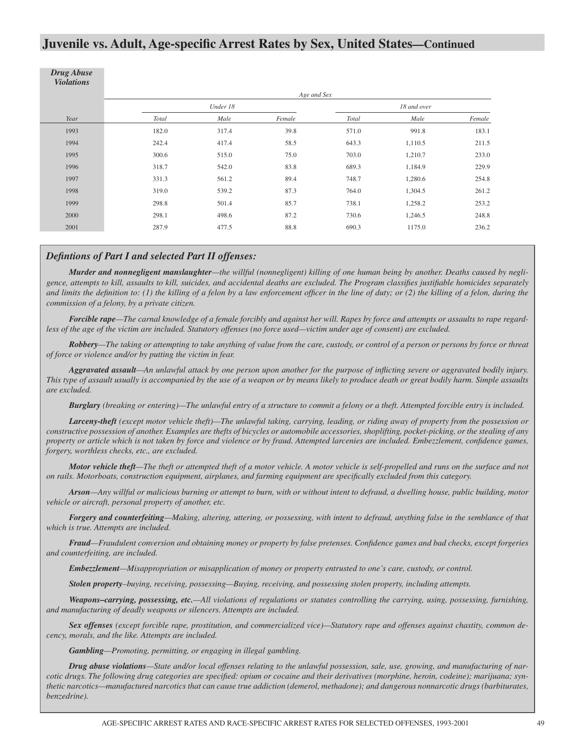| <b>Drug Abuse</b><br><b>Violations</b> |       |          |             |       |             |        |
|----------------------------------------|-------|----------|-------------|-------|-------------|--------|
|                                        |       |          | Age and Sex |       |             |        |
|                                        |       | Under 18 |             |       | 18 and over |        |
| Year                                   | Total | Male     | Female      | Total | Male        | Female |
| 1993                                   | 182.0 | 317.4    | 39.8        | 571.0 | 991.8       | 183.1  |
| 1994                                   | 242.4 | 417.4    | 58.5        | 643.3 | 1,110.5     | 211.5  |
| 1995                                   | 300.6 | 515.0    | 75.0        | 703.0 | 1,210.7     | 233.0  |
| 1996                                   | 318.7 | 542.0    | 83.8        | 689.3 | 1,184.9     | 229.9  |
| 1997                                   | 331.3 | 561.2    | 89.4        | 748.7 | 1,280.6     | 254.8  |
| 1998                                   | 319.0 | 539.2    | 87.3        | 764.0 | 1,304.5     | 261.2  |
| 1999                                   | 298.8 | 501.4    | 85.7        | 738.1 | 1,258.2     | 253.2  |
| 2000                                   | 298.1 | 498.6    | 87.2        | 730.6 | 1,246.5     | 248.8  |
| 2001                                   | 287.9 | 477.5    | 88.8        | 690.3 | 1175.0      | 236.2  |

#### *Defintions of Part I and selected Part II offenses:*

*Murder and nonnegligent manslaughter—the willful (nonnegligent) killing of one human being by another. Deaths caused by negligence, attempts to kill, assaults to kill, suicides, and accidental deaths are excluded. The Program classifies justifiable homicides separately*  and limits the definition to: (1) the killing of a felon by a law enforcement officer in the line of duty; or (2) the killing of a felon, during the *commission of a felony, by a private citizen.* 

*Forcible rape—The carnal knowledge of a female forcibly and against her will. Rapes by force and attempts or assaults to rape regardless of the age of the victim are included. Statutory offenses (no force used—victim under age of consent) are excluded.* 

*Robbery—The taking or attempting to take anything of value from the care, custody, or control of a person or persons by force or threat of force or violence and/or by putting the victim in fear.* 

*Aggravated assault—An unlawful attack by one person upon another for the purpose of inflicting severe or aggravated bodily injury. This type of assault usually is accompanied by the use of a weapon or by means likely to produce death or great bodily harm. Simple assaults are excluded.* 

*Burglary (breaking or entering)—The unlawful entry of a structure to commit a felony or a theft. Attempted forcible entry is included.* 

*Larceny-theft (except motor vehicle theft)—The unlawful taking, carrying, leading, or riding away of property from the possession or constructive possession of another. Examples are thefts of bicycles or automobile accessories, shoplifting, pocket-picking, or the stealing of any property or article which is not taken by force and violence or by fraud. Attempted larcenies are included. Embezzlement, confidence games, forgery, worthless checks, etc., are excluded.* 

*Motor vehicle theft—The theft or attempted theft of a motor vehicle. A motor vehicle is self-propelled and runs on the surface and not on rails. Motorboats, construction equipment, airplanes, and farming equipment are specifically excluded from this category.* 

*Arson—Any willful or malicious burning or attempt to burn, with or without intent to defraud, a dwelling house, public building, motor vehicle or aircraft, personal property of another, etc.* 

*Forgery and counterfeiting—Making, altering, uttering, or possessing, with intent to defraud, anything false in the semblance of that which is true. Attempts are included.* 

*Fraud—Fraudulent conversion and obtaining money or property by false pretenses. Confidence games and bad checks, except forgeries and counterfeiting, are included.* 

*Embezzlement—Misappropriation or misapplication of money or property entrusted to one's care, custody, or control.* 

*Stolen property–buying, receiving, possessing—Buying, receiving, and possessing stolen property, including attempts.* 

*Weapons–carrying, possessing, etc.—All violations of regulations or statutes controlling the carrying, using, possessing, furnishing, and manufacturing of deadly weapons or silencers. Attempts are included.* 

*Sex offenses (except forcible rape, prostitution, and commercialized vice)—Statutory rape and offenses against chastity, common decency, morals, and the like. Attempts are included.* 

*Gambling—Promoting, permitting, or engaging in illegal gambling.* 

*Drug abuse violations—State and/or local offenses relating to the unlawful possession, sale, use, growing, and manufacturing of narcotic drugs. The following drug categories are specified: opium or cocaine and their derivatives (morphine, heroin, codeine); marijuana; synthetic narcotics—manufactured narcotics that can cause true addiction (demerol, methadone); and dangerous nonnarcotic drugs (barbiturates, benzedrine).*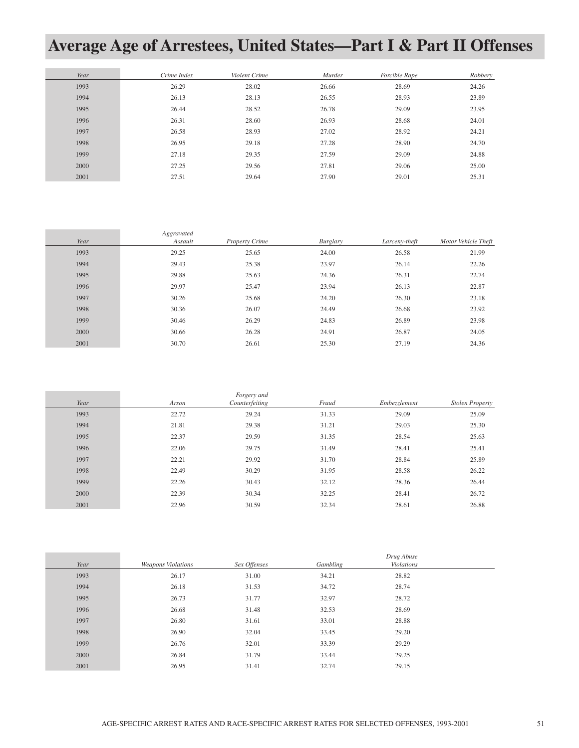# **Average Age of Arrestees, United States—Part I & Part II Offenses**

| Year | Crime Index | Violent Crime | Murder | Forcible Rape | Robbery |
|------|-------------|---------------|--------|---------------|---------|
| 1993 | 26.29       | 28.02         | 26.66  | 28.69         | 24.26   |
| 1994 | 26.13       | 28.13         | 26.55  | 28.93         | 23.89   |
| 1995 | 26.44       | 28.52         | 26.78  | 29.09         | 23.95   |
| 1996 | 26.31       | 28.60         | 26.93  | 28.68         | 24.01   |
| 1997 | 26.58       | 28.93         | 27.02  | 28.92         | 24.21   |
| 1998 | 26.95       | 29.18         | 27.28  | 28.90         | 24.70   |
| 1999 | 27.18       | 29.35         | 27.59  | 29.09         | 24.88   |
| 2000 | 27.25       | 29.56         | 27.81  | 29.06         | 25.00   |
| 2001 | 27.51       | 29.64         | 27.90  | 29.01         | 25.31   |

| Year | Aggravated<br>Assault | <b>Property Crime</b> | Burglary | Larceny-theft | Motor Vehicle Theft |
|------|-----------------------|-----------------------|----------|---------------|---------------------|
|      |                       |                       |          |               |                     |
| 1993 | 29.25                 | 25.65                 | 24.00    | 26.58         | 21.99               |
| 1994 | 29.43                 | 25.38                 | 23.97    | 26.14         | 22.26               |
| 1995 | 29.88                 | 25.63                 | 24.36    | 26.31         | 22.74               |
| 1996 | 29.97                 | 25.47                 | 23.94    | 26.13         | 22.87               |
| 1997 | 30.26                 | 25.68                 | 24.20    | 26.30         | 23.18               |
| 1998 | 30.36                 | 26.07                 | 24.49    | 26.68         | 23.92               |
| 1999 | 30.46                 | 26.29                 | 24.83    | 26.89         | 23.98               |
| 2000 | 30.66                 | 26.28                 | 24.91    | 26.87         | 24.05               |
| 2001 | 30.70                 | 26.61                 | 25.30    | 27.19         | 24.36               |

| Year | Arson | Forgery and<br>Counterfeiting | Fraud | Embezzlement | <b>Stolen Property</b> |
|------|-------|-------------------------------|-------|--------------|------------------------|
|      |       |                               |       |              |                        |
| 1993 | 22.72 | 29.24                         | 31.33 | 29.09        | 25.09                  |
| 1994 | 21.81 | 29.38                         | 31.21 | 29.03        | 25.30                  |
| 1995 | 22.37 | 29.59                         | 31.35 | 28.54        | 25.63                  |
| 1996 | 22.06 | 29.75                         | 31.49 | 28.41        | 25.41                  |
| 1997 | 22.21 | 29.92                         | 31.70 | 28.84        | 25.89                  |
| 1998 | 22.49 | 30.29                         | 31.95 | 28.58        | 26.22                  |
| 1999 | 22.26 | 30.43                         | 32.12 | 28.36        | 26.44                  |
| 2000 | 22.39 | 30.34                         | 32.25 | 28.41        | 26.72                  |
| 2001 | 22.96 | 30.59                         | 32.34 | 28.61        | 26.88                  |

| Year | <b>Weapons Violations</b> | Sex Offenses | Gambling | Drug Abuse<br><b>Violations</b> |  |
|------|---------------------------|--------------|----------|---------------------------------|--|
| 1993 | 26.17                     | 31.00        | 34.21    | 28.82                           |  |
| 1994 | 26.18                     | 31.53        | 34.72    | 28.74                           |  |
| 1995 | 26.73                     | 31.77        | 32.97    | 28.72                           |  |
| 1996 | 26.68                     | 31.48        | 32.53    | 28.69                           |  |
| 1997 | 26.80                     | 31.61        | 33.01    | 28.88                           |  |
| 1998 | 26.90                     | 32.04        | 33.45    | 29.20                           |  |
| 1999 | 26.76                     | 32.01        | 33.39    | 29.29                           |  |
| 2000 | 26.84                     | 31.79        | 33.44    | 29.25                           |  |
| 2001 | 26.95                     | 31.41        | 32.74    | 29.15                           |  |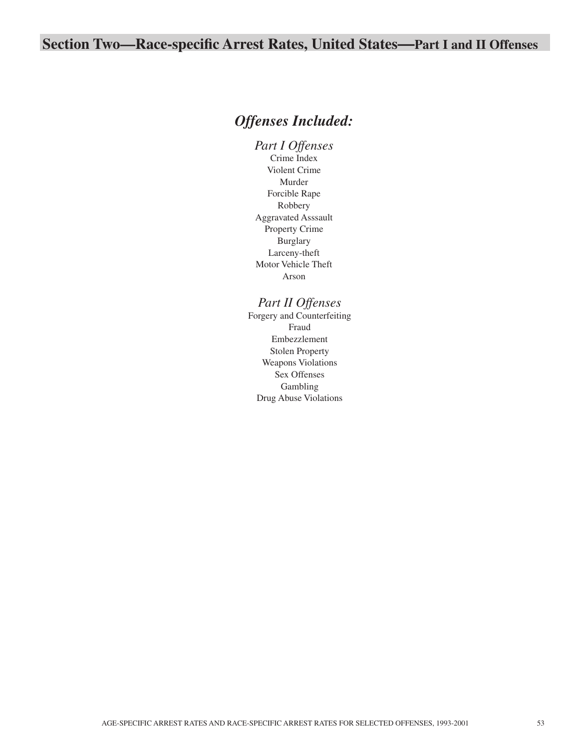## **Section Two—Race-specific Arrest Rates, United States—Part I and II Offenses**

## *Offenses Included:*

*Part I Offenses* Crime Index Violent Crime Murder Forcible Rape Robbery Aggravated Asssault Property Crime Burglary Larceny-theft Motor Vehicle Theft Arson

### *Part II Offenses*

Forgery and Counterfeiting Fraud Embezzlement Stolen Property Weapons Violations Sex Offenses Gambling Drug Abuse Violations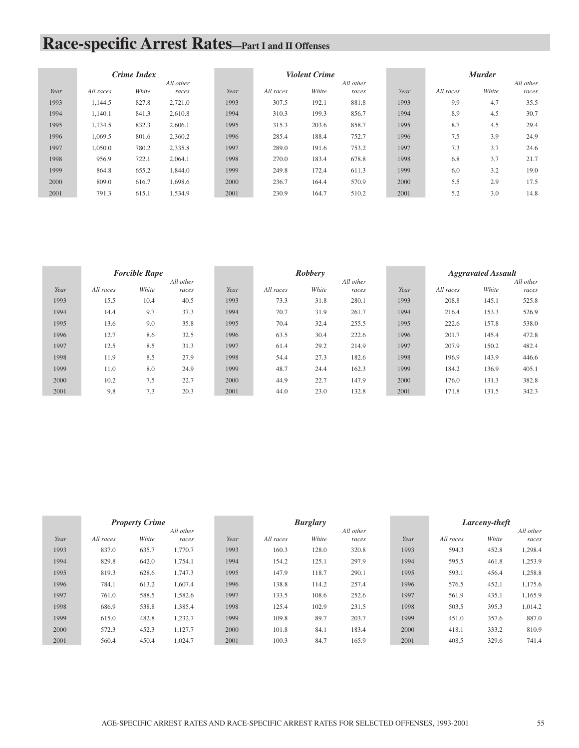# **Race-specific Arrest Rates—Part I and II Offenses**

|      | <b>Crime Index</b> |       |           |      | <b>Violent Crime</b> |       |           |      | <b>Murder</b> |       |           |
|------|--------------------|-------|-----------|------|----------------------|-------|-----------|------|---------------|-------|-----------|
|      |                    |       | All other |      |                      |       | All other |      |               |       | All other |
| Year | All races          | White | races     | Year | All races            | White | races     | Year | All races     | White | races     |
| 1993 | 1,144.5            | 827.8 | 2,721.0   | 1993 | 307.5                | 192.1 | 881.8     | 1993 | 9.9           | 4.7   | 35.5      |
| 1994 | 1,140.1            | 841.3 | 2,610.8   | 1994 | 310.3                | 199.3 | 856.7     | 1994 | 8.9           | 4.5   | 30.7      |
| 1995 | 1,134.5            | 832.3 | 2,606.1   | 1995 | 315.3                | 203.6 | 858.7     | 1995 | 8.7           | 4.5   | 29.4      |
| 1996 | 1,069.5            | 801.6 | 2,360.2   | 1996 | 285.4                | 188.4 | 752.7     | 1996 | 7.5           | 3.9   | 24.9      |
| 1997 | 1,050.0            | 780.2 | 2,335.8   | 1997 | 289.0                | 191.6 | 753.2     | 1997 | 7.3           | 3.7   | 24.6      |
| 1998 | 956.9              | 722.1 | 2,064.1   | 1998 | 270.0                | 183.4 | 678.8     | 1998 | 6.8           | 3.7   | 21.7      |
| 1999 | 864.8              | 655.2 | 1,844.0   | 1999 | 249.8                | 172.4 | 611.3     | 1999 | 6.0           | 3.2   | 19.0      |
| 2000 | 809.0              | 616.7 | 1,698.6   | 2000 | 236.7                | 164.4 | 570.9     | 2000 | 5.5           | 2.9   | 17.5      |
| 2001 | 791.3              | 615.1 | 1,534.9   | 2001 | 230.9                | 164.7 | 510.2     | 2001 | 5.2           | 3.0   | 14.8      |

|      | <b>Forcible Rape</b><br>All other |       |       | <b>Robbery</b> |           |       |                    | <b>Aggravated Assault</b> |           |       |                    |
|------|-----------------------------------|-------|-------|----------------|-----------|-------|--------------------|---------------------------|-----------|-------|--------------------|
| Year | All races                         | White | races | Year           | All races | White | All other<br>races | Year                      | All races | White | All other<br>races |
| 1993 | 15.5                              | 10.4  | 40.5  | 1993           | 73.3      | 31.8  | 280.1              | 1993                      | 208.8     | 145.1 | 525.8              |
| 1994 | 14.4                              | 9.7   | 37.3  | 1994           | 70.7      | 31.9  | 261.7              | 1994                      | 216.4     | 153.3 | 526.9              |
| 1995 | 13.6                              | 9.0   | 35.8  | 1995           | 70.4      | 32.4  | 255.5              | 1995                      | 222.6     | 157.8 | 538.0              |
| 1996 | 12.7                              | 8.6   | 32.5  | 1996           | 63.5      | 30.4  | 222.6              | 1996                      | 201.7     | 145.4 | 472.8              |
| 1997 | 12.5                              | 8.5   | 31.3  | 1997           | 61.4      | 29.2  | 214.9              | 1997                      | 207.9     | 150.2 | 482.4              |
| 1998 | 11.9                              | 8.5   | 27.9  | 1998           | 54.4      | 27.3  | 182.6              | 1998                      | 196.9     | 143.9 | 446.6              |
| 1999 | 11.0                              | 8.0   | 24.9  | 1999           | 48.7      | 24.4  | 162.3              | 1999                      | 184.2     | 136.9 | 405.1              |
| 2000 | 10.2                              | 7.5   | 22.7  | 2000           | 44.9      | 22.7  | 147.9              | 2000                      | 176.0     | 131.3 | 382.8              |
| 2001 | 9.8                               | 7.3   | 20.3  | 2001           | 44.0      | 23.0  | 132.8              | 2001                      | 171.8     | 131.5 | 342.3              |

|      | <b>Property Crime</b> |       |                    |      | <b>Burglary</b> |       |                    |      | Larceny-theft |       |                    |
|------|-----------------------|-------|--------------------|------|-----------------|-------|--------------------|------|---------------|-------|--------------------|
| Year | All races             | White | All other<br>races | Year | All races       | White | All other<br>races | Year | All races     | White | All other<br>races |
| 1993 | 837.0                 | 635.7 | 1,770.7            | 1993 | 160.3           | 128.0 | 320.8              | 1993 | 594.3         | 452.8 | 1,298.4            |
| 1994 | 829.8                 | 642.0 | 1,754.1            | 1994 | 154.2           | 125.1 | 297.9              | 1994 | 595.5         | 461.8 | 1,253.9            |
| 1995 | 819.3                 | 628.6 | 1,747.3            | 1995 | 147.9           | 118.7 | 290.1              | 1995 | 593.1         | 456.4 | 1,258.8            |
| 1996 | 784.1                 | 613.2 | 1,607.4            | 1996 | 138.8           | 114.2 | 257.4              | 1996 | 576.5         | 452.1 | 1,175.6            |
| 1997 | 761.0                 | 588.5 | 1,582.6            | 1997 | 133.5           | 108.6 | 252.6              | 1997 | 561.9         | 435.1 | 1,165.9            |
| 1998 | 686.9                 | 538.8 | 1,385.4            | 1998 | 125.4           | 102.9 | 231.5              | 1998 | 503.5         | 395.3 | 1,014.2            |
| 1999 | 615.0                 | 482.8 | 1,232.7            | 1999 | 109.8           | 89.7  | 203.7              | 1999 | 451.0         | 357.6 | 887.0              |
| 2000 | 572.3                 | 452.3 | 1,127.7            | 2000 | 101.8           | 84.1  | 183.4              | 2000 | 418.1         | 333.2 | 810.9              |
| 2001 | 560.4                 | 450.4 | 1,024.7            | 2001 | 100.3           | 84.7  | 165.9              | 2001 | 408.5         | 329.6 | 741.4              |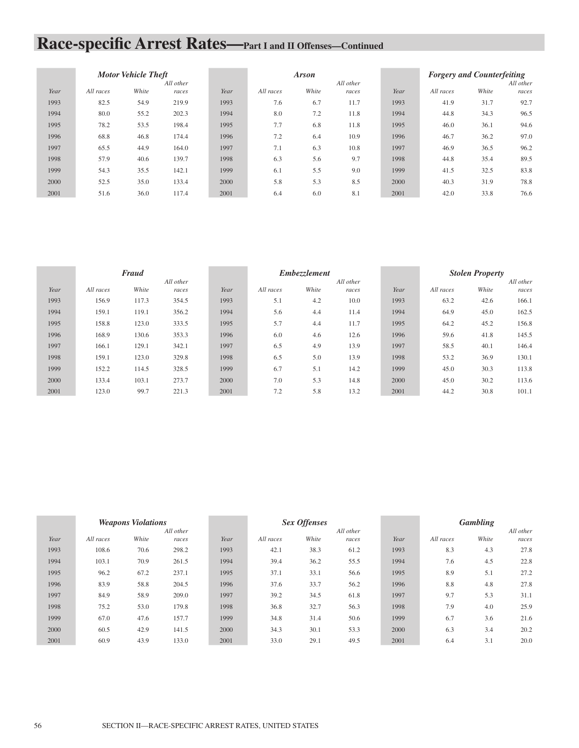# **Race-specific Arrest Rates—Part I and II Offenses—Continued**

|      |           | <b>Motor Vehicle Theft</b><br>All other |       |      |           | <b>Arson</b> | All other |      | <b>Forgery and Counterfeiting</b><br>All other |       |       |  |
|------|-----------|-----------------------------------------|-------|------|-----------|--------------|-----------|------|------------------------------------------------|-------|-------|--|
| Year | All races | White                                   | races | Year | All races | White        | races     | Year | All races                                      | White | races |  |
| 1993 | 82.5      | 54.9                                    | 219.9 | 1993 | 7.6       | 6.7          | 11.7      | 1993 | 41.9                                           | 31.7  | 92.7  |  |
| 1994 | 80.0      | 55.2                                    | 202.3 | 1994 | 8.0       | 7.2          | 11.8      | 1994 | 44.8                                           | 34.3  | 96.5  |  |
| 1995 | 78.2      | 53.5                                    | 198.4 | 1995 | 7.7       | 6.8          | 11.8      | 1995 | 46.0                                           | 36.1  | 94.6  |  |
| 1996 | 68.8      | 46.8                                    | 174.4 | 1996 | 7.2       | 6.4          | 10.9      | 1996 | 46.7                                           | 36.2  | 97.0  |  |
| 1997 | 65.5      | 44.9                                    | 164.0 | 1997 | 7.1       | 6.3          | 10.8      | 1997 | 46.9                                           | 36.5  | 96.2  |  |
| 1998 | 57.9      | 40.6                                    | 139.7 | 1998 | 6.3       | 5.6          | 9.7       | 1998 | 44.8                                           | 35.4  | 89.5  |  |
| 1999 | 54.3      | 35.5                                    | 142.1 | 1999 | 6.1       | 5.5          | 9.0       | 1999 | 41.5                                           | 32.5  | 83.8  |  |
| 2000 | 52.5      | 35.0                                    | 133.4 | 2000 | 5.8       | 5.3          | 8.5       | 2000 | 40.3                                           | 31.9  | 78.8  |  |
| 2001 | 51.6      | 36.0                                    | 117.4 | 2001 | 6.4       | 6.0          | 8.1       | 2001 | 42.0                                           | 33.8  | 76.6  |  |

|      | Fraud     |       |           |      | <b>Embezzlement</b> |       |           |      | <b>Stolen Property</b> |       |           |
|------|-----------|-------|-----------|------|---------------------|-------|-----------|------|------------------------|-------|-----------|
|      |           |       | All other |      |                     |       | All other |      |                        |       | All other |
| Year | All races | White | races     | Year | All races           | White | races     | Year | All races              | White | races     |
| 1993 | 156.9     | 117.3 | 354.5     | 1993 | 5.1                 | 4.2   | 10.0      | 1993 | 63.2                   | 42.6  | 166.1     |
| 1994 | 159.1     | 119.1 | 356.2     | 1994 | 5.6                 | 4.4   | 11.4      | 1994 | 64.9                   | 45.0  | 162.5     |
| 1995 | 158.8     | 123.0 | 333.5     | 1995 | 5.7                 | 4.4   | 11.7      | 1995 | 64.2                   | 45.2  | 156.8     |
| 1996 | 168.9     | 130.6 | 353.3     | 1996 | 6.0                 | 4.6   | 12.6      | 1996 | 59.6                   | 41.8  | 145.5     |
| 1997 | 166.1     | 129.1 | 342.1     | 1997 | 6.5                 | 4.9   | 13.9      | 1997 | 58.5                   | 40.1  | 146.4     |
| 1998 | 159.1     | 123.0 | 329.8     | 1998 | 6.5                 | 5.0   | 13.9      | 1998 | 53.2                   | 36.9  | 130.1     |
| 1999 | 152.2     | 114.5 | 328.5     | 1999 | 6.7                 | 5.1   | 14.2      | 1999 | 45.0                   | 30.3  | 113.8     |
| 2000 | 133.4     | 103.1 | 273.7     | 2000 | 7.0                 | 5.3   | 14.8      | 2000 | 45.0                   | 30.2  | 113.6     |
| 2001 | 123.0     | 99.7  | 221.3     | 2001 | 7.2                 | 5.8   | 13.2      | 2001 | 44.2                   | 30.8  | 101.1     |

|      |           | <b>Weapons Violations</b> |           |      | <b>Sex Offenses</b> |       |           |      | <b>Gambling</b> |       |           |
|------|-----------|---------------------------|-----------|------|---------------------|-------|-----------|------|-----------------|-------|-----------|
|      |           |                           | All other |      |                     |       | All other |      |                 |       | All other |
| Year | All races | White                     | races     | Year | All races           | White | races     | Year | All races       | White | races     |
| 1993 | 108.6     | 70.6                      | 298.2     | 1993 | 42.1                | 38.3  | 61.2      | 1993 | 8.3             | 4.3   | 27.8      |
| 1994 | 103.1     | 70.9                      | 261.5     | 1994 | 39.4                | 36.2  | 55.5      | 1994 | 7.6             | 4.5   | 22.8      |
| 1995 | 96.2      | 67.2                      | 237.1     | 1995 | 37.1                | 33.1  | 56.6      | 1995 | 8.9             | 5.1   | 27.2      |
| 1996 | 83.9      | 58.8                      | 204.5     | 1996 | 37.6                | 33.7  | 56.2      | 1996 | 8.8             | 4.8   | 27.8      |
| 1997 | 84.9      | 58.9                      | 209.0     | 1997 | 39.2                | 34.5  | 61.8      | 1997 | 9.7             | 5.3   | 31.1      |
| 1998 | 75.2      | 53.0                      | 179.8     | 1998 | 36.8                | 32.7  | 56.3      | 1998 | 7.9             | 4.0   | 25.9      |
| 1999 | 67.0      | 47.6                      | 157.7     | 1999 | 34.8                | 31.4  | 50.6      | 1999 | 6.7             | 3.6   | 21.6      |
| 2000 | 60.5      | 42.9                      | 141.5     | 2000 | 34.3                | 30.1  | 53.3      | 2000 | 6.3             | 3.4   | 20.2      |
| 2001 | 60.9      | 43.9                      | 133.0     | 2001 | 33.0                | 29.1  | 49.5      | 2001 | 6.4             | 3.1   | 20.0      |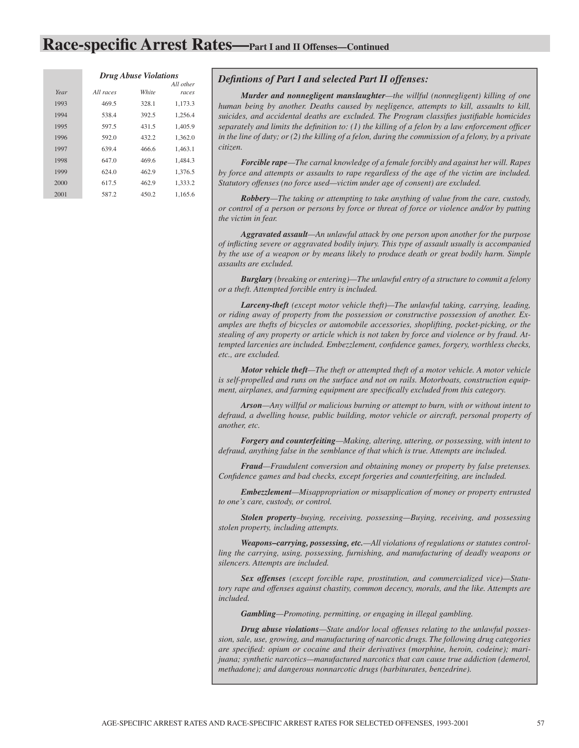## **Race-specific Arrest Rates—Part I and II Offenses—Continued**

|      | <b>Drug Abuse Violations</b> |       |           |  |  |  |  |  |
|------|------------------------------|-------|-----------|--|--|--|--|--|
|      |                              |       | All other |  |  |  |  |  |
| Year | All races                    | White | races     |  |  |  |  |  |
| 1993 | 469.5                        | 328.1 | 1.173.3   |  |  |  |  |  |
| 1994 | 538.4                        | 392.5 | 1.256.4   |  |  |  |  |  |
| 1995 | 597.5                        | 431.5 | 1,405.9   |  |  |  |  |  |
| 1996 | 592.0                        | 432.2 | 1,362.0   |  |  |  |  |  |
| 1997 | 639.4                        | 466.6 | 1.463.1   |  |  |  |  |  |
| 1998 | 647.0                        | 469.6 | 1.484.3   |  |  |  |  |  |
| 1999 | 624.0                        | 462.9 | 1.376.5   |  |  |  |  |  |
| 2000 | 617.5                        | 462.9 | 1.333.2   |  |  |  |  |  |
| 2001 | 587.2                        | 450.2 | 1.165.6   |  |  |  |  |  |

#### *Defintions of Part I and selected Part II offenses:*

*Murder and nonnegligent manslaughter—the willful (nonnegligent) killing of one human being by another. Deaths caused by negligence, attempts to kill, assaults to kill, suicides, and accidental deaths are excluded. The Program classifies justifiable homicides separately and limits the definition to: (1) the killing of a felon by a law enforcement officer in the line of duty; or (2) the killing of a felon, during the commission of a felony, by a private citizen.* 

*Forcible rape—The carnal knowledge of a female forcibly and against her will. Rapes by force and attempts or assaults to rape regardless of the age of the victim are included. Statutory offenses (no force used—victim under age of consent) are excluded.* 

*Robbery—The taking or attempting to take anything of value from the care, custody, or control of a person or persons by force or threat of force or violence and/or by putting the victim in fear.* 

*Aggravated assault—An unlawful attack by one person upon another for the purpose of inflicting severe or aggravated bodily injury. This type of assault usually is accompanied by the use of a weapon or by means likely to produce death or great bodily harm. Simple assaults are excluded.* 

*Burglary (breaking or entering)—The unlawful entry of a structure to commit a felony or a theft. Attempted forcible entry is included.* 

*Larceny-theft (except motor vehicle theft)—The unlawful taking, carrying, leading, or riding away of property from the possession or constructive possession of another. Examples are thefts of bicycles or automobile accessories, shoplifting, pocket-picking, or the stealing of any property or article which is not taken by force and violence or by fraud. Attempted larcenies are included. Embezzlement, confidence games, forgery, worthless checks, etc., are excluded.* 

*Motor vehicle theft—The theft or attempted theft of a motor vehicle. A motor vehicle is self-propelled and runs on the surface and not on rails. Motorboats, construction equipment, airplanes, and farming equipment are specifically excluded from this category.* 

*Arson—Any willful or malicious burning or attempt to burn, with or without intent to defraud, a dwelling house, public building, motor vehicle or aircraft, personal property of another, etc.* 

*Forgery and counterfeiting—Making, altering, uttering, or possessing, with intent to defraud, anything false in the semblance of that which is true. Attempts are included.* 

*Fraud—Fraudulent conversion and obtaining money or property by false pretenses. Confidence games and bad checks, except forgeries and counterfeiting, are included.* 

*Embezzlement—Misappropriation or misapplication of money or property entrusted to one's care, custody, or control.* 

*Stolen property–buying, receiving, possessing—Buying, receiving, and possessing stolen property, including attempts.* 

*Weapons–carrying, possessing, etc.—All violations of regulations or statutes controlling the carrying, using, possessing, furnishing, and manufacturing of deadly weapons or silencers. Attempts are included.* 

*Sex offenses (except forcible rape, prostitution, and commercialized vice)—Statutory rape and offenses against chastity, common decency, morals, and the like. Attempts are included.* 

*Gambling—Promoting, permitting, or engaging in illegal gambling.* 

*Drug abuse violations—State and/or local offenses relating to the unlawful possession, sale, use, growing, and manufacturing of narcotic drugs. The following drug categories are specified: opium or cocaine and their derivatives (morphine, heroin, codeine); marijuana; synthetic narcotics—manufactured narcotics that can cause true addiction (demerol, methadone); and dangerous nonnarcotic drugs (barbiturates, benzedrine).*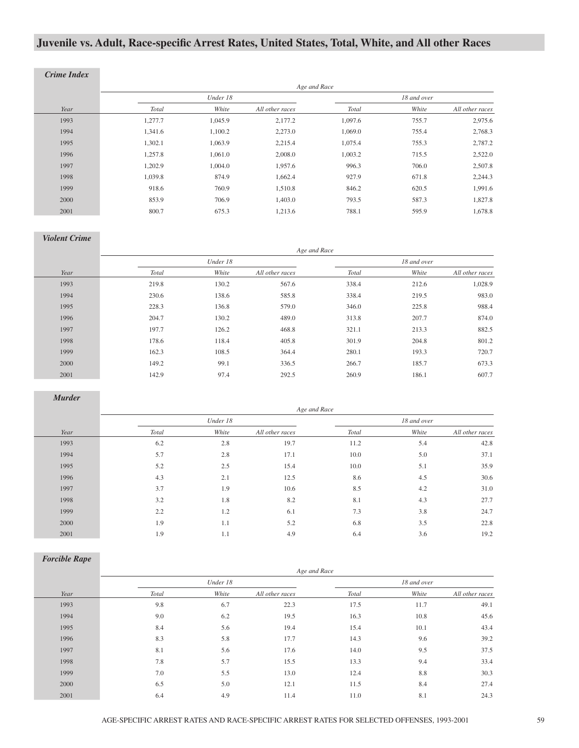| <b>Crime Index</b> |         |          |                 |              |             |                 |
|--------------------|---------|----------|-----------------|--------------|-------------|-----------------|
|                    |         |          |                 | Age and Race |             |                 |
|                    |         | Under 18 |                 |              | 18 and over |                 |
| Year               | Total   | White    | All other races | Total        | White       | All other races |
| 1993               | 1,277.7 | 1,045.9  | 2,177.2         | 1,097.6      | 755.7       | 2,975.6         |
| 1994               | 1,341.6 | 1,100.2  | 2,273.0         | 1,069.0      | 755.4       | 2,768.3         |
| 1995               | 1,302.1 | 1,063.9  | 2,215.4         | 1,075.4      | 755.3       | 2,787.2         |
| 1996               | 1,257.8 | 1,061.0  | 2,008.0         | 1,003.2      | 715.5       | 2,522.0         |
| 1997               | 1,202.9 | 1,004.0  | 1,957.6         | 996.3        | 706.0       | 2,507.8         |
| 1998               | 1.039.8 | 874.9    | 1,662.4         | 927.9        | 671.8       | 2,244.3         |
| 1999               | 918.6   | 760.9    | 1,510.8         | 846.2        | 620.5       | 1,991.6         |
| 2000               | 853.9   | 706.9    | 1,403.0         | 793.5        | 587.3       | 1,827.8         |
| 2001               | 800.7   | 675.3    | 1,213.6         | 788.1        | 595.9       | 1,678.8         |

#### *Violent Crime*

|      | Age and Race |          |                 |             |       |                 |  |  |  |  |  |
|------|--------------|----------|-----------------|-------------|-------|-----------------|--|--|--|--|--|
|      |              | Under 18 |                 | 18 and over |       |                 |  |  |  |  |  |
| Year | Total        | White    | All other races | Total       | White | All other races |  |  |  |  |  |
| 1993 | 219.8        | 130.2    | 567.6           | 338.4       | 212.6 | 1,028.9         |  |  |  |  |  |
| 1994 | 230.6        | 138.6    | 585.8           | 338.4       | 219.5 | 983.0           |  |  |  |  |  |
| 1995 | 228.3        | 136.8    | 579.0           | 346.0       | 225.8 | 988.4           |  |  |  |  |  |
| 1996 | 204.7        | 130.2    | 489.0           | 313.8       | 207.7 | 874.0           |  |  |  |  |  |
| 1997 | 197.7        | 126.2    | 468.8           | 321.1       | 213.3 | 882.5           |  |  |  |  |  |
| 1998 | 178.6        | 118.4    | 405.8           | 301.9       | 204.8 | 801.2           |  |  |  |  |  |
| 1999 | 162.3        | 108.5    | 364.4           | 280.1       | 193.3 | 720.7           |  |  |  |  |  |
| 2000 | 149.2        | 99.1     | 336.5           | 266.7       | 185.7 | 673.3           |  |  |  |  |  |
| 2001 | 142.9        | 97.4     | 292.5           | 260.9       | 186.1 | 607.7           |  |  |  |  |  |

#### *Murder*

|      |       | Age and Race |                 |             |       |                 |  |  |  |  |  |  |  |
|------|-------|--------------|-----------------|-------------|-------|-----------------|--|--|--|--|--|--|--|
|      |       | Under 18     |                 | 18 and over |       |                 |  |  |  |  |  |  |  |
| Year | Total | White        | All other races | Total       | White | All other races |  |  |  |  |  |  |  |
| 1993 | 6.2   | 2.8          | 19.7            | 11.2        | 5.4   | 42.8            |  |  |  |  |  |  |  |
| 1994 | 5.7   | 2.8          | 17.1            | 10.0        | 5.0   | 37.1            |  |  |  |  |  |  |  |
| 1995 | 5.2   | 2.5          | 15.4            | 10.0        | 5.1   | 35.9            |  |  |  |  |  |  |  |
| 1996 | 4.3   | 2.1          | 12.5            | 8.6         | 4.5   | 30.6            |  |  |  |  |  |  |  |
| 1997 | 3.7   | 1.9          | 10.6            | 8.5         | 4.2   | 31.0            |  |  |  |  |  |  |  |
| 1998 | 3.2   | 1.8          | 8.2             | 8.1         | 4.3   | 27.7            |  |  |  |  |  |  |  |
| 1999 | 2.2   | 1.2          | 6.1             | 7.3         | 3.8   | 24.7            |  |  |  |  |  |  |  |
| 2000 | 1.9   | 1.1          | 5.2             | 6.8         | 3.5   | 22.8            |  |  |  |  |  |  |  |
| 2001 | 1.9   | 1.1          | 4.9             | 6.4         | 3.6   | 19.2            |  |  |  |  |  |  |  |

#### *Forcible Rape*

|      |  |       | Under 18 |                 |       | 18 and over |                 |
|------|--|-------|----------|-----------------|-------|-------------|-----------------|
| Year |  | Total | White    | All other races | Total | White       | All other races |
| 1993 |  | 9.8   | 6.7      | 22.3            | 17.5  | 11.7        | 49.1            |
| 1994 |  | 9.0   | 6.2      | 19.5            | 16.3  | 10.8        | 45.6            |
| 1995 |  | 8.4   | 5.6      | 19.4            | 15.4  | 10.1        | 43.4            |
| 1996 |  | 8.3   | 5.8      | 17.7            | 14.3  | 9.6         | 39.2            |
| 1997 |  | 8.1   | 5.6      | 17.6            | 14.0  | 9.5         | 37.5            |
| 1998 |  | 7.8   | 5.7      | 15.5            | 13.3  | 9.4         | 33.4            |
| 1999 |  | 7.0   | 5.5      | 13.0            | 12.4  | 8.8         | 30.3            |
| 2000 |  | 6.5   | 5.0      | 12.1            | 11.5  | 8.4         | 27.4            |
| 2001 |  | 6.4   | 4.9      | 11.4            | 11.0  | 8.1         | 24.3            |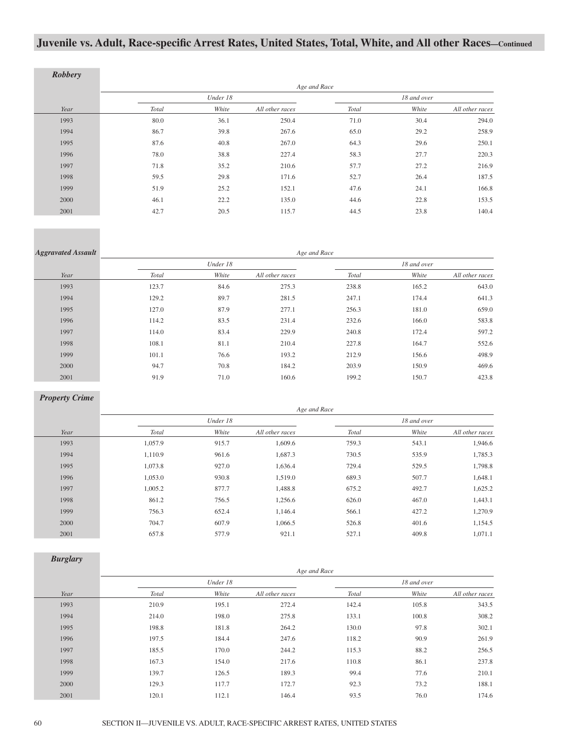| <b>Robbery</b> |       |          |                 |              |             |                 |
|----------------|-------|----------|-----------------|--------------|-------------|-----------------|
|                |       |          |                 | Age and Race |             |                 |
|                |       | Under 18 |                 |              | 18 and over |                 |
| Year           | Total | White    | All other races | Total        | White       | All other races |
| 1993           | 80.0  | 36.1     | 250.4           | 71.0         | 30.4        | 294.0           |
| 1994           | 86.7  | 39.8     | 267.6           | 65.0         | 29.2        | 258.9           |
| 1995           | 87.6  | 40.8     | 267.0           | 64.3         | 29.6        | 250.1           |
| 1996           | 78.0  | 38.8     | 227.4           | 58.3         | 27.7        | 220.3           |
| 1997           | 71.8  | 35.2     | 210.6           | 57.7         | 27.2        | 216.9           |
| 1998           | 59.5  | 29.8     | 171.6           | 52.7         | 26.4        | 187.5           |
| 1999           | 51.9  | 25.2     | 152.1           | 47.6         | 24.1        | 166.8           |
| 2000           | 46.1  | 22.2     | 135.0           | 44.6         | 22.8        | 153.5           |
| 2001           | 42.7  | 20.5     | 115.7           | 44.5         | 23.8        | 140.4           |

#### *Aggravated Assault Age and Race*

| --   |       |          |                 |       |             |                 |  |
|------|-------|----------|-----------------|-------|-------------|-----------------|--|
|      |       | Under 18 |                 |       | 18 and over |                 |  |
| Year | Total | White    | All other races | Total | White       | All other races |  |
| 1993 | 123.7 | 84.6     | 275.3           | 238.8 | 165.2       | 643.0           |  |
| 1994 | 129.2 | 89.7     | 281.5           | 247.1 | 174.4       | 641.3           |  |
| 1995 | 127.0 | 87.9     | 277.1           | 256.3 | 181.0       | 659.0           |  |
| 1996 | 114.2 | 83.5     | 231.4           | 232.6 | 166.0       | 583.8           |  |
| 1997 | 114.0 | 83.4     | 229.9           | 240.8 | 172.4       | 597.2           |  |
| 1998 | 108.1 | 81.1     | 210.4           | 227.8 | 164.7       | 552.6           |  |
| 1999 | 101.1 | 76.6     | 193.2           | 212.9 | 156.6       | 498.9           |  |
| 2000 | 94.7  | 70.8     | 184.2           | 203.9 | 150.9       | 469.6           |  |
| 2001 | 91.9  | 71.0     | 160.6           | 199.2 | 150.7       | 423.8           |  |

#### *Property Crime*

|      |         | Age and Race |                 |       |             |                 |  |
|------|---------|--------------|-----------------|-------|-------------|-----------------|--|
|      |         | Under 18     |                 |       | 18 and over |                 |  |
| Year | Total   | White        | All other races | Total | White       | All other races |  |
| 1993 | 1,057.9 | 915.7        | 1,609.6         | 759.3 | 543.1       | 1,946.6         |  |
| 1994 | 1,110.9 | 961.6        | 1,687.3         | 730.5 | 535.9       | 1,785.3         |  |
| 1995 | 1,073.8 | 927.0        | 1,636.4         | 729.4 | 529.5       | 1,798.8         |  |
| 1996 | 1,053.0 | 930.8        | 1,519.0         | 689.3 | 507.7       | 1,648.1         |  |
| 1997 | 1,005.2 | 877.7        | 1,488.8         | 675.2 | 492.7       | 1,625.2         |  |
| 1998 | 861.2   | 756.5        | 1,256.6         | 626.0 | 467.0       | 1,443.1         |  |
| 1999 | 756.3   | 652.4        | 1,146.4         | 566.1 | 427.2       | 1,270.9         |  |
| 2000 | 704.7   | 607.9        | 1,066.5         | 526.8 | 401.6       | 1,154.5         |  |
| 2001 | 657.8   | 577.9        | 921.1           | 527.1 | 409.8       | 1,071.1         |  |

#### *Burglary*

|      |       | Under 18 |                 |       | 18 and over |                 |  |
|------|-------|----------|-----------------|-------|-------------|-----------------|--|
| Year | Total | White    | All other races | Total | White       | All other races |  |
| 1993 | 210.9 | 195.1    | 272.4           | 142.4 | 105.8       | 343.5           |  |
| 1994 | 214.0 | 198.0    | 275.8           | 133.1 | 100.8       | 308.2           |  |
| 1995 | 198.8 | 181.8    | 264.2           | 130.0 | 97.8        | 302.1           |  |
| 1996 | 197.5 | 184.4    | 247.6           | 118.2 | 90.9        | 261.9           |  |
| 1997 | 185.5 | 170.0    | 244.2           | 115.3 | 88.2        | 256.5           |  |
| 1998 | 167.3 | 154.0    | 217.6           | 110.8 | 86.1        | 237.8           |  |
| 1999 | 139.7 | 126.5    | 189.3           | 99.4  | 77.6        | 210.1           |  |
| 2000 | 129.3 | 117.7    | 172.7           | 92.3  | 73.2        | 188.1           |  |
| 2001 | 120.1 | 112.1    | 146.4           | 93.5  | 76.0        | 174.6           |  |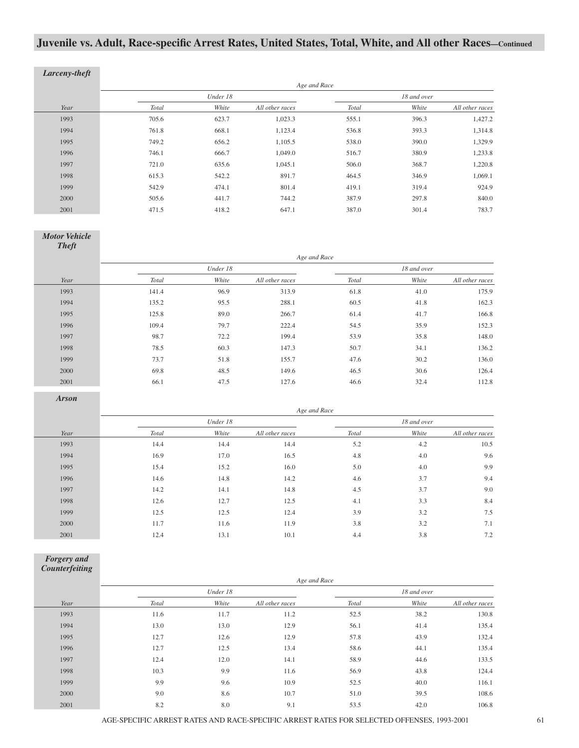| Larceny-theft |       |          |                 |              |             |                 |
|---------------|-------|----------|-----------------|--------------|-------------|-----------------|
|               |       |          |                 | Age and Race |             |                 |
|               |       | Under 18 |                 |              | 18 and over |                 |
| Year          | Total | White    | All other races | Total        | White       | All other races |
| 1993          | 705.6 | 623.7    | 1,023.3         | 555.1        | 396.3       | 1,427.2         |
| 1994          | 761.8 | 668.1    | 1,123.4         | 536.8        | 393.3       | 1,314.8         |
| 1995          | 749.2 | 656.2    | 1,105.5         | 538.0        | 390.0       | 1,329.9         |
| 1996          | 746.1 | 666.7    | 1,049.0         | 516.7        | 380.9       | 1,233.8         |
| 1997          | 721.0 | 635.6    | 1,045.1         | 506.0        | 368.7       | 1,220.8         |
| 1998          | 615.3 | 542.2    | 891.7           | 464.5        | 346.9       | 1,069.1         |
| 1999          | 542.9 | 474.1    | 801.4           | 419.1        | 319.4       | 924.9           |
| 2000          | 505.6 | 441.7    | 744.2           | 387.9        | 297.8       | 840.0           |
| 2001          | 471.5 | 418.2    | 647.1           | 387.0        | 301.4       | 783.7           |

#### *Motor Vehicle Theft*

|      |       |          | Age and Race    |       |             |                 |
|------|-------|----------|-----------------|-------|-------------|-----------------|
|      |       | Under 18 |                 |       | 18 and over |                 |
| Year | Total | White    | All other races | Total | White       | All other races |
| 1993 | 141.4 | 96.9     | 313.9           | 61.8  | 41.0        | 175.9           |
| 1994 | 135.2 | 95.5     | 288.1           | 60.5  | 41.8        | 162.3           |
| 1995 | 125.8 | 89.0     | 266.7           | 61.4  | 41.7        | 166.8           |
| 1996 | 109.4 | 79.7     | 222.4           | 54.5  | 35.9        | 152.3           |
| 1997 | 98.7  | 72.2     | 199.4           | 53.9  | 35.8        | 148.0           |
| 1998 | 78.5  | 60.3     | 147.3           | 50.7  | 34.1        | 136.2           |
| 1999 | 73.7  | 51.8     | 155.7           | 47.6  | 30.2        | 136.0           |
| 2000 | 69.8  | 48.5     | 149.6           | 46.5  | 30.6        | 126.4           |
| 2001 | 66.1  | 47.5     | 127.6           | 46.6  | 32.4        | 112.8           |

#### *Arson*

|      |       | Age and Race |                 |       |             |                 |  |
|------|-------|--------------|-----------------|-------|-------------|-----------------|--|
|      |       | Under 18     |                 |       | 18 and over |                 |  |
| Year | Total | White        | All other races | Total | White       | All other races |  |
| 1993 | 14.4  | 14.4         | 14.4            | 5.2   | 4.2         | 10.5            |  |
| 1994 | 16.9  | 17.0         | 16.5            | 4.8   | 4.0         | 9.6             |  |
| 1995 | 15.4  | 15.2         | 16.0            | 5.0   | 4.0         | 9.9             |  |
| 1996 | 14.6  | 14.8         | 14.2            | 4.6   | 3.7         | 9.4             |  |
| 1997 | 14.2  | 14.1         | 14.8            | 4.5   | 3.7         | 9.0             |  |
| 1998 | 12.6  | 12.7         | 12.5            | 4.1   | 3.3         | 8.4             |  |
| 1999 | 12.5  | 12.5         | 12.4            | 3.9   | 3.2         | 7.5             |  |
| 2000 | 11.7  | 11.6         | 11.9            | 3.8   | 3.2         | 7.1             |  |
| 2001 | 12.4  | 13.1         | 10.1            | 4.4   | 3.8         | 7.2             |  |

### *Forgery and*

*Counterfeiting*

|      | Age and Race |          |                 |       |             |                 |
|------|--------------|----------|-----------------|-------|-------------|-----------------|
|      |              | Under 18 |                 |       | 18 and over |                 |
| Year | Total        | White    | All other races | Total | White       | All other races |
| 1993 | 11.6         | 11.7     | 11.2            | 52.5  | 38.2        | 130.8           |
| 1994 | 13.0         | 13.0     | 12.9            | 56.1  | 41.4        | 135.4           |
| 1995 | 12.7         | 12.6     | 12.9            | 57.8  | 43.9        | 132.4           |
| 1996 | 12.7         | 12.5     | 13.4            | 58.6  | 44.1        | 135.4           |
| 1997 | 12.4         | 12.0     | 14.1            | 58.9  | 44.6        | 133.5           |
| 1998 | 10.3         | 9.9      | 11.6            | 56.9  | 43.8        | 124.4           |
| 1999 | 9.9          | 9.6      | 10.9            | 52.5  | 40.0        | 116.1           |
| 2000 | 9.0          | 8.6      | 10.7            | 51.0  | 39.5        | 108.6           |
| 2001 | 8.2          | 8.0      | 9.1             | 53.5  | 42.0        | 106.8           |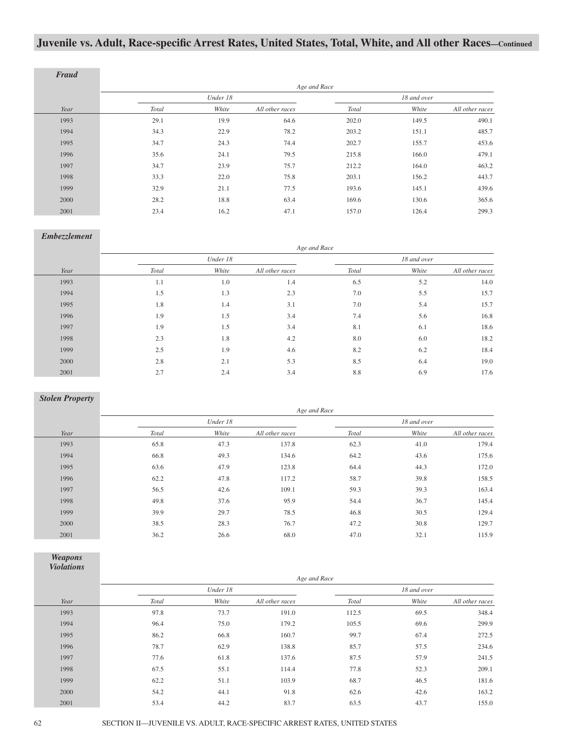| Fraud |       |          |                 |             |       |                 |
|-------|-------|----------|-----------------|-------------|-------|-----------------|
|       |       |          |                 |             |       |                 |
|       |       | Under 18 |                 | 18 and over |       |                 |
| Year  | Total | White    | All other races | Total       | White | All other races |
| 1993  | 29.1  | 19.9     | 64.6            | 202.0       | 149.5 | 490.1           |
| 1994  | 34.3  | 22.9     | 78.2            | 203.2       | 151.1 | 485.7           |
| 1995  | 34.7  | 24.3     | 74.4            | 202.7       | 155.7 | 453.6           |
| 1996  | 35.6  | 24.1     | 79.5            | 215.8       | 166.0 | 479.1           |
| 1997  | 34.7  | 23.9     | 75.7            | 212.2       | 164.0 | 463.2           |
| 1998  | 33.3  | 22.0     | 75.8            | 203.1       | 156.2 | 443.7           |
| 1999  | 32.9  | 21.1     | 77.5            | 193.6       | 145.1 | 439.6           |
| 2000  | 28.2  | 18.8     | 63.4            | 169.6       | 130.6 | 365.6           |
| 2001  | 23.4  | 16.2     | 47.1            | 157.0       | 126.4 | 299.3           |

#### *Embezzlement*

|      |       |          | Age and Race    |       |             |                 |  |
|------|-------|----------|-----------------|-------|-------------|-----------------|--|
|      |       | Under 18 |                 |       | 18 and over |                 |  |
| Year | Total | White    | All other races | Total | White       | All other races |  |
| 1993 | 1.1   | 1.0      | 1.4             | 6.5   | 5.2         | 14.0            |  |
| 1994 | 1.5   | 1.3      | 2.3             | 7.0   | 5.5         | 15.7            |  |
| 1995 | 1.8   | 1.4      | 3.1             | 7.0   | 5.4         | 15.7            |  |
| 1996 | 1.9   | 1.5      | 3.4             | 7.4   | 5.6         | 16.8            |  |
| 1997 | 1.9   | 1.5      | 3.4             | 8.1   | 6.1         | 18.6            |  |
| 1998 | 2.3   | 1.8      | 4.2             | 8.0   | 6.0         | 18.2            |  |
| 1999 | 2.5   | 1.9      | 4.6             | 8.2   | 6.2         | 18.4            |  |
| 2000 | 2.8   | 2.1      | 5.3             | 8.5   | 6.4         | 19.0            |  |
| 2001 | 2.7   | 2.4      | 3.4             | 8.8   | 6.9         | 17.6            |  |

### *Stolen Property*

|      |       | Age and Race |                 |       |             |                 |  |
|------|-------|--------------|-----------------|-------|-------------|-----------------|--|
|      |       | Under 18     |                 |       | 18 and over |                 |  |
| Year | Total | White        | All other races | Total | White       | All other races |  |
| 1993 | 65.8  | 47.3         | 137.8           | 62.3  | 41.0        | 179.4           |  |
| 1994 | 66.8  | 49.3         | 134.6           | 64.2  | 43.6        | 175.6           |  |
| 1995 | 63.6  | 47.9         | 123.8           | 64.4  | 44.3        | 172.0           |  |
| 1996 | 62.2  | 47.8         | 117.2           | 58.7  | 39.8        | 158.5           |  |
| 1997 | 56.5  | 42.6         | 109.1           | 59.3  | 39.3        | 163.4           |  |
| 1998 | 49.8  | 37.6         | 95.9            | 54.4  | 36.7        | 145.4           |  |
| 1999 | 39.9  | 29.7         | 78.5            | 46.8  | 30.5        | 129.4           |  |
| 2000 | 38.5  | 28.3         | 76.7            | 47.2  | 30.8        | 129.7           |  |
| 2001 | 36.2  | 26.6         | 68.0            | 47.0  | 32.1        | 115.9           |  |

### *Weapons*

|      |       | Age and Race |                 |       |             |                 |  |
|------|-------|--------------|-----------------|-------|-------------|-----------------|--|
|      |       | Under 18     |                 |       | 18 and over |                 |  |
| Year | Total | White        | All other races | Total | White       | All other races |  |
| 1993 | 97.8  | 73.7         | 191.0           | 112.5 | 69.5        | 348.4           |  |
| 1994 | 96.4  | 75.0         | 179.2           | 105.5 | 69.6        | 299.9           |  |
| 1995 | 86.2  | 66.8         | 160.7           | 99.7  | 67.4        | 272.5           |  |
| 1996 | 78.7  | 62.9         | 138.8           | 85.7  | 57.5        | 234.6           |  |
| 1997 | 77.6  | 61.8         | 137.6           | 87.5  | 57.9        | 241.5           |  |
| 1998 | 67.5  | 55.1         | 114.4           | 77.8  | 52.3        | 209.1           |  |
| 1999 | 62.2  | 51.1         | 103.9           | 68.7  | 46.5        | 181.6           |  |
| 2000 | 54.2  | 44.1         | 91.8            | 62.6  | 42.6        | 163.2           |  |
| 2001 | 53.4  | 44.2         | 83.7            | 63.5  | 43.7        | 155.0           |  |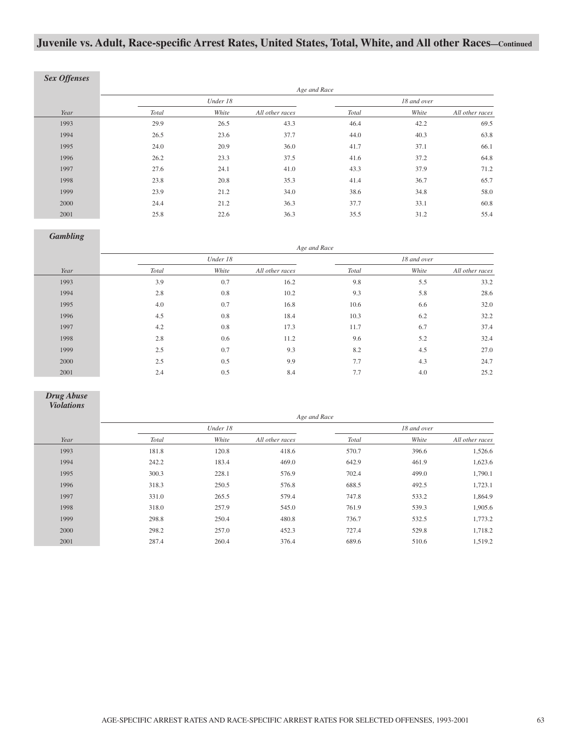| <b>Sex Offenses</b> |                         |              |                 |       |       |                 |  |
|---------------------|-------------------------|--------------|-----------------|-------|-------|-----------------|--|
|                     |                         | Age and Race |                 |       |       |                 |  |
|                     | Under 18<br>18 and over |              |                 |       |       |                 |  |
| Year                | Total                   | White        | All other races | Total | White | All other races |  |
| 1993                | 29.9                    | 26.5         | 43.3            | 46.4  | 42.2  | 69.5            |  |
| 1994                | 26.5                    | 23.6         | 37.7            | 44.0  | 40.3  | 63.8            |  |
| 1995                | 24.0                    | 20.9         | 36.0            | 41.7  | 37.1  | 66.1            |  |
| 1996                | 26.2                    | 23.3         | 37.5            | 41.6  | 37.2  | 64.8            |  |
| 1997                | 27.6                    | 24.1         | 41.0            | 43.3  | 37.9  | 71.2            |  |
| 1998                | 23.8                    | 20.8         | 35.3            | 41.4  | 36.7  | 65.7            |  |
| 1999                | 23.9                    | 21.2         | 34.0            | 38.6  | 34.8  | 58.0            |  |
| 2000                | 24.4                    | 21.2         | 36.3            | 37.7  | 33.1  | 60.8            |  |
| 2001                | 25.8                    | 22.6         | 36.3            | 35.5  | 31.2  | 55.4            |  |

#### *Gambling*

|      |       | Age and Race |                 |       |             |                 |  |
|------|-------|--------------|-----------------|-------|-------------|-----------------|--|
|      |       | Under 18     |                 |       | 18 and over |                 |  |
| Year | Total | White        | All other races | Total | White       | All other races |  |
| 1993 | 3.9   | 0.7          | 16.2            | 9.8   | 5.5         | 33.2            |  |
| 1994 | 2.8   | 0.8          | 10.2            | 9.3   | 5.8         | 28.6            |  |
| 1995 | 4.0   | 0.7          | 16.8            | 10.6  | 6.6         | 32.0            |  |
| 1996 | 4.5   | 0.8          | 18.4            | 10.3  | 6.2         | 32.2            |  |
| 1997 | 4.2   | 0.8          | 17.3            | 11.7  | 6.7         | 37.4            |  |
| 1998 | 2.8   | 0.6          | 11.2            | 9.6   | 5.2         | 32.4            |  |
| 1999 | 2.5   | 0.7          | 9.3             | 8.2   | 4.5         | 27.0            |  |
| 2000 | 2.5   | 0.5          | 9.9             | 7.7   | 4.3         | 24.7            |  |
| 2001 | 2.4   | 0.5          | 8.4             | 7.7   | 4.0         | 25.2            |  |

### *Drug Abuse*

*Violations*

|      | Age and Race |       |                 |             |       |                 |
|------|--------------|-------|-----------------|-------------|-------|-----------------|
|      | Under 18     |       |                 | 18 and over |       |                 |
| Year | Total        | White | All other races | Total       | White | All other races |
| 1993 | 181.8        | 120.8 | 418.6           | 570.7       | 396.6 | 1,526.6         |
| 1994 | 242.2        | 183.4 | 469.0           | 642.9       | 461.9 | 1,623.6         |
| 1995 | 300.3        | 228.1 | 576.9           | 702.4       | 499.0 | 1,790.1         |
| 1996 | 318.3        | 250.5 | 576.8           | 688.5       | 492.5 | 1,723.1         |
| 1997 | 331.0        | 265.5 | 579.4           | 747.8       | 533.2 | 1,864.9         |
| 1998 | 318.0        | 257.9 | 545.0           | 761.9       | 539.3 | 1,905.6         |
| 1999 | 298.8        | 250.4 | 480.8           | 736.7       | 532.5 | 1,773.2         |
| 2000 | 298.2        | 257.0 | 452.3           | 727.4       | 529.8 | 1,718.2         |
| 2001 | 287.4        | 260.4 | 376.4           | 689.6       | 510.6 | 1,519.2         |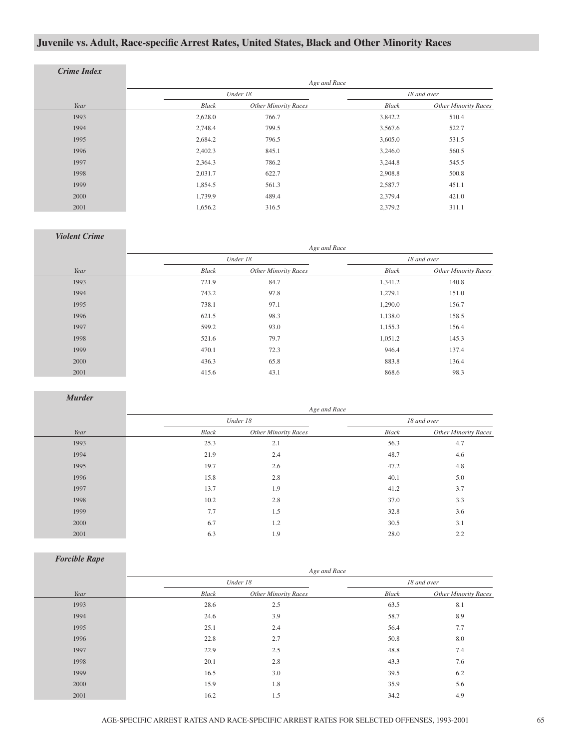### **Juvenile vs. Adult, Race-specific Arrest Rates, United States, Black and Other Minority Races**

| <b>Crime Index</b> |         |                             |         |                             |  |  |
|--------------------|---------|-----------------------------|---------|-----------------------------|--|--|
|                    |         | Age and Race                |         |                             |  |  |
|                    |         | Under 18                    |         | 18 and over                 |  |  |
| Year               | Black   | <b>Other Minority Races</b> | Black   | <b>Other Minority Races</b> |  |  |
| 1993               | 2,628.0 | 766.7                       | 3,842.2 | 510.4                       |  |  |
| 1994               | 2,748.4 | 799.5                       | 3,567.6 | 522.7                       |  |  |
| 1995               | 2,684.2 | 796.5                       | 3,605.0 | 531.5                       |  |  |
| 1996               | 2,402.3 | 845.1                       | 3,246.0 | 560.5                       |  |  |
| 1997               | 2,364.3 | 786.2                       | 3,244.8 | 545.5                       |  |  |
| 1998               | 2,031.7 | 622.7                       | 2,908.8 | 500.8                       |  |  |
| 1999               | 1,854.5 | 561.3                       | 2,587.7 | 451.1                       |  |  |
| 2000               | 1,739.9 | 489.4                       | 2,379.4 | 421.0                       |  |  |
| 2001               | 1,656.2 | 316.5                       | 2,379.2 | 311.1                       |  |  |

#### *Violent Crime*

|      | Age and Race |                             |             |                             |  |  |
|------|--------------|-----------------------------|-------------|-----------------------------|--|--|
|      |              | Under 18                    | 18 and over |                             |  |  |
| Year | Black        | <b>Other Minority Races</b> | Black       | <b>Other Minority Races</b> |  |  |
| 1993 | 721.9        | 84.7                        | 1,341.2     | 140.8                       |  |  |
| 1994 | 743.2        | 97.8                        | 1,279.1     | 151.0                       |  |  |
| 1995 | 738.1        | 97.1                        | 1,290.0     | 156.7                       |  |  |
| 1996 | 621.5        | 98.3                        | 1,138.0     | 158.5                       |  |  |
| 1997 | 599.2        | 93.0                        | 1,155.3     | 156.4                       |  |  |
| 1998 | 521.6        | 79.7                        | 1,051.2     | 145.3                       |  |  |
| 1999 | 470.1        | 72.3                        | 946.4       | 137.4                       |  |  |
| 2000 | 436.3        | 65.8                        | 883.8       | 136.4                       |  |  |
| 2001 | 415.6        | 43.1                        | 868.6       | 98.3                        |  |  |

#### *Murder*

|      | Age and Race |                             |              |                             |  |
|------|--------------|-----------------------------|--------------|-----------------------------|--|
|      |              | Under 18                    |              | 18 and over                 |  |
| Year | <b>Black</b> | <b>Other Minority Races</b> | <b>Black</b> | <b>Other Minority Races</b> |  |
| 1993 | 25.3         | 2.1                         | 56.3         | 4.7                         |  |
| 1994 | 21.9         | 2.4                         | 48.7         | 4.6                         |  |
| 1995 | 19.7         | 2.6                         | 47.2         | 4.8                         |  |
| 1996 | 15.8         | 2.8                         | 40.1         | 5.0                         |  |
| 1997 | 13.7         | 1.9                         | 41.2         | 3.7                         |  |
| 1998 | 10.2         | 2.8                         | 37.0         | 3.3                         |  |
| 1999 | 7.7          | 1.5                         | 32.8         | 3.6                         |  |
| 2000 | 6.7          | 1.2                         | 30.5         | 3.1                         |  |
| 2001 | 6.3          | 1.9                         | 28.0         | 2.2                         |  |

#### *Forcible Rape*

|      | Age and Race |                             |       |                             |  |
|------|--------------|-----------------------------|-------|-----------------------------|--|
|      |              | Under 18                    |       | 18 and over                 |  |
| Year | <b>Black</b> | <b>Other Minority Races</b> | Black | <b>Other Minority Races</b> |  |
| 1993 | 28.6         | 2.5                         | 63.5  | 8.1                         |  |
| 1994 | 24.6         | 3.9                         | 58.7  | 8.9                         |  |
| 1995 | 25.1         | 2.4                         | 56.4  | 7.7                         |  |
| 1996 | 22.8         | 2.7                         | 50.8  | $8.0\,$                     |  |
| 1997 | 22.9         | 2.5                         | 48.8  | 7.4                         |  |
| 1998 | 20.1         | 2.8                         | 43.3  | 7.6                         |  |
| 1999 | 16.5         | 3.0                         | 39.5  | 6.2                         |  |
| 2000 | 15.9         | 1.8                         | 35.9  | 5.6                         |  |
| 2001 | 16.2         | 1.5                         | 34.2  | 4.9                         |  |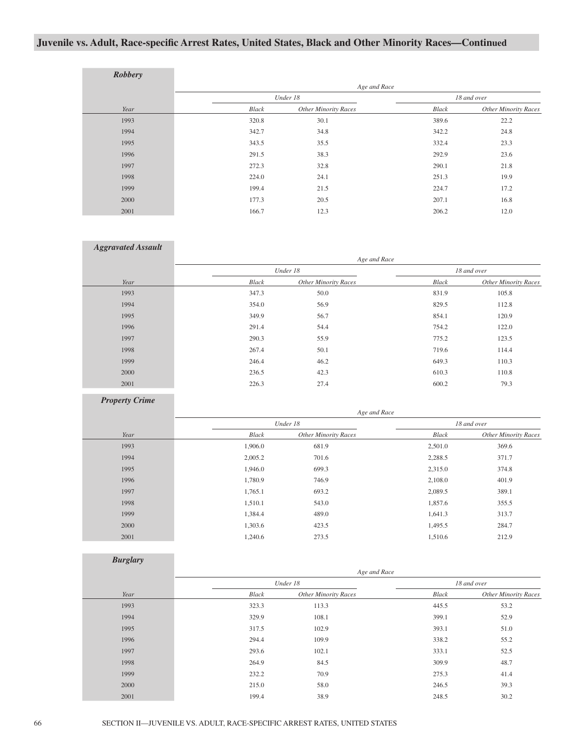| <b>Robbery</b> |              |                             |             |                             |
|----------------|--------------|-----------------------------|-------------|-----------------------------|
|                |              | Age and Race                |             |                             |
|                |              | Under 18                    | 18 and over |                             |
| Year           | <b>Black</b> | <b>Other Minority Races</b> | Black       | <b>Other Minority Races</b> |
| 1993           | 320.8        | 30.1                        | 389.6       | 22.2                        |
| 1994           | 342.7        | 34.8                        | 342.2       | 24.8                        |
| 1995           | 343.5        | 35.5                        | 332.4       | 23.3                        |
| 1996           | 291.5        | 38.3                        | 292.9       | 23.6                        |
| 1997           | 272.3        | 32.8                        | 290.1       | 21.8                        |
| 1998           | 224.0        | 24.1                        | 251.3       | 19.9                        |
| 1999           | 199.4        | 21.5                        | 224.7       | 17.2                        |
| 2000           | 177.3        | 20.5                        | 207.1       | 16.8                        |
| 2001           | 166.7        | 12.3                        | 206.2       | 12.0                        |

| <b>Aggravated Assault</b> |              |                             |              |                             |
|---------------------------|--------------|-----------------------------|--------------|-----------------------------|
|                           |              |                             | Age and Race |                             |
|                           |              | Under 18                    |              | 18 and over                 |
| Year                      | <b>Black</b> | <b>Other Minority Races</b> | <b>Black</b> | <b>Other Minority Races</b> |
| 1993                      | 347.3        | 50.0                        | 831.9        | 105.8                       |
| 1994                      | 354.0        | 56.9                        | 829.5        | 112.8                       |
| 1995                      | 349.9        | 56.7                        | 854.1        | 120.9                       |
| 1996                      | 291.4        | 54.4                        | 754.2        | 122.0                       |
| 1997                      | 290.3        | 55.9                        | 775.2        | 123.5                       |
| 1998                      | 267.4        | 50.1                        | 719.6        | 114.4                       |
| 1999                      | 246.4        | 46.2                        | 649.3        | 110.3                       |
| 2000                      | 236.5        | 42.3                        | 610.3        | 110.8                       |
| 2001                      | 226.3        | 27.4                        | 600.2        | 79.3                        |

#### *Property Crime*

|      | Age and Race |                             |              |                             |  |
|------|--------------|-----------------------------|--------------|-----------------------------|--|
|      |              | Under 18                    |              | 18 and over                 |  |
| Year | <b>Black</b> | <b>Other Minority Races</b> | <b>Black</b> | <b>Other Minority Races</b> |  |
| 1993 | 1,906.0      | 681.9                       | 2,501.0      | 369.6                       |  |
| 1994 | 2,005.2      | 701.6                       | 2,288.5      | 371.7                       |  |
| 1995 | 1,946.0      | 699.3                       | 2,315.0      | 374.8                       |  |
| 1996 | 1,780.9      | 746.9                       | 2,108.0      | 401.9                       |  |
| 1997 | 1,765.1      | 693.2                       | 2,089.5      | 389.1                       |  |
| 1998 | 1,510.1      | 543.0                       | 1,857.6      | 355.5                       |  |
| 1999 | 1,384.4      | 489.0                       | 1,641.3      | 313.7                       |  |
| 2000 | 1,303.6      | 423.5                       | 1,495.5      | 284.7                       |  |
| 2001 | 1,240.6      | 273.5                       | 1,510.6      | 212.9                       |  |

### *Burglary*

|      | Age and Race |                             |  |             |                             |
|------|--------------|-----------------------------|--|-------------|-----------------------------|
|      |              | Under 18                    |  | 18 and over |                             |
| Year | <b>Black</b> | <b>Other Minority Races</b> |  | Black       | <b>Other Minority Races</b> |
| 1993 | 323.3        | 113.3                       |  | 445.5       | 53.2                        |
| 1994 | 329.9        | 108.1                       |  | 399.1       | 52.9                        |
| 1995 | 317.5        | 102.9                       |  | 393.1       | 51.0                        |
| 1996 | 294.4        | 109.9                       |  | 338.2       | 55.2                        |
| 1997 | 293.6        | 102.1                       |  | 333.1       | 52.5                        |
| 1998 | 264.9        | 84.5                        |  | 309.9       | 48.7                        |
| 1999 | 232.2        | 70.9                        |  | 275.3       | 41.4                        |
| 2000 | 215.0        | 58.0                        |  | 246.5       | 39.3                        |
| 2001 | 199.4        | 38.9                        |  | 248.5       | 30.2                        |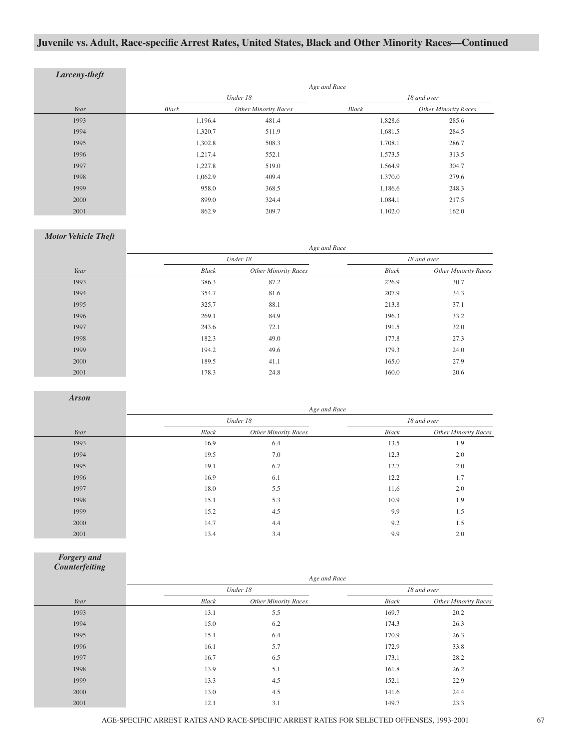| Larceny-theft |         |                             |         |                             |  |  |
|---------------|---------|-----------------------------|---------|-----------------------------|--|--|
|               |         | Age and Race                |         |                             |  |  |
|               |         | Under 18                    |         | 18 and over                 |  |  |
| Year          | Black   | <b>Other Minority Races</b> | Black   | <b>Other Minority Races</b> |  |  |
| 1993          | 1,196.4 | 481.4                       | 1,828.6 | 285.6                       |  |  |
| 1994          | 1,320.7 | 511.9                       | 1,681.5 | 284.5                       |  |  |
| 1995          | 1,302.8 | 508.3                       | 1,708.1 | 286.7                       |  |  |
| 1996          | 1,217.4 | 552.1                       | 1,573.5 | 313.5                       |  |  |
| 1997          | 1,227.8 | 519.0                       | 1,564.9 | 304.7                       |  |  |
| 1998          | 1,062.9 | 409.4                       | 1,370.0 | 279.6                       |  |  |
| 1999          | 958.0   | 368.5                       | 1,186.6 | 248.3                       |  |  |
| 2000          | 899.0   | 324.4                       | 1,084.1 | 217.5                       |  |  |
| 2001          | 862.9   | 209.7                       | 1,102.0 | 162.0                       |  |  |

### *Motor Vehicle Theft*

|      | Age and Race |                             |              |                             |  |
|------|--------------|-----------------------------|--------------|-----------------------------|--|
|      |              | Under 18<br>18 and over     |              |                             |  |
| Year | <b>Black</b> | <b>Other Minority Races</b> | <b>Black</b> | <b>Other Minority Races</b> |  |
| 1993 | 386.3        | 87.2                        | 226.9        | 30.7                        |  |
| 1994 | 354.7        | 81.6                        | 207.9        | 34.3                        |  |
| 1995 | 325.7        | 88.1                        | 213.8        | 37.1                        |  |
| 1996 | 269.1        | 84.9                        | 196.3        | 33.2                        |  |
| 1997 | 243.6        | 72.1                        | 191.5        | 32.0                        |  |
| 1998 | 182.3        | 49.0                        | 177.8        | 27.3                        |  |
| 1999 | 194.2        | 49.6                        | 179.3        | 24.0                        |  |
| 2000 | 189.5        | 41.1                        | 165.0        | 27.9                        |  |
| 2001 | 178.3        | 24.8                        | 160.0        | 20.6                        |  |

#### *Arson*

|      | Age and Race |                             |              |                             |
|------|--------------|-----------------------------|--------------|-----------------------------|
|      |              | Under 18                    |              | 18 and over                 |
| Year | Black        | <b>Other Minority Races</b> | <b>Black</b> | <b>Other Minority Races</b> |
| 1993 | 16.9         | 6.4                         | 13.5         | 1.9                         |
| 1994 | 19.5         | 7.0                         | 12.3         | 2.0                         |
| 1995 | 19.1         | 6.7                         | 12.7         | 2.0                         |
| 1996 | 16.9         | 6.1                         | 12.2         | 1.7                         |
| 1997 | 18.0         | 5.5                         | 11.6         | 2.0                         |
| 1998 | 15.1         | 5.3                         | 10.9         | 1.9                         |
| 1999 | 15.2         | 4.5                         | 9.9          | 1.5                         |
| 2000 | 14.7         | 4.4                         | 9.2          | 1.5                         |
| 2001 | 13.4         | 3.4                         | 9.9          | 2.0                         |

## *Forgery and*

*Counterfeiting*

|      | Age and Race |                             |              |                             |  |
|------|--------------|-----------------------------|--------------|-----------------------------|--|
|      |              | Under 18<br>18 and over     |              |                             |  |
| Year | <b>Black</b> | <b>Other Minority Races</b> | <b>Black</b> | <b>Other Minority Races</b> |  |
| 1993 | 13.1         | 5.5                         | 169.7        | 20.2                        |  |
| 1994 | 15.0         | 6.2                         | 174.3        | 26.3                        |  |
| 1995 | 15.1         | 6.4                         | 170.9        | 26.3                        |  |
| 1996 | 16.1         | 5.7                         | 172.9        | 33.8                        |  |
| 1997 | 16.7         | 6.5                         | 173.1        | 28.2                        |  |
| 1998 | 13.9         | 5.1                         | 161.8        | 26.2                        |  |
| 1999 | 13.3         | 4.5                         | 152.1        | 22.9                        |  |
| 2000 | 13.0         | 4.5                         | 141.6        | 24.4                        |  |
| 2001 | 12.1         | 3.1                         | 149.7        | 23.3                        |  |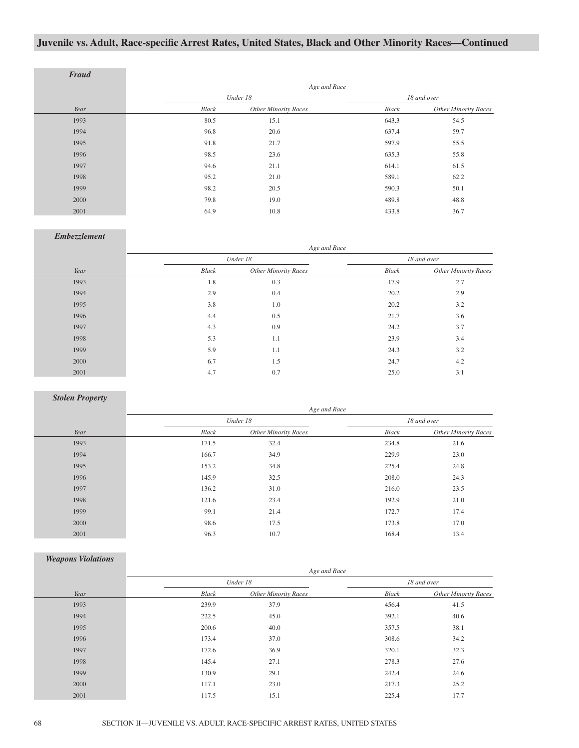| <b>Fraud</b> |              |                             |              |                             |
|--------------|--------------|-----------------------------|--------------|-----------------------------|
|              |              |                             | Age and Race |                             |
|              |              | Under 18                    |              | 18 and over                 |
| Year         | <b>Black</b> | <b>Other Minority Races</b> | Black        | <b>Other Minority Races</b> |
| 1993         | 80.5         | 15.1                        | 643.3        | 54.5                        |
| 1994         | 96.8         | 20.6                        | 637.4        | 59.7                        |
| 1995         | 91.8         | 21.7                        | 597.9        | 55.5                        |
| 1996         | 98.5         | 23.6                        | 635.3        | 55.8                        |
| 1997         | 94.6         | 21.1                        | 614.1        | 61.5                        |
| 1998         | 95.2         | 21.0                        | 589.1        | 62.2                        |
| 1999         | 98.2         | 20.5                        | 590.3        | 50.1                        |
| 2000         | 79.8         | 19.0                        | 489.8        | 48.8                        |
| 2001         | 64.9         | 10.8                        | 433.8        | 36.7                        |

#### *Embezzlement*

|      | Age and Race |                             |       |                             |  |
|------|--------------|-----------------------------|-------|-----------------------------|--|
|      |              | Under 18                    |       | 18 and over                 |  |
| Year | Black        | <b>Other Minority Races</b> | Black | <b>Other Minority Races</b> |  |
| 1993 | 1.8          | 0.3                         | 17.9  | 2.7                         |  |
| 1994 | 2.9          | 0.4                         | 20.2  | 2.9                         |  |
| 1995 | 3.8          | 1.0                         | 20.2  | 3.2                         |  |
| 1996 | 4.4          | 0.5                         | 21.7  | 3.6                         |  |
| 1997 | 4.3          | 0.9                         | 24.2  | 3.7                         |  |
| 1998 | 5.3          | 1.1                         | 23.9  | 3.4                         |  |
| 1999 | 5.9          | 1.1                         | 24.3  | 3.2                         |  |
| 2000 | 6.7          | 1.5                         | 24.7  | 4.2                         |  |
| 2001 | 4.7          | 0.7                         | 25.0  | 3.1                         |  |

#### *Stolen Property*

|      | Age and Race |                             |              |                             |
|------|--------------|-----------------------------|--------------|-----------------------------|
|      |              | Under 18<br>18 and over     |              |                             |
| Year | <b>Black</b> | <b>Other Minority Races</b> | <b>Black</b> | <b>Other Minority Races</b> |
| 1993 | 171.5        | 32.4                        | 234.8        | 21.6                        |
| 1994 | 166.7        | 34.9                        | 229.9        | 23.0                        |
| 1995 | 153.2        | 34.8                        | 225.4        | 24.8                        |
| 1996 | 145.9        | 32.5                        | 208.0        | 24.3                        |
| 1997 | 136.2        | 31.0                        | 216.0        | 23.5                        |
| 1998 | 121.6        | 23.4                        | 192.9        | 21.0                        |
| 1999 | 99.1         | 21.4                        | 172.7        | 17.4                        |
| 2000 | 98.6         | 17.5                        | 173.8        | 17.0                        |
| 2001 | 96.3         | 10.7                        | 168.4        | 13.4                        |

#### *Weapons Violations*

|      | Age and Race |                             |              |                             |
|------|--------------|-----------------------------|--------------|-----------------------------|
|      |              | Under 18                    |              | 18 and over                 |
| Year | <b>Black</b> | <b>Other Minority Races</b> | <b>Black</b> | <b>Other Minority Races</b> |
| 1993 | 239.9        | 37.9                        | 456.4        | 41.5                        |
| 1994 | 222.5        | 45.0                        | 392.1        | 40.6                        |
| 1995 | 200.6        | 40.0                        | 357.5        | 38.1                        |
| 1996 | 173.4        | 37.0                        | 308.6        | 34.2                        |
| 1997 | 172.6        | 36.9                        | 320.1        | 32.3                        |
| 1998 | 145.4        | 27.1                        | 278.3        | 27.6                        |
| 1999 | 130.9        | 29.1                        | 242.4        | 24.6                        |
| 2000 | 117.1        | 23.0                        | 217.3        | 25.2                        |
| 2001 | 117.5        | 15.1                        | 225.4        | 17.7                        |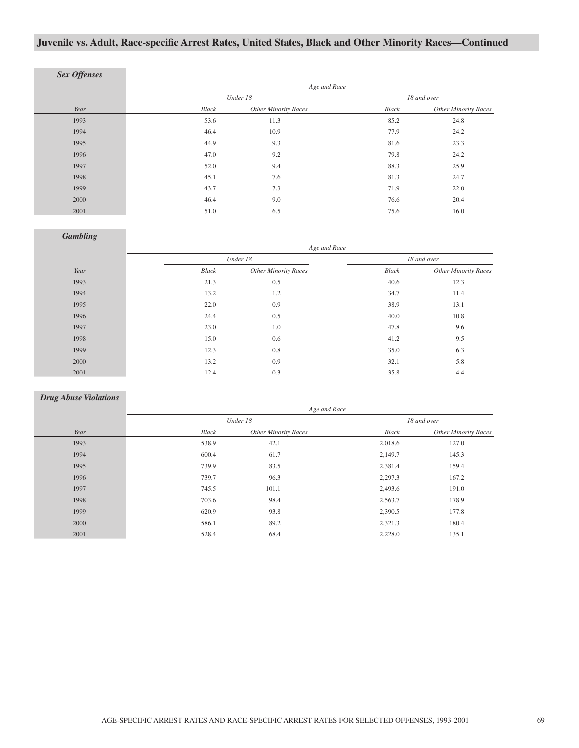| <b>Sex Offenses</b> |       |                             |       |                             |  |
|---------------------|-------|-----------------------------|-------|-----------------------------|--|
|                     |       | Age and Race                |       |                             |  |
|                     |       | Under 18                    |       | 18 and over                 |  |
| Year                | Black | <b>Other Minority Races</b> | Black | <b>Other Minority Races</b> |  |
| 1993                | 53.6  | 11.3                        | 85.2  | 24.8                        |  |
| 1994                | 46.4  | 10.9                        | 77.9  | 24.2                        |  |
| 1995                | 44.9  | 9.3                         | 81.6  | 23.3                        |  |
| 1996                | 47.0  | 9.2                         | 79.8  | 24.2                        |  |
| 1997                | 52.0  | 9.4                         | 88.3  | 25.9                        |  |
| 1998                | 45.1  | 7.6                         | 81.3  | 24.7                        |  |
| 1999                | 43.7  | 7.3                         | 71.9  | 22.0                        |  |
| 2000                | 46.4  | 9.0                         | 76.6  | 20.4                        |  |
| 2001                | 51.0  | 6.5                         | 75.6  | 16.0                        |  |

### *Gambling*

|      | Age and Race |                             |              |                             |
|------|--------------|-----------------------------|--------------|-----------------------------|
|      | Under 18     |                             | 18 and over  |                             |
| Year | <b>Black</b> | <b>Other Minority Races</b> | <b>Black</b> | <b>Other Minority Races</b> |
| 1993 | 21.3         | 0.5                         | 40.6         | 12.3                        |
| 1994 | 13.2         | 1.2                         | 34.7         | 11.4                        |
| 1995 | 22.0         | 0.9                         | 38.9         | 13.1                        |
| 1996 | 24.4         | 0.5                         | 40.0         | 10.8                        |
| 1997 | 23.0         | 1.0                         | 47.8         | 9.6                         |
| 1998 | 15.0         | 0.6                         | 41.2         | 9.5                         |
| 1999 | 12.3         | 0.8                         | 35.0         | 6.3                         |
| 2000 | 13.2         | 0.9                         | 32.1         | 5.8                         |
| 2001 | 12.4         | 0.3                         | 35.8         | 4.4                         |

#### *Drug Abuse Violations*

|      | Age and Race |                             |              |                             |
|------|--------------|-----------------------------|--------------|-----------------------------|
|      |              | Under 18                    |              | 18 and over                 |
| Year | <b>Black</b> | <b>Other Minority Races</b> | <b>Black</b> | <b>Other Minority Races</b> |
| 1993 | 538.9        | 42.1                        | 2,018.6      | 127.0                       |
| 1994 | 600.4        | 61.7                        | 2,149.7      | 145.3                       |
| 1995 | 739.9        | 83.5                        | 2,381.4      | 159.4                       |
| 1996 | 739.7        | 96.3                        | 2,297.3      | 167.2                       |
| 1997 | 745.5        | 101.1                       | 2,493.6      | 191.0                       |
| 1998 | 703.6        | 98.4                        | 2,563.7      | 178.9                       |
| 1999 | 620.9        | 93.8                        | 2,390.5      | 177.8                       |
| 2000 | 586.1        | 89.2                        | 2,321.3      | 180.4                       |
| 2001 | 528.4        | 68.4                        | 2,228.0      | 135.1                       |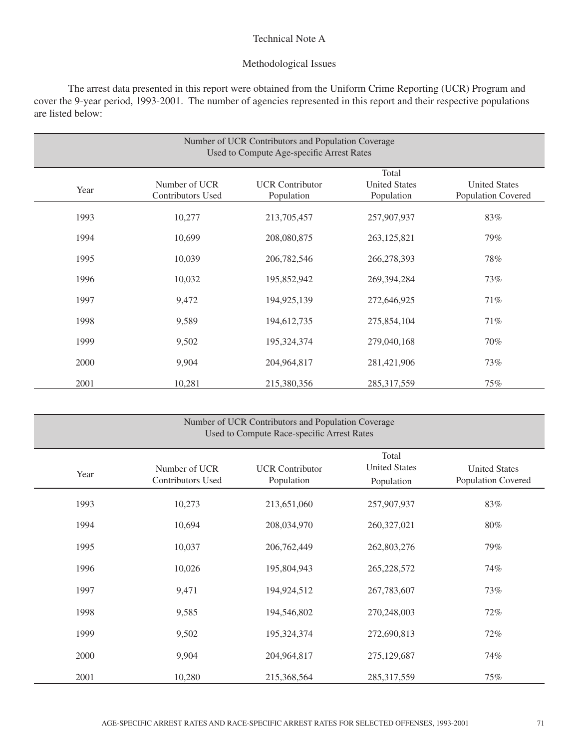## **Technical Note A**

# Methodological Issues

The arrest data presented in this report were obtained from the Uniform Crime Reporting (UCR) Program and cover the 9-year period, 1993-2001. The number of agencies represented in this report and their respective populations are listed below:

| Number of UCR Contributors and Population Coverage<br>Used to Compute Age-specific Arrest Rates |                                           |                                      |                                             |                                                   |
|-------------------------------------------------------------------------------------------------|-------------------------------------------|--------------------------------------|---------------------------------------------|---------------------------------------------------|
| Year                                                                                            | Number of UCR<br><b>Contributors Used</b> | <b>UCR Contributor</b><br>Population | Total<br><b>United States</b><br>Population | <b>United States</b><br><b>Population Covered</b> |
| 1993                                                                                            | 10,277                                    | 213,705,457                          | 257,907,937                                 | 83%                                               |
| 1994                                                                                            | 10,699                                    | 208,080,875                          | 263,125,821                                 | 79%                                               |
| 1995                                                                                            | 10,039                                    | 206,782,546                          | 266,278,393                                 | 78%                                               |
| 1996                                                                                            | 10,032                                    | 195,852,942                          | 269,394,284                                 | 73%                                               |
| 1997                                                                                            | 9,472                                     | 194,925,139                          | 272,646,925                                 | 71%                                               |
| 1998                                                                                            | 9,589                                     | 194,612,735                          | 275,854,104                                 | 71%                                               |
| 1999                                                                                            | 9,502                                     | 195, 324, 374                        | 279,040,168                                 | 70%                                               |
| 2000                                                                                            | 9,904                                     | 204,964,817                          | 281,421,906                                 | 73%                                               |
| 2001                                                                                            | 10,281                                    | 215,380,356                          | 285, 317, 559                               | 75%                                               |

| Number of UCR Contributors and Population Coverage<br>Used to Compute Race-specific Arrest Rates |                                           |                                      |                                             |                                            |
|--------------------------------------------------------------------------------------------------|-------------------------------------------|--------------------------------------|---------------------------------------------|--------------------------------------------|
| Year                                                                                             | Number of UCR<br><b>Contributors Used</b> | <b>UCR Contributor</b><br>Population | Total<br><b>United States</b><br>Population | <b>United States</b><br>Population Covered |
| 1993                                                                                             | 10,273                                    | 213,651,060                          | 257,907,937                                 | 83%                                        |
| 1994                                                                                             | 10,694                                    | 208,034,970                          | 260,327,021                                 | 80%                                        |
| 1995                                                                                             | 10,037                                    | 206,762,449                          | 262,803,276                                 | 79%                                        |
| 1996                                                                                             | 10,026                                    | 195,804,943                          | 265,228,572                                 | 74%                                        |
| 1997                                                                                             | 9,471                                     | 194,924,512                          | 267,783,607                                 | 73%                                        |
| 1998                                                                                             | 9,585                                     | 194,546,802                          | 270,248,003                                 | 72%                                        |
| 1999                                                                                             | 9,502                                     | 195,324,374                          | 272,690,813                                 | 72%                                        |
| 2000                                                                                             | 9,904                                     | 204,964,817                          | 275,129,687                                 | 74%                                        |
| 2001                                                                                             | 10,280                                    | 215,368,564                          | 285, 317, 559                               | 75%                                        |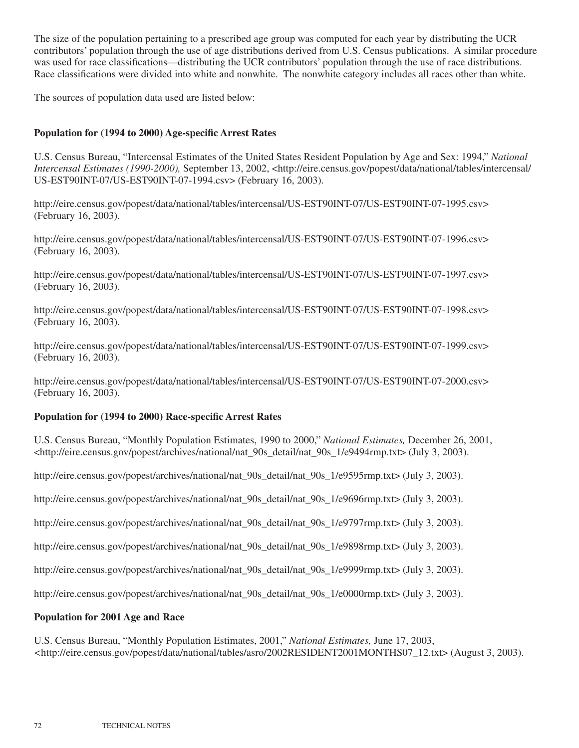The size of the population pertaining to a prescribed age group was computed for each year by distributing the UCR contributors' population through the use of age distributions derived from U.S. Census publications. A similar procedure was used for race classifications—distributing the UCR contributors' population through the use of race distributions. Race classifications were divided into white and nonwhite. The nonwhite category includes all races other than white.

The sources of population data used are listed below:

## **Population for (1994 to 2000) Age-specific Arrest Rates**

U.S. Census Bureau, "Intercensal Estimates of the United States Resident Population by Age and Sex: 1994," *National Intercensal Estimates (1990-2000),* September 13, 2002, <http://eire.census.gov/popest/data/national/tables/intercensal/ US-EST90INT-07/US-EST90INT-07-1994.csv> (February 16, 2003).

http://eire.census.gov/popest/data/national/tables/intercensal/US-EST90INT-07/US-EST90INT-07-1995.csv> (February 16, 2003).

http://eire.census.gov/popest/data/national/tables/intercensal/US-EST90INT-07/US-EST90INT-07-1996.csv> (February 16, 2003).

http://eire.census.gov/popest/data/national/tables/intercensal/US-EST90INT-07/US-EST90INT-07-1997.csv> (February 16, 2003).

http://eire.census.gov/popest/data/national/tables/intercensal/US-EST90INT-07/US-EST90INT-07-1998.csv> (February 16, 2003).

http://eire.census.gov/popest/data/national/tables/intercensal/US-EST90INT-07/US-EST90INT-07-1999.csv> (February 16, 2003).

http://eire.census.gov/popest/data/national/tables/intercensal/US-EST90INT-07/US-EST90INT-07-2000.csv> (February 16, 2003).

### **Population for (1994 to 2000) Race-specific Arrest Rates**

U.S. Census Bureau, "Monthly Population Estimates, 1990 to 2000," *National Estimates,* December 26, 2001, <http://eire.census.gov/popest/archives/national/nat\_90s\_detail/nat\_90s\_1/e9494rmp.txt> (July 3, 2003).

http://eire.census.gov/popest/archives/national/nat\_90s\_detail/nat\_90s\_1/e9595rmp.txt> (July 3, 2003).

http://eire.census.gov/popest/archives/national/nat\_90s\_detail/nat\_90s\_1/e9696rmp.txt> (July 3, 2003).

http://eire.census.gov/popest/archives/national/nat\_90s\_detail/nat\_90s\_1/e9797rmp.txt> (July 3, 2003).

http://eire.census.gov/popest/archives/national/nat\_90s\_detail/nat\_90s\_1/e9898rmp.txt> (July 3, 2003).

http://eire.census.gov/popest/archives/national/nat\_90s\_detail/nat\_90s\_1/e9999rmp.txt> (July 3, 2003).

http://eire.census.gov/popest/archives/national/nat\_90s\_detail/nat\_90s\_1/e0000rmp.txt> (July 3, 2003).

### **Population for 2001 Age and Race**

U.S. Census Bureau, "Monthly Population Estimates, 2001," *National Estimates,* June 17, 2003, *<*http://eire.census.gov/popest/data/national/tables/asro/2002RESIDENT2001MONTHS07\_12.txt> (August 3, 2003).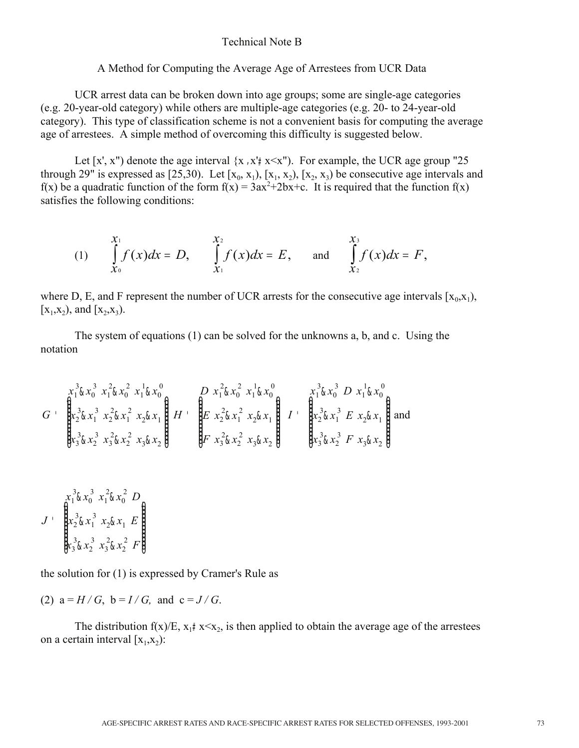## **Technical Note B**

## A Method for Computing the Average Age of Arrestees from UCR Data

UCR arrest data can be broken down into age groups; some are single-age categories (e.g. 20-year-old category) while others are multiple-age categories (e.g. 20- to 24-year-old category). This type of classification scheme is not a convenient basis for computing the average age of arrestees. A simple method of overcoming this difficulty is suggested below.

Let [x', x") denote the age interval  $\{x, x' \neq x \leq x''\}$ . For example, the UCR age group "25 through 29" is expressed as [25,30). Let  $[x_0, x_1)$ ,  $[x_1, x_2)$ ,  $[x_2, x_3)$  be consecutive age intervals and  $f(x)$  be a quadratic function of the form  $f(x) = 3ax^2+2bx+c$ . It is required that the function  $f(x)$ satisfies the following conditions:

(1) 
$$
\int_{x_0}^{x_1} f(x)dx = D
$$
,  $\int_{x_1}^{x_2} f(x)dx = E$ , and  $\int_{x_2}^{x_3} f(x)dx = F$ ,

where D, E, and F represent the number of UCR arrests for the consecutive age intervals  $[x_0, x_1)$ ,  $[x_1, x_2]$ , and  $[x_2, x_3]$ .

The system of equations (1) can be solved for the unknowns a, b, and c. Using the notation

*G* ' and / / *x* &*x x* &*x x* &*x x* &*x x* &*x x*2&*x*<sup>1</sup> *x* &*x x* &*x x*3&*x*<sup>2</sup> *H* ' / / *D x* <sup>2</sup> &*x x* &*x E x* <sup>2</sup> &*x x*2&*x*<sup>1</sup> *F x* <sup>2</sup> &*x x*3&*x*<sup>2</sup> *I* ' / / *x* &*x D x* <sup>1</sup> &*x x* &*x E x*2&*x*<sup>1</sup> *x* &*x F x*3&*x*<sup>2</sup>

$$
J = \begin{pmatrix} x_1^3 \& x_0^3 & x_1^2 \& x_0^2 & D \\ x_2^3 \& x_1^3 & x_2 \& x_1 & E \\ x_3^3 \& x_2^3 & x_3^2 \& x_2^2 & F \end{pmatrix}
$$

the solution for (1) is expressed by Cramer's Rule as

(2) 
$$
a = H/G
$$
,  $b = I/G$ , and  $c = J/G$ .

The distribution  $f(x)/E$ ,  $x_1 \# x \le x_2$ , is then applied to obtain the average age of the arrestees on a certain interval  $[x_1, x_2)$ :